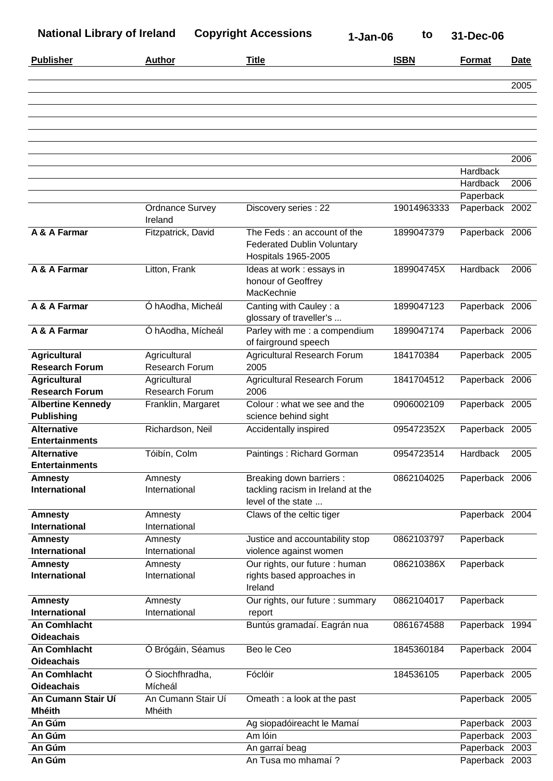**National Library of Ireland Copyright Accessions 1-Jan-06 to 31-Dec-06**

**Publisher Author Title ISBN Format Date**

Discovery series : 22 The Feds : an account of the Federated Dublin Voluntary Hospitals 1965-2005 Ideas at work : essays in honour of Geoffrey **MacKechnie** Canting with Cauley : a glossary of traveller's ... Parley with me : a compendium of fairground speech Agricultural Research Forum 2005 Agricultural Research Forum 2006 Colour : what we see and the science behind sight Accidentally inspired Paintings : Richard Gorman Breaking down barriers : tackling racism in Ireland at the level of the state ... Claws of the celtic tiger Justice and accountability stop violence against women Our rights, our future : human rights based approaches in Ireland Our rights, our future : summary report Buntús gramadaí. Eagrán nua Beo le Ceo Fóclóir Omeath : a look at the past Ag siopadóireacht le Mamaí Am lóin An garraí beag An Tusa mo mhamaí ? Ordnance Survey Ireland Fitzpatrick, David Litton, Frank Ó hAodha, Micheál Ó hAodha, Mícheál **Agricultural** Research Forum **Agricultural** Research Forum Franklin, Margaret Richardson, Neil Tóibín, Colm **Amnesty** International Amnesty International **Amnesty** International Amnesty International Amnesty International Ó Brógáin, Séamus Ó Siochfhradha, Mícheál An Cumann Stair Uí Mhéith 19014963333 1899047379 189904745X 1899047123 1899047174 184170384 1841704512 0906002109 095472352X 0954723514 0862104025 0862103797 086210386X 0862104017 0861674588 1845360184 184536105 Hardback **Hardback Paperback** Paperback Paperback 2006 Hardback Paperback 2006 Paperback 2006 Paperback 2005 Paperback 2006 Paperback 2005 Paperback 2005 Hardback Paperback 2006 Paperback 2004 **Paperback** Paperback Paperback **Paperback** Paperback 2004 Paperback 2005 Paperback 2005 Paperback **Paperback Paperback** Paperback 2003**A & A Farmar A & A Farmar A & A Farmar A & A Farmar Agricultural Research Forum Agricultural Research Forum Albertine Kennedy Publishing Alternative Entertainments Alternative Entertainments Amnesty International Amnesty International Amnesty International Amnesty International Amnesty International An Comhlacht Oideachais An Comhlacht Oideachais An Comhlacht Oideachais An Cumann Stair Uí Mhéith An Gúm An Gúm An Gúm An Gúm** 2005 2006 2006 2002 2006 2005 1994 2003 2003 2003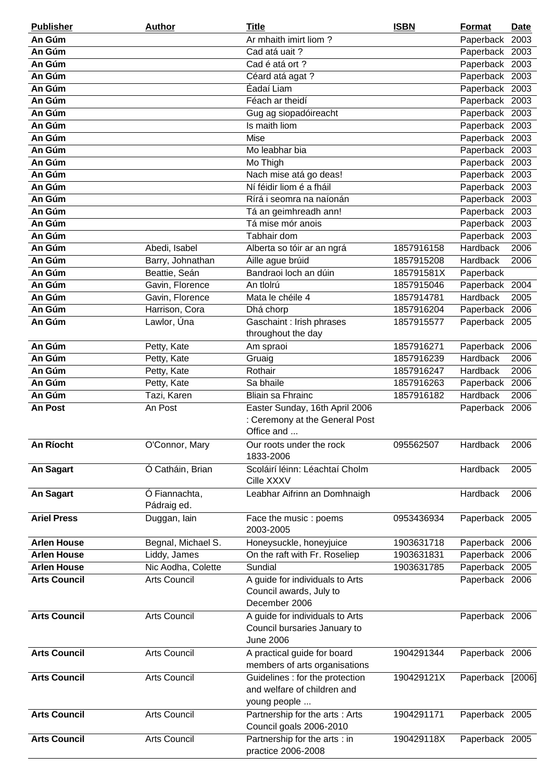| <b>Publisher</b>    | <b>Author</b>       | <b>Title</b>                                                   | <b>ISBN</b> | <b>Format</b>    | <b>Date</b> |
|---------------------|---------------------|----------------------------------------------------------------|-------------|------------------|-------------|
| An Gúm              |                     | Ar mhaith imirt liom?                                          |             | Paperback        | 2003        |
| An Gúm              |                     | Cad atá uait ?                                                 |             | Paperback 2003   |             |
| An Gúm              |                     | Cad é atá ort ?                                                |             | Paperback 2003   |             |
| An Gúm              |                     | Céard atá agat ?                                               |             | Paperback 2003   |             |
| An Gúm              |                     | Éadaí Liam                                                     |             | Paperback        | 2003        |
| An Gúm              |                     | Féach ar theidí                                                |             | Paperback 2003   |             |
| An Gúm              |                     | Gug ag siopadóireacht                                          |             | Paperback        | 2003        |
| An Gúm              |                     | Is maith liom                                                  |             | Paperback 2003   |             |
| An Gúm              |                     | Mise                                                           |             | Paperback 2003   |             |
| An Gúm              |                     | Mo leabhar bia                                                 |             | Paperback 2003   |             |
| An Gúm              |                     | Mo Thigh                                                       |             | Paperback 2003   |             |
| An Gúm              |                     | Nach mise atá go deas!                                         |             | Paperback 2003   |             |
| An Gúm              |                     | Ní féidir liom é a fháil                                       |             | Paperback 2003   |             |
| An Gúm              |                     | Rírá i seomra na naíonán                                       |             | Paperback 2003   |             |
| An Gúm              |                     | Tá an geimhreadh ann!                                          |             | Paperback        | 2003        |
| An Gúm              |                     | Tá mise mór anois                                              |             | Paperback        | 2003        |
| An Gúm              |                     | Tabhair dom                                                    |             | Paperback        | 2003        |
| An Gúm              | Abedi, Isabel       | Alberta so tóir ar an ngrá                                     | 1857916158  | Hardback         | 2006        |
| An Gúm              | Barry, Johnathan    | Áille ague brúid                                               | 1857915208  | Hardback         | 2006        |
| An Gúm              | Beattie, Seán       | Bandraoi loch an dúin                                          | 185791581X  | Paperback        |             |
| An Gúm              | Gavin, Florence     | An tlolrú                                                      | 1857915046  | Paperback        | 2004        |
| An Gúm              | Gavin, Florence     | Mata le chéile 4                                               | 1857914781  | Hardback         | 2005        |
| An Gúm              | Harrison, Cora      | Dhá chorp                                                      | 1857916204  | Paperback 2006   |             |
| An Gúm              | Lawlor, Úna         | Gaschaint : Irish phrases                                      | 1857915577  | Paperback 2005   |             |
|                     |                     | throughout the day                                             |             |                  |             |
| An Gúm              | Petty, Kate         | Am spraoi                                                      | 1857916271  | Paperback        | 2006        |
| An Gúm              | Petty, Kate         | Gruaig                                                         | 1857916239  | Hardback         | 2006        |
| An Gúm              | Petty, Kate         | Rothair                                                        | 1857916247  | Hardback         | 2006        |
| An Gúm              | Petty, Kate         | Sa bhaile                                                      | 1857916263  | Paperback        | 2006        |
| An Gúm              | Tazi, Karen         | <b>Bliain sa Fhrainc</b>                                       | 1857916182  | <b>Hardback</b>  | 2006        |
| An Post             | An Post             | Easter Sunday, 16th April 2006                                 |             | Paperback 2006   |             |
|                     |                     | : Ceremony at the General Post                                 |             |                  |             |
|                     |                     | Office and                                                     |             |                  |             |
| <b>An Ríocht</b>    | O'Connor, Mary      | Our roots under the rock                                       | 095562507   | Hardback         | 2006        |
|                     |                     | 1833-2006                                                      |             |                  |             |
| <b>An Sagart</b>    | Ó Catháin, Brian    | Scoláirí léinn: Léachtaí Cholm                                 |             | Hardback         | 2005        |
|                     |                     | Cille XXXV                                                     |             |                  |             |
| <b>An Sagart</b>    | Ó Fiannachta,       | Leabhar Aifrinn an Domhnaigh                                   |             | Hardback         | 2006        |
|                     | Pádraig ed.         |                                                                |             |                  |             |
| <b>Ariel Press</b>  | Duggan, lain        | Face the music: poems                                          | 0953436934  | Paperback 2005   |             |
|                     |                     | 2003-2005                                                      |             |                  |             |
| <b>Arlen House</b>  | Begnal, Michael S.  | Honeysuckle, honeyjuice                                        | 1903631718  | Paperback        | 2006        |
| <b>Arlen House</b>  | Liddy, James        | On the raft with Fr. Roseliep                                  | 1903631831  | Paperback 2006   |             |
| <b>Arlen House</b>  | Nic Aodha, Colette  | Sundial                                                        | 1903631785  | Paperback 2005   |             |
| <b>Arts Council</b> | Arts Council        | A guide for individuals to Arts                                |             | Paperback 2006   |             |
|                     |                     | Council awards, July to<br>December 2006                       |             |                  |             |
|                     |                     |                                                                |             |                  |             |
| <b>Arts Council</b> | Arts Council        | A guide for individuals to Arts                                |             | Paperback 2006   |             |
|                     |                     | Council bursaries January to                                   |             |                  |             |
|                     |                     | <b>June 2006</b>                                               |             |                  |             |
| <b>Arts Council</b> | <b>Arts Council</b> | A practical guide for board                                    | 1904291344  | Paperback 2006   |             |
|                     |                     | members of arts organisations                                  |             |                  |             |
| <b>Arts Council</b> | Arts Council        | Guidelines : for the protection<br>and welfare of children and | 190429121X  | Paperback [2006] |             |
|                     |                     | young people                                                   |             |                  |             |
| <b>Arts Council</b> | <b>Arts Council</b> | Partnership for the arts: Arts                                 | 1904291171  | Paperback 2005   |             |
|                     |                     | Council goals 2006-2010                                        |             |                  |             |
| <b>Arts Council</b> | Arts Council        | Partnership for the arts : in                                  | 190429118X  | Paperback 2005   |             |
|                     |                     | practice 2006-2008                                             |             |                  |             |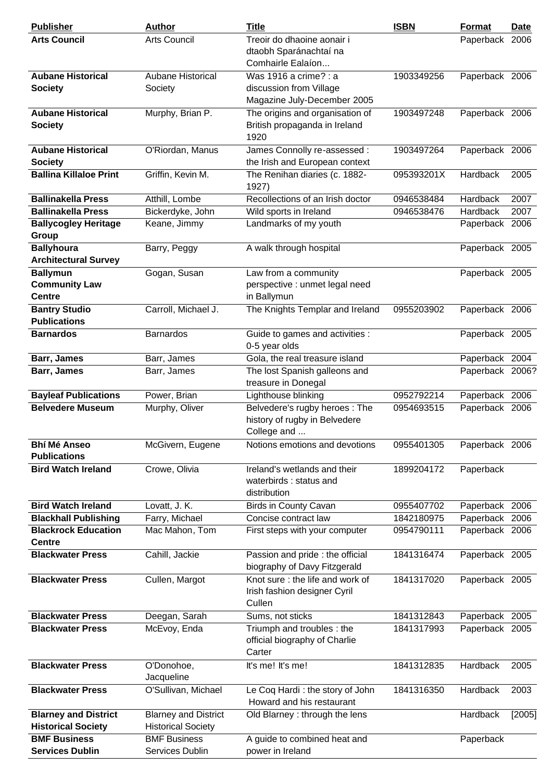| <b>Publisher</b>                                         | <b>Author</b>                                            | <b>Title</b>                                                                    | <b>ISBN</b> | <b>Format</b>   | Date   |
|----------------------------------------------------------|----------------------------------------------------------|---------------------------------------------------------------------------------|-------------|-----------------|--------|
| <b>Arts Council</b>                                      | <b>Arts Council</b>                                      | Treoir do dhaoine aonair i<br>dtaobh Sparánachtaí na<br>Comhairle Ealaíon       |             | Paperback 2006  |        |
| <b>Aubane Historical</b><br><b>Society</b>               | <b>Aubane Historical</b><br>Society                      | Was 1916 a crime? : a<br>discussion from Village<br>Magazine July-December 2005 | 1903349256  | Paperback 2006  |        |
| <b>Aubane Historical</b><br><b>Society</b>               | Murphy, Brian P.                                         | The origins and organisation of<br>British propaganda in Ireland<br>1920        | 1903497248  | Paperback 2006  |        |
| <b>Aubane Historical</b><br><b>Society</b>               | O'Riordan, Manus                                         | James Connolly re-assessed :<br>the Irish and European context                  | 1903497264  | Paperback 2006  |        |
| <b>Ballina Killaloe Print</b>                            | Griffin, Kevin M.                                        | The Renihan diaries (c. 1882-<br>1927)                                          | 095393201X  | Hardback        | 2005   |
| <b>Ballinakella Press</b>                                | Atthill, Lombe                                           | Recollections of an Irish doctor                                                | 0946538484  | Hardback        | 2007   |
| <b>Ballinakella Press</b>                                | Bickerdyke, John                                         | Wild sports in Ireland                                                          | 0946538476  | Hardback        | 2007   |
| <b>Ballycogley Heritage</b><br>Group                     | Keane, Jimmy                                             | Landmarks of my youth                                                           |             | Paperback 2006  |        |
| <b>Ballyhoura</b><br><b>Architectural Survey</b>         | Barry, Peggy                                             | A walk through hospital                                                         |             | Paperback 2005  |        |
| <b>Ballymun</b><br><b>Community Law</b><br><b>Centre</b> | Gogan, Susan                                             | Law from a community<br>perspective : unmet legal need<br>in Ballymun           |             | Paperback 2005  |        |
| <b>Bantry Studio</b><br><b>Publications</b>              | Carroll, Michael J.                                      | The Knights Templar and Ireland                                                 | 0955203902  | Paperback 2006  |        |
| <b>Barnardos</b>                                         | <b>Barnardos</b>                                         | Guide to games and activities :<br>0-5 year olds                                |             | Paperback 2005  |        |
| Barr, James                                              | Barr, James                                              | Gola, the real treasure island                                                  |             | Paperback 2004  |        |
| Barr, James                                              | Barr, James                                              | The lost Spanish galleons and<br>treasure in Donegal                            |             | Paperback 2006? |        |
| <b>Bayleaf Publications</b>                              | Power, Brian                                             | Lighthouse blinking                                                             | 0952792214  | Paperback 2006  |        |
| <b>Belvedere Museum</b>                                  | Murphy, Oliver                                           | Belvedere's rugby heroes: The<br>history of rugby in Belvedere<br>College and   | 0954693515  | Paperback 2006  |        |
| <b>Bhí Mé Anseo</b><br><b>Publications</b>               | McGivern, Eugene                                         | Notions emotions and devotions                                                  | 0955401305  | Paperback 2006  |        |
| <b>Bird Watch Ireland</b>                                | Crowe, Olivia                                            | Ireland's wetlands and their<br>waterbirds: status and<br>distribution          | 1899204172  | Paperback       |        |
| <b>Bird Watch Ireland</b>                                | Lovatt, J. K.                                            | <b>Birds in County Cavan</b>                                                    | 0955407702  | Paperback 2006  |        |
| <b>Blackhall Publishing</b>                              |                                                          |                                                                                 |             |                 |        |
|                                                          | Farry, Michael                                           | Concise contract law                                                            | 1842180975  | Paperback 2006  |        |
| <b>Blackrock Education</b><br><b>Centre</b>              | Mac Mahon, Tom                                           | First steps with your computer                                                  | 0954790111  | Paperback 2006  |        |
| <b>Blackwater Press</b>                                  | Cahill, Jackie                                           | Passion and pride : the official<br>biography of Davy Fitzgerald                | 1841316474  | Paperback 2005  |        |
| <b>Blackwater Press</b>                                  | Cullen, Margot                                           | Knot sure : the life and work of<br>Irish fashion designer Cyril<br>Cullen      | 1841317020  | Paperback 2005  |        |
| <b>Blackwater Press</b>                                  | Deegan, Sarah                                            | Sums, not sticks                                                                | 1841312843  | Paperback 2005  |        |
| <b>Blackwater Press</b>                                  | McEvoy, Enda                                             | Triumph and troubles: the<br>official biography of Charlie<br>Carter            | 1841317993  | Paperback 2005  |        |
| <b>Blackwater Press</b>                                  | O'Donohoe,<br>Jacqueline                                 | It's me! It's me!                                                               | 1841312835  | Hardback        | 2005   |
| <b>Blackwater Press</b>                                  | O'Sullivan, Michael                                      | Le Coq Hardi: the story of John<br>Howard and his restaurant                    | 1841316350  | Hardback        | 2003   |
| <b>Blarney and District</b><br><b>Historical Society</b> | <b>Blarney and District</b><br><b>Historical Society</b> | Old Blarney: through the lens<br>A guide to combined heat and                   |             | Hardback        | [2005] |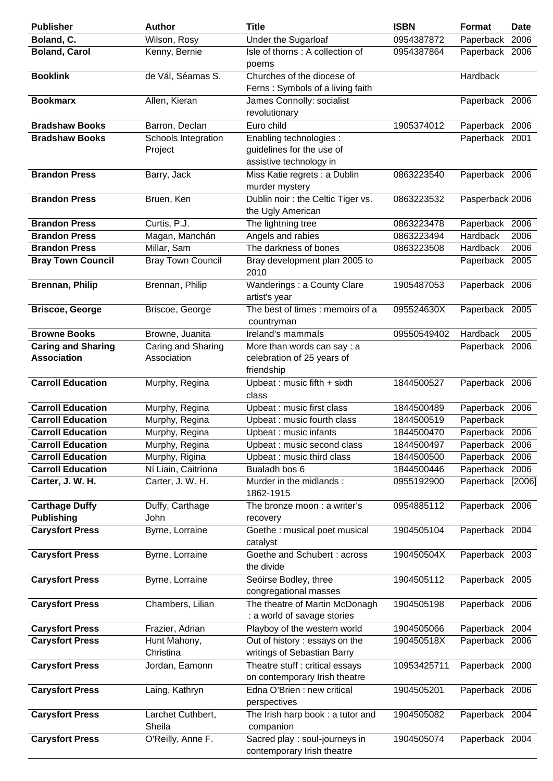| <b>Publisher</b>          | Author                   | <b>Title</b>                      | <b>ISBN</b> | <b>Format</b>   | Date   |
|---------------------------|--------------------------|-----------------------------------|-------------|-----------------|--------|
| Boland, C.                | Wilson, Rosy             | Under the Sugarloaf               | 0954387872  | Paperback 2006  |        |
| <b>Boland, Carol</b>      | Kenny, Bernie            | Isle of thorns: A collection of   | 0954387864  | Paperback 2006  |        |
|                           |                          | poems                             |             |                 |        |
| <b>Booklink</b>           | de Vál, Séamas S.        | Churches of the diocese of        |             | Hardback        |        |
|                           |                          | Ferns: Symbols of a living faith  |             |                 |        |
| <b>Bookmarx</b>           | Allen, Kieran            | James Connolly: socialist         |             | Paperback 2006  |        |
|                           |                          | revolutionary                     |             |                 |        |
| <b>Bradshaw Books</b>     | Barron, Declan           | Euro child                        | 1905374012  | Paperback 2006  |        |
| <b>Bradshaw Books</b>     | Schools Integration      | Enabling technologies :           |             | Paperback 2001  |        |
|                           | Project                  | guidelines for the use of         |             |                 |        |
|                           |                          | assistive technology in           |             |                 |        |
| <b>Brandon Press</b>      |                          |                                   | 0863223540  |                 |        |
|                           | Barry, Jack              | Miss Katie regrets : a Dublin     |             | Paperback 2006  |        |
|                           |                          | murder mystery                    |             |                 |        |
| <b>Brandon Press</b>      | Bruen, Ken               | Dublin noir: the Celtic Tiger vs. | 0863223532  | Pasperback 2006 |        |
|                           |                          | the Ugly American                 |             |                 |        |
| <b>Brandon Press</b>      | Curtis, P.J.             | The lightning tree                | 0863223478  | Paperback       | 2006   |
| <b>Brandon Press</b>      | Magan, Manchán           | Angels and rabies                 | 0863223494  | Hardback        | 2006   |
| <b>Brandon Press</b>      | Millar, Sam              | The darkness of bones             | 0863223508  | <b>Hardback</b> | 2006   |
| <b>Bray Town Council</b>  | <b>Bray Town Council</b> | Bray development plan 2005 to     |             | Paperback 2005  |        |
|                           |                          | 2010                              |             |                 |        |
| <b>Brennan, Philip</b>    | Brennan, Philip          | Wanderings : a County Clare       | 1905487053  | Paperback 2006  |        |
|                           |                          | artist's year                     |             |                 |        |
| <b>Briscoe, George</b>    | Briscoe, George          | The best of times: memoirs of a   | 095524630X  | Paperback 2005  |        |
|                           |                          | countryman                        |             |                 |        |
| <b>Browne Books</b>       | Browne, Juanita          | Ireland's mammals                 | 09550549402 | Hardback        | 2005   |
| <b>Caring and Sharing</b> | Caring and Sharing       | More than words can say: a        |             | Paperback 2006  |        |
| <b>Association</b>        | Association              | celebration of 25 years of        |             |                 |        |
|                           |                          | friendship                        |             |                 |        |
| <b>Carroll Education</b>  | Murphy, Regina           | Upbeat : music fifth + sixth      | 1844500527  | Paperback 2006  |        |
|                           |                          | class                             |             |                 |        |
| <b>Carroll Education</b>  | Murphy, Regina           | Upbeat: music first class         | 1844500489  | Paperback 2006  |        |
| <b>Carroll Education</b>  | Murphy, Regina           | Upbeat : music fourth class       | 1844500519  | Paperback       |        |
| <b>Carroll Education</b>  | Murphy, Regina           | Upbeat: music infants             | 1844500470  | Paperback 2006  |        |
| <b>Carroll Education</b>  | Murphy, Regina           | Upbeat: music second class        | 1844500497  | Paperback 2006  |        |
| <b>Carroll Education</b>  | Murphy, Rigina           | Upbeat : music third class        | 1844500500  | Paperback       | 2006   |
| <b>Carroll Education</b>  | Ní Liain, Caitríona      | Bualadh bos 6                     | 1844500446  | Paperback       | 2006   |
| Carter, J. W. H.          | Carter, J. W. H.         | Murder in the midlands:           | 0955192900  | Paperback       | [2006] |
|                           |                          | 1862-1915                         |             |                 |        |
| <b>Carthage Duffy</b>     | Duffy, Carthage          | The bronze moon : a writer's      | 0954885112  | Paperback 2006  |        |
|                           |                          |                                   |             |                 |        |
| <b>Publishing</b>         | John                     | recovery                          |             |                 |        |
| <b>Carysfort Press</b>    | Byrne, Lorraine          | Goethe : musical poet musical     | 1904505104  | Paperback 2004  |        |
|                           |                          | catalyst                          |             |                 |        |
| <b>Carysfort Press</b>    | Byrne, Lorraine          | Goethe and Schubert: across       | 190450504X  | Paperback 2003  |        |
|                           |                          | the divide                        |             |                 |        |
| <b>Carysfort Press</b>    | Byrne, Lorraine          | Seóirse Bodley, three             | 1904505112  | Paperback 2005  |        |
|                           |                          | congregational masses             |             |                 |        |
| <b>Carysfort Press</b>    | Chambers, Lilian         | The theatre of Martin McDonagh    | 1904505198  | Paperback 2006  |        |
|                           |                          | : a world of savage stories       |             |                 |        |
| <b>Carysfort Press</b>    | Frazier, Adrian          | Playboy of the western world      | 1904505066  | Paperback 2004  |        |
| <b>Carysfort Press</b>    | Hunt Mahony,             | Out of history : essays on the    | 190450518X  | Paperback 2006  |        |
|                           | Christina                | writings of Sebastian Barry       |             |                 |        |
| <b>Carysfort Press</b>    | Jordan, Eamonn           | Theatre stuff : critical essays   | 10953425711 | Paperback 2000  |        |
|                           |                          | on contemporary Irish theatre     |             |                 |        |
| <b>Carysfort Press</b>    | Laing, Kathryn           | Edna O'Brien : new critical       | 1904505201  | Paperback 2006  |        |
|                           |                          | perspectives                      |             |                 |        |
| <b>Carysfort Press</b>    | Larchet Cuthbert,        | The Irish harp book: a tutor and  | 1904505082  | Paperback 2004  |        |
|                           | Sheila                   | companion                         |             |                 |        |
| <b>Carysfort Press</b>    | O'Reilly, Anne F.        | Sacred play : soul-journeys in    | 1904505074  | Paperback 2004  |        |
|                           |                          | contemporary Irish theatre        |             |                 |        |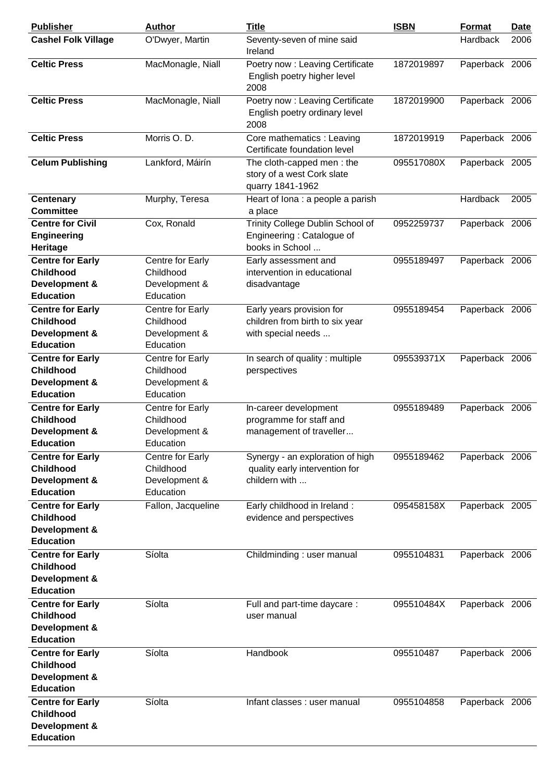| <b>Publisher</b>                                          | <b>Author</b>                 | <b>Title</b>                                                                     | <b>ISBN</b> | Format         | <b>Date</b> |
|-----------------------------------------------------------|-------------------------------|----------------------------------------------------------------------------------|-------------|----------------|-------------|
| <b>Cashel Folk Village</b>                                | O'Dwyer, Martin               | Seventy-seven of mine said<br>Ireland                                            |             | Hardback       | 2006        |
| <b>Celtic Press</b>                                       | MacMonagle, Niall             | Poetry now: Leaving Certificate<br>English poetry higher level<br>2008           | 1872019897  | Paperback 2006 |             |
| <b>Celtic Press</b>                                       | MacMonagle, Niall             | Poetry now: Leaving Certificate<br>English poetry ordinary level<br>2008         | 1872019900  | Paperback 2006 |             |
| <b>Celtic Press</b>                                       | Morris O. D.                  | Core mathematics : Leaving<br>Certificate foundation level                       | 1872019919  | Paperback 2006 |             |
| <b>Celum Publishing</b>                                   | Lankford, Máirín              | The cloth-capped men: the<br>story of a west Cork slate<br>quarry 1841-1962      | 095517080X  | Paperback 2005 |             |
| <b>Centenary</b>                                          | Murphy, Teresa                | Heart of lona : a people a parish                                                |             | Hardback       | 2005        |
| <b>Committee</b>                                          |                               | a place                                                                          |             |                |             |
| <b>Centre for Civil</b><br><b>Engineering</b><br>Heritage | Cox, Ronald                   | Trinity College Dublin School of<br>Engineering: Catalogue of<br>books in School | 0952259737  | Paperback 2006 |             |
| <b>Centre for Early</b>                                   | Centre for Early              | Early assessment and                                                             | 0955189497  | Paperback 2006 |             |
| <b>Childhood</b>                                          | Childhood                     | intervention in educational                                                      |             |                |             |
| Development &<br><b>Education</b>                         | Development &<br>Education    | disadvantage                                                                     |             |                |             |
| <b>Centre for Early</b>                                   | Centre for Early              | Early years provision for                                                        | 0955189454  | Paperback 2006 |             |
| <b>Childhood</b>                                          | Childhood                     | children from birth to six year                                                  |             |                |             |
| Development &<br><b>Education</b>                         | Development &<br>Education    | with special needs                                                               |             |                |             |
| <b>Centre for Early</b><br><b>Childhood</b>               | Centre for Early<br>Childhood | In search of quality: multiple                                                   | 095539371X  | Paperback 2006 |             |
| Development &                                             | Development &                 | perspectives                                                                     |             |                |             |
| <b>Education</b>                                          | Education                     |                                                                                  |             |                |             |
| <b>Centre for Early</b>                                   | Centre for Early              | In-career development                                                            | 0955189489  | Paperback 2006 |             |
| <b>Childhood</b>                                          | Childhood                     | programme for staff and                                                          |             |                |             |
| Development &                                             | Development &                 | management of traveller                                                          |             |                |             |
| <b>Education</b>                                          | Education                     |                                                                                  |             |                |             |
| <b>Centre for Early</b>                                   | Centre for Early              | Synergy - an exploration of high                                                 | 0955189462  | Paperback 2006 |             |
| <b>Childhood</b>                                          | Childhood                     | quality early intervention for                                                   |             |                |             |
| Development &                                             | Development &                 | childern with                                                                    |             |                |             |
| <b>Education</b>                                          | Education                     |                                                                                  |             |                |             |
| <b>Centre for Early</b><br><b>Childhood</b>               | Fallon, Jacqueline            | Early childhood in Ireland:<br>evidence and perspectives                         | 095458158X  | Paperback 2005 |             |
| Development &                                             |                               |                                                                                  |             |                |             |
| <b>Education</b>                                          |                               |                                                                                  |             |                |             |
| <b>Centre for Early</b><br><b>Childhood</b>               | Síolta                        | Childminding: user manual                                                        | 0955104831  | Paperback 2006 |             |
| Development &<br><b>Education</b>                         |                               |                                                                                  |             |                |             |
| <b>Centre for Early</b>                                   | Síolta                        | Full and part-time daycare:                                                      | 095510484X  | Paperback 2006 |             |
| <b>Childhood</b><br>Development &                         |                               | user manual                                                                      |             |                |             |
| <b>Education</b>                                          |                               |                                                                                  |             |                |             |
| <b>Centre for Early</b>                                   | Síolta                        | Handbook                                                                         | 095510487   | Paperback 2006 |             |
| <b>Childhood</b>                                          |                               |                                                                                  |             |                |             |
| Development &                                             |                               |                                                                                  |             |                |             |
| <b>Education</b>                                          |                               |                                                                                  |             |                |             |
| <b>Centre for Early</b><br><b>Childhood</b>               | Síolta                        | Infant classes : user manual                                                     | 0955104858  | Paperback 2006 |             |
| Development &<br><b>Education</b>                         |                               |                                                                                  |             |                |             |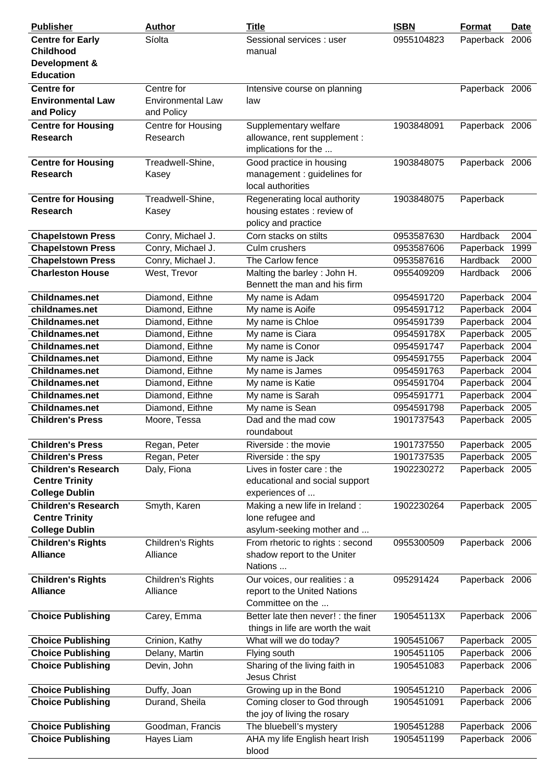| <b>Publisher</b>                                                             | <b>Author</b>                          | <b>Title</b>                                                                      | <b>ISBN</b> | Format         | <b>Date</b> |
|------------------------------------------------------------------------------|----------------------------------------|-----------------------------------------------------------------------------------|-------------|----------------|-------------|
| <b>Centre for Early</b><br><b>Childhood</b>                                  | Síolta                                 | Sessional services : user<br>manual                                               | 0955104823  | Paperback      | 2006        |
| Development &<br><b>Education</b>                                            |                                        |                                                                                   |             |                |             |
| <b>Centre for</b>                                                            | Centre for                             | Intensive course on planning                                                      |             | Paperback 2006 |             |
| <b>Environmental Law</b><br>and Policy                                       | <b>Environmental Law</b><br>and Policy | law                                                                               |             |                |             |
| <b>Centre for Housing</b>                                                    | Centre for Housing                     | Supplementary welfare                                                             | 1903848091  | Paperback 2006 |             |
| <b>Research</b>                                                              | Research                               | allowance, rent supplement :<br>implications for the                              |             |                |             |
| <b>Centre for Housing</b><br><b>Research</b>                                 | Treadwell-Shine,<br>Kasey              | Good practice in housing<br>management : guidelines for<br>local authorities      | 1903848075  | Paperback 2006 |             |
| <b>Centre for Housing</b>                                                    | Treadwell-Shine,                       | Regenerating local authority                                                      | 1903848075  | Paperback      |             |
| <b>Research</b>                                                              | Kasey                                  | housing estates : review of<br>policy and practice                                |             |                |             |
| <b>Chapelstown Press</b>                                                     | Conry, Michael J.                      | Corn stacks on stilts                                                             | 0953587630  | Hardback       | 2004        |
| <b>Chapelstown Press</b>                                                     | Conry, Michael J.                      | Culm crushers                                                                     | 0953587606  | Paperback      | 1999        |
| <b>Chapelstown Press</b>                                                     | Conry, Michael J.                      | The Carlow fence                                                                  | 0953587616  | Hardback       | 2000        |
| <b>Charleston House</b>                                                      | West, Trevor                           | Malting the barley: John H.<br>Bennett the man and his firm                       | 0955409209  | Hardback       | 2006        |
| <b>Childnames.net</b>                                                        | Diamond, Eithne                        | My name is Adam                                                                   | 0954591720  | Paperback      | 2004        |
| childnames.net                                                               | Diamond, Eithne                        | My name is Aoife                                                                  | 0954591712  | Paperback      | 2004        |
| <b>Childnames.net</b>                                                        | Diamond, Eithne                        | My name is Chloe                                                                  | 0954591739  | Paperback      | 2004        |
| <b>Childnames.net</b>                                                        | Diamond, Eithne                        | My name is Ciara                                                                  | 095459178X  | Paperback      | 2005        |
| <b>Childnames.net</b>                                                        | Diamond, Eithne                        | My name is Conor                                                                  | 0954591747  | Paperback      | 2004        |
| <b>Childnames.net</b>                                                        | Diamond, Eithne                        | My name is Jack                                                                   | 0954591755  | Paperback      | 2004        |
| <b>Childnames.net</b>                                                        | Diamond, Eithne                        | My name is James                                                                  | 0954591763  | Paperback      | 2004        |
| <b>Childnames.net</b>                                                        | Diamond, Eithne                        | My name is Katie                                                                  | 0954591704  | Paperback      | 2004        |
| <b>Childnames.net</b>                                                        | Diamond, Eithne                        | My name is Sarah                                                                  | 0954591771  | Paperback      | 2004        |
| <b>Childnames.net</b>                                                        | Diamond, Eithne                        | My name is Sean                                                                   | 0954591798  | Paperback 2005 |             |
| <b>Children's Press</b>                                                      | Moore, Tessa                           | Dad and the mad cow<br>roundabout                                                 | 1901737543  | Paperback 2005 |             |
| <b>Children's Press</b>                                                      | Regan, Peter                           | Riverside: the movie                                                              | 1901737550  | Paperback 2005 |             |
| <b>Children's Press</b>                                                      | Regan, Peter                           | Riverside: the spy                                                                | 1901737535  | Paperback 2005 |             |
| <b>Children's Research</b><br><b>Centre Trinity</b><br><b>College Dublin</b> | Daly, Fiona                            | Lives in foster care: the<br>educational and social support<br>experiences of     | 1902230272  | Paperback 2005 |             |
| <b>Children's Research</b><br><b>Centre Trinity</b><br><b>College Dublin</b> | Smyth, Karen                           | Making a new life in Ireland :<br>lone refugee and<br>asylum-seeking mother and   | 1902230264  | Paperback 2005 |             |
| <b>Children's Rights</b><br><b>Alliance</b>                                  | Children's Rights<br>Alliance          | From rhetoric to rights: second<br>shadow report to the Uniter<br>Nations         | 0955300509  | Paperback 2006 |             |
| <b>Children's Rights</b><br><b>Alliance</b>                                  | Children's Rights<br>Alliance          | Our voices, our realities : a<br>report to the United Nations<br>Committee on the | 095291424   | Paperback 2006 |             |
| <b>Choice Publishing</b>                                                     | Carey, Emma                            | Better late then never! : the finer<br>things in life are worth the wait          | 190545113X  | Paperback 2006 |             |
| <b>Choice Publishing</b>                                                     | Crinion, Kathy                         | What will we do today?                                                            | 1905451067  | Paperback 2005 |             |
| <b>Choice Publishing</b>                                                     | Delany, Martin                         | Flying south                                                                      | 1905451105  | Paperback 2006 |             |
| <b>Choice Publishing</b>                                                     | Devin, John                            | Sharing of the living faith in<br>Jesus Christ                                    | 1905451083  | Paperback 2006 |             |
| <b>Choice Publishing</b>                                                     | Duffy, Joan                            | Growing up in the Bond                                                            | 1905451210  | Paperback 2006 |             |
| <b>Choice Publishing</b>                                                     | Durand, Sheila                         | Coming closer to God through                                                      | 1905451091  | Paperback 2006 |             |
| <b>Choice Publishing</b>                                                     | Goodman, Francis                       | the joy of living the rosary<br>The bluebell's mystery                            | 1905451288  | Paperback 2006 |             |
| <b>Choice Publishing</b>                                                     | Hayes Liam                             | AHA my life English heart Irish<br>blood                                          | 1905451199  | Paperback 2006 |             |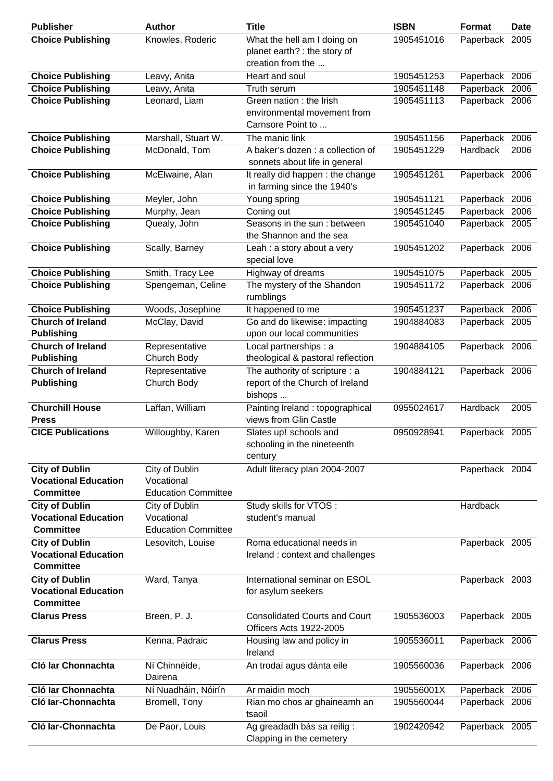| <b>Publisher</b>                                                         | <b>Author</b>                                              | <b>Title</b>                                                                 | <b>ISBN</b> | Format         | <b>Date</b> |
|--------------------------------------------------------------------------|------------------------------------------------------------|------------------------------------------------------------------------------|-------------|----------------|-------------|
| <b>Choice Publishing</b>                                                 | Knowles, Roderic                                           | What the hell am I doing on<br>planet earth? : the story of                  | 1905451016  | Paperback 2005 |             |
|                                                                          |                                                            | creation from the                                                            |             |                |             |
| <b>Choice Publishing</b>                                                 | Leavy, Anita                                               | Heart and soul                                                               | 1905451253  | Paperback 2006 |             |
| <b>Choice Publishing</b>                                                 | Leavy, Anita                                               | Truth serum                                                                  | 1905451148  | Paperback 2006 |             |
| <b>Choice Publishing</b>                                                 | Leonard, Liam                                              | Green nation : the Irish<br>environmental movement from<br>Carnsore Point to | 1905451113  | Paperback 2006 |             |
| <b>Choice Publishing</b>                                                 | Marshall, Stuart W.                                        | The manic link                                                               | 1905451156  | Paperback 2006 |             |
| <b>Choice Publishing</b>                                                 | McDonald, Tom                                              | A baker's dozen : a collection of<br>sonnets about life in general           | 1905451229  | Hardback       | 2006        |
| <b>Choice Publishing</b>                                                 | McElwaine, Alan                                            | It really did happen: the change<br>in farming since the 1940's              | 1905451261  | Paperback 2006 |             |
| <b>Choice Publishing</b>                                                 | Meyler, John                                               | Young spring                                                                 | 1905451121  | Paperback 2006 |             |
| <b>Choice Publishing</b>                                                 | Murphy, Jean                                               | Coning out                                                                   | 1905451245  | Paperback 2006 |             |
| <b>Choice Publishing</b>                                                 | Quealy, John                                               | Seasons in the sun : between<br>the Shannon and the sea                      | 1905451040  | Paperback 2005 |             |
| <b>Choice Publishing</b>                                                 | Scally, Barney                                             | Leah : a story about a very<br>special love                                  | 1905451202  | Paperback 2006 |             |
| <b>Choice Publishing</b>                                                 | Smith, Tracy Lee                                           | Highway of dreams                                                            | 1905451075  | Paperback 2005 |             |
| <b>Choice Publishing</b>                                                 | Spengeman, Celine                                          | The mystery of the Shandon<br>rumblings                                      | 1905451172  | Paperback 2006 |             |
| <b>Choice Publishing</b>                                                 | Woods, Josephine                                           | It happened to me                                                            | 1905451237  | Paperback 2006 |             |
| <b>Church of Ireland</b><br><b>Publishing</b>                            | McClay, David                                              | Go and do likewise: impacting<br>upon our local communities                  | 1904884083  | Paperback 2005 |             |
| <b>Church of Ireland</b><br><b>Publishing</b>                            | Representative<br>Church Body                              | Local partnerships : a<br>theological & pastoral reflection                  | 1904884105  | Paperback 2006 |             |
| <b>Church of Ireland</b><br><b>Publishing</b>                            | Representative<br>Church Body                              | The authority of scripture : a<br>report of the Church of Ireland<br>bishops | 1904884121  | Paperback 2006 |             |
| <b>Churchill House</b><br><b>Press</b>                                   | Laffan, William                                            | Painting Ireland : topographical<br>views from Glin Castle                   | 0955024617  | Hardback       | 2005        |
| <b>CICE Publications</b>                                                 | Willoughby, Karen                                          | Slates up! schools and<br>schooling in the nineteenth<br>century             | 0950928941  | Paperback 2005 |             |
| <b>City of Dublin</b><br><b>Vocational Education</b><br><b>Committee</b> | City of Dublin<br>Vocational<br><b>Education Committee</b> | Adult literacy plan 2004-2007                                                |             | Paperback 2004 |             |
| <b>City of Dublin</b><br><b>Vocational Education</b><br><b>Committee</b> | City of Dublin<br>Vocational<br><b>Education Committee</b> | Study skills for VTOS:<br>student's manual                                   |             | Hardback       |             |
| <b>City of Dublin</b><br><b>Vocational Education</b><br><b>Committee</b> | Lesovitch, Louise                                          | Roma educational needs in<br>Ireland: context and challenges                 |             | Paperback 2005 |             |
| <b>City of Dublin</b><br><b>Vocational Education</b><br><b>Committee</b> | Ward, Tanya                                                | International seminar on ESOL<br>for asylum seekers                          |             | Paperback 2003 |             |
| <b>Clarus Press</b>                                                      | Breen, P. J.                                               | <b>Consolidated Courts and Court</b><br>Officers Acts 1922-2005              | 1905536003  | Paperback 2005 |             |
| <b>Clarus Press</b>                                                      | Kenna, Padraic                                             | Housing law and policy in<br>Ireland                                         | 1905536011  | Paperback 2006 |             |
| Cló Iar Chonnachta                                                       | Ní Chinnéide,<br>Dairena                                   | An trodaí agus dánta eile                                                    | 1905560036  | Paperback 2006 |             |
| Cló Iar Chonnachta                                                       | Ní Nuadháin, Nóirín                                        | Ar maidin moch                                                               | 190556001X  | Paperback 2006 |             |
| Cló Iar-Chonnachta                                                       | Bromell, Tony                                              | Rian mo chos ar ghaineamh an<br>tsaoil                                       | 1905560044  | Paperback 2006 |             |
| Cló Iar-Chonnachta                                                       | De Paor, Louis                                             | Ag greadadh bás sa reilig :<br>Clapping in the cemetery                      | 1902420942  | Paperback 2005 |             |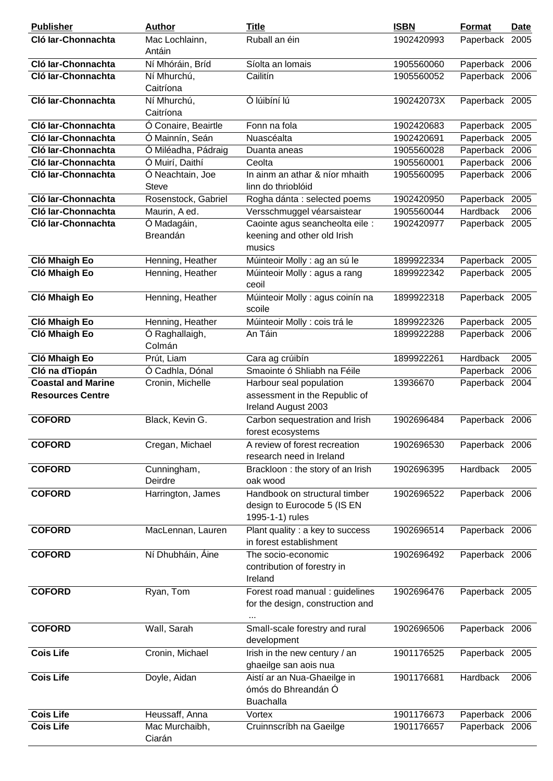| <b>Publisher</b>                                     | <b>Author</b>                    | <b>Title</b>                                                                    | <b>ISBN</b> | <b>Format</b>  | <b>Date</b> |
|------------------------------------------------------|----------------------------------|---------------------------------------------------------------------------------|-------------|----------------|-------------|
| Cló Iar-Chonnachta                                   | Mac Lochlainn,<br>Antáin         | Ruball an éin                                                                   | 1902420993  | Paperback 2005 |             |
| Cló Iar-Chonnachta                                   | Ní Mhóráin, Bríd                 | Síolta an Iomais                                                                | 1905560060  | Paperback 2006 |             |
| Cló Iar-Chonnachta                                   | Ní Mhurchú,<br>Caitríona         | Cailitín                                                                        | 1905560052  | Paperback 2006 |             |
| Cló Iar-Chonnachta                                   | Ní Mhurchú,<br>Caitríona         | Ó lúibíní lú                                                                    | 190242073X  | Paperback 2005 |             |
| Cló Iar-Chonnachta                                   | Ó Conaire, Beairtle              | Fonn na fola                                                                    | 1902420683  | Paperback 2005 |             |
| Cló Iar-Chonnachta                                   | Ó Mainnín, Seán                  | Nuascéalta                                                                      | 1902420691  | Paperback 2005 |             |
| Cló Iar-Chonnachta                                   | Ó Miléadha, Pádraig              | Duanta aneas                                                                    | 1905560028  | Paperback 2006 |             |
| Cló Iar-Chonnachta                                   | Ó Muirí, Daithí                  | Ceolta                                                                          | 1905560001  | Paperback 2006 |             |
| Cló Iar-Chonnachta                                   | Ó Neachtain, Joe<br><b>Steve</b> | In ainm an athar & níor mhaith<br>linn do thrioblóid                            | 1905560095  | Paperback 2006 |             |
| Cló Iar-Chonnachta                                   | Rosenstock, Gabriel              | Rogha dánta : selected poems                                                    | 1902420950  | Paperback 2005 |             |
| Cló Iar-Chonnachta                                   | Maurin, A ed.                    | Versschmuggel véarsaistear                                                      | 1905560044  | Hardback       | 2006        |
| Cló Iar-Chonnachta                                   | Ó Madagáin,<br>Breandán          | Caointe agus seancheolta eile :<br>keening and other old Irish<br>musics        | 1902420977  | Paperback 2005 |             |
| Cló Mhaigh Eo                                        | Henning, Heather                 | Múinteoir Molly : ag an sú le                                                   | 1899922334  | Paperback 2005 |             |
| Cló Mhaigh Eo                                        | Henning, Heather                 | Múinteoir Molly : agus a rang<br>ceoil                                          | 1899922342  | Paperback 2005 |             |
| Cló Mhaigh Eo                                        | Henning, Heather                 | Múinteoir Molly : agus coinín na<br>scoile                                      | 1899922318  | Paperback 2005 |             |
| Cló Mhaigh Eo                                        | Henning, Heather                 | Múinteoir Molly : cois trá le                                                   | 1899922326  | Paperback 2005 |             |
| Cló Mhaigh Eo                                        | Ó Raghallaigh,<br>Colmán         | An Táin                                                                         | 1899922288  | Paperback 2006 |             |
| Cló Mhaigh Eo                                        | Prút, Liam                       | Cara ag crúibín                                                                 | 1899922261  | Hardback       | 2005        |
| Cló na dTiopán                                       | Ó Cadhla, Dónal                  | Smaointe ó Shliabh na Féile                                                     |             | Paperback      | 2006        |
| <b>Coastal and Marine</b><br><b>Resources Centre</b> | Cronin, Michelle                 | Harbour seal population<br>assessment in the Republic of<br>Ireland August 2003 | 13936670    | Paperback 2004 |             |
| <b>COFORD</b>                                        | Black, Kevin G.                  | Carbon sequestration and Irish<br>forest ecosystems                             | 1902696484  | Paperback 2006 |             |
| <b>COFORD</b>                                        | Cregan, Michael                  | A review of forest recreation<br>research need in Ireland                       | 1902696530  | Paperback 2006 |             |
| <b>COFORD</b>                                        | Cunningham,<br>Deirdre           | Brackloon: the story of an Irish<br>oak wood                                    | 1902696395  | Hardback       | 2005        |
| <b>COFORD</b>                                        | Harrington, James                | Handbook on structural timber<br>design to Eurocode 5 (IS EN<br>1995-1-1) rules | 1902696522  | Paperback 2006 |             |
| <b>COFORD</b>                                        | MacLennan, Lauren                | Plant quality : a key to success<br>in forest establishment                     | 1902696514  | Paperback 2006 |             |
| <b>COFORD</b>                                        | Ní Dhubháin, Áine                | The socio-economic<br>contribution of forestry in<br>Ireland                    | 1902696492  | Paperback 2006 |             |
| <b>COFORD</b>                                        | Ryan, Tom                        | Forest road manual : guidelines<br>for the design, construction and<br>$\cdots$ | 1902696476  | Paperback 2005 |             |
| <b>COFORD</b>                                        | Wall, Sarah                      | Small-scale forestry and rural<br>development                                   | 1902696506  | Paperback 2006 |             |
| <b>Cois Life</b>                                     | Cronin, Michael                  | Irish in the new century / an<br>ghaeilge san aois nua                          | 1901176525  | Paperback 2005 |             |
| <b>Cois Life</b>                                     | Doyle, Aidan                     | Aistí ar an Nua-Ghaeilge in<br>ómós do Bhreandán Ó<br><b>Buachalla</b>          | 1901176681  | Hardback       | 2006        |
| <b>Cois Life</b>                                     | Heussaff, Anna                   | Vortex                                                                          | 1901176673  | Paperback 2006 |             |
| <b>Cois Life</b>                                     | Mac Murchaibh,<br>Ciarán         | Cruinnscríbh na Gaeilge                                                         | 1901176657  | Paperback 2006 |             |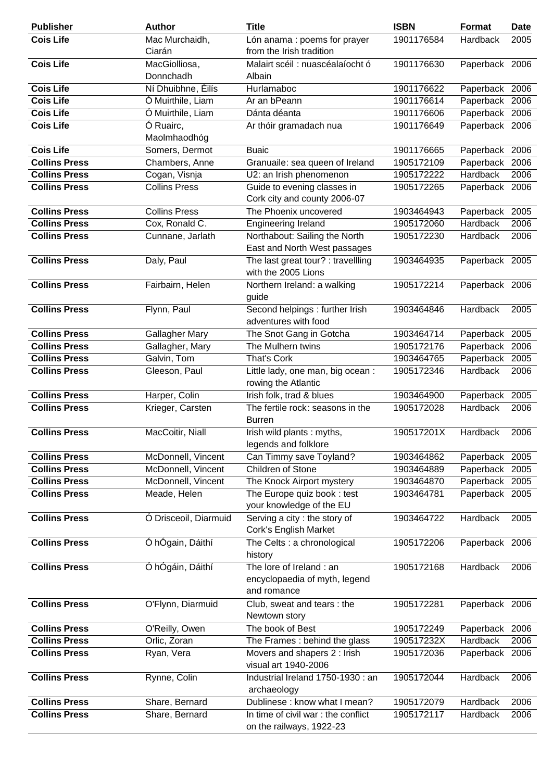| <b>Publisher</b>     | <b>Author</b>         | <b>Title</b>                                            | <b>ISBN</b> | Format                 | <b>Date</b> |
|----------------------|-----------------------|---------------------------------------------------------|-------------|------------------------|-------------|
| <b>Cois Life</b>     | Mac Murchaidh,        | Lón anama : poems for prayer                            | 1901176584  | Hardback               | 2005        |
|                      | Ciarán                | from the Irish tradition                                |             |                        |             |
| <b>Cois Life</b>     | MacGiolliosa,         | Malairt scéil : nuascéalaíocht ó                        | 1901176630  | Paperback 2006         |             |
|                      | Donnchadh             | Albain                                                  |             |                        |             |
| <b>Cois Life</b>     | Ní Dhuibhne, Eilís    | Hurlamaboc                                              | 1901176622  | Paperback 2006         |             |
| <b>Cois Life</b>     | Ó Muirthile, Liam     | Ar an bPeann                                            | 1901176614  | Paperback              | 2006        |
| <b>Cois Life</b>     | Ó Muirthile, Liam     | Dánta déanta                                            | 1901176606  | Paperback              | 2006        |
| <b>Cois Life</b>     | Ó Ruairc,             | Ar thóir gramadach nua                                  | 1901176649  | Paperback 2006         |             |
|                      | Maolmhaodhóg          |                                                         |             |                        |             |
| <b>Cois Life</b>     | Somers, Dermot        | <b>Buaic</b>                                            | 1901176665  | Paperback              | 2006        |
| <b>Collins Press</b> | Chambers, Anne        | Granuaile: sea queen of Ireland                         | 1905172109  | Paperback              | 2006        |
| <b>Collins Press</b> | Cogan, Visnja         | U2: an Irish phenomenon                                 | 1905172222  | Hardback               | 2006        |
| <b>Collins Press</b> | <b>Collins Press</b>  | Guide to evening classes in                             | 1905172265  | Paperback 2006         |             |
|                      |                       | Cork city and county 2006-07                            |             |                        |             |
| <b>Collins Press</b> | <b>Collins Press</b>  | The Phoenix uncovered                                   | 1903464943  | Paperback              | 2005        |
| <b>Collins Press</b> | Cox, Ronald C.        | <b>Engineering Ireland</b>                              | 1905172060  | Hardback               | 2006        |
| <b>Collins Press</b> | Cunnane, Jarlath      | Northabout: Sailing the North                           | 1905172230  | Hardback               | 2006        |
|                      |                       | East and North West passages                            |             |                        |             |
| <b>Collins Press</b> | Daly, Paul            | The last great tour? : travellling                      | 1903464935  | Paperback 2005         |             |
|                      |                       | with the 2005 Lions                                     |             |                        |             |
| <b>Collins Press</b> | Fairbairn, Helen      | Northern Ireland: a walking                             | 1905172214  | Paperback 2006         |             |
| <b>Collins Press</b> |                       | guide                                                   |             | Hardback               | 2005        |
|                      | Flynn, Paul           | Second helpings : further Irish<br>adventures with food | 1903464846  |                        |             |
| <b>Collins Press</b> | Gallagher Mary        | The Snot Gang in Gotcha                                 | 1903464714  |                        | 2005        |
| <b>Collins Press</b> | Gallagher, Mary       | The Mulhern twins                                       | 1905172176  | Paperback<br>Paperback | 2006        |
| <b>Collins Press</b> | Galvin, Tom           | That's Cork                                             | 1903464765  | Paperback              | 2005        |
| <b>Collins Press</b> | Gleeson, Paul         | Little lady, one man, big ocean :                       | 1905172346  | Hardback               | 2006        |
|                      |                       | rowing the Atlantic                                     |             |                        |             |
| <b>Collins Press</b> | Harper, Colin         | Irish folk, trad & blues                                | 1903464900  | Paperback              | 2005        |
| <b>Collins Press</b> | Krieger, Carsten      | The fertile rock: seasons in the                        | 1905172028  | Hardback               | 2006        |
|                      |                       | <b>Burren</b>                                           |             |                        |             |
| <b>Collins Press</b> | MacCoitir, Niall      | Irish wild plants : myths,                              | 190517201X  | Hardback               | 2006        |
|                      |                       | legends and folklore                                    |             |                        |             |
| <b>Collins Press</b> | McDonnell, Vincent    | Can Timmy save Toyland?                                 | 1903464862  | Paperback 2005         |             |
| <b>Collins Press</b> | McDonnell, Vincent    | Children of Stone                                       | 1903464889  | Paperback              | 2005        |
| <b>Collins Press</b> | McDonnell, Vincent    | The Knock Airport mystery                               | 1903464870  | Paperback              | 2005        |
| <b>Collins Press</b> | Meade, Helen          | The Europe quiz book: test                              | 1903464781  | Paperback 2005         |             |
|                      |                       | your knowledge of the EU                                |             |                        |             |
| <b>Collins Press</b> | Ó Drisceoil, Diarmuid | Serving a city: the story of                            | 1903464722  | Hardback               | 2005        |
|                      |                       | Cork's English Market                                   |             |                        |             |
| <b>Collins Press</b> | Ó hÓgain, Dáithí      | The Celts : a chronological                             | 1905172206  | Paperback 2006         |             |
|                      |                       | history                                                 |             |                        |             |
| <b>Collins Press</b> | Ó hÓgáin, Dáithí      | The lore of Ireland: an                                 | 1905172168  | Hardback               | 2006        |
|                      |                       | encyclopaedia of myth, legend                           |             |                        |             |
|                      |                       | and romance                                             |             |                        |             |
| <b>Collins Press</b> | O'Flynn, Diarmuid     | Club, sweat and tears: the                              | 1905172281  | Paperback 2006         |             |
|                      |                       | Newtown story                                           |             |                        |             |
| <b>Collins Press</b> | O'Reilly, Owen        | The book of Best                                        | 1905172249  | Paperback              | 2006        |
| <b>Collins Press</b> | Orlic, Zoran          | The Frames: behind the glass                            | 190517232X  | Hardback               | 2006        |
| <b>Collins Press</b> | Ryan, Vera            | Movers and shapers 2 : Irish                            | 1905172036  | Paperback 2006         |             |
|                      |                       | visual art 1940-2006                                    |             |                        |             |
| <b>Collins Press</b> | Rynne, Colin          | Industrial Ireland 1750-1930 : an                       | 1905172044  | Hardback               | 2006        |
|                      |                       | archaeology                                             |             |                        |             |
| <b>Collins Press</b> | Share, Bernard        | Dublinese: know what I mean?                            | 1905172079  | Hardback               | 2006        |
| <b>Collins Press</b> | Share, Bernard        | In time of civil war: the conflict                      | 1905172117  | Hardback               | 2006        |
|                      |                       | on the railways, 1922-23                                |             |                        |             |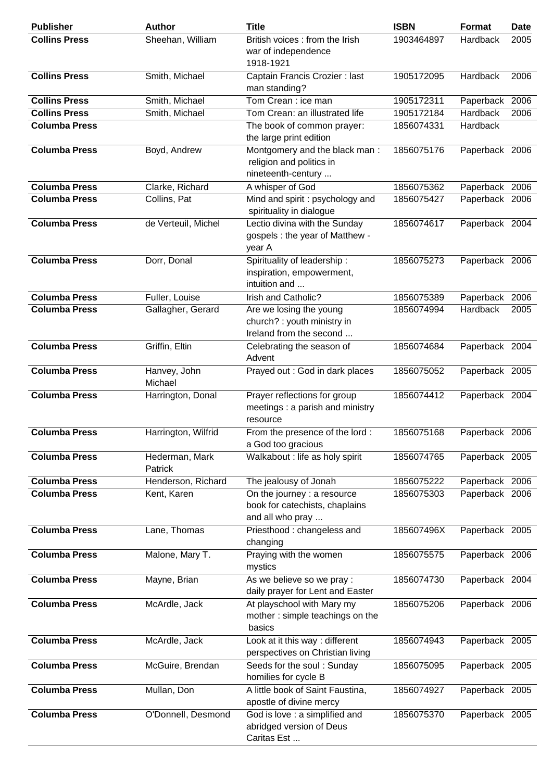| <b>Publisher</b>     | <b>Author</b>             | <b>Title</b>                                                                      | <b>ISBN</b> | Format         | <b>Date</b> |
|----------------------|---------------------------|-----------------------------------------------------------------------------------|-------------|----------------|-------------|
| <b>Collins Press</b> | Sheehan, William          | British voices: from the Irish<br>war of independence<br>1918-1921                | 1903464897  | Hardback       | 2005        |
| <b>Collins Press</b> | Smith, Michael            | Captain Francis Crozier : last<br>man standing?                                   | 1905172095  | Hardback       | 2006        |
| <b>Collins Press</b> | Smith, Michael            | Tom Crean : ice man                                                               | 1905172311  | Paperback      | 2006        |
| <b>Collins Press</b> | Smith, Michael            | Tom Crean: an illustrated life                                                    | 1905172184  | Hardback       | 2006        |
| <b>Columba Press</b> |                           | The book of common prayer:<br>the large print edition                             | 1856074331  | Hardback       |             |
| <b>Columba Press</b> | Boyd, Andrew              | Montgomery and the black man:<br>religion and politics in<br>nineteenth-century   | 1856075176  | Paperback 2006 |             |
| <b>Columba Press</b> | Clarke, Richard           | A whisper of God                                                                  | 1856075362  | Paperback 2006 |             |
| <b>Columba Press</b> | Collins, Pat              | Mind and spirit: psychology and<br>spirituality in dialogue                       | 1856075427  | Paperback 2006 |             |
| <b>Columba Press</b> | de Verteuil, Michel       | Lectio divina with the Sunday<br>gospels : the year of Matthew -<br>year A        | 1856074617  | Paperback 2004 |             |
| <b>Columba Press</b> | Dorr, Donal               | Spirituality of leadership:<br>inspiration, empowerment,<br>intuition and         | 1856075273  | Paperback 2006 |             |
| <b>Columba Press</b> | Fuller, Louise            | Irish and Catholic?                                                               | 1856075389  | Paperback      | 2006        |
| <b>Columba Press</b> | Gallagher, Gerard         | Are we losing the young<br>church? : youth ministry in<br>Ireland from the second | 1856074994  | Hardback       | 2005        |
| <b>Columba Press</b> | Griffin, Eltin            | Celebrating the season of<br>Advent                                               | 1856074684  | Paperback 2004 |             |
| <b>Columba Press</b> | Hanvey, John<br>Michael   | Prayed out : God in dark places                                                   | 1856075052  | Paperback 2005 |             |
| <b>Columba Press</b> | Harrington, Donal         | Prayer reflections for group<br>meetings: a parish and ministry<br>resource       | 1856074412  | Paperback 2004 |             |
| <b>Columba Press</b> | Harrington, Wilfrid       | From the presence of the lord :<br>a God too gracious                             | 1856075168  | Paperback 2006 |             |
| <b>Columba Press</b> | Hederman, Mark<br>Patrick | Walkabout : life as holy spirit                                                   | 1856074765  | Paperback 2005 |             |
| <b>Columba Press</b> | Henderson, Richard        | The jealousy of Jonah                                                             | 1856075222  | Paperback 2006 |             |
| <b>Columba Press</b> | Kent, Karen               | On the journey : a resource<br>book for catechists, chaplains<br>and all who pray | 1856075303  | Paperback 2006 |             |
| <b>Columba Press</b> | Lane, Thomas              | Priesthood: changeless and<br>changing                                            | 185607496X  | Paperback 2005 |             |
| <b>Columba Press</b> | Malone, Mary T.           | Praying with the women<br>mystics                                                 | 1856075575  | Paperback 2006 |             |
| <b>Columba Press</b> | Mayne, Brian              | As we believe so we pray :<br>daily prayer for Lent and Easter                    | 1856074730  | Paperback 2004 |             |
| <b>Columba Press</b> | McArdle, Jack             | At playschool with Mary my<br>mother: simple teachings on the<br>basics           | 1856075206  | Paperback 2006 |             |
| <b>Columba Press</b> | McArdle, Jack             | Look at it this way : different<br>perspectives on Christian living               | 1856074943  | Paperback 2005 |             |
| <b>Columba Press</b> | McGuire, Brendan          | Seeds for the soul: Sunday<br>homilies for cycle B                                | 1856075095  | Paperback 2005 |             |
| <b>Columba Press</b> | Mullan, Don               | A little book of Saint Faustina,<br>apostle of divine mercy                       | 1856074927  | Paperback 2005 |             |
| <b>Columba Press</b> | O'Donnell, Desmond        | God is love : a simplified and<br>abridged version of Deus<br>Caritas Est         | 1856075370  | Paperback 2005 |             |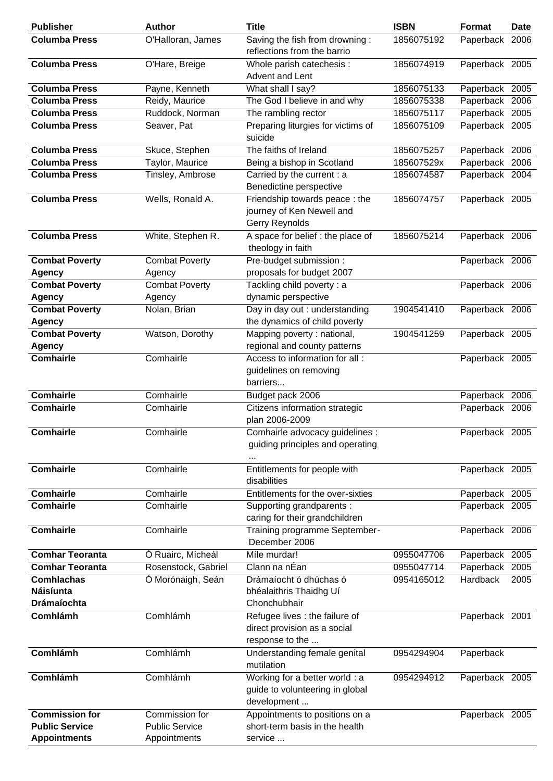| <b>Publisher</b>                       | <b>Author</b>         | <b>Title</b>                                                                        | <b>ISBN</b> | <b>Format</b>   | <b>Date</b> |
|----------------------------------------|-----------------------|-------------------------------------------------------------------------------------|-------------|-----------------|-------------|
| <b>Columba Press</b>                   | O'Halloran, James     | Saving the fish from drowning:<br>reflections from the barrio                       | 1856075192  | Paperback 2006  |             |
| <b>Columba Press</b>                   | O'Hare, Breige        | Whole parish catechesis :<br>Advent and Lent                                        | 1856074919  | Paperback 2005  |             |
| <b>Columba Press</b>                   | Payne, Kenneth        | What shall I say?                                                                   | 1856075133  | Paperback 2005  |             |
| <b>Columba Press</b>                   | Reidy, Maurice        | The God I believe in and why                                                        | 1856075338  | Paperback 2006  |             |
| <b>Columba Press</b>                   | Ruddock, Norman       | The rambling rector                                                                 | 1856075117  | Paperback       | 2005        |
| <b>Columba Press</b>                   | Seaver, Pat           | Preparing liturgies for victims of<br>suicide                                       | 1856075109  | Paperback 2005  |             |
| <b>Columba Press</b>                   | Skuce, Stephen        | The faiths of Ireland                                                               | 1856075257  | Paperback 2006  |             |
| <b>Columba Press</b>                   | Taylor, Maurice       | Being a bishop in Scotland                                                          | 185607529x  | Paperback 2006  |             |
| <b>Columba Press</b>                   | Tinsley, Ambrose      | Carried by the current : a<br>Benedictine perspective                               | 1856074587  | Paperback 2004  |             |
| <b>Columba Press</b>                   | Wells, Ronald A.      | Friendship towards peace: the<br>journey of Ken Newell and<br><b>Gerry Reynolds</b> | 1856074757  | Paperback 2005  |             |
| <b>Columba Press</b>                   | White, Stephen R.     | A space for belief : the place of<br>theology in faith                              | 1856075214  | Paperback 2006  |             |
| <b>Combat Poverty</b>                  | <b>Combat Poverty</b> | Pre-budget submission :                                                             |             | Paperback 2006  |             |
| <b>Agency</b>                          | Agency                | proposals for budget 2007                                                           |             |                 |             |
| <b>Combat Poverty</b>                  | <b>Combat Poverty</b> | Tackling child poverty: a                                                           |             | Paperback 2006  |             |
| <b>Agency</b>                          | Agency                | dynamic perspective                                                                 |             |                 |             |
| <b>Combat Poverty</b><br><b>Agency</b> | Nolan, Brian          | Day in day out : understanding<br>the dynamics of child poverty                     | 1904541410  | Paperback 2006  |             |
| <b>Combat Poverty</b>                  | Watson, Dorothy       | Mapping poverty : national,                                                         | 1904541259  | Paperback 2005  |             |
| <b>Agency</b>                          |                       | regional and county patterns                                                        |             |                 |             |
| <b>Comhairle</b>                       | Comhairle             | Access to information for all :<br>guidelines on removing<br>barriers               |             | Paperback 2005  |             |
| <b>Comhairle</b>                       | Comhairle             | Budget pack 2006                                                                    |             | Paperback 2006  |             |
| <b>Comhairle</b>                       | Comhairle             | Citizens information strategic<br>plan 2006-2009                                    |             | Paperback 2006  |             |
| <b>Comhairle</b>                       | Comhairle             | Comhairle advocacy guidelines :<br>guiding principles and operating                 |             | Paperback 2005  |             |
| <b>Comhairle</b>                       | Comhairle             | Entitlements for people with<br>disabilities                                        |             | Paperback 2005  |             |
| <b>Comhairle</b>                       | Comhairle             | Entitlements for the over-sixties                                                   |             | Paperback 2005  |             |
| <b>Comhairle</b>                       | Comhairle             | Supporting grandparents :                                                           |             | Paperback 2005  |             |
|                                        |                       | caring for their grandchildren                                                      |             |                 |             |
| <b>Comhairle</b>                       | Comhairle             | Training programme September-<br>December 2006                                      |             | Paperback 2006  |             |
| <b>Comhar Teoranta</b>                 | Ó Ruairc, Mícheál     | Míle murdar!                                                                        | 0955047706  | Paperback 2005  |             |
| <b>Comhar Teoranta</b>                 | Rosenstock, Gabriel   | Clann na nÉan                                                                       | 0955047714  | Paperback       | 2005        |
| <b>Comhlachas</b>                      | Ó Morónaigh, Seán     | Drámaíocht ó dhúchas ó                                                              | 0954165012  | <b>Hardback</b> | 2005        |
| <b>Náisíunta</b>                       |                       | bhéalaithris Thaidhg Uí                                                             |             |                 |             |
| <b>Drámaíochta</b>                     |                       | Chonchubhair                                                                        |             |                 |             |
| <b>Comhlámh</b>                        | Comhlámh              | Refugee lives : the failure of<br>direct provision as a social<br>response to the   |             | Paperback 2001  |             |
| <b>Comhlámh</b>                        | Comhlámh              | Understanding female genital<br>mutilation                                          | 0954294904  | Paperback       |             |
| <b>Comhlámh</b>                        | Comhlámh              | Working for a better world: a                                                       | 0954294912  | Paperback 2005  |             |
|                                        |                       | guide to volunteering in global<br>development                                      |             |                 |             |
| <b>Commission for</b>                  | Commission for        | Appointments to positions on a                                                      |             | Paperback 2005  |             |
| <b>Public Service</b>                  | <b>Public Service</b> | short-term basis in the health                                                      |             |                 |             |
| <b>Appointments</b>                    | Appointments          | service                                                                             |             |                 |             |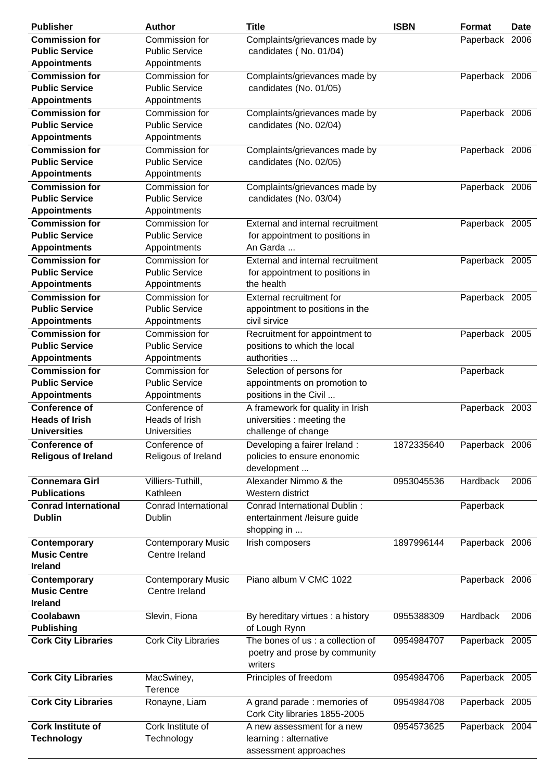| <b>Publisher</b>                      | Author                     | <b>Title</b>                                       | <b>ISBN</b> | <b>Format</b>  | Date |
|---------------------------------------|----------------------------|----------------------------------------------------|-------------|----------------|------|
| <b>Commission for</b>                 | Commission for             | Complaints/grievances made by                      |             | Paperback 2006 |      |
| <b>Public Service</b>                 | <b>Public Service</b>      | candidates (No. 01/04)                             |             |                |      |
| <b>Appointments</b>                   | Appointments               |                                                    |             |                |      |
| <b>Commission for</b>                 | Commission for             | Complaints/grievances made by                      |             | Paperback 2006 |      |
| <b>Public Service</b>                 | <b>Public Service</b>      | candidates (No. 01/05)                             |             |                |      |
| <b>Appointments</b>                   | Appointments               |                                                    |             |                |      |
| <b>Commission for</b>                 | Commission for             | Complaints/grievances made by                      |             | Paperback 2006 |      |
| <b>Public Service</b>                 | <b>Public Service</b>      | candidates (No. 02/04)                             |             |                |      |
| <b>Appointments</b>                   | Appointments               |                                                    |             |                |      |
| <b>Commission for</b>                 | Commission for             | Complaints/grievances made by                      |             | Paperback 2006 |      |
| <b>Public Service</b>                 | <b>Public Service</b>      | candidates (No. 02/05)                             |             |                |      |
| <b>Appointments</b>                   | Appointments               |                                                    |             |                |      |
| <b>Commission for</b>                 | Commission for             | Complaints/grievances made by                      |             | Paperback 2006 |      |
| <b>Public Service</b>                 | <b>Public Service</b>      | candidates (No. 03/04)                             |             |                |      |
| <b>Appointments</b>                   | Appointments               |                                                    |             |                |      |
| <b>Commission for</b>                 | Commission for             | External and internal recruitment                  |             | Paperback 2005 |      |
| <b>Public Service</b>                 | <b>Public Service</b>      | for appointment to positions in                    |             |                |      |
| <b>Appointments</b>                   | Appointments               | An Garda                                           |             |                |      |
| <b>Commission for</b>                 | Commission for             | External and internal recruitment                  |             | Paperback 2005 |      |
| <b>Public Service</b>                 | <b>Public Service</b>      | for appointment to positions in                    |             |                |      |
| <b>Appointments</b>                   | Appointments               | the health                                         |             |                |      |
| <b>Commission for</b>                 | Commission for             | External recruitment for                           |             | Paperback 2005 |      |
| <b>Public Service</b>                 | <b>Public Service</b>      | appointment to positions in the                    |             |                |      |
| <b>Appointments</b>                   | Appointments               | civil sirvice                                      |             |                |      |
| <b>Commission for</b>                 | Commission for             | Recruitment for appointment to                     |             | Paperback 2005 |      |
| <b>Public Service</b>                 | <b>Public Service</b>      | positions to which the local                       |             |                |      |
| <b>Appointments</b>                   | Appointments               | authorities                                        |             |                |      |
| <b>Commission for</b>                 | Commission for             | Selection of persons for                           |             | Paperback      |      |
| <b>Public Service</b>                 | <b>Public Service</b>      | appointments on promotion to                       |             |                |      |
| <b>Appointments</b>                   | Appointments               | positions in the Civil                             |             |                |      |
| <b>Conference of</b>                  | Conference of              | A framework for quality in Irish                   |             | Paperback 2003 |      |
| <b>Heads of Irish</b>                 | Heads of Irish             | universities : meeting the                         |             |                |      |
| <b>Universities</b>                   | Universities               | challenge of change                                |             |                |      |
| <b>Conference of</b>                  | Conference of              | Developing a fairer Ireland :                      | 1872335640  | Paperback 2006 |      |
| <b>Religous of Ireland</b>            | Religous of Ireland        | policies to ensure enonomic                        |             |                |      |
|                                       |                            | development                                        |             |                |      |
| <b>Connemara Girl</b>                 | Villiers-Tuthill,          | Alexander Nimmo & the                              | 0953045536  | Hardback       | 2006 |
| <b>Publications</b>                   | Kathleen                   | Western district                                   |             |                |      |
| <b>Conrad International</b>           | Conrad International       | Conrad International Dublin:                       |             | Paperback      |      |
| <b>Dublin</b>                         | Dublin                     | entertainment /leisure guide                       |             |                |      |
|                                       |                            | shopping in                                        |             |                |      |
| Contemporary                          | <b>Contemporary Music</b>  | Irish composers                                    | 1897996144  | Paperback 2006 |      |
| <b>Music Centre</b>                   | Centre Ireland             |                                                    |             |                |      |
| <b>Ireland</b>                        |                            |                                                    |             |                |      |
| Contemporary                          | <b>Contemporary Music</b>  | Piano album V CMC 1022                             |             | Paperback 2006 |      |
| <b>Music Centre</b><br><b>Ireland</b> | Centre Ireland             |                                                    |             |                |      |
| Coolabawn                             |                            |                                                    |             |                |      |
|                                       | Slevin, Fiona              | By hereditary virtues : a history                  | 0955388309  | Hardback       | 2006 |
| <b>Publishing</b>                     |                            | of Lough Rynn<br>The bones of us : a collection of |             |                |      |
| <b>Cork City Libraries</b>            | <b>Cork City Libraries</b> |                                                    | 0954984707  | Paperback 2005 |      |
|                                       |                            | poetry and prose by community<br>writers           |             |                |      |
| <b>Cork City Libraries</b>            | MacSwiney,                 | Principles of freedom                              | 0954984706  | Paperback 2005 |      |
|                                       | Terence                    |                                                    |             |                |      |
| <b>Cork City Libraries</b>            | Ronayne, Liam              | A grand parade: memories of                        | 0954984708  | Paperback 2005 |      |
|                                       |                            | Cork City libraries 1855-2005                      |             |                |      |
| <b>Cork Institute of</b>              | Cork Institute of          | A new assessment for a new                         | 0954573625  | Paperback 2004 |      |
| <b>Technology</b>                     | Technology                 | learning : alternative                             |             |                |      |
|                                       |                            | assessment approaches                              |             |                |      |
|                                       |                            |                                                    |             |                |      |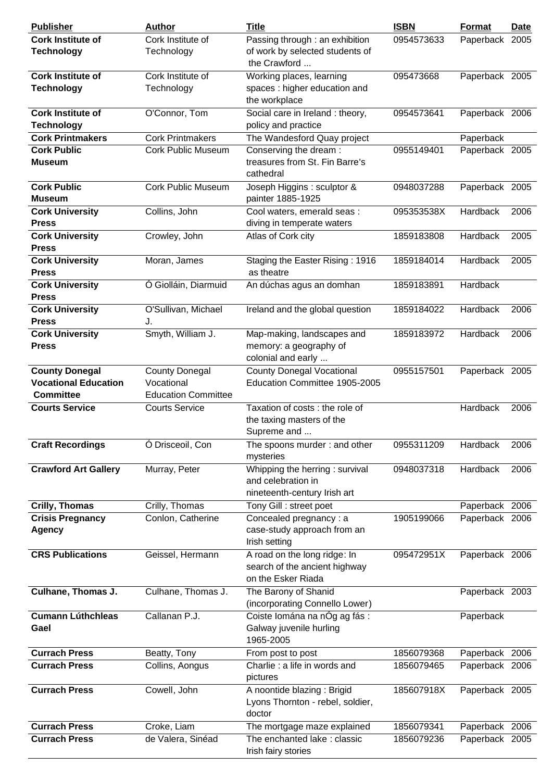| <b>Publisher</b>                              | <b>Author</b>              | <b>Title</b>                                                                          | <b>ISBN</b> | <b>Format</b>  | <b>Date</b> |
|-----------------------------------------------|----------------------------|---------------------------------------------------------------------------------------|-------------|----------------|-------------|
| <b>Cork Institute of</b>                      | Cork Institute of          | Passing through: an exhibition                                                        | 0954573633  | Paperback 2005 |             |
| <b>Technology</b>                             | Technology                 | of work by selected students of                                                       |             |                |             |
|                                               |                            | the Crawford                                                                          |             |                |             |
| <b>Cork Institute of</b>                      | Cork Institute of          | Working places, learning                                                              | 095473668   | Paperback 2005 |             |
| <b>Technology</b>                             | Technology                 | spaces : higher education and<br>the workplace                                        |             |                |             |
| <b>Cork Institute of</b><br><b>Technology</b> | O'Connor, Tom              | Social care in Ireland : theory,<br>policy and practice                               | 0954573641  | Paperback 2006 |             |
| <b>Cork Printmakers</b>                       | <b>Cork Printmakers</b>    | The Wandesford Quay project                                                           |             | Paperback      |             |
| <b>Cork Public</b>                            | <b>Cork Public Museum</b>  | Conserving the dream:                                                                 | 0955149401  | Paperback 2005 |             |
| <b>Museum</b>                                 |                            | treasures from St. Fin Barre's<br>cathedral                                           |             |                |             |
| <b>Cork Public</b><br><b>Museum</b>           | <b>Cork Public Museum</b>  | Joseph Higgins : sculptor &<br>painter 1885-1925                                      | 0948037288  | Paperback 2005 |             |
| <b>Cork University</b>                        | Collins, John              | Cool waters, emerald seas :                                                           | 095353538X  | Hardback       | 2006        |
| <b>Press</b>                                  |                            | diving in temperate waters                                                            |             |                |             |
| <b>Cork University</b><br><b>Press</b>        | Crowley, John              | Atlas of Cork city                                                                    | 1859183808  | Hardback       | 2005        |
| <b>Cork University</b><br><b>Press</b>        | Moran, James               | Staging the Easter Rising: 1916<br>as theatre                                         | 1859184014  | Hardback       | 2005        |
| <b>Cork University</b><br><b>Press</b>        | Ó Giolláin, Diarmuid       | An dúchas agus an domhan                                                              | 1859183891  | Hardback       |             |
| <b>Cork University</b><br><b>Press</b>        | O'Sullivan, Michael<br>J.  | Ireland and the global question                                                       | 1859184022  | Hardback       | 2006        |
| <b>Cork University</b>                        | Smyth, William J.          | Map-making, landscapes and                                                            | 1859183972  | Hardback       | 2006        |
| <b>Press</b>                                  |                            | memory: a geography of<br>colonial and early                                          |             |                |             |
| <b>County Donegal</b>                         | <b>County Donegal</b>      | <b>County Donegal Vocational</b>                                                      | 0955157501  | Paperback 2005 |             |
| <b>Vocational Education</b>                   | Vocational                 | Education Committee 1905-2005                                                         |             |                |             |
| <b>Committee</b>                              | <b>Education Committee</b> |                                                                                       |             |                |             |
| <b>Courts Service</b>                         | Courts Service             | Taxation of costs: the role of                                                        |             | Hardback       | 2006        |
|                                               |                            | the taxing masters of the<br>Supreme and                                              |             |                |             |
| <b>Craft Recordings</b>                       | Ó Drisceoil, Con           | The spoons murder: and other<br>mysteries                                             | 0955311209  | Hardback       | 2006        |
| <b>Crawford Art Gallery</b>                   | Murray, Peter              | Whipping the herring : survival<br>and celebration in<br>nineteenth-century Irish art | 0948037318  | Hardback       | 2006        |
| <b>Crilly, Thomas</b>                         | Crilly, Thomas             | Tony Gill: street poet                                                                |             | Paperback 2006 |             |
| <b>Crisis Pregnancy</b><br><b>Agency</b>      | Conlon, Catherine          | Concealed pregnancy: a<br>case-study approach from an<br>Irish setting                | 1905199066  | Paperback 2006 |             |
| <b>CRS Publications</b>                       | Geissel, Hermann           | A road on the long ridge: In<br>search of the ancient highway<br>on the Esker Riada   | 095472951X  | Paperback 2006 |             |
| Culhane, Thomas J.                            | Culhane, Thomas J.         | The Barony of Shanid<br>(incorporating Connello Lower)                                |             | Paperback 2003 |             |
| <b>Cumann Lúthchleas</b>                      | Callanan P.J.              | Coiste Iomána na nÓg ag fás :                                                         |             | Paperback      |             |
| Gael                                          |                            | Galway juvenile hurling<br>1965-2005                                                  |             |                |             |
| <b>Currach Press</b>                          | Beatty, Tony               | From post to post                                                                     | 1856079368  | Paperback 2006 |             |
| <b>Currach Press</b>                          | Collins, Aongus            | Charlie : a life in words and<br>pictures                                             | 1856079465  | Paperback 2006 |             |
| <b>Currach Press</b>                          | Cowell, John               | A noontide blazing: Brigid<br>Lyons Thornton - rebel, soldier,                        | 185607918X  | Paperback 2005 |             |
|                                               |                            | doctor                                                                                |             |                |             |
| <b>Currach Press</b>                          | Croke, Liam                | The mortgage maze explained                                                           | 1856079341  | Paperback 2006 |             |
| <b>Currach Press</b>                          | de Valera, Sinéad          | The enchanted lake: classic                                                           | 1856079236  | Paperback 2005 |             |
|                                               |                            | Irish fairy stories                                                                   |             |                |             |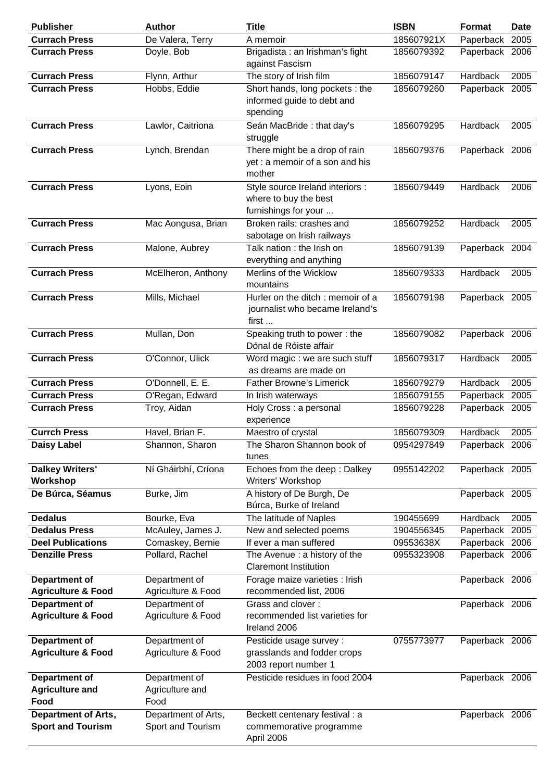| <b>Publisher</b>                                       | <b>Author</b>                            | <b>Title</b>                                                                      | <b>ISBN</b> | Format          | <u>Date</u> |
|--------------------------------------------------------|------------------------------------------|-----------------------------------------------------------------------------------|-------------|-----------------|-------------|
| <b>Currach Press</b>                                   | De Valera, Terry                         | A memoir                                                                          | 185607921X  | Paperback 2005  |             |
| <b>Currach Press</b>                                   | Doyle, Bob                               | Brigadista : an Irishman's fight<br>against Fascism                               | 1856079392  | Paperback 2006  |             |
| <b>Currach Press</b>                                   | Flynn, Arthur                            | The story of Irish film                                                           | 1856079147  | Hardback        | 2005        |
| <b>Currach Press</b>                                   | Hobbs, Eddie                             | Short hands, long pockets: the<br>informed guide to debt and<br>spending          | 1856079260  | Paperback 2005  |             |
| <b>Currach Press</b>                                   | Lawlor, Caitriona                        | Seán MacBride: that day's<br>struggle                                             | 1856079295  | Hardback        | 2005        |
| <b>Currach Press</b>                                   | Lynch, Brendan                           | There might be a drop of rain<br>yet: a memoir of a son and his<br>mother         | 1856079376  | Paperback 2006  |             |
| <b>Currach Press</b>                                   | Lyons, Eoin                              | Style source Ireland interiors :<br>where to buy the best<br>furnishings for your | 1856079449  | Hardback        | 2006        |
| <b>Currach Press</b>                                   | Mac Aongusa, Brian                       | Broken rails: crashes and<br>sabotage on Irish railways                           | 1856079252  | Hardback        | 2005        |
| <b>Currach Press</b>                                   | Malone, Aubrey                           | Talk nation: the Irish on<br>everything and anything                              | 1856079139  | Paperback 2004  |             |
| <b>Currach Press</b>                                   | McElheron, Anthony                       | Merlins of the Wicklow<br>mountains                                               | 1856079333  | Hardback        | 2005        |
| <b>Currach Press</b>                                   | Mills, Michael                           | Hurler on the ditch: memoir of a<br>journalist who became Ireland's<br>first      | 1856079198  | Paperback 2005  |             |
| <b>Currach Press</b>                                   | Mullan, Don                              | Speaking truth to power: the<br>Dónal de Róiste affair                            | 1856079082  | Paperback 2006  |             |
| <b>Currach Press</b>                                   | O'Connor, Ulick                          | Word magic : we are such stuff<br>as dreams are made on                           | 1856079317  | Hardback        | 2005        |
| <b>Currach Press</b>                                   | O'Donnell, E. E.                         | <b>Father Browne's Limerick</b>                                                   | 1856079279  | Hardback        | 2005        |
| <b>Currach Press</b>                                   | O'Regan, Edward                          | In Irish waterways                                                                | 1856079155  | Paperback       | 2005        |
| <b>Currach Press</b>                                   | Troy, Aidan                              | Holy Cross : a personal<br>experience                                             | 1856079228  | Paperback 2005  |             |
| <b>Currch Press</b>                                    | Havel, Brian F.                          | Maestro of crystal                                                                | 1856079309  | <b>Hardback</b> | 2005        |
| <b>Daisy Label</b>                                     | Shannon, Sharon                          | The Sharon Shannon book of<br>tunes                                               | 0954297849  | Paperback 2006  |             |
| <b>Dalkey Writers'</b><br>Workshop                     | Ní Gháirbhí, Críona                      | Echoes from the deep: Dalkey<br>Writers' Workshop                                 | 0955142202  | Paperback 2005  |             |
| De Búrca, Séamus                                       | Burke, Jim                               | A history of De Burgh, De<br>Búrca, Burke of Ireland                              |             | Paperback 2005  |             |
| <b>Dedalus</b>                                         | Bourke, Eva                              | The latitude of Naples                                                            | 190455699   | Hardback        | 2005        |
| <b>Dedalus Press</b>                                   | McAuley, James J.                        | New and selected poems                                                            | 1904556345  | Paperback       | 2005        |
| <b>Deel Publications</b>                               | Comaskey, Bernie                         | If ever a man suffered                                                            | 09553638X   | Paperback 2006  |             |
| <b>Denzille Press</b>                                  | Pollard, Rachel                          | The Avenue : a history of the<br><b>Claremont Institution</b>                     | 0955323908  | Paperback 2006  |             |
| Department of                                          | Department of                            | Forage maize varieties : Irish                                                    |             | Paperback 2006  |             |
| <b>Agriculture &amp; Food</b>                          | Agriculture & Food                       | recommended list, 2006                                                            |             |                 |             |
| Department of                                          | Department of                            | Grass and clover:                                                                 |             | Paperback 2006  |             |
| <b>Agriculture &amp; Food</b>                          | Agriculture & Food                       | recommended list varieties for<br>Ireland 2006                                    |             |                 |             |
| Department of                                          | Department of                            | Pesticide usage survey :                                                          | 0755773977  | Paperback 2006  |             |
| <b>Agriculture &amp; Food</b>                          | Agriculture & Food                       | grasslands and fodder crops<br>2003 report number 1                               |             |                 |             |
| <b>Department of</b><br><b>Agriculture and</b><br>Food | Department of<br>Agriculture and<br>Food | Pesticide residues in food 2004                                                   |             | Paperback 2006  |             |
| <b>Department of Arts,</b>                             | Department of Arts,                      | Beckett centenary festival : a                                                    |             | Paperback 2006  |             |
| <b>Sport and Tourism</b>                               | Sport and Tourism                        | commemorative programme<br>April 2006                                             |             |                 |             |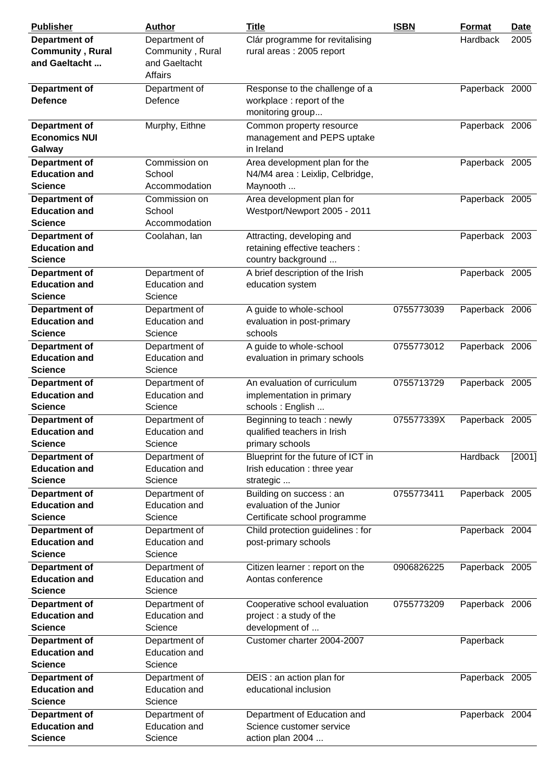| <b>Publisher</b>        | <b>Author</b>        | <b>Title</b>                       | <b>ISBN</b> | <b>Format</b>  | <b>Date</b> |
|-------------------------|----------------------|------------------------------------|-------------|----------------|-------------|
| Department of           | Department of        | Clár programme for revitalising    |             | Hardback       | 2005        |
| <b>Community, Rural</b> | Community, Rural     | rural areas: 2005 report           |             |                |             |
| and Gaeltacht           | and Gaeltacht        |                                    |             |                |             |
|                         | <b>Affairs</b>       |                                    |             |                |             |
| <b>Department of</b>    | Department of        | Response to the challenge of a     |             | Paperback 2000 |             |
| <b>Defence</b>          | Defence              | workplace: report of the           |             |                |             |
|                         |                      | monitoring group                   |             |                |             |
| <b>Department of</b>    | Murphy, Eithne       | Common property resource           |             | Paperback 2006 |             |
| <b>Economics NUI</b>    |                      | management and PEPS uptake         |             |                |             |
| Galway                  |                      | in Ireland                         |             |                |             |
| <b>Department of</b>    | Commission on        | Area development plan for the      |             | Paperback 2005 |             |
| <b>Education and</b>    | School               | N4/M4 area : Leixlip, Celbridge,   |             |                |             |
| <b>Science</b>          | Accommodation        | Maynooth                           |             |                |             |
| <b>Department of</b>    | Commission on        | Area development plan for          |             | Paperback 2005 |             |
| <b>Education and</b>    | School               | Westport/Newport 2005 - 2011       |             |                |             |
| <b>Science</b>          | Accommodation        |                                    |             |                |             |
| Department of           | Coolahan, lan        | Attracting, developing and         |             | Paperback 2003 |             |
| <b>Education and</b>    |                      | retaining effective teachers :     |             |                |             |
| <b>Science</b>          |                      | country background                 |             |                |             |
| <b>Department of</b>    | Department of        | A brief description of the Irish   |             | Paperback 2005 |             |
| <b>Education and</b>    | <b>Education</b> and | education system                   |             |                |             |
| <b>Science</b>          | Science              |                                    |             |                |             |
| <b>Department of</b>    | Department of        | A guide to whole-school            | 0755773039  | Paperback 2006 |             |
| <b>Education and</b>    | <b>Education and</b> | evaluation in post-primary         |             |                |             |
| <b>Science</b>          | Science              | schools                            |             |                |             |
| <b>Department of</b>    | Department of        | A guide to whole-school            | 0755773012  | Paperback 2006 |             |
| <b>Education and</b>    | <b>Education and</b> | evaluation in primary schools      |             |                |             |
| <b>Science</b>          | Science              |                                    |             |                |             |
| <b>Department of</b>    | Department of        | An evaluation of curriculum        | 0755713729  | Paperback 2005 |             |
| <b>Education and</b>    | <b>Education and</b> | implementation in primary          |             |                |             |
| <b>Science</b>          | Science              | schools: English                   |             |                |             |
| <b>Department of</b>    | Department of        | Beginning to teach: newly          | 075577339X  | Paperback 2005 |             |
| <b>Education and</b>    | <b>Education and</b> | qualified teachers in Irish        |             |                |             |
| <b>Science</b>          | Science              | primary schools                    |             |                |             |
| <b>Department of</b>    | Department of        | Blueprint for the future of ICT in |             | Hardback       | [2001]      |
| <b>Education and</b>    | <b>Education and</b> | Irish education: three year        |             |                |             |
| <b>Science</b>          | Science              | strategic                          |             |                |             |
| <b>Department of</b>    | Department of        | Building on success : an           | 0755773411  | Paperback 2005 |             |
| <b>Education and</b>    | <b>Education and</b> | evaluation of the Junior           |             |                |             |
| <b>Science</b>          | Science              | Certificate school programme       |             |                |             |
| <b>Department of</b>    | Department of        | Child protection guidelines: for   |             | Paperback 2004 |             |
| <b>Education and</b>    | Education and        | post-primary schools               |             |                |             |
| <b>Science</b>          | Science              |                                    |             |                |             |
| <b>Department of</b>    | Department of        | Citizen learner: report on the     | 0906826225  | Paperback 2005 |             |
| <b>Education and</b>    | <b>Education and</b> | Aontas conference                  |             |                |             |
| <b>Science</b>          | Science              |                                    |             |                |             |
| <b>Department of</b>    | Department of        | Cooperative school evaluation      | 0755773209  | Paperback 2006 |             |
| <b>Education and</b>    | <b>Education and</b> | project : a study of the           |             |                |             |
| <b>Science</b>          | Science              | development of                     |             |                |             |
| <b>Department of</b>    | Department of        | Customer charter 2004-2007         |             | Paperback      |             |
| <b>Education and</b>    | Education and        |                                    |             |                |             |
| <b>Science</b>          | Science              |                                    |             |                |             |
| <b>Department of</b>    | Department of        | DEIS : an action plan for          |             | Paperback 2005 |             |
| <b>Education and</b>    | <b>Education and</b> | educational inclusion              |             |                |             |
| <b>Science</b>          | Science              |                                    |             |                |             |
| <b>Department of</b>    | Department of        | Department of Education and        |             | Paperback 2004 |             |
| <b>Education and</b>    | <b>Education and</b> | Science customer service           |             |                |             |
| <b>Science</b>          | Science              | action plan 2004                   |             |                |             |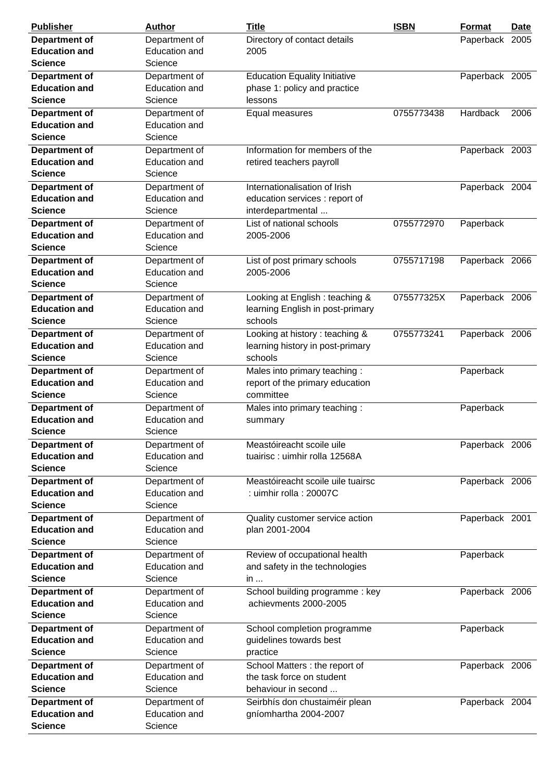| <b>Publisher</b>                             | Author               | <b>Title</b>                         | <b>ISBN</b> | <b>Format</b>  | <b>Date</b> |
|----------------------------------------------|----------------------|--------------------------------------|-------------|----------------|-------------|
| Department of                                | Department of        | Directory of contact details         |             | Paperback 2005 |             |
| <b>Education and</b>                         | <b>Education and</b> | 2005                                 |             |                |             |
| <b>Science</b>                               | Science              |                                      |             |                |             |
| <b>Department of</b>                         | Department of        | <b>Education Equality Initiative</b> |             | Paperback 2005 |             |
| <b>Education and</b>                         | <b>Education and</b> | phase 1: policy and practice         |             |                |             |
| <b>Science</b>                               | Science              | lessons                              |             |                |             |
| <b>Department of</b>                         | Department of        | Equal measures                       | 0755773438  | Hardback       | 2006        |
| <b>Education and</b>                         | <b>Education and</b> |                                      |             |                |             |
| <b>Science</b>                               | Science              |                                      |             |                |             |
| Department of                                | Department of        | Information for members of the       |             | Paperback 2003 |             |
| <b>Education and</b>                         | <b>Education and</b> | retired teachers payroll             |             |                |             |
| <b>Science</b>                               | Science              |                                      |             |                |             |
|                                              |                      | Internationalisation of Irish        |             |                |             |
| <b>Department of</b><br><b>Education and</b> | Department of        |                                      |             | Paperback 2004 |             |
|                                              | <b>Education and</b> | education services : report of       |             |                |             |
| <b>Science</b>                               | Science              | interdepartmental                    |             |                |             |
| <b>Department of</b>                         | Department of        | List of national schools             | 0755772970  | Paperback      |             |
| <b>Education and</b>                         | <b>Education and</b> | 2005-2006                            |             |                |             |
| <b>Science</b>                               | Science              |                                      |             |                |             |
| Department of                                | Department of        | List of post primary schools         | 0755717198  | Paperback 2066 |             |
| <b>Education and</b>                         | <b>Education and</b> | 2005-2006                            |             |                |             |
| <b>Science</b>                               | Science              |                                      |             |                |             |
| <b>Department of</b>                         | Department of        | Looking at English: teaching &       | 075577325X  | Paperback 2006 |             |
| <b>Education and</b>                         | <b>Education and</b> | learning English in post-primary     |             |                |             |
| <b>Science</b>                               | Science              | schools                              |             |                |             |
| Department of                                | Department of        | Looking at history: teaching &       | 0755773241  | Paperback 2006 |             |
| <b>Education and</b>                         | <b>Education and</b> | learning history in post-primary     |             |                |             |
| <b>Science</b>                               | Science              | schools                              |             |                |             |
| Department of                                | Department of        | Males into primary teaching:         |             | Paperback      |             |
| <b>Education and</b>                         | <b>Education and</b> | report of the primary education      |             |                |             |
| <b>Science</b>                               | Science              | committee                            |             |                |             |
| <b>Department of</b>                         | Department of        | Males into primary teaching:         |             | Paperback      |             |
| <b>Education and</b>                         | <b>Education and</b> | summary                              |             |                |             |
| <b>Science</b>                               | Science              |                                      |             |                |             |
| <b>Department of</b>                         | Department of        | Meastóireacht scoile uile            |             | Paperback 2006 |             |
| <b>Education and</b>                         | Education and        | tuairisc : uimhir rolla 12568A       |             |                |             |
| <b>Science</b>                               | Science              |                                      |             |                |             |
| <b>Department of</b>                         | Department of        | Meastóireacht scoile uile tuairsc    |             | Paperback 2006 |             |
| <b>Education and</b>                         | Education and        | : uimhir rolla : 20007C              |             |                |             |
| <b>Science</b>                               | Science              |                                      |             |                |             |
| <b>Department of</b>                         | Department of        | Quality customer service action      |             | Paperback 2001 |             |
| <b>Education and</b>                         | Education and        | plan 2001-2004                       |             |                |             |
| <b>Science</b>                               | Science              |                                      |             |                |             |
| Department of                                | Department of        | Review of occupational health        |             | Paperback      |             |
| <b>Education and</b>                         | <b>Education and</b> | and safety in the technologies       |             |                |             |
| <b>Science</b>                               | Science              | in                                   |             |                |             |
| <b>Department of</b>                         | Department of        | School building programme: key       |             | Paperback 2006 |             |
| <b>Education and</b>                         | Education and        | achievments 2000-2005                |             |                |             |
| <b>Science</b>                               | Science              |                                      |             |                |             |
| <b>Department of</b>                         | Department of        | School completion programme          |             | Paperback      |             |
| <b>Education and</b>                         | Education and        | guidelines towards best              |             |                |             |
| <b>Science</b>                               | Science              | practice                             |             |                |             |
| Department of                                | Department of        | School Matters : the report of       |             | Paperback 2006 |             |
| <b>Education and</b>                         | Education and        | the task force on student            |             |                |             |
| <b>Science</b>                               | Science              | behaviour in second                  |             |                |             |
| <b>Department of</b>                         | Department of        | Seirbhís don chustaiméir plean       |             | Paperback 2004 |             |
| <b>Education and</b>                         | Education and        | gníomhartha 2004-2007                |             |                |             |
| <b>Science</b>                               | Science              |                                      |             |                |             |
|                                              |                      |                                      |             |                |             |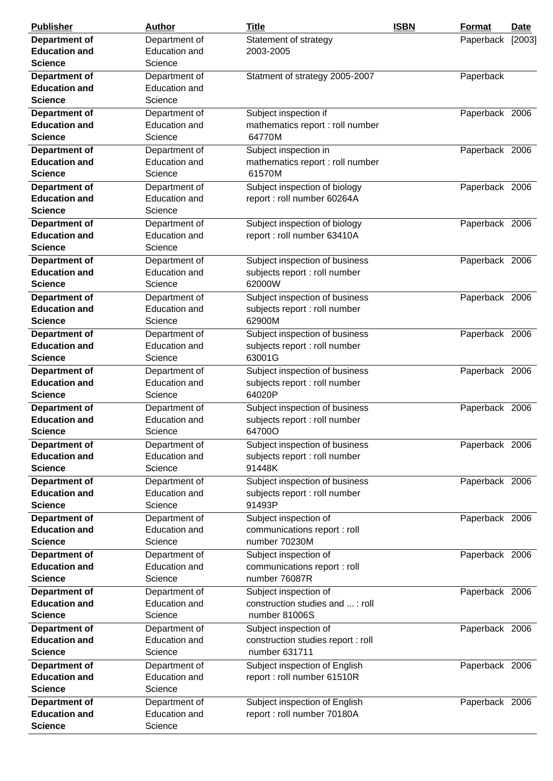| <b>Publisher</b>     | <b>Author</b>        | <b>Title</b>                       | <b>ISBN</b> | <b>Format</b>  | <b>Date</b> |
|----------------------|----------------------|------------------------------------|-------------|----------------|-------------|
| <b>Department of</b> | Department of        | Statement of strategy              |             | Paperback      | $[2003]$    |
| <b>Education and</b> | <b>Education and</b> | 2003-2005                          |             |                |             |
| <b>Science</b>       | Science              |                                    |             |                |             |
| <b>Department of</b> | Department of        | Statment of strategy 2005-2007     |             | Paperback      |             |
| <b>Education and</b> | <b>Education and</b> |                                    |             |                |             |
| <b>Science</b>       | Science              |                                    |             |                |             |
| <b>Department of</b> | Department of        | Subject inspection if              |             | Paperback 2006 |             |
| <b>Education and</b> | <b>Education and</b> | mathematics report : roll number   |             |                |             |
| <b>Science</b>       | Science              | 64770M                             |             |                |             |
| <b>Department of</b> | Department of        | Subject inspection in              |             | Paperback 2006 |             |
| <b>Education and</b> | <b>Education and</b> | mathematics report : roll number   |             |                |             |
| <b>Science</b>       | Science              | 61570M                             |             |                |             |
| <b>Department of</b> | Department of        | Subject inspection of biology      |             | Paperback 2006 |             |
| <b>Education and</b> | <b>Education and</b> | report : roll number 60264A        |             |                |             |
| <b>Science</b>       | Science              |                                    |             |                |             |
| Department of        | Department of        | Subject inspection of biology      |             | Paperback 2006 |             |
| <b>Education and</b> | <b>Education</b> and | report : roll number 63410A        |             |                |             |
| <b>Science</b>       | Science              |                                    |             |                |             |
| Department of        | Department of        | Subject inspection of business     |             | Paperback 2006 |             |
| <b>Education and</b> | <b>Education and</b> | subjects report : roll number      |             |                |             |
| <b>Science</b>       | Science              | 62000W                             |             |                |             |
|                      |                      |                                    |             |                |             |
| <b>Department of</b> | Department of        | Subject inspection of business     |             | Paperback 2006 |             |
| <b>Education and</b> | <b>Education and</b> | subjects report : roll number      |             |                |             |
| <b>Science</b>       | Science              | 62900M                             |             |                |             |
| Department of        | Department of        | Subject inspection of business     |             | Paperback 2006 |             |
| <b>Education and</b> | <b>Education and</b> | subjects report : roll number      |             |                |             |
| <b>Science</b>       | Science              | 63001G                             |             |                |             |
| Department of        | Department of        | Subject inspection of business     |             | Paperback 2006 |             |
| <b>Education and</b> | <b>Education and</b> | subjects report : roll number      |             |                |             |
| <b>Science</b>       | Science              | 64020P                             |             |                |             |
| <b>Department of</b> | Department of        | Subject inspection of business     |             | Paperback 2006 |             |
| <b>Education and</b> | <b>Education and</b> | subjects report : roll number      |             |                |             |
| <b>Science</b>       | Science              | 64700O                             |             |                |             |
| Department of        | Department of        | Subject inspection of business     |             | Paperback 2006 |             |
| <b>Education and</b> | <b>Education and</b> | subjects report : roll number      |             |                |             |
| <b>Science</b>       | Science              | 91448K                             |             |                |             |
| <b>Department of</b> | Department of        | Subject inspection of business     |             | Paperback 2006 |             |
| <b>Education and</b> | <b>Education and</b> | subjects report : roll number      |             |                |             |
| <b>Science</b>       | Science              | 91493P                             |             |                |             |
| <b>Department of</b> | Department of        | Subject inspection of              |             | Paperback 2006 |             |
| <b>Education and</b> | Education and        | communications report : roll       |             |                |             |
| <b>Science</b>       | Science              | number 70230M                      |             |                |             |
| <b>Department of</b> | Department of        | Subject inspection of              |             | Paperback 2006 |             |
| <b>Education and</b> | <b>Education and</b> | communications report : roll       |             |                |             |
| <b>Science</b>       | Science              | number 76087R                      |             |                |             |
| <b>Department of</b> | Department of        | Subject inspection of              |             | Paperback 2006 |             |
| <b>Education and</b> | <b>Education and</b> | construction studies and  : roll   |             |                |             |
| <b>Science</b>       | Science              | number 81006S                      |             |                |             |
| <b>Department of</b> | Department of        | Subject inspection of              |             | Paperback 2006 |             |
| <b>Education and</b> | <b>Education and</b> | construction studies report : roll |             |                |             |
| <b>Science</b>       | Science              | number 631711                      |             |                |             |
| <b>Department of</b> | Department of        | Subject inspection of English      |             | Paperback 2006 |             |
| <b>Education and</b> | <b>Education and</b> | report : roll number 61510R        |             |                |             |
| <b>Science</b>       | Science              |                                    |             |                |             |
| <b>Department of</b> | Department of        | Subject inspection of English      |             | Paperback 2006 |             |
| <b>Education and</b> | <b>Education and</b> | report : roll number 70180A        |             |                |             |
| <b>Science</b>       | Science              |                                    |             |                |             |
|                      |                      |                                    |             |                |             |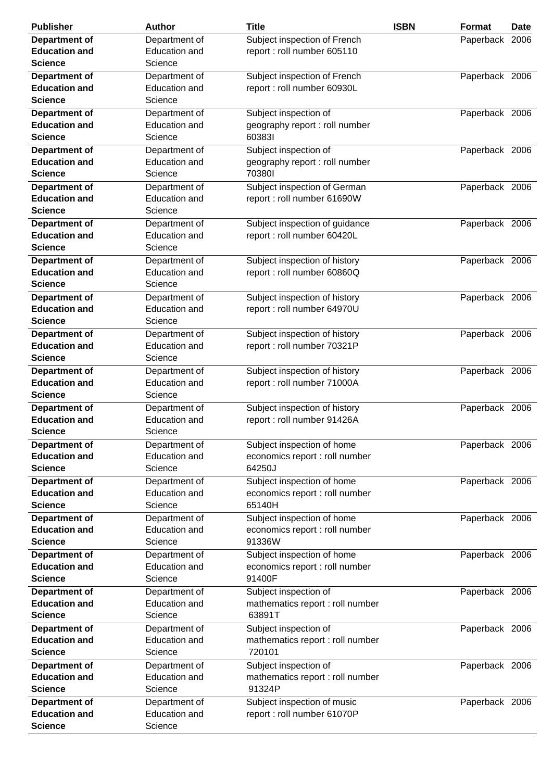| <b>Publisher</b>                      | <b>Author</b>                         | <b>Title</b>                                                 | <b>ISBN</b> | Format         | Date |
|---------------------------------------|---------------------------------------|--------------------------------------------------------------|-------------|----------------|------|
| <b>Department of</b>                  | Department of                         | Subject inspection of French                                 |             | Paperback 2006 |      |
| <b>Education and</b>                  | <b>Education and</b>                  | report : roll number 605110                                  |             |                |      |
| <b>Science</b>                        | Science                               |                                                              |             |                |      |
| <b>Department of</b>                  | Department of                         | Subject inspection of French                                 |             | Paperback 2006 |      |
| <b>Education and</b>                  | <b>Education and</b>                  | report : roll number 60930L                                  |             |                |      |
| <b>Science</b>                        | Science                               |                                                              |             |                |      |
| Department of                         | Department of                         | Subject inspection of                                        |             | Paperback 2006 |      |
| <b>Education and</b>                  | Education and                         | geography report : roll number                               |             |                |      |
| <b>Science</b>                        | Science                               | 603831                                                       |             |                |      |
| <b>Department of</b>                  | Department of                         | Subject inspection of                                        |             | Paperback 2006 |      |
| <b>Education and</b>                  | <b>Education and</b>                  | geography report : roll number                               |             |                |      |
| <b>Science</b>                        | Science                               | 703801                                                       |             |                |      |
| Department of                         | Department of                         | Subject inspection of German                                 |             | Paperback 2006 |      |
| <b>Education and</b>                  | Education and                         | report : roll number 61690W                                  |             |                |      |
| <b>Science</b>                        | Science                               |                                                              |             |                |      |
| <b>Department of</b>                  | Department of                         | Subject inspection of guidance                               |             | Paperback 2006 |      |
| <b>Education and</b>                  | <b>Education and</b>                  | report : roll number 60420L                                  |             |                |      |
| <b>Science</b>                        | Science                               |                                                              |             |                |      |
| <b>Department of</b>                  | Department of                         | Subject inspection of history                                |             | Paperback 2006 |      |
| <b>Education and</b>                  | <b>Education and</b>                  | report : roll number 60860Q                                  |             |                |      |
| <b>Science</b>                        | Science                               |                                                              |             |                |      |
| <b>Department of</b>                  | Department of                         | Subject inspection of history                                |             | Paperback 2006 |      |
| <b>Education and</b>                  | Education and                         | report : roll number 64970U                                  |             |                |      |
| <b>Science</b>                        | Science                               |                                                              |             |                |      |
|                                       |                                       |                                                              |             |                |      |
| Department of<br><b>Education and</b> | Department of<br><b>Education and</b> | Subject inspection of history<br>report : roll number 70321P |             | Paperback 2006 |      |
| <b>Science</b>                        | Science                               |                                                              |             |                |      |
|                                       |                                       |                                                              |             |                |      |
| Department of<br><b>Education and</b> | Department of                         | Subject inspection of history                                |             | Paperback 2006 |      |
|                                       | <b>Education and</b>                  | report : roll number 71000A                                  |             |                |      |
| <b>Science</b>                        | Science                               |                                                              |             |                |      |
| <b>Department of</b>                  | Department of                         | Subject inspection of history                                |             | Paperback 2006 |      |
| <b>Education and</b>                  | <b>Education and</b>                  | report : roll number 91426A                                  |             |                |      |
| <b>Science</b>                        | Science                               |                                                              |             |                |      |
| <b>Department of</b>                  | Department of                         | Subject inspection of home                                   |             | Paperback 2006 |      |
| <b>Education and</b>                  | <b>Education and</b>                  | economics report : roll number                               |             |                |      |
| <b>Science</b>                        | Science                               | 64250J                                                       |             |                |      |
| <b>Department of</b>                  | Department of                         | Subject inspection of home                                   |             | Paperback 2006 |      |
| <b>Education and</b>                  | <b>Education and</b>                  | economics report : roll number                               |             |                |      |
| <b>Science</b>                        | Science                               | 65140H                                                       |             |                |      |
| <b>Department of</b>                  | Department of                         | Subject inspection of home                                   |             | Paperback 2006 |      |
| <b>Education and</b>                  | <b>Education and</b>                  | economics report : roll number                               |             |                |      |
| <b>Science</b>                        | Science                               | 91336W                                                       |             |                |      |
| Department of                         | Department of                         | Subject inspection of home                                   |             | Paperback 2006 |      |
| <b>Education and</b>                  | <b>Education and</b>                  | economics report : roll number                               |             |                |      |
| <b>Science</b>                        | Science                               | 91400F                                                       |             |                |      |
| <b>Department of</b>                  | Department of                         | Subject inspection of                                        |             | Paperback 2006 |      |
| <b>Education and</b>                  | Education and                         | mathematics report : roll number                             |             |                |      |
| <b>Science</b>                        | Science                               | 63891T                                                       |             |                |      |
| <b>Department of</b>                  | Department of                         | Subject inspection of                                        |             | Paperback 2006 |      |
| <b>Education and</b>                  | Education and                         | mathematics report : roll number                             |             |                |      |
| <b>Science</b>                        | Science                               | 720101                                                       |             |                |      |
| <b>Department of</b>                  | Department of                         | Subject inspection of                                        |             | Paperback 2006 |      |
| <b>Education and</b>                  | <b>Education and</b>                  | mathematics report : roll number                             |             |                |      |
| <b>Science</b>                        | Science                               | 91324P                                                       |             |                |      |
| <b>Department of</b>                  | Department of                         | Subject inspection of music                                  |             | Paperback 2006 |      |
| <b>Education and</b>                  | <b>Education and</b>                  | report : roll number 61070P                                  |             |                |      |
| <b>Science</b>                        | Science                               |                                                              |             |                |      |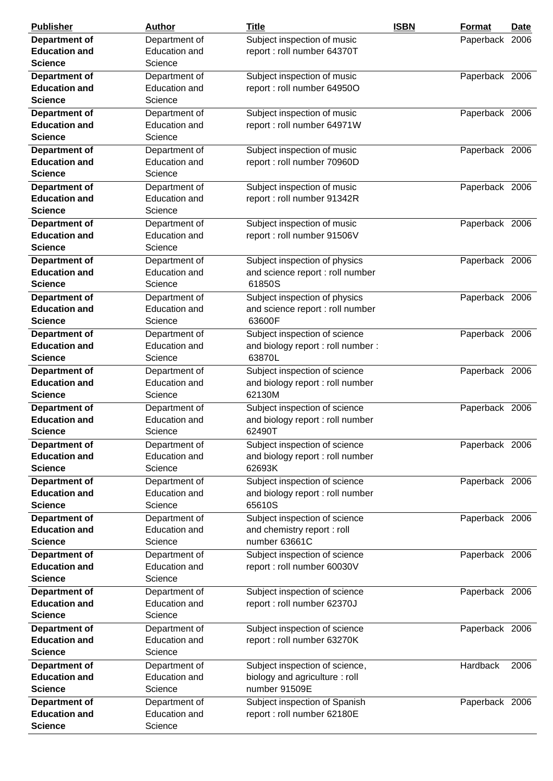| <b>Publisher</b>                       | <b>Author</b>                         | <b>Title</b>                               | <b>ISBN</b> | <b>Format</b>  | <b>Date</b> |
|----------------------------------------|---------------------------------------|--------------------------------------------|-------------|----------------|-------------|
| <b>Department of</b>                   | Department of                         | Subject inspection of music                |             | Paperback 2006 |             |
| <b>Education and</b>                   | <b>Education and</b>                  | report : roll number 64370T                |             |                |             |
| <b>Science</b>                         | Science                               |                                            |             |                |             |
| <b>Department of</b>                   | Department of                         | Subject inspection of music                |             | Paperback 2006 |             |
| <b>Education and</b>                   | <b>Education and</b>                  | report : roll number 64950O                |             |                |             |
| <b>Science</b>                         | Science                               |                                            |             |                |             |
| <b>Department of</b>                   | Department of                         | Subject inspection of music                |             | Paperback 2006 |             |
| <b>Education and</b>                   | <b>Education and</b>                  | report : roll number 64971W                |             |                |             |
| <b>Science</b>                         | Science                               |                                            |             |                |             |
| <b>Department of</b>                   | Department of                         | Subject inspection of music                |             | Paperback 2006 |             |
| <b>Education and</b>                   | <b>Education and</b>                  | report : roll number 70960D                |             |                |             |
| <b>Science</b>                         | Science                               |                                            |             |                |             |
| <b>Department of</b>                   | Department of                         | Subject inspection of music                |             | Paperback 2006 |             |
| <b>Education and</b>                   | Education and                         | report : roll number 91342R                |             |                |             |
| <b>Science</b>                         | Science                               |                                            |             |                |             |
| <b>Department of</b>                   | Department of                         | Subject inspection of music                |             | Paperback 2006 |             |
| <b>Education and</b>                   | <b>Education and</b>                  | report : roll number 91506V                |             |                |             |
| <b>Science</b>                         | Science                               |                                            |             |                |             |
| <b>Department of</b>                   | Department of                         | Subject inspection of physics              |             | Paperback 2006 |             |
| <b>Education and</b>                   | <b>Education and</b>                  | and science report : roll number           |             |                |             |
| <b>Science</b>                         | Science                               | 61850S                                     |             |                |             |
| <b>Department of</b>                   | Department of                         | Subject inspection of physics              |             | Paperback 2006 |             |
| <b>Education and</b>                   | <b>Education and</b>                  | and science report : roll number           |             |                |             |
| <b>Science</b>                         | Science                               | 63600F                                     |             |                |             |
| Department of                          | Department of                         | Subject inspection of science              |             | Paperback 2006 |             |
| <b>Education and</b>                   | <b>Education and</b>                  | and biology report : roll number :         |             |                |             |
| <b>Science</b>                         | Science                               | 63870L                                     |             |                |             |
| <b>Department of</b>                   |                                       | Subject inspection of science              |             | Paperback 2006 |             |
| <b>Education and</b>                   | Department of<br><b>Education and</b> |                                            |             |                |             |
| <b>Science</b>                         | Science                               | and biology report : roll number<br>62130M |             |                |             |
|                                        |                                       |                                            |             |                |             |
| <b>Department of</b>                   | Department of                         | Subject inspection of science              |             | Paperback 2006 |             |
| <b>Education and</b><br><b>Science</b> | <b>Education and</b>                  | and biology report : roll number<br>62490T |             |                |             |
|                                        | Science                               |                                            |             |                |             |
| <b>Department of</b>                   | Department of                         | Subject inspection of science              |             | Paperback 2006 |             |
| <b>Education and</b>                   | <b>Education and</b>                  | and biology report : roll number           |             |                |             |
| <b>Science</b>                         | Science                               | 62693K                                     |             |                |             |
| Department of                          | Department of                         | Subject inspection of science              |             | Paperback 2006 |             |
| <b>Education and</b>                   | <b>Education and</b>                  | and biology report : roll number           |             |                |             |
| <b>Science</b>                         | Science                               | 65610S                                     |             |                |             |
| <b>Department of</b>                   | Department of                         | Subject inspection of science              |             | Paperback 2006 |             |
| <b>Education and</b>                   | <b>Education and</b>                  | and chemistry report : roll                |             |                |             |
| <b>Science</b>                         | Science                               | number 63661C                              |             |                |             |
| <b>Department of</b>                   | Department of                         | Subject inspection of science              |             | Paperback 2006 |             |
| <b>Education and</b>                   | <b>Education and</b>                  | report : roll number 60030V                |             |                |             |
| <b>Science</b>                         | Science                               |                                            |             |                |             |
| Department of                          | Department of                         | Subject inspection of science              |             | Paperback 2006 |             |
| <b>Education and</b>                   | <b>Education and</b>                  | report : roll number 62370J                |             |                |             |
| <b>Science</b>                         | Science                               |                                            |             |                |             |
| <b>Department of</b>                   | Department of                         | Subject inspection of science              |             | Paperback 2006 |             |
| <b>Education and</b>                   | <b>Education and</b>                  | report : roll number 63270K                |             |                |             |
| <b>Science</b>                         | Science                               |                                            |             |                |             |
| Department of                          | Department of                         | Subject inspection of science,             |             | Hardback       | 2006        |
| <b>Education and</b>                   | <b>Education and</b>                  | biology and agriculture: roll              |             |                |             |
| <b>Science</b>                         | Science                               | number 91509E                              |             |                |             |
| <b>Department of</b>                   | Department of                         | Subject inspection of Spanish              |             | Paperback 2006 |             |
| <b>Education and</b>                   | <b>Education and</b>                  | report : roll number 62180E                |             |                |             |
| <b>Science</b>                         | Science                               |                                            |             |                |             |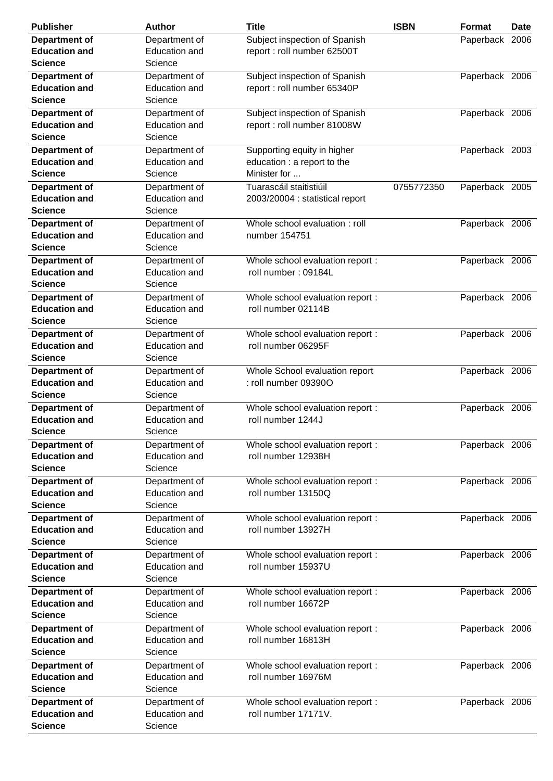| <b>Publisher</b>                             | <b>Author</b>        | <b>Title</b>                     | <b>ISBN</b> | <b>Format</b>  | Date |
|----------------------------------------------|----------------------|----------------------------------|-------------|----------------|------|
| <b>Department of</b>                         | Department of        | Subject inspection of Spanish    |             | Paperback 2006 |      |
| <b>Education and</b>                         | Education and        | report : roll number 62500T      |             |                |      |
| <b>Science</b>                               | Science              |                                  |             |                |      |
| <b>Department of</b>                         | Department of        | Subject inspection of Spanish    |             | Paperback 2006 |      |
| <b>Education and</b>                         | Education and        | report : roll number 65340P      |             |                |      |
| <b>Science</b>                               | Science              |                                  |             |                |      |
| <b>Department of</b>                         | Department of        | Subject inspection of Spanish    |             | Paperback 2006 |      |
| <b>Education and</b>                         | <b>Education and</b> | report : roll number 81008W      |             |                |      |
| <b>Science</b>                               | Science              |                                  |             |                |      |
| Department of                                | Department of        | Supporting equity in higher      |             | Paperback 2003 |      |
| <b>Education and</b>                         | <b>Education and</b> | education : a report to the      |             |                |      |
| <b>Science</b>                               | Science              | Minister for                     |             |                |      |
| <b>Department of</b>                         | Department of        | Tuarascáil staitistiúil          | 0755772350  | Paperback 2005 |      |
| <b>Education and</b>                         | <b>Education and</b> | 2003/20004 : statistical report  |             |                |      |
| <b>Science</b>                               | Science              |                                  |             |                |      |
|                                              |                      |                                  |             |                |      |
| <b>Department of</b>                         | Department of        | Whole school evaluation : roll   |             | Paperback 2006 |      |
| <b>Education and</b>                         | <b>Education and</b> | number 154751                    |             |                |      |
| <b>Science</b>                               | Science              |                                  |             |                |      |
| <b>Department of</b>                         | Department of        | Whole school evaluation report : |             | Paperback 2006 |      |
| <b>Education and</b>                         | <b>Education and</b> | roll number: 09184L              |             |                |      |
| <b>Science</b>                               | Science              |                                  |             |                |      |
| <b>Department of</b>                         | Department of        | Whole school evaluation report : |             | Paperback 2006 |      |
| <b>Education and</b>                         | <b>Education and</b> | roll number 02114B               |             |                |      |
| <b>Science</b>                               | Science              |                                  |             |                |      |
| Department of                                | Department of        | Whole school evaluation report : |             | Paperback 2006 |      |
| <b>Education and</b>                         | <b>Education and</b> | roll number 06295F               |             |                |      |
| <b>Science</b>                               | Science              |                                  |             |                |      |
| <b>Department of</b>                         | Department of        | Whole School evaluation report   |             | Paperback 2006 |      |
| <b>Education and</b>                         | <b>Education and</b> | : roll number 09390O             |             |                |      |
| <b>Science</b>                               | Science              |                                  |             |                |      |
| <b>Department of</b>                         | Department of        | Whole school evaluation report : |             | Paperback 2006 |      |
| <b>Education and</b>                         | Education and        | roll number 1244J                |             |                |      |
| <b>Science</b>                               | Science              |                                  |             |                |      |
| <b>Department of</b>                         | Department of        | Whole school evaluation report : |             | Paperback 2006 |      |
| <b>Education and</b>                         | Education and        | roll number 12938H               |             |                |      |
| <b>Science</b>                               | Science              |                                  |             |                |      |
| <b>Department of</b>                         | Department of        | Whole school evaluation report : |             | Paperback 2006 |      |
| <b>Education and</b>                         | Education and        | roll number 13150Q               |             |                |      |
| <b>Science</b>                               | Science              |                                  |             |                |      |
| <b>Department of</b>                         | Department of        | Whole school evaluation report : |             | Paperback 2006 |      |
| <b>Education and</b>                         | <b>Education and</b> | roll number 13927H               |             |                |      |
| <b>Science</b>                               | Science              |                                  |             |                |      |
| <b>Department of</b>                         | Department of        | Whole school evaluation report : |             | Paperback 2006 |      |
| <b>Education and</b>                         | Education and        | roll number 15937U               |             |                |      |
| <b>Science</b>                               | Science              |                                  |             |                |      |
| <b>Department of</b>                         | Department of        | Whole school evaluation report : |             | Paperback 2006 |      |
| <b>Education and</b>                         | Education and        | roll number 16672P               |             |                |      |
| <b>Science</b>                               | Science              |                                  |             |                |      |
| <b>Department of</b>                         | Department of        | Whole school evaluation report : |             | Paperback 2006 |      |
| <b>Education and</b>                         | Education and        | roll number 16813H               |             |                |      |
| <b>Science</b>                               | Science              |                                  |             |                |      |
|                                              |                      |                                  |             |                |      |
| <b>Department of</b><br><b>Education and</b> | Department of        | Whole school evaluation report : |             | Paperback 2006 |      |
|                                              | Education and        | roll number 16976M               |             |                |      |
| <b>Science</b>                               | Science              |                                  |             |                |      |
| <b>Department of</b>                         | Department of        | Whole school evaluation report : |             | Paperback 2006 |      |
| <b>Education and</b>                         | Education and        | roll number 17171V.              |             |                |      |
| <b>Science</b>                               | Science              |                                  |             |                |      |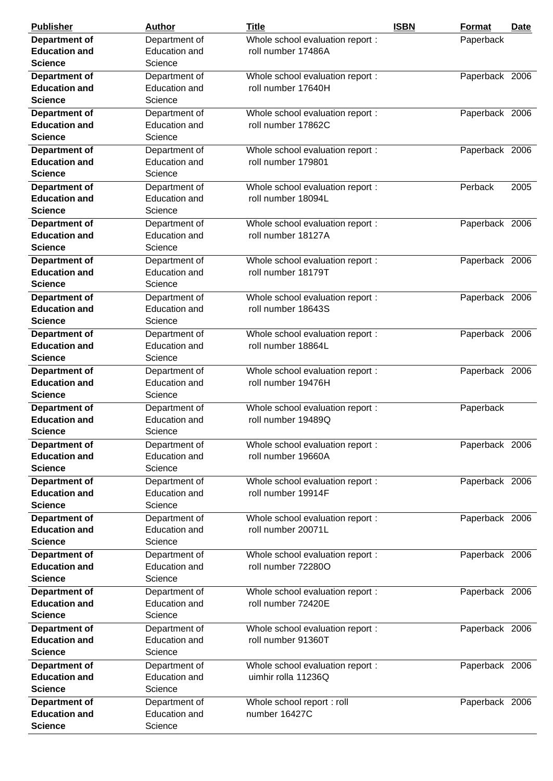| <b>Publisher</b>     | <b>Author</b>        | <b>Title</b>                     | <b>ISBN</b> | <b>Format</b>  | <b>Date</b> |
|----------------------|----------------------|----------------------------------|-------------|----------------|-------------|
| <b>Department of</b> | Department of        | Whole school evaluation report : |             | Paperback      |             |
| <b>Education and</b> | <b>Education and</b> | roll number 17486A               |             |                |             |
| <b>Science</b>       | Science              |                                  |             |                |             |
| <b>Department of</b> | Department of        | Whole school evaluation report : |             | Paperback 2006 |             |
| <b>Education and</b> | <b>Education and</b> | roll number 17640H               |             |                |             |
| <b>Science</b>       | Science              |                                  |             |                |             |
| Department of        | Department of        | Whole school evaluation report : |             | Paperback 2006 |             |
| <b>Education and</b> | <b>Education and</b> | roll number 17862C               |             |                |             |
| <b>Science</b>       | Science              |                                  |             |                |             |
| <b>Department of</b> | Department of        | Whole school evaluation report : |             | Paperback 2006 |             |
| <b>Education and</b> | <b>Education and</b> | roll number 179801               |             |                |             |
| <b>Science</b>       | Science              |                                  |             |                |             |
| <b>Department of</b> | Department of        | Whole school evaluation report : |             | Perback        | 2005        |
| <b>Education and</b> | <b>Education and</b> | roll number 18094L               |             |                |             |
| <b>Science</b>       | Science              |                                  |             |                |             |
| <b>Department of</b> | Department of        | Whole school evaluation report : |             | Paperback 2006 |             |
| <b>Education and</b> | <b>Education and</b> | roll number 18127A               |             |                |             |
| <b>Science</b>       | Science              |                                  |             |                |             |
| <b>Department of</b> | Department of        | Whole school evaluation report : |             | Paperback 2006 |             |
| <b>Education and</b> | <b>Education and</b> | roll number 18179T               |             |                |             |
| <b>Science</b>       | Science              |                                  |             |                |             |
| <b>Department of</b> | Department of        | Whole school evaluation report : |             | Paperback 2006 |             |
| <b>Education and</b> | <b>Education and</b> | roll number 18643S               |             |                |             |
| <b>Science</b>       | Science              |                                  |             |                |             |
| Department of        | Department of        | Whole school evaluation report : |             | Paperback 2006 |             |
| <b>Education and</b> | <b>Education and</b> | roll number 18864L               |             |                |             |
| <b>Science</b>       | Science              |                                  |             |                |             |
| <b>Department of</b> | Department of        | Whole school evaluation report : |             | Paperback 2006 |             |
| <b>Education and</b> | <b>Education and</b> | roll number 19476H               |             |                |             |
| <b>Science</b>       | Science              |                                  |             |                |             |
| <b>Department of</b> | Department of        | Whole school evaluation report : |             | Paperback      |             |
| <b>Education and</b> | <b>Education and</b> | roll number 19489Q               |             |                |             |
| <b>Science</b>       | Science              |                                  |             |                |             |
| <b>Department of</b> | Department of        | Whole school evaluation report : |             | Paperback 2006 |             |
| <b>Education and</b> | <b>Education and</b> | roll number 19660A               |             |                |             |
| <b>Science</b>       | Science              |                                  |             |                |             |
| Department of        | Department of        | Whole school evaluation report : |             | Paperback 2006 |             |
| <b>Education and</b> | <b>Education and</b> | roll number 19914F               |             |                |             |
| <b>Science</b>       | Science              |                                  |             |                |             |
| <b>Department of</b> | Department of        | Whole school evaluation report : |             | Paperback 2006 |             |
| <b>Education and</b> | <b>Education and</b> | roll number 20071L               |             |                |             |
| <b>Science</b>       | Science              |                                  |             |                |             |
| <b>Department of</b> | Department of        | Whole school evaluation report : |             | Paperback 2006 |             |
| <b>Education and</b> | <b>Education and</b> | roll number 72280O               |             |                |             |
| <b>Science</b>       | Science              |                                  |             |                |             |
| Department of        | Department of        | Whole school evaluation report : |             | Paperback 2006 |             |
| <b>Education and</b> | <b>Education and</b> | roll number 72420E               |             |                |             |
| <b>Science</b>       | Science              |                                  |             |                |             |
| <b>Department of</b> | Department of        | Whole school evaluation report : |             | Paperback 2006 |             |
| <b>Education and</b> | <b>Education and</b> | roll number 91360T               |             |                |             |
| <b>Science</b>       | Science              |                                  |             |                |             |
| Department of        | Department of        | Whole school evaluation report : |             | Paperback 2006 |             |
| <b>Education and</b> | <b>Education and</b> | uimhir rolla 11236Q              |             |                |             |
| <b>Science</b>       | Science              |                                  |             |                |             |
| <b>Department of</b> | Department of        | Whole school report : roll       |             | Paperback 2006 |             |
| <b>Education and</b> | <b>Education and</b> | number 16427C                    |             |                |             |
| <b>Science</b>       | Science              |                                  |             |                |             |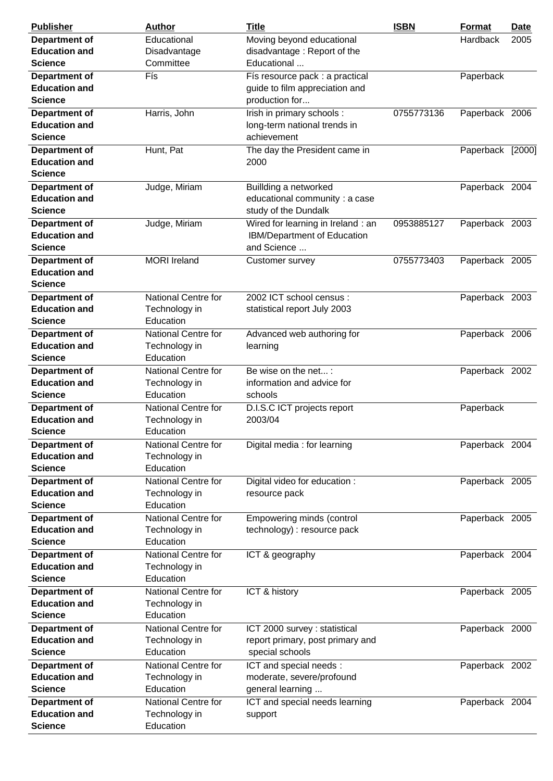| <b>Publisher</b>                                               | <b>Author</b>                                            | <b>Title</b>                                                                         | <b>ISBN</b> | <b>Format</b>    | Date |
|----------------------------------------------------------------|----------------------------------------------------------|--------------------------------------------------------------------------------------|-------------|------------------|------|
| <b>Department of</b><br><b>Education and</b>                   | Educational<br>Disadvantage                              | Moving beyond educational<br>disadvantage: Report of the                             |             | Hardback         | 2005 |
| <b>Science</b>                                                 | Committee                                                | Educational                                                                          |             |                  |      |
| Department of<br><b>Education and</b><br><b>Science</b>        | Fís                                                      | Fís resource pack : a practical<br>guide to film appreciation and<br>production for  |             | Paperback        |      |
| <b>Department of</b><br><b>Education and</b><br><b>Science</b> | Harris, John                                             | Irish in primary schools :<br>long-term national trends in<br>achievement            | 0755773136  | Paperback 2006   |      |
| <b>Department of</b><br><b>Education and</b><br><b>Science</b> | Hunt, Pat                                                | The day the President came in<br>2000                                                |             | Paperback [2000] |      |
| Department of<br><b>Education and</b><br><b>Science</b>        | Judge, Miriam                                            | Buillding a networked<br>educational community : a case<br>study of the Dundalk      |             | Paperback 2004   |      |
| <b>Department of</b><br><b>Education and</b><br><b>Science</b> | Judge, Miriam                                            | Wired for learning in Ireland: an<br>IBM/Department of Education<br>and Science      | 0953885127  | Paperback 2003   |      |
| Department of<br><b>Education and</b><br><b>Science</b>        | <b>MORI</b> Ireland                                      | Customer survey                                                                      | 0755773403  | Paperback 2005   |      |
| <b>Department of</b><br><b>Education and</b><br><b>Science</b> | <b>National Centre for</b><br>Technology in<br>Education | 2002 ICT school census :<br>statistical report July 2003                             |             | Paperback 2003   |      |
| <b>Department of</b><br><b>Education and</b><br><b>Science</b> | National Centre for<br>Technology in<br>Education        | Advanced web authoring for<br>learning                                               |             | Paperback 2006   |      |
| Department of<br><b>Education and</b><br><b>Science</b>        | National Centre for<br>Technology in<br>Education        | Be wise on the net :<br>information and advice for<br>schools                        |             | Paperback 2002   |      |
| <b>Department of</b><br><b>Education and</b><br><b>Science</b> | <b>National Centre for</b><br>Technology in<br>Education | D.I.S.C ICT projects report<br>2003/04                                               |             | Paperback        |      |
| <b>Department of</b><br><b>Education and</b><br><b>Science</b> | National Centre for<br>Technology in<br>Education        | Digital media : for learning                                                         |             | Paperback 2004   |      |
| <b>Department of</b><br><b>Education and</b>                   | <b>National Centre for</b><br>Technology in              | Digital video for education :<br>resource pack                                       |             | Paperback 2005   |      |
| <b>Science</b>                                                 | Education                                                |                                                                                      |             |                  |      |
| <b>Department of</b><br><b>Education and</b><br><b>Science</b> | National Centre for<br>Technology in<br>Education        | Empowering minds (control<br>technology) : resource pack                             |             | Paperback 2005   |      |
| Department of<br><b>Education and</b><br><b>Science</b>        | National Centre for<br>Technology in<br>Education        | ICT & geography                                                                      |             | Paperback 2004   |      |
| Department of<br><b>Education and</b><br><b>Science</b>        | <b>National Centre for</b><br>Technology in<br>Education | ICT & history                                                                        |             | Paperback 2005   |      |
| <b>Department of</b><br><b>Education and</b><br><b>Science</b> | National Centre for<br>Technology in<br>Education        | ICT 2000 survey : statistical<br>report primary, post primary and<br>special schools |             | Paperback 2000   |      |
| <b>Department of</b><br><b>Education and</b><br><b>Science</b> | National Centre for<br>Technology in<br>Education        | ICT and special needs :<br>moderate, severe/profound<br>general learning             |             | Paperback 2002   |      |
| <b>Department of</b><br><b>Education and</b><br><b>Science</b> | National Centre for<br>Technology in<br>Education        | ICT and special needs learning<br>support                                            |             | Paperback 2004   |      |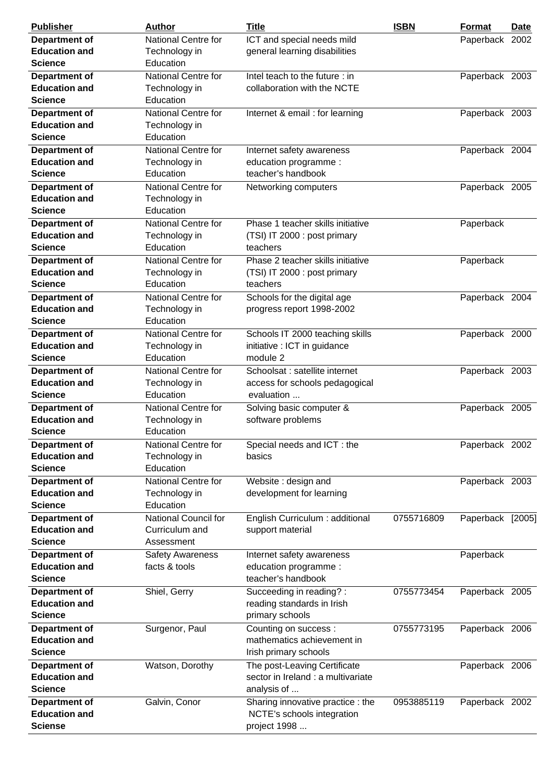| <b>Publisher</b>                             | <b>Author</b>                            | <b>Title</b>                                  | <b>ISBN</b> | Format         | <u>Date</u> |
|----------------------------------------------|------------------------------------------|-----------------------------------------------|-------------|----------------|-------------|
| Department of                                | <b>National Centre for</b>               | ICT and special needs mild                    |             | Paperback 2002 |             |
| <b>Education and</b>                         | Technology in                            | general learning disabilities                 |             |                |             |
| <b>Science</b>                               | Education                                |                                               |             |                |             |
| <b>Department of</b>                         | National Centre for                      | Intel teach to the future: in                 |             | Paperback 2003 |             |
| <b>Education and</b>                         | Technology in                            | collaboration with the NCTE                   |             |                |             |
| <b>Science</b>                               | Education                                |                                               |             |                |             |
| <b>Department of</b>                         | National Centre for                      | Internet & email: for learning                |             | Paperback 2003 |             |
| <b>Education and</b>                         | Technology in                            |                                               |             |                |             |
| <b>Science</b>                               | Education                                |                                               |             |                |             |
| Department of                                | National Centre for                      | Internet safety awareness                     |             | Paperback 2004 |             |
| <b>Education and</b>                         | Technology in                            | education programme :                         |             |                |             |
| <b>Science</b>                               | Education                                | teacher's handbook                            |             |                |             |
| <b>Department of</b>                         | <b>National Centre for</b>               | Networking computers                          |             | Paperback 2005 |             |
| <b>Education and</b>                         | Technology in                            |                                               |             |                |             |
| <b>Science</b>                               | Education                                |                                               |             |                |             |
| Department of                                | <b>National Centre for</b>               | Phase 1 teacher skills initiative             |             | Paperback      |             |
| <b>Education and</b>                         | Technology in                            | (TSI) IT 2000 : post primary                  |             |                |             |
| <b>Science</b>                               | Education                                | teachers                                      |             |                |             |
| <b>Department of</b>                         | National Centre for                      | Phase 2 teacher skills initiative             |             | Paperback      |             |
| <b>Education and</b>                         | Technology in                            | (TSI) IT 2000 : post primary                  |             |                |             |
| <b>Science</b>                               | Education                                | teachers                                      |             |                |             |
| <b>Department of</b>                         | National Centre for                      | Schools for the digital age                   |             | Paperback 2004 |             |
| <b>Education and</b>                         | Technology in                            | progress report 1998-2002                     |             |                |             |
| <b>Science</b>                               | Education                                |                                               |             |                |             |
| Department of                                | National Centre for                      | Schools IT 2000 teaching skills               |             | Paperback 2000 |             |
| <b>Education and</b>                         | Technology in                            | initiative : ICT in guidance                  |             |                |             |
| <b>Science</b>                               | Education                                | module 2                                      |             |                |             |
| Department of                                | <b>National Centre for</b>               | Schoolsat : satellite internet                |             | Paperback 2003 |             |
| <b>Education and</b>                         | Technology in                            | access for schools pedagogical                |             |                |             |
| <b>Science</b>                               | Education                                | evaluation                                    |             |                |             |
|                                              | <b>National Centre for</b>               |                                               |             |                |             |
| <b>Department of</b><br><b>Education and</b> | Technology in                            | Solving basic computer &<br>software problems |             | Paperback 2005 |             |
| <b>Science</b>                               | Education                                |                                               |             |                |             |
|                                              | National Centre for                      |                                               |             |                |             |
| Department of<br><b>Education and</b>        | Technology in                            | Special needs and ICT : the<br>basics         |             | Paperback 2002 |             |
| <b>Science</b>                               | Education                                |                                               |             |                |             |
|                                              | National Centre for                      |                                               |             |                |             |
| <b>Department of</b><br><b>Education and</b> |                                          | Website: design and                           |             | Paperback 2003 |             |
| <b>Science</b>                               | Technology in<br>Education               | development for learning                      |             |                |             |
|                                              | National Council for                     |                                               |             |                |             |
| <b>Department of</b><br><b>Education and</b> | Curriculum and                           | English Curriculum : additional               | 0755716809  | Paperback      | [2005]      |
| <b>Science</b>                               | Assessment                               | support material                              |             |                |             |
|                                              |                                          |                                               |             |                |             |
| <b>Department of</b><br><b>Education and</b> | <b>Safety Awareness</b><br>facts & tools | Internet safety awareness                     |             | Paperback      |             |
| <b>Science</b>                               |                                          | education programme :<br>teacher's handbook   |             |                |             |
|                                              |                                          |                                               |             |                |             |
| Department of<br><b>Education and</b>        | Shiel, Gerry                             | Succeeding in reading? :                      | 0755773454  | Paperback 2005 |             |
| <b>Science</b>                               |                                          | reading standards in Irish<br>primary schools |             |                |             |
|                                              |                                          |                                               |             |                |             |
| <b>Department of</b>                         | Surgenor, Paul                           | Counting on success :                         | 0755773195  | Paperback 2006 |             |
| <b>Education and</b>                         |                                          | mathematics achievement in                    |             |                |             |
| <b>Science</b>                               |                                          | Irish primary schools                         |             |                |             |
| Department of                                | Watson, Dorothy                          | The post-Leaving Certificate                  |             | Paperback 2006 |             |
| <b>Education and</b>                         |                                          | sector in Ireland : a multivariate            |             |                |             |
| <b>Science</b>                               |                                          | analysis of                                   |             |                |             |
| <b>Department of</b>                         | Galvin, Conor                            | Sharing innovative practice : the             | 0953885119  | Paperback 2002 |             |
| <b>Education and</b>                         |                                          | NCTE's schools integration                    |             |                |             |
| <b>Sciense</b>                               |                                          | project 1998                                  |             |                |             |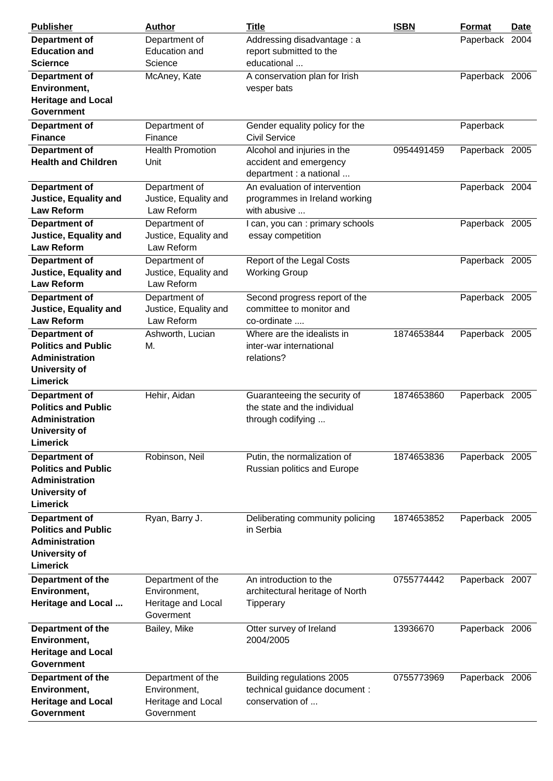| <b>Publisher</b>                                                                                         | <b>Author</b>                                                         | <u>Title</u>                                                                      | <b>ISBN</b> | <b>Format</b>  | Date |
|----------------------------------------------------------------------------------------------------------|-----------------------------------------------------------------------|-----------------------------------------------------------------------------------|-------------|----------------|------|
| <b>Department of</b><br><b>Education and</b><br><b>Sciernce</b>                                          | Department of<br><b>Education and</b><br>Science                      | Addressing disadvantage: a<br>report submitted to the<br>educational              |             | Paperback 2004 |      |
| Department of<br>Environment,<br><b>Heritage and Local</b><br><b>Government</b>                          | McAney, Kate                                                          | A conservation plan for Irish<br>vesper bats                                      |             | Paperback 2006 |      |
| <b>Department of</b><br><b>Finance</b>                                                                   | Department of<br>Finance                                              | Gender equality policy for the<br><b>Civil Service</b>                            |             | Paperback      |      |
| <b>Department of</b><br><b>Health and Children</b>                                                       | <b>Health Promotion</b><br>Unit                                       | Alcohol and injuries in the<br>accident and emergency<br>department : a national  | 0954491459  | Paperback 2005 |      |
| Department of<br><b>Justice, Equality and</b><br><b>Law Reform</b>                                       | Department of<br>Justice, Equality and<br>Law Reform                  | An evaluation of intervention<br>programmes in Ireland working<br>with abusive    |             | Paperback 2004 |      |
| <b>Department of</b><br>Justice, Equality and<br><b>Law Reform</b>                                       | Department of<br>Justice, Equality and<br>Law Reform                  | I can, you can : primary schools<br>essay competition                             |             | Paperback 2005 |      |
| <b>Department of</b><br><b>Justice, Equality and</b><br><b>Law Reform</b>                                | Department of<br>Justice, Equality and<br>Law Reform                  | <b>Report of the Legal Costs</b><br><b>Working Group</b>                          |             | Paperback 2005 |      |
| Department of<br><b>Justice, Equality and</b><br><b>Law Reform</b>                                       | Department of<br>Justice, Equality and<br>Law Reform                  | Second progress report of the<br>committee to monitor and<br>co-ordinate          |             | Paperback 2005 |      |
| Department of<br><b>Politics and Public</b><br><b>Administration</b><br>University of<br><b>Limerick</b> | Ashworth, Lucian<br>M.                                                | Where are the idealists in<br>inter-war international<br>relations?               | 1874653844  | Paperback 2005 |      |
| Department of<br><b>Politics and Public</b><br><b>Administration</b><br>University of<br>Limerick        | Hehir, Aidan                                                          | Guaranteeing the security of<br>the state and the individual<br>through codifying | 1874653860  | Paperback 2005 |      |
| <b>Department of</b><br><b>Politics and Public</b><br>Administration<br>University of<br><b>Limerick</b> | Robinson, Neil                                                        | Putin, the normalization of<br>Russian politics and Europe                        | 1874653836  | Paperback 2005 |      |
| <b>Department of</b><br><b>Politics and Public</b><br><b>Administration</b><br>University of<br>Limerick | Ryan, Barry J.                                                        | Deliberating community policing<br>in Serbia                                      | 1874653852  | Paperback 2005 |      |
| Department of the<br>Environment,<br>Heritage and Local                                                  | Department of the<br>Environment,<br>Heritage and Local<br>Goverment  | An introduction to the<br>architectural heritage of North<br>Tipperary            | 0755774442  | Paperback 2007 |      |
| Department of the<br>Environment,<br><b>Heritage and Local</b><br>Government                             | Bailey, Mike                                                          | Otter survey of Ireland<br>2004/2005                                              | 13936670    | Paperback 2006 |      |
| Department of the<br>Environment,<br><b>Heritage and Local</b><br><b>Government</b>                      | Department of the<br>Environment,<br>Heritage and Local<br>Government | Building regulations 2005<br>technical guidance document :<br>conservation of     | 0755773969  | Paperback 2006 |      |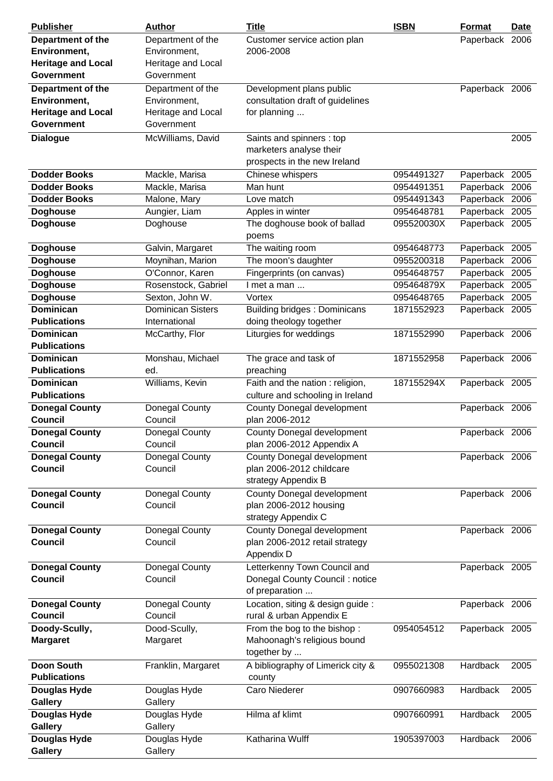| <b>Publisher</b>          | <b>Author</b>            | <b>Title</b>                        | <b>ISBN</b> | <b>Format</b>  | <b>Date</b> |
|---------------------------|--------------------------|-------------------------------------|-------------|----------------|-------------|
| <b>Department of the</b>  | Department of the        | Customer service action plan        |             | Paperback      | 2006        |
| Environment,              | Environment,             | 2006-2008                           |             |                |             |
| <b>Heritage and Local</b> | Heritage and Local       |                                     |             |                |             |
| <b>Government</b>         | Government               |                                     |             |                |             |
| Department of the         | Department of the        | Development plans public            |             | Paperback 2006 |             |
| Environment,              | Environment,             | consultation draft of guidelines    |             |                |             |
| <b>Heritage and Local</b> | Heritage and Local       | for planning                        |             |                |             |
| <b>Government</b>         | Government               |                                     |             |                |             |
| <b>Dialogue</b>           | McWilliams, David        | Saints and spinners: top            |             |                | 2005        |
|                           |                          | marketers analyse their             |             |                |             |
|                           |                          | prospects in the new Ireland        |             |                |             |
| <b>Dodder Books</b>       | Mackle, Marisa           | Chinese whispers                    | 0954491327  | Paperback      | 2005        |
| <b>Dodder Books</b>       | Mackle, Marisa           | Man hunt                            | 0954491351  | Paperback 2006 |             |
| <b>Dodder Books</b>       | Malone, Mary             | Love match                          | 0954491343  | Paperback 2006 |             |
| <b>Doghouse</b>           | Aungier, Liam            | Apples in winter                    | 0954648781  | Paperback 2005 |             |
| <b>Doghouse</b>           | Doghouse                 | The doghouse book of ballad         | 095520030X  | Paperback 2005 |             |
|                           |                          | poems                               |             |                |             |
| <b>Doghouse</b>           | Galvin, Margaret         | The waiting room                    | 0954648773  | Paperback 2005 |             |
| <b>Doghouse</b>           | Moynihan, Marion         | The moon's daughter                 | 0955200318  | Paperback 2006 |             |
| <b>Doghouse</b>           | O'Connor, Karen          | Fingerprints (on canvas)            | 0954648757  | Paperback 2005 |             |
| <b>Doghouse</b>           | Rosenstock, Gabriel      | I met a man                         | 095464879X  | Paperback 2005 |             |
| <b>Doghouse</b>           | Sexton, John W.          | Vortex                              | 0954648765  | Paperback      | 2005        |
| <b>Dominican</b>          | <b>Dominican Sisters</b> | <b>Building bridges: Dominicans</b> | 1871552923  | Paperback 2005 |             |
| <b>Publications</b>       | International            | doing theology together             |             |                |             |
| <b>Dominican</b>          | McCarthy, Flor           | Liturgies for weddings              | 1871552990  | Paperback 2006 |             |
| <b>Publications</b>       |                          |                                     |             |                |             |
| <b>Dominican</b>          | Monshau, Michael         |                                     | 1871552958  | Paperback 2006 |             |
| <b>Publications</b>       | ed.                      | The grace and task of               |             |                |             |
| <b>Dominican</b>          |                          | preaching                           |             |                |             |
|                           | Williams, Kevin          | Faith and the nation : religion,    | 187155294X  | Paperback 2005 |             |
| <b>Publications</b>       |                          | culture and schooling in Ireland    |             |                |             |
| <b>Donegal County</b>     | Donegal County           | County Donegal development          |             | Paperback 2006 |             |
| <b>Council</b>            | Council                  | plan 2006-2012                      |             |                |             |
| <b>Donegal County</b>     | Donegal County           | County Donegal development          |             | Paperback 2006 |             |
| <b>Council</b>            | Council                  | plan 2006-2012 Appendix A           |             |                |             |
| <b>Donegal County</b>     | Donegal County           | County Donegal development          |             | Paperback 2006 |             |
| <b>Council</b>            | Council                  | plan 2006-2012 childcare            |             |                |             |
|                           |                          | strategy Appendix B                 |             |                |             |
| <b>Donegal County</b>     | Donegal County           | County Donegal development          |             | Paperback 2006 |             |
| <b>Council</b>            | Council                  | plan 2006-2012 housing              |             |                |             |
|                           |                          | strategy Appendix C                 |             |                |             |
| <b>Donegal County</b>     | Donegal County           | County Donegal development          |             | Paperback 2006 |             |
| <b>Council</b>            | Council                  | plan 2006-2012 retail strategy      |             |                |             |
|                           |                          | Appendix D                          |             |                |             |
| <b>Donegal County</b>     | Donegal County           | Letterkenny Town Council and        |             | Paperback 2005 |             |
| <b>Council</b>            | Council                  | Donegal County Council: notice      |             |                |             |
|                           |                          | of preparation                      |             |                |             |
| <b>Donegal County</b>     | Donegal County           | Location, siting & design guide :   |             | Paperback 2006 |             |
| <b>Council</b>            | Council                  | rural & urban Appendix E            |             |                |             |
| Doody-Scully,             | Dood-Scully,             | From the bog to the bishop:         | 0954054512  | Paperback 2005 |             |
| <b>Margaret</b>           | Margaret                 | Mahoonagh's religious bound         |             |                |             |
|                           |                          | together by                         |             |                |             |
| <b>Doon South</b>         | Franklin, Margaret       | A bibliography of Limerick city &   | 0955021308  | Hardback       | 2005        |
| <b>Publications</b>       |                          | county                              |             |                |             |
| Douglas Hyde              | Douglas Hyde             | Caro Niederer                       | 0907660983  | Hardback       | 2005        |
| Gallery                   | Gallery                  |                                     |             |                |             |
| <b>Douglas Hyde</b>       | Douglas Hyde             | Hilma af klimt                      | 0907660991  | Hardback       | 2005        |
| <b>Gallery</b>            | Gallery                  |                                     |             |                |             |
| Douglas Hyde              | Douglas Hyde             | Katharina Wulff                     | 1905397003  | Hardback       | 2006        |
| Gallery                   | Gallery                  |                                     |             |                |             |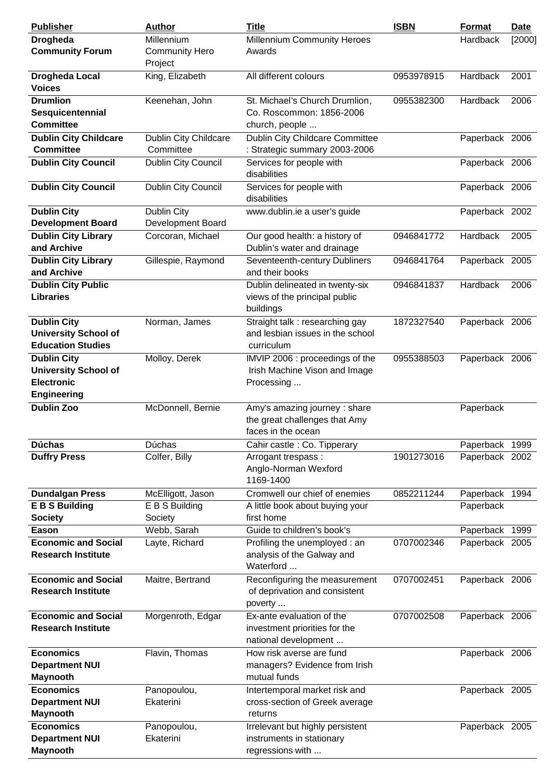| <b>Publisher</b>                                                                      | <b>Author</b>                                  | <b>Title</b>                                                                        | <b>ISBN</b> | <b>Format</b>          | <b>Date</b> |
|---------------------------------------------------------------------------------------|------------------------------------------------|-------------------------------------------------------------------------------------|-------------|------------------------|-------------|
| <b>Drogheda</b><br><b>Community Forum</b>                                             | Millennium<br><b>Community Hero</b><br>Project | <b>Millennium Community Heroes</b><br>Awards                                        |             | Hardback               | [2000]      |
| <b>Drogheda Local</b><br><b>Voices</b>                                                | King, Elizabeth                                | All different colours                                                               | 0953978915  | Hardback               | 2001        |
| <b>Drumlion</b><br>Sesquicentennial<br><b>Committee</b>                               | Keenehan, John                                 | St. Michael's Church Drumlion,<br>Co. Roscommon: 1856-2006<br>church, people        | 0955382300  | Hardback               | 2006        |
| <b>Dublin City Childcare</b><br><b>Committee</b>                                      | Dublin City Childcare<br>Committee             | Dublin City Childcare Committee<br>: Strategic summary 2003-2006                    |             | Paperback 2006         |             |
| <b>Dublin City Council</b>                                                            | Dublin City Council                            | Services for people with<br>disabilities                                            |             | Paperback 2006         |             |
| <b>Dublin City Council</b>                                                            | Dublin City Council                            | Services for people with<br>disabilities                                            |             | Paperback 2006         |             |
| <b>Dublin City</b><br><b>Development Board</b>                                        | <b>Dublin City</b><br><b>Development Board</b> | www.dublin.ie a user's guide                                                        |             | Paperback 2002         |             |
| <b>Dublin City Library</b><br>and Archive                                             | Corcoran, Michael                              | Our good health: a history of<br>Dublin's water and drainage                        | 0946841772  | Hardback               | 2005        |
| <b>Dublin City Library</b><br>and Archive                                             | Gillespie, Raymond                             | Seventeenth-century Dubliners<br>and their books                                    | 0946841764  | Paperback 2005         |             |
| <b>Dublin City Public</b><br><b>Libraries</b>                                         |                                                | Dublin delineated in twenty-six<br>views of the principal public<br>buildings       | 0946841837  | Hardback               | 2006        |
| <b>Dublin City</b><br><b>University School of</b><br><b>Education Studies</b>         | Norman, James                                  | Straight talk : researching gay<br>and lesbian issues in the school<br>curriculum   | 1872327540  | Paperback 2006         |             |
| <b>Dublin City</b><br><b>University School of</b><br><b>Electronic</b><br>Engineering | Molloy, Derek                                  | IMVIP 2006 : proceedings of the<br>Irish Machine Vison and Image<br>Processing      | 0955388503  | Paperback 2006         |             |
| <b>Dublin Zoo</b>                                                                     | McDonnell, Bernie                              | Amy's amazing journey: share<br>the great challenges that Amy<br>faces in the ocean |             | Paperback              |             |
| <b>Dúchas</b>                                                                         | Dúchas                                         | Cahir castle: Co. Tipperary                                                         |             | Paperback 1999         |             |
| <b>Duffry Press</b>                                                                   | Colfer, Billy                                  | Arrogant trespass:<br>Anglo-Norman Wexford<br>1169-1400                             | 1901273016  | Paperback 2002         |             |
| <b>Dundalgan Press</b><br><b>EBS</b> Building<br><b>Society</b>                       | McElligott, Jason<br>E B S Building<br>Society | Cromwell our chief of enemies<br>A little book about buying your<br>first home      | 0852211244  | Paperback<br>Paperback | 1994        |
| Eason                                                                                 | Webb, Sarah                                    | Guide to children's book's                                                          |             | Paperback 1999         |             |
| <b>Economic and Social</b><br><b>Research Institute</b>                               | Layte, Richard                                 | Profiling the unemployed : an<br>analysis of the Galway and<br>Waterford            | 0707002346  | Paperback 2005         |             |
| <b>Economic and Social</b><br><b>Research Institute</b>                               | Maitre, Bertrand                               | Reconfiguring the measurement<br>of deprivation and consistent<br>poverty           | 0707002451  | Paperback 2006         |             |
| <b>Economic and Social</b><br><b>Research Institute</b>                               | Morgenroth, Edgar                              | Ex-ante evaluation of the<br>investment priorities for the<br>national development  | 0707002508  | Paperback 2006         |             |
| <b>Economics</b><br><b>Department NUI</b><br><b>Maynooth</b>                          | Flavin, Thomas                                 | How risk averse are fund<br>managers? Evidence from Irish<br>mutual funds           |             | Paperback 2006         |             |
| <b>Economics</b><br><b>Department NUI</b><br><b>Maynooth</b>                          | Panopoulou,<br>Ekaterini                       | Intertemporal market risk and<br>cross-section of Greek average<br>returns          |             | Paperback 2005         |             |
| <b>Economics</b><br><b>Department NUI</b><br><b>Maynooth</b>                          | Panopoulou,<br>Ekaterini                       | Irrelevant but highly persistent<br>instruments in stationary<br>regressions with   |             | Paperback 2005         |             |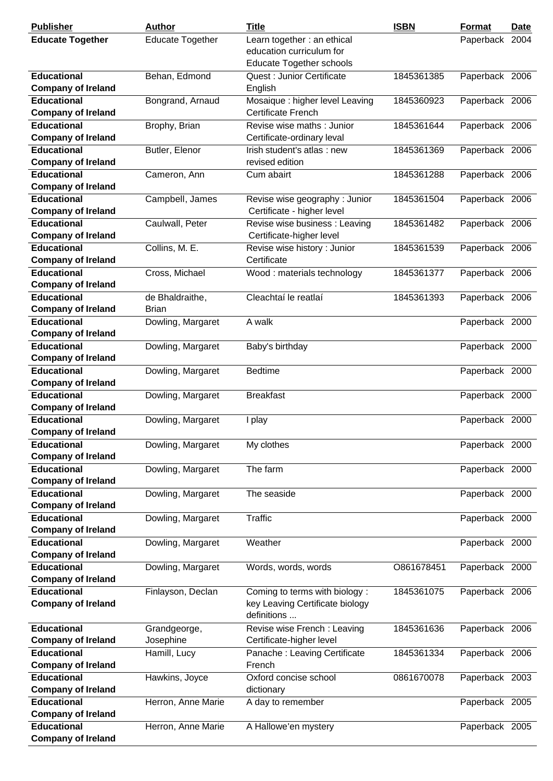| <b>Publisher</b>                                | <b>Author</b>                   | <b>Title</b>                                                                               | <b>ISBN</b> | <b>Format</b>  | <b>Date</b> |
|-------------------------------------------------|---------------------------------|--------------------------------------------------------------------------------------------|-------------|----------------|-------------|
| <b>Educate Together</b>                         | <b>Educate Together</b>         | Learn together : an ethical<br>education curriculum for<br><b>Educate Together schools</b> |             | Paperback      | 2004        |
| <b>Educational</b><br><b>Company of Ireland</b> | Behan, Edmond                   | Quest: Junior Certificate<br>English                                                       | 1845361385  | Paperback 2006 |             |
| <b>Educational</b><br><b>Company of Ireland</b> | Bongrand, Arnaud                | Mosaique : higher level Leaving<br>Certificate French                                      | 1845360923  | Paperback 2006 |             |
| <b>Educational</b><br><b>Company of Ireland</b> | Brophy, Brian                   | Revise wise maths : Junior<br>Certificate-ordinary leval                                   | 1845361644  | Paperback 2006 |             |
| <b>Educational</b>                              | Butler, Elenor                  | Irish student's atlas: new                                                                 | 1845361369  | Paperback 2006 |             |
| <b>Company of Ireland</b>                       |                                 | revised edition                                                                            |             |                |             |
| <b>Educational</b><br><b>Company of Ireland</b> | Cameron, Ann                    | Cum abairt                                                                                 | 1845361288  | Paperback 2006 |             |
| <b>Educational</b>                              | Campbell, James                 | Revise wise geography: Junior                                                              | 1845361504  | Paperback 2006 |             |
| <b>Company of Ireland</b>                       |                                 | Certificate - higher level                                                                 |             |                |             |
| <b>Educational</b><br><b>Company of Ireland</b> | Caulwall, Peter                 | Revise wise business: Leaving<br>Certificate-higher level                                  | 1845361482  | Paperback 2006 |             |
| <b>Educational</b><br><b>Company of Ireland</b> | Collins, M. E.                  | Revise wise history: Junior<br>Certificate                                                 | 1845361539  | Paperback 2006 |             |
| <b>Educational</b><br><b>Company of Ireland</b> | Cross, Michael                  | Wood: materials technology                                                                 | 1845361377  | Paperback 2006 |             |
| <b>Educational</b><br><b>Company of Ireland</b> | de Bhaldraithe,<br><b>Brian</b> | Cleachtaí le reatlaí                                                                       | 1845361393  | Paperback 2006 |             |
| <b>Educational</b><br><b>Company of Ireland</b> | Dowling, Margaret               | A walk                                                                                     |             | Paperback 2000 |             |
| <b>Educational</b><br><b>Company of Ireland</b> | Dowling, Margaret               | Baby's birthday                                                                            |             | Paperback 2000 |             |
| <b>Educational</b>                              | Dowling, Margaret               | <b>Bedtime</b>                                                                             |             | Paperback 2000 |             |
| <b>Company of Ireland</b><br><b>Educational</b> | Dowling, Margaret               | <b>Breakfast</b>                                                                           |             | Paperback 2000 |             |
| <b>Company of Ireland</b><br><b>Educational</b> | Dowling, Margaret               | I play                                                                                     |             | Paperback 2000 |             |
| <b>Company of Ireland</b><br><b>Educational</b> | Dowling, Margaret               | My clothes                                                                                 |             | Paperback 2000 |             |
| <b>Company of Ireland</b><br><b>Educational</b> | Dowling, Margaret               | The farm                                                                                   |             | Paperback 2000 |             |
| <b>Company of Ireland</b><br><b>Educational</b> | Dowling, Margaret               | The seaside                                                                                |             | Paperback 2000 |             |
| <b>Company of Ireland</b><br><b>Educational</b> | Dowling, Margaret               | Traffic                                                                                    |             | Paperback 2000 |             |
| <b>Company of Ireland</b>                       |                                 |                                                                                            |             |                |             |
| <b>Educational</b><br><b>Company of Ireland</b> | Dowling, Margaret               | Weather                                                                                    |             | Paperback 2000 |             |
| <b>Educational</b><br><b>Company of Ireland</b> | Dowling, Margaret               | Words, words, words                                                                        | O861678451  | Paperback 2000 |             |
| <b>Educational</b><br><b>Company of Ireland</b> | Finlayson, Declan               | Coming to terms with biology:<br>key Leaving Certificate biology<br>definitions            | 1845361075  | Paperback 2006 |             |
| <b>Educational</b><br><b>Company of Ireland</b> | Grandgeorge,<br>Josephine       | Revise wise French: Leaving<br>Certificate-higher level                                    | 1845361636  | Paperback 2006 |             |
| <b>Educational</b><br><b>Company of Ireland</b> | Hamill, Lucy                    | Panache: Leaving Certificate<br>French                                                     | 1845361334  | Paperback 2006 |             |
| <b>Educational</b><br><b>Company of Ireland</b> | Hawkins, Joyce                  | Oxford concise school<br>dictionary                                                        | 0861670078  | Paperback 2003 |             |
| <b>Educational</b><br><b>Company of Ireland</b> | Herron, Anne Marie              | A day to remember                                                                          |             | Paperback 2005 |             |
| <b>Educational</b><br><b>Company of Ireland</b> | Herron, Anne Marie              | A Hallowe'en mystery                                                                       |             | Paperback 2005 |             |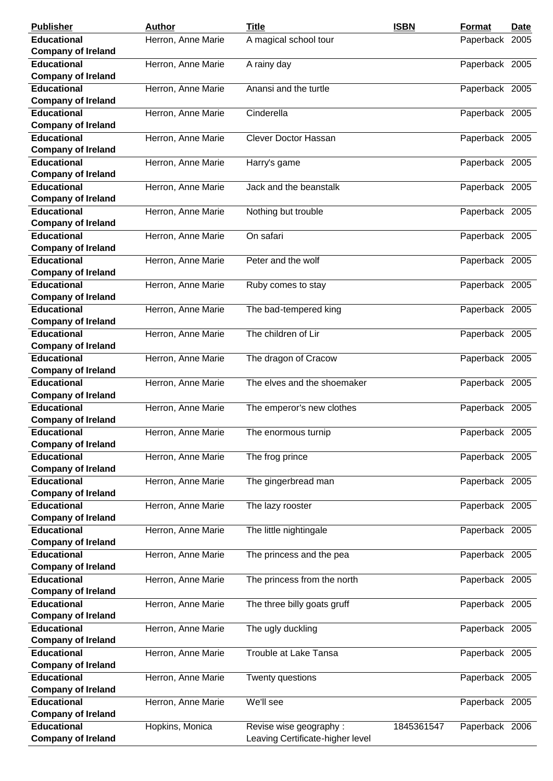| <b>Publisher</b>          | <b>Author</b>      | <b>Title</b>                     | <b>ISBN</b> | <b>Format</b>  | Date |
|---------------------------|--------------------|----------------------------------|-------------|----------------|------|
| <b>Educational</b>        | Herron, Anne Marie | A magical school tour            |             | Paperback 2005 |      |
| <b>Company of Ireland</b> |                    |                                  |             |                |      |
| <b>Educational</b>        | Herron, Anne Marie | A rainy day                      |             | Paperback 2005 |      |
| <b>Company of Ireland</b> |                    |                                  |             |                |      |
| <b>Educational</b>        | Herron, Anne Marie | Anansi and the turtle            |             | Paperback 2005 |      |
| <b>Company of Ireland</b> |                    |                                  |             |                |      |
| <b>Educational</b>        | Herron, Anne Marie | Cinderella                       |             | Paperback 2005 |      |
| <b>Company of Ireland</b> |                    |                                  |             |                |      |
| <b>Educational</b>        | Herron, Anne Marie | <b>Clever Doctor Hassan</b>      |             | Paperback 2005 |      |
| <b>Company of Ireland</b> |                    |                                  |             |                |      |
| <b>Educational</b>        | Herron, Anne Marie | Harry's game                     |             | Paperback 2005 |      |
| <b>Company of Ireland</b> |                    |                                  |             |                |      |
| <b>Educational</b>        | Herron, Anne Marie | Jack and the beanstalk           |             | Paperback 2005 |      |
| <b>Company of Ireland</b> |                    |                                  |             |                |      |
| <b>Educational</b>        | Herron, Anne Marie | Nothing but trouble              |             | Paperback 2005 |      |
| <b>Company of Ireland</b> |                    |                                  |             |                |      |
| <b>Educational</b>        | Herron, Anne Marie | On safari                        |             | Paperback 2005 |      |
| <b>Company of Ireland</b> |                    |                                  |             |                |      |
| <b>Educational</b>        | Herron, Anne Marie | Peter and the wolf               |             | Paperback 2005 |      |
| <b>Company of Ireland</b> |                    |                                  |             |                |      |
| <b>Educational</b>        | Herron, Anne Marie | Ruby comes to stay               |             | Paperback 2005 |      |
| <b>Company of Ireland</b> |                    |                                  |             |                |      |
| <b>Educational</b>        | Herron, Anne Marie | The bad-tempered king            |             | Paperback 2005 |      |
| <b>Company of Ireland</b> |                    |                                  |             |                |      |
| <b>Educational</b>        | Herron, Anne Marie | The children of Lir              |             | Paperback 2005 |      |
| <b>Company of Ireland</b> |                    |                                  |             |                |      |
| <b>Educational</b>        | Herron, Anne Marie | The dragon of Cracow             |             | Paperback 2005 |      |
| <b>Company of Ireland</b> |                    |                                  |             |                |      |
| <b>Educational</b>        | Herron, Anne Marie | The elves and the shoemaker      |             | Paperback 2005 |      |
| <b>Company of Ireland</b> |                    |                                  |             |                |      |
| <b>Educational</b>        | Herron, Anne Marie | The emperor's new clothes        |             | Paperback 2005 |      |
| <b>Company of Ireland</b> |                    |                                  |             |                |      |
| <b>Educational</b>        | Herron, Anne Marie | The enormous turnip              |             | Paperback 2005 |      |
| <b>Company of Ireland</b> |                    |                                  |             |                |      |
| <b>Educational</b>        | Herron, Anne Marie | The frog prince                  |             | Paperback 2005 |      |
| <b>Company of Ireland</b> |                    |                                  |             |                |      |
| <b>Educational</b>        | Herron, Anne Marie | The gingerbread man              |             | Paperback 2005 |      |
| <b>Company of Ireland</b> |                    |                                  |             |                |      |
| <b>Educational</b>        | Herron, Anne Marie | The lazy rooster                 |             | Paperback 2005 |      |
| <b>Company of Ireland</b> |                    |                                  |             |                |      |
| <b>Educational</b>        | Herron, Anne Marie | The little nightingale           |             | Paperback 2005 |      |
| <b>Company of Ireland</b> |                    |                                  |             |                |      |
| <b>Educational</b>        | Herron, Anne Marie | The princess and the pea         |             | Paperback 2005 |      |
| <b>Company of Ireland</b> |                    |                                  |             |                |      |
| <b>Educational</b>        | Herron, Anne Marie | The princess from the north      |             | Paperback 2005 |      |
| <b>Company of Ireland</b> |                    |                                  |             |                |      |
| <b>Educational</b>        | Herron, Anne Marie | The three billy goats gruff      |             | Paperback 2005 |      |
| <b>Company of Ireland</b> |                    |                                  |             |                |      |
| <b>Educational</b>        | Herron, Anne Marie | The ugly duckling                |             | Paperback 2005 |      |
| <b>Company of Ireland</b> |                    |                                  |             |                |      |
| <b>Educational</b>        | Herron, Anne Marie | Trouble at Lake Tansa            |             | Paperback 2005 |      |
| <b>Company of Ireland</b> |                    |                                  |             |                |      |
| <b>Educational</b>        | Herron, Anne Marie | Twenty questions                 |             | Paperback 2005 |      |
| <b>Company of Ireland</b> |                    |                                  |             |                |      |
| <b>Educational</b>        | Herron, Anne Marie | We'll see                        |             | Paperback 2005 |      |
| <b>Company of Ireland</b> |                    |                                  |             |                |      |
| <b>Educational</b>        | Hopkins, Monica    | Revise wise geography:           | 1845361547  | Paperback 2006 |      |
| <b>Company of Ireland</b> |                    | Leaving Certificate-higher level |             |                |      |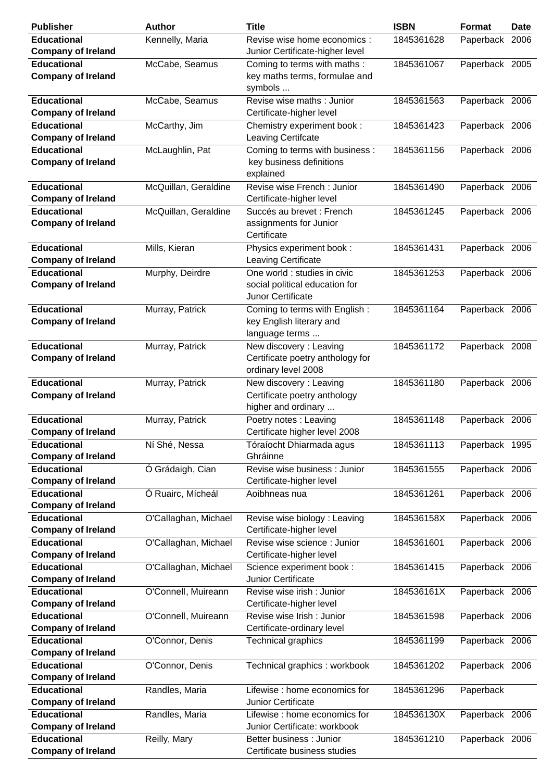| <b>Publisher</b>                                | <b>Author</b>        | <b>Title</b>                                                                               | <b>ISBN</b> | <b>Format</b>  | <b>Date</b> |
|-------------------------------------------------|----------------------|--------------------------------------------------------------------------------------------|-------------|----------------|-------------|
| <b>Educational</b><br><b>Company of Ireland</b> | Kennelly, Maria      | Revise wise home economics :<br>Junior Certificate-higher level                            | 1845361628  | Paperback 2006 |             |
| <b>Educational</b><br><b>Company of Ireland</b> | McCabe, Seamus       | Coming to terms with maths :<br>key maths terms, formulae and<br>symbols                   | 1845361067  | Paperback 2005 |             |
| <b>Educational</b><br><b>Company of Ireland</b> | McCabe, Seamus       | Revise wise maths : Junior<br>Certificate-higher level                                     | 1845361563  | Paperback 2006 |             |
| <b>Educational</b><br><b>Company of Ireland</b> | McCarthy, Jim        | Chemistry experiment book:<br>Leaving Certifcate                                           | 1845361423  | Paperback 2006 |             |
| <b>Educational</b><br><b>Company of Ireland</b> | McLaughlin, Pat      | Coming to terms with business :<br>key business definitions<br>explained                   | 1845361156  | Paperback 2006 |             |
| <b>Educational</b><br><b>Company of Ireland</b> | McQuillan, Geraldine | Revise wise French: Junior<br>Certificate-higher level                                     | 1845361490  | Paperback 2006 |             |
| <b>Educational</b><br><b>Company of Ireland</b> | McQuillan, Geraldine | Succés au brevet : French<br>assignments for Junior<br>Certificate                         | 1845361245  | Paperback 2006 |             |
| <b>Educational</b><br><b>Company of Ireland</b> | Mills, Kieran        | Physics experiment book:<br>Leaving Certificate                                            | 1845361431  | Paperback 2006 |             |
| <b>Educational</b><br><b>Company of Ireland</b> | Murphy, Deirdre      | One world : studies in civic<br>social political education for<br><b>Junor Certificate</b> | 1845361253  | Paperback 2006 |             |
| <b>Educational</b><br><b>Company of Ireland</b> | Murray, Patrick      | Coming to terms with English:<br>key English literary and<br>language terms                | 1845361164  | Paperback 2006 |             |
| <b>Educational</b><br><b>Company of Ireland</b> | Murray, Patrick      | New discovery: Leaving<br>Certificate poetry anthology for<br>ordinary level 2008          | 1845361172  | Paperback 2008 |             |
| <b>Educational</b><br><b>Company of Ireland</b> | Murray, Patrick      | New discovery: Leaving<br>Certificate poetry anthology<br>higher and ordinary              | 1845361180  | Paperback 2006 |             |
| <b>Educational</b><br><b>Company of Ireland</b> | Murray, Patrick      | Poetry notes : Leaving<br>Certificate higher level 2008                                    | 1845361148  | Paperback 2006 |             |
| <b>Educational</b><br><b>Company of Ireland</b> | Ní Shé, Nessa        | Tóraíocht Dhiarmada agus<br>Ghráinne                                                       | 1845361113  | Paperback 1995 |             |
| <b>Educational</b><br><b>Company of Ireland</b> | Ó Grádaigh, Cian     | Revise wise business : Junior<br>Certificate-higher level                                  | 1845361555  | Paperback 2006 |             |
| <b>Educational</b><br><b>Company of Ireland</b> | Ó Ruairc, Mícheál    | Aoibhneas nua                                                                              | 1845361261  | Paperback 2006 |             |
| <b>Educational</b><br><b>Company of Ireland</b> | O'Callaghan, Michael | Revise wise biology: Leaving<br>Certificate-higher level                                   | 184536158X  | Paperback 2006 |             |
| <b>Educational</b><br><b>Company of Ireland</b> | O'Callaghan, Michael | Revise wise science : Junior<br>Certificate-higher level                                   | 1845361601  | Paperback 2006 |             |
| <b>Educational</b><br><b>Company of Ireland</b> | O'Callaghan, Michael | Science experiment book:<br>Junior Certificate                                             | 1845361415  | Paperback 2006 |             |
| <b>Educational</b><br><b>Company of Ireland</b> | O'Connell, Muireann  | Revise wise irish : Junior<br>Certificate-higher level                                     | 184536161X  | Paperback 2006 |             |
| <b>Educational</b><br><b>Company of Ireland</b> | O'Connell, Muireann  | Revise wise Irish: Junior<br>Certificate-ordinary level                                    | 1845361598  | Paperback 2006 |             |
| <b>Educational</b><br><b>Company of Ireland</b> | O'Connor, Denis      | <b>Technical graphics</b>                                                                  | 1845361199  | Paperback 2006 |             |
| <b>Educational</b><br><b>Company of Ireland</b> | O'Connor, Denis      | Technical graphics : workbook                                                              | 1845361202  | Paperback 2006 |             |
| <b>Educational</b><br><b>Company of Ireland</b> | Randles, Maria       | Lifewise : home economics for<br>Junior Certificate                                        | 1845361296  | Paperback      |             |
| <b>Educational</b><br><b>Company of Ireland</b> | Randles, Maria       | Lifewise : home economics for<br>Junior Certificate: workbook                              | 184536130X  | Paperback 2006 |             |
| <b>Educational</b><br><b>Company of Ireland</b> | Reilly, Mary         | Better business: Junior<br>Certificate business studies                                    | 1845361210  | Paperback 2006 |             |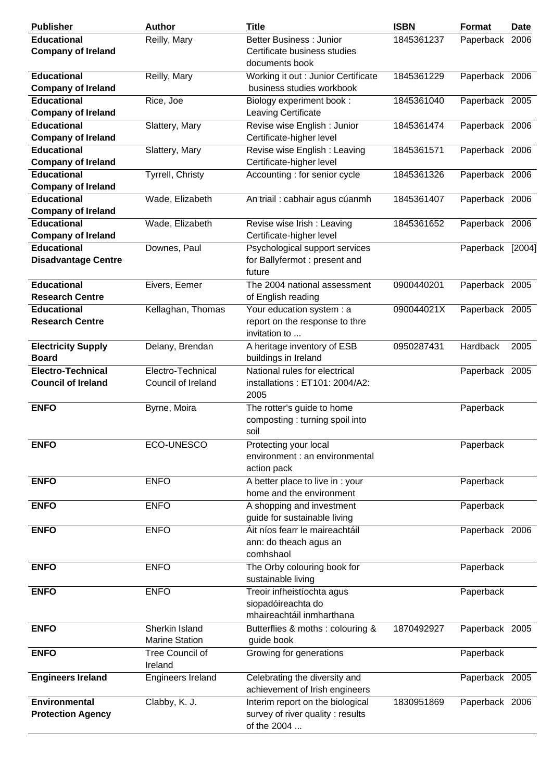| <b>Publisher</b>           | <b>Author</b>         | <b>Title</b>                       | <b>ISBN</b> | Format           | <b>Date</b> |
|----------------------------|-----------------------|------------------------------------|-------------|------------------|-------------|
| <b>Educational</b>         | Reilly, Mary          | <b>Better Business: Junior</b>     | 1845361237  | Paperback 2006   |             |
| <b>Company of Ireland</b>  |                       | Certificate business studies       |             |                  |             |
|                            |                       | documents book                     |             |                  |             |
| <b>Educational</b>         | Reilly, Mary          | Working it out: Junior Certificate | 1845361229  | Paperback 2006   |             |
| <b>Company of Ireland</b>  |                       | business studies workbook          |             |                  |             |
| <b>Educational</b>         | Rice, Joe             | Biology experiment book:           | 1845361040  | Paperback 2005   |             |
| <b>Company of Ireland</b>  |                       | Leaving Certificate                |             |                  |             |
| <b>Educational</b>         | Slattery, Mary        | Revise wise English : Junior       | 1845361474  | Paperback 2006   |             |
| <b>Company of Ireland</b>  |                       | Certificate-higher level           |             |                  |             |
| <b>Educational</b>         | Slattery, Mary        | Revise wise English: Leaving       | 1845361571  | Paperback 2006   |             |
| <b>Company of Ireland</b>  |                       | Certificate-higher level           |             |                  |             |
| <b>Educational</b>         | Tyrrell, Christy      | Accounting : for senior cycle      | 1845361326  | Paperback 2006   |             |
| <b>Company of Ireland</b>  |                       |                                    |             |                  |             |
| <b>Educational</b>         | Wade, Elizabeth       |                                    | 1845361407  | Paperback 2006   |             |
|                            |                       | An triail : cabhair agus cúanmh    |             |                  |             |
| <b>Company of Ireland</b>  |                       |                                    |             |                  |             |
| <b>Educational</b>         | Wade, Elizabeth       | Revise wise Irish: Leaving         | 1845361652  | Paperback 2006   |             |
| <b>Company of Ireland</b>  |                       | Certificate-higher level           |             |                  |             |
| <b>Educational</b>         | Downes, Paul          | Psychological support services     |             | Paperback [2004] |             |
| <b>Disadvantage Centre</b> |                       | for Ballyfermot: present and       |             |                  |             |
|                            |                       | future                             |             |                  |             |
| <b>Educational</b>         | Eivers, Eemer         | The 2004 national assessment       | 0900440201  | Paperback 2005   |             |
| <b>Research Centre</b>     |                       | of English reading                 |             |                  |             |
| <b>Educational</b>         | Kellaghan, Thomas     | Your education system : a          | 090044021X  | Paperback 2005   |             |
| <b>Research Centre</b>     |                       | report on the response to thre     |             |                  |             |
|                            |                       | invitation to                      |             |                  |             |
| <b>Electricity Supply</b>  | Delany, Brendan       | A heritage inventory of ESB        | 0950287431  | Hardback         | 2005        |
| <b>Board</b>               |                       | buildings in Ireland               |             |                  |             |
| <b>Electro-Technical</b>   | Electro-Technical     | National rules for electrical      |             | Paperback 2005   |             |
| <b>Council of Ireland</b>  | Council of Ireland    | installations: ET101: 2004/A2:     |             |                  |             |
|                            |                       | 2005                               |             |                  |             |
| <b>ENFO</b>                | Byrne, Moira          | The rotter's guide to home         |             | Paperback        |             |
|                            |                       | composting: turning spoil into     |             |                  |             |
|                            |                       | soil                               |             |                  |             |
| <b>ENFO</b>                | ECO-UNESCO            | Protecting your local              |             | Paperback        |             |
|                            |                       | environment : an environmental     |             |                  |             |
|                            |                       | action pack                        |             |                  |             |
| <b>ENFO</b>                | <b>ENFO</b>           | A better place to live in : your   |             | Paperback        |             |
|                            |                       | home and the environment           |             |                  |             |
| <b>ENFO</b>                | <b>ENFO</b>           | A shopping and investment          |             | Paperback        |             |
|                            |                       | guide for sustainable living       |             |                  |             |
| <b>ENFO</b>                | <b>ENFO</b>           | Áit níos fearr le maireachtáil     |             | Paperback 2006   |             |
|                            |                       | ann: do theach agus an             |             |                  |             |
|                            |                       | comhshaol                          |             |                  |             |
|                            |                       |                                    |             |                  |             |
| <b>ENFO</b>                | <b>ENFO</b>           | The Orby colouring book for        |             | Paperback        |             |
|                            |                       | sustainable living                 |             |                  |             |
| <b>ENFO</b>                | <b>ENFO</b>           | Treoir infheistíochta agus         |             | Paperback        |             |
|                            |                       | siopadóireachta do                 |             |                  |             |
|                            |                       | mhaireachtáil inmharthana          |             |                  |             |
| <b>ENFO</b>                | Sherkin Island        | Butterflies & moths : colouring &  | 1870492927  | Paperback 2005   |             |
|                            | <b>Marine Station</b> | guide book                         |             |                  |             |
| <b>ENFO</b>                | Tree Council of       | Growing for generations            |             | Paperback        |             |
|                            | Ireland               |                                    |             |                  |             |
| <b>Engineers Ireland</b>   | Engineers Ireland     | Celebrating the diversity and      |             | Paperback 2005   |             |
|                            |                       | achievement of Irish engineers     |             |                  |             |
| <b>Environmental</b>       | Clabby, K. J.         | Interim report on the biological   | 1830951869  | Paperback 2006   |             |
| <b>Protection Agency</b>   |                       | survey of river quality : results  |             |                  |             |
|                            |                       | of the 2004                        |             |                  |             |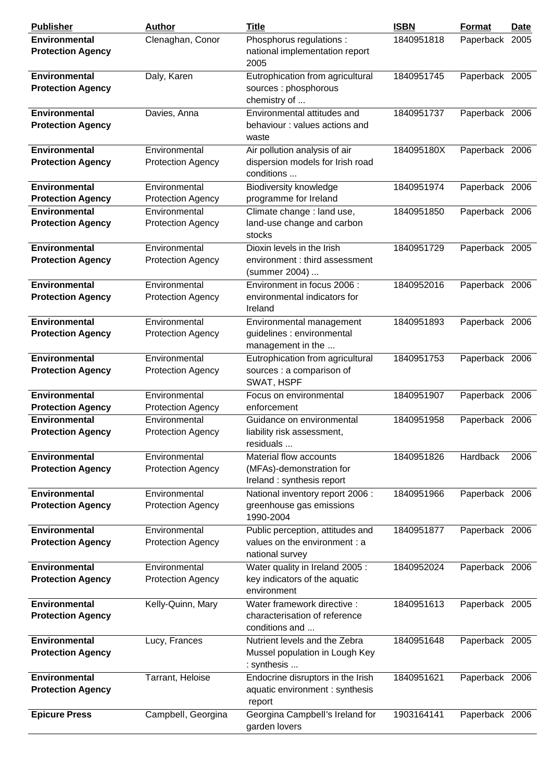| <b>Publisher</b>                                 | <b>Author</b>                             | <b>Title</b>                                                                         | <b>ISBN</b> | Format         | Date |
|--------------------------------------------------|-------------------------------------------|--------------------------------------------------------------------------------------|-------------|----------------|------|
| <b>Environmental</b><br><b>Protection Agency</b> | Clenaghan, Conor                          | Phosphorus regulations :<br>national implementation report<br>2005                   | 1840951818  | Paperback 2005 |      |
| <b>Environmental</b><br><b>Protection Agency</b> | Daly, Karen                               | Eutrophication from agricultural<br>sources : phosphorous<br>chemistry of            | 1840951745  | Paperback 2005 |      |
| <b>Environmental</b><br><b>Protection Agency</b> | Davies, Anna                              | Environmental attitudes and<br>behaviour: values actions and<br>waste                | 1840951737  | Paperback 2006 |      |
| <b>Environmental</b><br><b>Protection Agency</b> | Environmental<br><b>Protection Agency</b> | Air pollution analysis of air<br>dispersion models for Irish road<br>conditions      | 184095180X  | Paperback 2006 |      |
| <b>Environmental</b><br><b>Protection Agency</b> | Environmental<br><b>Protection Agency</b> | <b>Biodiversity knowledge</b><br>programme for Ireland                               | 1840951974  | Paperback 2006 |      |
| <b>Environmental</b><br><b>Protection Agency</b> | Environmental<br><b>Protection Agency</b> | Climate change : land use,<br>land-use change and carbon<br>stocks                   | 1840951850  | Paperback 2006 |      |
| <b>Environmental</b><br><b>Protection Agency</b> | Environmental<br><b>Protection Agency</b> | Dioxin levels in the Irish<br>environment : third assessment<br>(summer 2004)        | 1840951729  | Paperback 2005 |      |
| <b>Environmental</b><br><b>Protection Agency</b> | Environmental<br><b>Protection Agency</b> | Environment in focus 2006 :<br>environmental indicators for<br>Ireland               | 1840952016  | Paperback 2006 |      |
| <b>Environmental</b><br><b>Protection Agency</b> | Environmental<br><b>Protection Agency</b> | Environmental management<br>guidelines : environmental<br>management in the          | 1840951893  | Paperback 2006 |      |
| <b>Environmental</b><br><b>Protection Agency</b> | Environmental<br><b>Protection Agency</b> | Eutrophication from agricultural<br>sources : a comparison of<br>SWAT, HSPF          | 1840951753  | Paperback 2006 |      |
| <b>Environmental</b><br><b>Protection Agency</b> | Environmental<br><b>Protection Agency</b> | Focus on environmental<br>enforcement                                                | 1840951907  | Paperback 2006 |      |
| <b>Environmental</b><br><b>Protection Agency</b> | Environmental<br><b>Protection Agency</b> | Guidance on environmental<br>liability risk assessment,<br>residuals                 | 1840951958  | Paperback 2006 |      |
| <b>Environmental</b><br><b>Protection Agency</b> | Environmental<br><b>Protection Agency</b> | Material flow accounts<br>(MFAs)-demonstration for<br>Ireland: synthesis report      | 1840951826  | Hardback       | 2006 |
| <b>Environmental</b><br><b>Protection Agency</b> | Environmental<br><b>Protection Agency</b> | National inventory report 2006 :<br>greenhouse gas emissions<br>1990-2004            | 1840951966  | Paperback 2006 |      |
| <b>Environmental</b><br><b>Protection Agency</b> | Environmental<br><b>Protection Agency</b> | Public perception, attitudes and<br>values on the environment : a<br>national survey | 1840951877  | Paperback 2006 |      |
| <b>Environmental</b><br><b>Protection Agency</b> | Environmental<br><b>Protection Agency</b> | Water quality in Ireland 2005:<br>key indicators of the aquatic<br>environment       | 1840952024  | Paperback 2006 |      |
| <b>Environmental</b><br><b>Protection Agency</b> | Kelly-Quinn, Mary                         | Water framework directive :<br>characterisation of reference<br>conditions and       | 1840951613  | Paperback 2005 |      |
| <b>Environmental</b><br><b>Protection Agency</b> | Lucy, Frances                             | Nutrient levels and the Zebra<br>Mussel population in Lough Key<br>: synthesis       | 1840951648  | Paperback 2005 |      |
| <b>Environmental</b><br><b>Protection Agency</b> | Tarrant, Heloise                          | Endocrine disruptors in the Irish<br>aquatic environment : synthesis<br>report       | 1840951621  | Paperback 2006 |      |
| <b>Epicure Press</b>                             | Campbell, Georgina                        | Georgina Campbell's Ireland for<br>garden lovers                                     | 1903164141  | Paperback 2006 |      |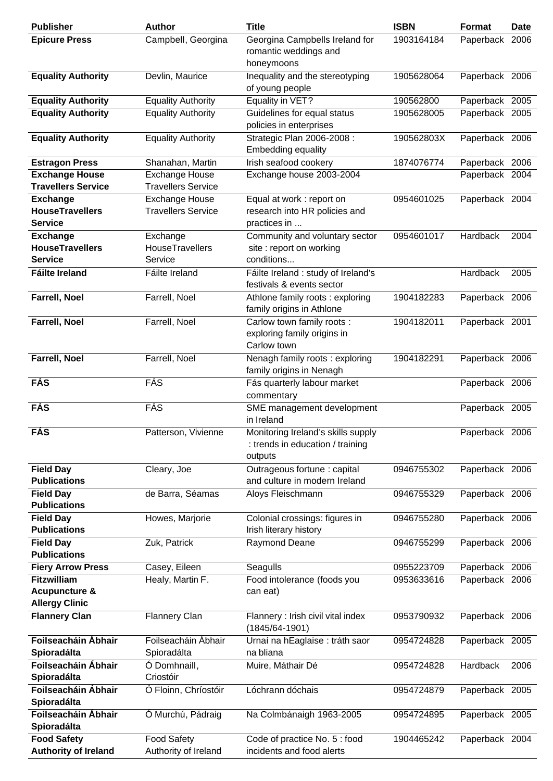| <b>Publisher</b>                                                        | <b>Author</b>                                      | <b>Title</b>                                                                      | <b>ISBN</b> | <b>Format</b>  | <b>Date</b> |
|-------------------------------------------------------------------------|----------------------------------------------------|-----------------------------------------------------------------------------------|-------------|----------------|-------------|
| <b>Epicure Press</b>                                                    | Campbell, Georgina                                 | Georgina Campbells Ireland for<br>romantic weddings and<br>honeymoons             | 1903164184  | Paperback 2006 |             |
| <b>Equality Authority</b>                                               | Devlin, Maurice                                    | Inequality and the stereotyping<br>of young people                                | 1905628064  | Paperback 2006 |             |
| <b>Equality Authority</b>                                               | <b>Equality Authority</b>                          | Equality in VET?                                                                  | 190562800   | Paperback 2005 |             |
| <b>Equality Authority</b>                                               | <b>Equality Authority</b>                          | Guidelines for equal status<br>policies in enterprises                            | 1905628005  | Paperback 2005 |             |
| <b>Equality Authority</b>                                               | <b>Equality Authority</b>                          | Strategic Plan 2006-2008 :<br>Embedding equality                                  | 190562803X  | Paperback 2006 |             |
| <b>Estragon Press</b>                                                   | Shanahan, Martin                                   | Irish seafood cookery                                                             | 1874076774  | Paperback 2006 |             |
| <b>Exchange House</b><br><b>Travellers Service</b>                      | <b>Exchange House</b><br><b>Travellers Service</b> | Exchange house 2003-2004                                                          |             | Paperback 2004 |             |
| <b>Exchange</b>                                                         | <b>Exchange House</b>                              | Equal at work : report on                                                         | 0954601025  | Paperback 2004 |             |
| <b>HouseTravellers</b>                                                  | <b>Travellers Service</b>                          | research into HR policies and                                                     |             |                |             |
| <b>Service</b>                                                          |                                                    | practices in                                                                      |             |                |             |
| <b>Exchange</b>                                                         | Exchange                                           | Community and voluntary sector                                                    | 0954601017  | Hardback       | 2004        |
| <b>HouseTravellers</b>                                                  | HouseTravellers                                    | site : report on working                                                          |             |                |             |
| <b>Service</b>                                                          | Service                                            | conditions                                                                        |             |                |             |
| <b>Fáilte Ireland</b>                                                   | Fáilte Ireland                                     | Fáilte Ireland : study of Ireland's<br>festivals & events sector                  |             | Hardback       | 2005        |
| <b>Farrell, Noel</b>                                                    | Farrell, Noel                                      | Athlone family roots: exploring<br>family origins in Athlone                      | 1904182283  | Paperback 2006 |             |
| <b>Farrell, Noel</b>                                                    | Farrell, Noel                                      | Carlow town family roots :<br>exploring family origins in<br>Carlow town          | 1904182011  | Paperback 2001 |             |
| <b>Farrell, Noel</b>                                                    | Farrell, Noel                                      | Nenagh family roots: exploring<br>family origins in Nenagh                        | 1904182291  | Paperback 2006 |             |
| <b>FÁS</b>                                                              | FÁS                                                | Fás quarterly labour market<br>commentary                                         |             | Paperback 2006 |             |
| <b>FÁS</b>                                                              | FÁS                                                | SME management development<br>in Ireland                                          |             | Paperback 2005 |             |
| <b>FÁS</b>                                                              | Patterson, Vivienne                                | Monitoring Ireland's skills supply<br>: trends in education / training<br>outputs |             | Paperback 2006 |             |
| <b>Field Day</b><br><b>Publications</b>                                 | Cleary, Joe                                        | Outrageous fortune : capital<br>and culture in modern Ireland                     | 0946755302  | Paperback 2006 |             |
| <b>Field Day</b><br><b>Publications</b>                                 | de Barra, Séamas                                   | Aloys Fleischmann                                                                 | 0946755329  | Paperback 2006 |             |
| <b>Field Day</b><br><b>Publications</b>                                 | Howes, Marjorie                                    | Colonial crossings: figures in<br>Irish literary history                          | 0946755280  | Paperback 2006 |             |
| <b>Field Day</b><br><b>Publications</b>                                 | Zuk, Patrick                                       | Raymond Deane                                                                     | 0946755299  | Paperback 2006 |             |
| <b>Fiery Arrow Press</b>                                                | Casey, Eileen                                      | Seagulls                                                                          | 0955223709  | Paperback 2006 |             |
| <b>Fitzwilliam</b><br><b>Acupuncture &amp;</b><br><b>Allergy Clinic</b> | Healy, Martin F.                                   | Food intolerance (foods you<br>can eat)                                           | 0953633616  | Paperback 2006 |             |
| <b>Flannery Clan</b>                                                    | <b>Flannery Clan</b>                               | Flannery : Irish civil vital index<br>$(1845/64-1901)$                            | 0953790932  | Paperback 2006 |             |
| Foilseacháin Ábhair<br>Spioradálta                                      | Foilseacháin Ábhair<br>Spioradálta                 | Urnaí na hEaglaise : tráth saor<br>na bliana                                      | 0954724828  | Paperback 2005 |             |
| Foilseacháin Ábhair<br>Spioradálta                                      | Ó Domhnaill,<br>Criostóir                          | Muire, Máthair Dé                                                                 | 0954724828  | Hardback       | 2006        |
| Foilseacháin Ábhair<br>Spioradálta                                      | Ó Floinn, Chríostóir                               | Lóchrann dóchais                                                                  | 0954724879  | Paperback 2005 |             |
| Foilseacháin Ábhair<br>Spioradálta                                      | Ó Murchú, Pádraig                                  | Na Colmbánaigh 1963-2005                                                          | 0954724895  | Paperback 2005 |             |
| <b>Food Safety</b><br><b>Authority of Ireland</b>                       | <b>Food Safety</b><br>Authority of Ireland         | Code of practice No. 5 : food<br>incidents and food alerts                        | 1904465242  | Paperback 2004 |             |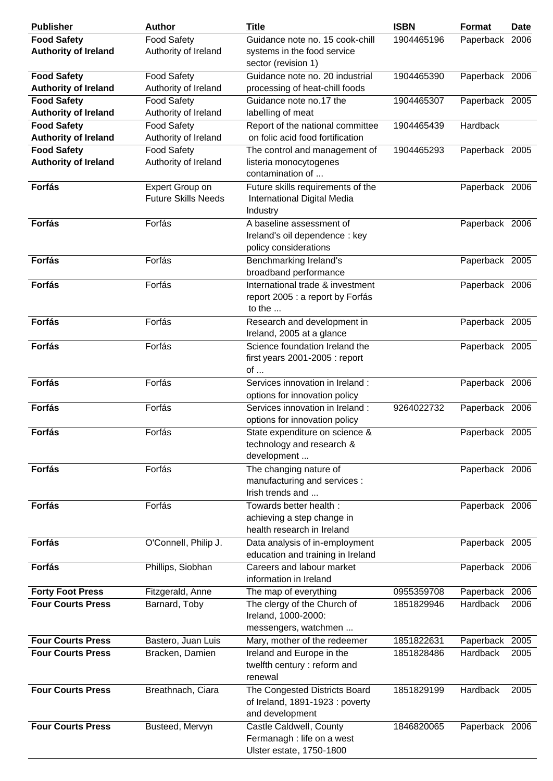| <b>Publisher</b>            | <b>Author</b>              | <b>Title</b>                      | <b>ISBN</b> | <b>Format</b>  | <b>Date</b> |
|-----------------------------|----------------------------|-----------------------------------|-------------|----------------|-------------|
| <b>Food Safety</b>          | <b>Food Safety</b>         | Guidance note no. 15 cook-chill   | 1904465196  | Paperback 2006 |             |
| <b>Authority of Ireland</b> | Authority of Ireland       | systems in the food service       |             |                |             |
|                             |                            | sector (revision 1)               |             |                |             |
| <b>Food Safety</b>          | <b>Food Safety</b>         | Guidance note no. 20 industrial   | 1904465390  | Paperback 2006 |             |
| <b>Authority of Ireland</b> | Authority of Ireland       | processing of heat-chill foods    |             |                |             |
| <b>Food Safety</b>          | <b>Food Safety</b>         | Guidance note no.17 the           | 1904465307  | Paperback 2005 |             |
| <b>Authority of Ireland</b> | Authority of Ireland       | labelling of meat                 |             |                |             |
| <b>Food Safety</b>          |                            |                                   |             | Hardback       |             |
|                             | <b>Food Safety</b>         | Report of the national committee  | 1904465439  |                |             |
| <b>Authority of Ireland</b> | Authority of Ireland       | on folic acid food fortification  |             |                |             |
| <b>Food Safety</b>          | <b>Food Safety</b>         | The control and management of     | 1904465293  | Paperback 2005 |             |
| <b>Authority of Ireland</b> | Authority of Ireland       | listeria monocytogenes            |             |                |             |
|                             |                            | contamination of                  |             |                |             |
| Forfás                      | Expert Group on            | Future skills requirements of the |             | Paperback 2006 |             |
|                             | <b>Future Skills Needs</b> | International Digital Media       |             |                |             |
|                             |                            | Industry                          |             |                |             |
| <b>Forfás</b>               | Forfás                     | A baseline assessment of          |             | Paperback 2006 |             |
|                             |                            | Ireland's oil dependence : key    |             |                |             |
|                             |                            | policy considerations             |             |                |             |
| Forfás                      | Forfás                     | Benchmarking Ireland's            |             | Paperback 2005 |             |
|                             |                            | broadband performance             |             |                |             |
|                             |                            | International trade & investment  |             |                |             |
| Forfás                      | Forfás                     |                                   |             | Paperback 2006 |             |
|                             |                            | report 2005 : a report by Forfás  |             |                |             |
|                             |                            | to the                            |             |                |             |
| <b>Forfás</b>               | Forfás                     | Research and development in       |             | Paperback 2005 |             |
|                             |                            | Ireland, 2005 at a glance         |             |                |             |
| Forfás                      | Forfás                     | Science foundation Ireland the    |             | Paperback 2005 |             |
|                             |                            | first years 2001-2005 : report    |             |                |             |
|                             |                            | $of \dots$                        |             |                |             |
| <b>Forfás</b>               | Forfás                     | Services innovation in Ireland :  |             | Paperback 2006 |             |
|                             |                            | options for innovation policy     |             |                |             |
| Forfás                      | Forfás                     | Services innovation in Ireland:   | 9264022732  | Paperback 2006 |             |
|                             |                            | options for innovation policy     |             |                |             |
|                             |                            |                                   |             |                |             |
| Forfás                      | Forfás                     | State expenditure on science &    |             | Paperback 2005 |             |
|                             |                            | technology and research &         |             |                |             |
|                             |                            | development                       |             |                |             |
| <b>Forfás</b>               | Forfás                     | The changing nature of            |             | Paperback 2006 |             |
|                             |                            | manufacturing and services :      |             |                |             |
|                             |                            | Irish trends and                  |             |                |             |
| <b>Forfás</b>               | Forfás                     | Towards better health:            |             | Paperback 2006 |             |
|                             |                            | achieving a step change in        |             |                |             |
|                             |                            | health research in Ireland        |             |                |             |
| <b>Forfás</b>               | O'Connell, Philip J.       | Data analysis of in-employment    |             | Paperback 2005 |             |
|                             |                            | education and training in Ireland |             |                |             |
| <b>Forfás</b>               | Phillips, Siobhan          | Careers and labour market         |             | Paperback 2006 |             |
|                             |                            | information in Ireland            |             |                |             |
| <b>Forty Foot Press</b>     | Fitzgerald, Anne           | The map of everything             | 0955359708  | Paperback 2006 |             |
| <b>Four Courts Press</b>    | Barnard, Toby              | The clergy of the Church of       | 1851829946  | Hardback       | 2006        |
|                             |                            | Ireland, 1000-2000:               |             |                |             |
|                             |                            | messengers, watchmen              |             |                |             |
| <b>Four Courts Press</b>    |                            |                                   |             |                |             |
|                             | Bastero, Juan Luis         | Mary, mother of the redeemer      | 1851822631  | Paperback      | 2005        |
| <b>Four Courts Press</b>    | Bracken, Damien            | Ireland and Europe in the         | 1851828486  | Hardback       | 2005        |
|                             |                            | twelfth century: reform and       |             |                |             |
|                             |                            | renewal                           |             |                |             |
| <b>Four Courts Press</b>    | Breathnach, Ciara          | The Congested Districts Board     | 1851829199  | Hardback       | 2005        |
|                             |                            | of Ireland, 1891-1923 : poverty   |             |                |             |
|                             |                            | and development                   |             |                |             |
| <b>Four Courts Press</b>    | Busteed, Mervyn            | Castle Caldwell, County           | 1846820065  | Paperback 2006 |             |
|                             |                            | Fermanagh : life on a west        |             |                |             |
|                             |                            | Ulster estate, 1750-1800          |             |                |             |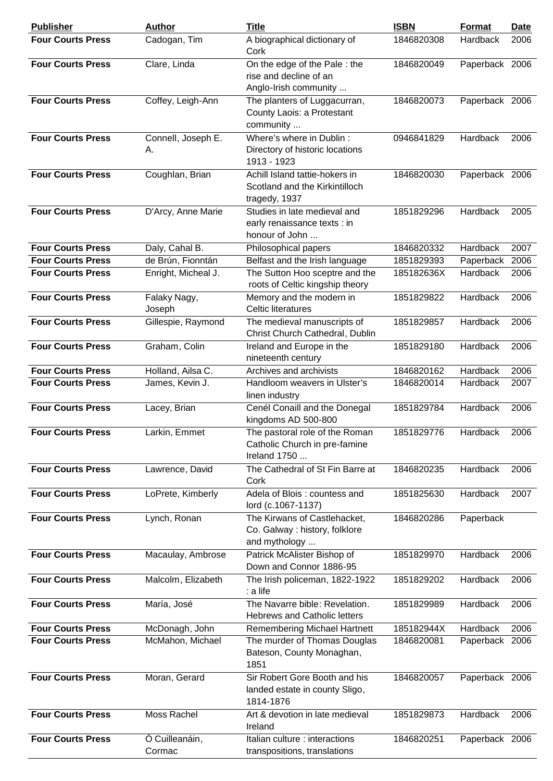| <b>Publisher</b>         | <b>Author</b>            | <b>Title</b>                                                                      | <b>ISBN</b> | <b>Format</b>  | <b>Date</b> |
|--------------------------|--------------------------|-----------------------------------------------------------------------------------|-------------|----------------|-------------|
| <b>Four Courts Press</b> | Cadogan, Tim             | A biographical dictionary of<br>Cork                                              | 1846820308  | Hardback       | 2006        |
| <b>Four Courts Press</b> | Clare, Linda             | On the edge of the Pale: the<br>rise and decline of an<br>Anglo-Irish community   | 1846820049  | Paperback 2006 |             |
| <b>Four Courts Press</b> | Coffey, Leigh-Ann        | The planters of Luggacurran,<br>County Laois: a Protestant<br>community           | 1846820073  | Paperback 2006 |             |
| <b>Four Courts Press</b> | Connell, Joseph E.<br>Α. | Where's where in Dublin:<br>Directory of historic locations<br>1913 - 1923        | 0946841829  | Hardback       | 2006        |
| <b>Four Courts Press</b> | Coughlan, Brian          | Achill Island tattie-hokers in<br>Scotland and the Kirkintilloch<br>tragedy, 1937 | 1846820030  | Paperback 2006 |             |
| <b>Four Courts Press</b> | D'Arcy, Anne Marie       | Studies in late medieval and<br>early renaissance texts : in<br>honour of John    | 1851829296  | Hardback       | 2005        |
| <b>Four Courts Press</b> | Daly, Cahal B.           | Philosophical papers                                                              | 1846820332  | Hardback       | 2007        |
| <b>Four Courts Press</b> | de Brún, Fionntán        | Belfast and the Irish language                                                    | 1851829393  | Paperback      | 2006        |
| <b>Four Courts Press</b> | Enright, Micheal J.      | The Sutton Hoo sceptre and the<br>roots of Celtic kingship theory                 | 185182636X  | Hardback       | 2006        |
| <b>Four Courts Press</b> | Falaky Nagy,<br>Joseph   | Memory and the modern in<br><b>Celtic literatures</b>                             | 1851829822  | Hardback       | 2006        |
| <b>Four Courts Press</b> | Gillespie, Raymond       | The medieval manuscripts of<br>Christ Church Cathedral, Dublin                    | 1851829857  | Hardback       | 2006        |
| <b>Four Courts Press</b> | Graham, Colin            | Ireland and Europe in the<br>nineteenth century                                   | 1851829180  | Hardback       | 2006        |
| <b>Four Courts Press</b> | Holland, Ailsa C.        | Archives and archivists                                                           | 1846820162  | Hardback       | 2006        |
| <b>Four Courts Press</b> | James, Kevin J.          | Handloom weavers in Ulster's<br>linen industry                                    | 1846820014  | Hardback       | 2007        |
| <b>Four Courts Press</b> | Lacey, Brian             | Cenél Conaill and the Donegal<br>kingdoms AD 500-800                              | 1851829784  | Hardback       | 2006        |
| <b>Four Courts Press</b> | Larkin, Emmet            | The pastoral role of the Roman<br>Catholic Church in pre-famine<br>Ireland 1750   | 1851829776  | Hardback       | 2006        |
| <b>Four Courts Press</b> | Lawrence, David          | The Cathedral of St Fin Barre at<br>Cork                                          | 1846820235  | Hardback       | 2006        |
| <b>Four Courts Press</b> | LoPrete, Kimberly        | Adela of Blois : countess and<br>lord (c.1067-1137)                               | 1851825630  | Hardback       | 2007        |
| <b>Four Courts Press</b> | Lynch, Ronan             | The Kirwans of Castlehacket,<br>Co. Galway: history, folklore<br>and mythology    | 1846820286  | Paperback      |             |
| <b>Four Courts Press</b> | Macaulay, Ambrose        | Patrick McAlister Bishop of<br>Down and Connor 1886-95                            | 1851829970  | Hardback       | 2006        |
| <b>Four Courts Press</b> | Malcolm, Elizabeth       | The Irish policeman, 1822-1922<br>: a life                                        | 1851829202  | Hardback       | 2006        |
| <b>Four Courts Press</b> | María, José              | The Navarre bible: Revelation.<br><b>Hebrews and Catholic letters</b>             | 1851829989  | Hardback       | 2006        |
| <b>Four Courts Press</b> | McDonagh, John           | <b>Remembering Michael Hartnett</b>                                               | 185182944X  | Hardback       | 2006        |
| <b>Four Courts Press</b> | McMahon, Michael         | The murder of Thomas Douglas<br>Bateson, County Monaghan,<br>1851                 | 1846820081  | Paperback 2006 |             |
| <b>Four Courts Press</b> | Moran, Gerard            | Sir Robert Gore Booth and his<br>landed estate in county Sligo,<br>1814-1876      | 1846820057  | Paperback 2006 |             |
| <b>Four Courts Press</b> | Moss Rachel              | Art & devotion in late medieval<br>Ireland                                        | 1851829873  | Hardback       | 2006        |
| <b>Four Courts Press</b> | Ó Cuilleanáin,<br>Cormac | Italian culture : interactions<br>transpositions, translations                    | 1846820251  | Paperback 2006 |             |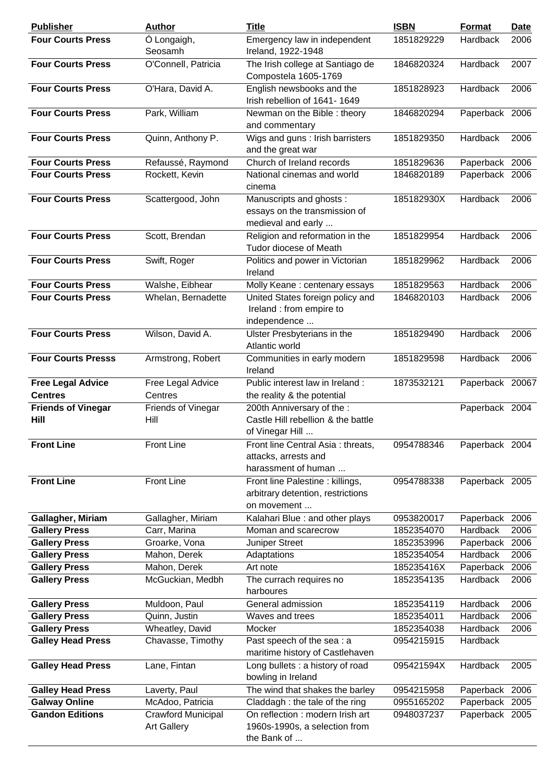| <b>Publisher</b>                           | <b>Author</b>                            | <b>Title</b>                                                                         | <b>ISBN</b> | <b>Format</b>   | Date |
|--------------------------------------------|------------------------------------------|--------------------------------------------------------------------------------------|-------------|-----------------|------|
| <b>Four Courts Press</b>                   | Ó Longaigh,<br>Seosamh                   | Emergency law in independent<br>Ireland, 1922-1948                                   | 1851829229  | Hardback        | 2006 |
| <b>Four Courts Press</b>                   | O'Connell, Patricia                      | The Irish college at Santiago de<br>Compostela 1605-1769                             | 1846820324  | Hardback        | 2007 |
| <b>Four Courts Press</b>                   | O'Hara, David A.                         | English newsbooks and the<br>Irish rebellion of 1641-1649                            | 1851828923  | Hardback        | 2006 |
| <b>Four Courts Press</b>                   | Park, William                            | Newman on the Bible: theory<br>and commentary                                        | 1846820294  | Paperback 2006  |      |
| <b>Four Courts Press</b>                   | Quinn, Anthony P.                        | Wigs and guns : Irish barristers<br>and the great war                                | 1851829350  | Hardback        | 2006 |
| <b>Four Courts Press</b>                   | Refaussé, Raymond                        | Church of Ireland records                                                            | 1851829636  | Paperback 2006  |      |
| <b>Four Courts Press</b>                   | Rockett, Kevin                           | National cinemas and world<br>cinema                                                 | 1846820189  | Paperback 2006  |      |
| <b>Four Courts Press</b>                   | Scattergood, John                        | Manuscripts and ghosts:<br>essays on the transmission of<br>medieval and early       | 185182930X  | Hardback        | 2006 |
| <b>Four Courts Press</b>                   | Scott, Brendan                           | Religion and reformation in the<br><b>Tudor diocese of Meath</b>                     | 1851829954  | Hardback        | 2006 |
| <b>Four Courts Press</b>                   | Swift, Roger                             | Politics and power in Victorian<br>Ireland                                           | 1851829962  | Hardback        | 2006 |
| <b>Four Courts Press</b>                   | Walshe, Eibhear                          | Molly Keane: centenary essays                                                        | 1851829563  | Hardback        | 2006 |
| <b>Four Courts Press</b>                   | Whelan, Bernadette                       | United States foreign policy and<br>Ireland : from empire to<br>independence         | 1846820103  | Hardback        | 2006 |
| <b>Four Courts Press</b>                   | Wilson, David A.                         | Ulster Presbyterians in the<br>Atlantic world                                        | 1851829490  | Hardback        | 2006 |
| <b>Four Courts Presss</b>                  | Armstrong, Robert                        | Communities in early modern<br>Ireland                                               | 1851829598  | Hardback        | 2006 |
| <b>Free Legal Advice</b><br><b>Centres</b> | Free Legal Advice<br>Centres             | Public interest law in Ireland :<br>the reality & the potential                      | 1873532121  | Paperback 20067 |      |
| <b>Friends of Vinegar</b>                  | Friends of Vinegar                       | 200th Anniversary of the :                                                           |             | Paperback 2004  |      |
| Hill                                       | Hill                                     | Castle Hill rebellion & the battle<br>of Vinegar Hill                                |             |                 |      |
| <b>Front Line</b>                          | <b>Front Line</b>                        | Front line Central Asia: threats,<br>attacks, arrests and<br>harassment of human     | 0954788346  | Paperback 2004  |      |
| <b>Front Line</b>                          | <b>Front Line</b>                        | Front line Palestine : killings,<br>arbitrary detention, restrictions<br>on movement | 0954788338  | Paperback 2005  |      |
| Gallagher, Miriam                          | Gallagher, Miriam                        | Kalahari Blue : and other plays                                                      | 0953820017  | Paperback 2006  |      |
| <b>Gallery Press</b>                       | Carr, Marina                             | Moman and scarecrow                                                                  | 1852354070  | Hardback        | 2006 |
| <b>Gallery Press</b>                       | Groarke, Vona                            | Juniper Street                                                                       | 1852353996  | Paperback       | 2006 |
| <b>Gallery Press</b>                       | Mahon, Derek                             | Adaptations                                                                          | 1852354054  | Hardback        | 2006 |
| <b>Gallery Press</b>                       | Mahon, Derek                             | Art note                                                                             | 185235416X  | Paperback       | 2006 |
| <b>Gallery Press</b>                       | McGuckian, Medbh                         | The currach requires no<br>harboures                                                 | 1852354135  | Hardback        | 2006 |
| <b>Gallery Press</b>                       | Muldoon, Paul                            | General admission                                                                    | 1852354119  | Hardback        | 2006 |
| <b>Gallery Press</b>                       | Quinn, Justin                            | Waves and trees                                                                      | 1852354011  | Hardback        | 2006 |
| <b>Gallery Press</b>                       | Wheatley, David                          | Mocker                                                                               | 1852354038  | Hardback        | 2006 |
| <b>Galley Head Press</b>                   | Chavasse, Timothy                        | Past speech of the sea: a<br>maritime history of Castlehaven                         | 0954215915  | Hardback        |      |
| <b>Galley Head Press</b>                   | Lane, Fintan                             | Long bullets : a history of road<br>bowling in Ireland                               | 095421594X  | Hardback        | 2005 |
| <b>Galley Head Press</b>                   | Laverty, Paul                            | The wind that shakes the barley                                                      | 0954215958  | Paperback 2006  |      |
| <b>Galway Online</b>                       | McAdoo, Patricia                         | Claddagh : the tale of the ring                                                      | 0955165202  | Paperback 2005  |      |
| <b>Gandon Editions</b>                     | Crawford Municipal<br><b>Art Gallery</b> | On reflection : modern Irish art<br>1960s-1990s, a selection from<br>the Bank of     | 0948037237  | Paperback 2005  |      |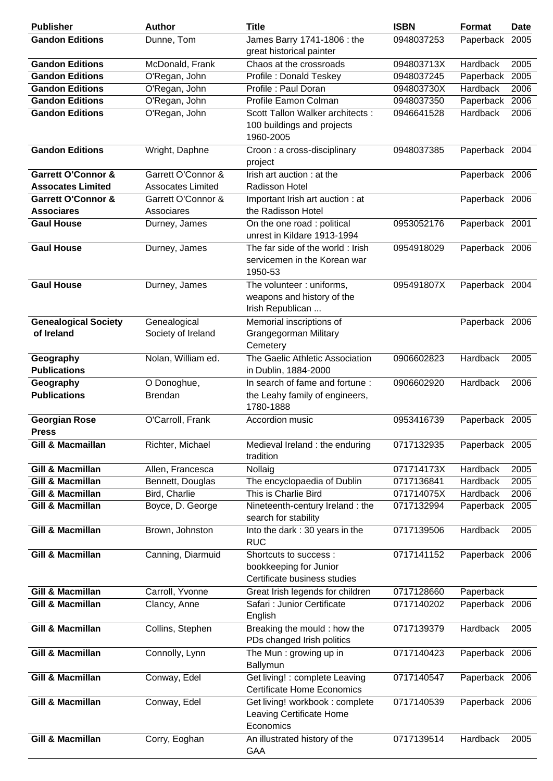| <b>Publisher</b>              | <b>Author</b>            | <b>Title</b>                      | <b>ISBN</b> | Format          | <b>Date</b> |
|-------------------------------|--------------------------|-----------------------------------|-------------|-----------------|-------------|
| <b>Gandon Editions</b>        | Dunne, Tom               | James Barry 1741-1806 : the       | 0948037253  | Paperback       | 2005        |
|                               |                          | great historical painter          |             |                 |             |
| <b>Gandon Editions</b>        | McDonald, Frank          | Chaos at the crossroads           | 094803713X  | Hardback        | 2005        |
| <b>Gandon Editions</b>        | O'Regan, John            | Profile: Donald Teskey            | 0948037245  | Paperback       | 2005        |
| <b>Gandon Editions</b>        | O'Regan, John            | Profile : Paul Doran              | 094803730X  | Hardback        | 2006        |
| <b>Gandon Editions</b>        | O'Regan, John            | Profile Eamon Colman              | 0948037350  | Paperback       | 2006        |
| <b>Gandon Editions</b>        | O'Regan, John            | Scott Tallon Walker architects :  | 0946641528  | <b>Hardback</b> | 2006        |
|                               |                          | 100 buildings and projects        |             |                 |             |
|                               |                          | 1960-2005                         |             |                 |             |
| <b>Gandon Editions</b>        | Wright, Daphne           | Croon: a cross-disciplinary       | 0948037385  | Paperback 2004  |             |
|                               |                          | project                           |             |                 |             |
| <b>Garrett O'Connor &amp;</b> | Garrett O'Connor &       | Irish art auction: at the         |             | Paperback 2006  |             |
| <b>Assocates Limited</b>      | <b>Assocates Limited</b> | Radisson Hotel                    |             |                 |             |
| <b>Garrett O'Connor &amp;</b> | Garrett O'Connor &       | Important Irish art auction : at  |             | Paperback 2006  |             |
| <b>Associares</b>             | Associares               | the Radisson Hotel                |             |                 |             |
| <b>Gaul House</b>             | Durney, James            | On the one road : political       | 0953052176  | Paperback 2001  |             |
|                               |                          | unrest in Kildare 1913-1994       |             |                 |             |
| <b>Gaul House</b>             | Durney, James            | The far side of the world: Irish  | 0954918029  | Paperback 2006  |             |
|                               |                          | servicemen in the Korean war      |             |                 |             |
|                               |                          | 1950-53                           |             |                 |             |
| <b>Gaul House</b>             | Durney, James            | The volunteer: uniforms,          | 095491807X  | Paperback 2004  |             |
|                               |                          | weapons and history of the        |             |                 |             |
|                               |                          | Irish Republican                  |             |                 |             |
| <b>Genealogical Society</b>   | Genealogical             | Memorial inscriptions of          |             | Paperback 2006  |             |
| of Ireland                    | Society of Ireland       | Grangegorman Military             |             |                 |             |
|                               |                          | Cemetery                          |             |                 |             |
| Geography                     | Nolan, William ed.       | The Gaelic Athletic Association   | 0906602823  | Hardback        | 2005        |
| <b>Publications</b>           |                          | in Dublin, 1884-2000              |             |                 |             |
| Geography                     | O Donoghue,              | In search of fame and fortune :   | 0906602920  | Hardback        | 2006        |
| <b>Publications</b>           | <b>Brendan</b>           | the Leahy family of engineers,    |             |                 |             |
|                               |                          | 1780-1888                         |             |                 |             |
| <b>Georgian Rose</b>          | O'Carroll, Frank         | Accordion music                   | 0953416739  | Paperback 2005  |             |
| <b>Press</b>                  |                          |                                   |             |                 |             |
| <b>Gill &amp; Macmaillan</b>  | Richter, Michael         | Medieval Ireland : the enduring   | 0717132935  | Paperback 2005  |             |
|                               |                          | tradition                         |             |                 |             |
| <b>Gill &amp; Macmillan</b>   | Allen, Francesca         | Nollaig                           | 071714173X  | Hardback        | 2005        |
| Gill & Macmillan              | Bennett, Douglas         | The encyclopaedia of Dublin       | 0717136841  | Hardback        | 2005        |
| <b>Gill &amp; Macmillan</b>   | Bird, Charlie            | This is Charlie Bird              | 071714075X  | Hardback        | 2006        |
| <b>Gill &amp; Macmillan</b>   | Boyce, D. George         | Nineteenth-century Ireland: the   | 0717132994  | Paperback 2005  |             |
|                               |                          | search for stability              |             |                 |             |
| <b>Gill &amp; Macmillan</b>   | Brown, Johnston          | Into the dark: 30 years in the    | 0717139506  | Hardback        | 2005        |
|                               |                          | <b>RUC</b>                        |             |                 |             |
| <b>Gill &amp; Macmillan</b>   | Canning, Diarmuid        | Shortcuts to success :            | 0717141152  | Paperback 2006  |             |
|                               |                          | bookkeeping for Junior            |             |                 |             |
|                               |                          | Certificate business studies      |             |                 |             |
| <b>Gill &amp; Macmillan</b>   | Carroll, Yvonne          | Great Irish legends for children  | 0717128660  | Paperback       |             |
| <b>Gill &amp; Macmillan</b>   | Clancy, Anne             | Safari: Junior Certificate        | 0717140202  | Paperback 2006  |             |
|                               |                          | English                           |             |                 |             |
| <b>Gill &amp; Macmillan</b>   | Collins, Stephen         | Breaking the mould : how the      | 0717139379  | Hardback        | 2005        |
|                               |                          | PDs changed Irish politics        |             |                 |             |
| <b>Gill &amp; Macmillan</b>   | Connolly, Lynn           | The Mun: growing up in            | 0717140423  | Paperback 2006  |             |
|                               |                          | Ballymun                          |             |                 |             |
| <b>Gill &amp; Macmillan</b>   | Conway, Edel             | Get living! : complete Leaving    | 0717140547  | Paperback 2006  |             |
|                               |                          | <b>Certificate Home Economics</b> |             |                 |             |
| <b>Gill &amp; Macmillan</b>   | Conway, Edel             | Get living! workbook: complete    | 0717140539  | Paperback 2006  |             |
|                               |                          | Leaving Certificate Home          |             |                 |             |
|                               |                          | Economics                         |             |                 |             |
| <b>Gill &amp; Macmillan</b>   | Corry, Eoghan            | An illustrated history of the     | 0717139514  | Hardback        | 2005        |
|                               |                          | <b>GAA</b>                        |             |                 |             |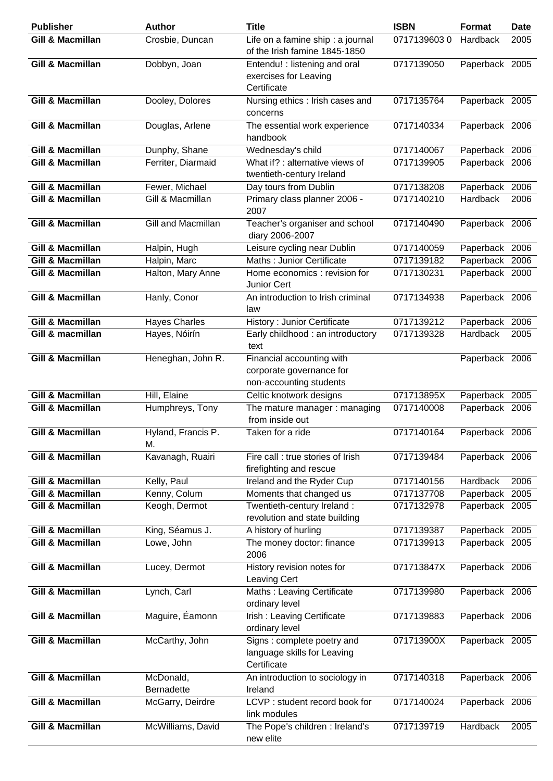| <b>Publisher</b>            | <b>Author</b>            | <b>Title</b>                                                                     | <b>ISBN</b> | Format          | <b>Date</b> |
|-----------------------------|--------------------------|----------------------------------------------------------------------------------|-------------|-----------------|-------------|
| <b>Gill &amp; Macmillan</b> | Crosbie, Duncan          | Life on a famine ship : a journal<br>of the Irish famine 1845-1850               | 07171396030 | Hardback        | 2005        |
| <b>Gill &amp; Macmillan</b> | Dobbyn, Joan             | Entendu! : listening and oral<br>exercises for Leaving<br>Certificate            | 0717139050  | Paperback 2005  |             |
| <b>Gill &amp; Macmillan</b> | Dooley, Dolores          | Nursing ethics : Irish cases and<br>concerns                                     | 0717135764  | Paperback 2005  |             |
| <b>Gill &amp; Macmillan</b> | Douglas, Arlene          | The essential work experience<br>handbook                                        | 0717140334  | Paperback 2006  |             |
| <b>Gill &amp; Macmillan</b> | Dunphy, Shane            | Wednesday's child                                                                | 0717140067  | Paperback 2006  |             |
| <b>Gill &amp; Macmillan</b> | Ferriter, Diarmaid       | What if? : alternative views of<br>twentieth-century Ireland                     | 0717139905  | Paperback 2006  |             |
| <b>Gill &amp; Macmillan</b> | Fewer, Michael           | Day tours from Dublin                                                            | 0717138208  | Paperback 2006  |             |
| <b>Gill &amp; Macmillan</b> | Gill & Macmillan         | Primary class planner 2006 -<br>2007                                             | 0717140210  | <b>Hardback</b> | 2006        |
| <b>Gill &amp; Macmillan</b> | Gill and Macmillan       | Teacher's organiser and school<br>diary 2006-2007                                | 0717140490  | Paperback 2006  |             |
| <b>Gill &amp; Macmillan</b> | Halpin, Hugh             | Leisure cycling near Dublin                                                      | 0717140059  | Paperback 2006  |             |
| <b>Gill &amp; Macmillan</b> | Halpin, Marc             | Maths: Junior Certificate                                                        | 0717139182  | Paperback 2006  |             |
| <b>Gill &amp; Macmillan</b> | Halton, Mary Anne        | Home economics: revision for<br>Junior Cert                                      | 0717130231  | Paperback 2000  |             |
| <b>Gill &amp; Macmillan</b> | Hanly, Conor             | An introduction to Irish criminal<br>law                                         | 0717134938  | Paperback 2006  |             |
| <b>Gill &amp; Macmillan</b> | <b>Hayes Charles</b>     | <b>History: Junior Certificate</b>                                               | 0717139212  | Paperback 2006  |             |
| Gill & macmillan            | Hayes, Nóirín            | Early childhood: an introductory<br>text                                         | 0717139328  | Hardback        | 2005        |
| <b>Gill &amp; Macmillan</b> | Heneghan, John R.        | Financial accounting with<br>corporate governance for<br>non-accounting students |             | Paperback 2006  |             |
| <b>Gill &amp; Macmillan</b> | Hill, Elaine             | Celtic knotwork designs                                                          | 071713895X  | Paperback 2005  |             |
| <b>Gill &amp; Macmillan</b> | Humphreys, Tony          | The mature manager: managing<br>from inside out                                  | 0717140008  | Paperback 2006  |             |
| <b>Gill &amp; Macmillan</b> | Hyland, Francis P.<br>M. | Taken for a ride                                                                 | 0717140164  | Paperback 2006  |             |
| <b>Gill &amp; Macmillan</b> | Kavanagh, Ruairi         | Fire call : true stories of Irish<br>firefighting and rescue                     | 0717139484  | Paperback 2006  |             |
| <b>Gill &amp; Macmillan</b> | Kelly, Paul              | Ireland and the Ryder Cup                                                        | 0717140156  | Hardback        | 2006        |
| Gill & Macmillan            | Kenny, Colum             | Moments that changed us                                                          | 0717137708  | Paperback       | 2005        |
| <b>Gill &amp; Macmillan</b> | Keogh, Dermot            | Twentieth-century Ireland:<br>revolution and state building                      | 0717132978  | Paperback 2005  |             |
| <b>Gill &amp; Macmillan</b> | King, Séamus J.          | A history of hurling                                                             | 0717139387  | Paperback 2005  |             |
| <b>Gill &amp; Macmillan</b> | Lowe, John               | The money doctor: finance<br>2006                                                | 0717139913  | Paperback 2005  |             |
| <b>Gill &amp; Macmillan</b> | Lucey, Dermot            | History revision notes for<br>Leaving Cert                                       | 071713847X  | Paperback 2006  |             |
| <b>Gill &amp; Macmillan</b> | Lynch, Carl              | Maths: Leaving Certificate<br>ordinary level                                     | 0717139980  | Paperback 2006  |             |
| <b>Gill &amp; Macmillan</b> | Maguire, Éamonn          | Irish: Leaving Certificate<br>ordinary level                                     | 0717139883  | Paperback 2006  |             |
| <b>Gill &amp; Macmillan</b> | McCarthy, John           | Signs: complete poetry and<br>language skills for Leaving<br>Certificate         | 071713900X  | Paperback 2005  |             |
| <b>Gill &amp; Macmillan</b> | McDonald,<br>Bernadette  | An introduction to sociology in<br>Ireland                                       | 0717140318  | Paperback 2006  |             |
| <b>Gill &amp; Macmillan</b> | McGarry, Deirdre         | LCVP : student record book for<br>link modules                                   | 0717140024  | Paperback 2006  |             |
| <b>Gill &amp; Macmillan</b> | McWilliams, David        | The Pope's children : Ireland's<br>new elite                                     | 0717139719  | <b>Hardback</b> | 2005        |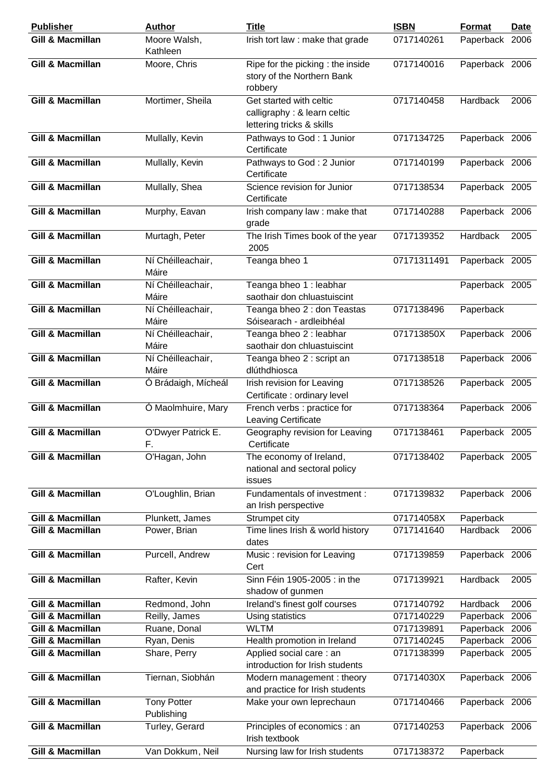| <b>Publisher</b>            | <b>Author</b>                    | <b>Title</b>                                                                         | <b>ISBN</b> | Format         | <b>Date</b> |
|-----------------------------|----------------------------------|--------------------------------------------------------------------------------------|-------------|----------------|-------------|
| <b>Gill &amp; Macmillan</b> | Moore Walsh,<br>Kathleen         | Irish tort law : make that grade                                                     | 0717140261  | Paperback 2006 |             |
| <b>Gill &amp; Macmillan</b> | Moore, Chris                     | Ripe for the picking : the inside<br>story of the Northern Bank<br>robbery           | 0717140016  | Paperback 2006 |             |
| <b>Gill &amp; Macmillan</b> | Mortimer, Sheila                 | Get started with celtic<br>calligraphy : & learn celtic<br>lettering tricks & skills | 0717140458  | Hardback       | 2006        |
| <b>Gill &amp; Macmillan</b> | Mullally, Kevin                  | Pathways to God: 1 Junior<br>Certificate                                             | 0717134725  | Paperback 2006 |             |
| <b>Gill &amp; Macmillan</b> | Mullally, Kevin                  | Pathways to God: 2 Junior<br>Certificate                                             | 0717140199  | Paperback 2006 |             |
| <b>Gill &amp; Macmillan</b> | Mullally, Shea                   | Science revision for Junior<br>Certificate                                           | 0717138534  | Paperback 2005 |             |
| <b>Gill &amp; Macmillan</b> | Murphy, Eavan                    | Irish company law : make that<br>grade                                               | 0717140288  | Paperback 2006 |             |
| <b>Gill &amp; Macmillan</b> | Murtagh, Peter                   | The Irish Times book of the year<br>2005                                             | 0717139352  | Hardback       | 2005        |
| <b>Gill &amp; Macmillan</b> | Ní Chéilleachair,<br>Máire       | Teanga bheo 1                                                                        | 07171311491 | Paperback 2005 |             |
| <b>Gill &amp; Macmillan</b> | Ní Chéilleachair,<br>Máire       | Teanga bheo 1 : leabhar<br>saothair don chluastuiscint                               |             | Paperback 2005 |             |
| <b>Gill &amp; Macmillan</b> | Ní Chéilleachair,<br>Máire       | Teanga bheo 2 : don Teastas<br>Sóisearach - ardleibhéal                              | 0717138496  | Paperback      |             |
| <b>Gill &amp; Macmillan</b> | Ní Chéilleachair,<br>Máire       | Teanga bheo 2 : leabhar<br>saothair don chluastuiscint                               | 071713850X  | Paperback 2006 |             |
| <b>Gill &amp; Macmillan</b> | Ní Chéilleachair,<br>Máire       | Teanga bheo 2 : script an<br>dlúthdhiosca                                            | 0717138518  | Paperback 2006 |             |
| <b>Gill &amp; Macmillan</b> | Ó Brádaigh, Mícheál              | Irish revision for Leaving<br>Certificate : ordinary level                           | 0717138526  | Paperback 2005 |             |
| <b>Gill &amp; Macmillan</b> | Ó Maolmhuire, Mary               | French verbs : practice for<br>Leaving Certificate                                   | 0717138364  | Paperback 2006 |             |
| <b>Gill &amp; Macmillan</b> | O'Dwyer Patrick E.<br>F.         | Geography revision for Leaving<br>Certificate                                        | 0717138461  | Paperback 2005 |             |
| <b>Gill &amp; Macmillan</b> | O'Hagan, John                    | The economy of Ireland,<br>national and sectoral policy<br>issues                    | 0717138402  | Paperback 2005 |             |
| <b>Gill &amp; Macmillan</b> | O'Loughlin, Brian                | Fundamentals of investment :<br>an Irish perspective                                 | 0717139832  | Paperback 2006 |             |
| <b>Gill &amp; Macmillan</b> | Plunkett, James                  | Strumpet city                                                                        | 071714058X  | Paperback      |             |
| <b>Gill &amp; Macmillan</b> | Power, Brian                     | Time lines Irish & world history<br>dates                                            | 0717141640  | Hardback       | 2006        |
| <b>Gill &amp; Macmillan</b> | Purcell, Andrew                  | Music: revision for Leaving<br>Cert                                                  | 0717139859  | Paperback 2006 |             |
| <b>Gill &amp; Macmillan</b> | Rafter, Kevin                    | Sinn Féin 1905-2005 : in the<br>shadow of gunmen                                     | 0717139921  | Hardback       | 2005        |
| <b>Gill &amp; Macmillan</b> | Redmond, John                    | Ireland's finest golf courses                                                        | 0717140792  | Hardback       | 2006        |
| <b>Gill &amp; Macmillan</b> | Reilly, James                    | Using statistics                                                                     | 0717140229  | Paperback      | 2006        |
| <b>Gill &amp; Macmillan</b> | Ruane, Donal                     | <b>WLTM</b>                                                                          | 0717139891  | Paperback      | 2006        |
| Gill & Macmillan            | Ryan, Denis                      | Health promotion in Ireland                                                          | 0717140245  | Paperback      | 2006        |
| Gill & Macmillan            | Share, Perry                     | Applied social care: an<br>introduction for Irish students                           | 0717138399  | Paperback 2005 |             |
| <b>Gill &amp; Macmillan</b> | Tiernan, Siobhán                 | Modern management : theory<br>and practice for Irish students                        | 071714030X  | Paperback 2006 |             |
| <b>Gill &amp; Macmillan</b> | <b>Tony Potter</b><br>Publishing | Make your own leprechaun                                                             | 0717140466  | Paperback 2006 |             |
| <b>Gill &amp; Macmillan</b> | Turley, Gerard                   | Principles of economics : an<br>Irish textbook                                       | 0717140253  | Paperback 2006 |             |
| <b>Gill &amp; Macmillan</b> | Van Dokkum, Neil                 | Nursing law for Irish students                                                       | 0717138372  | Paperback      |             |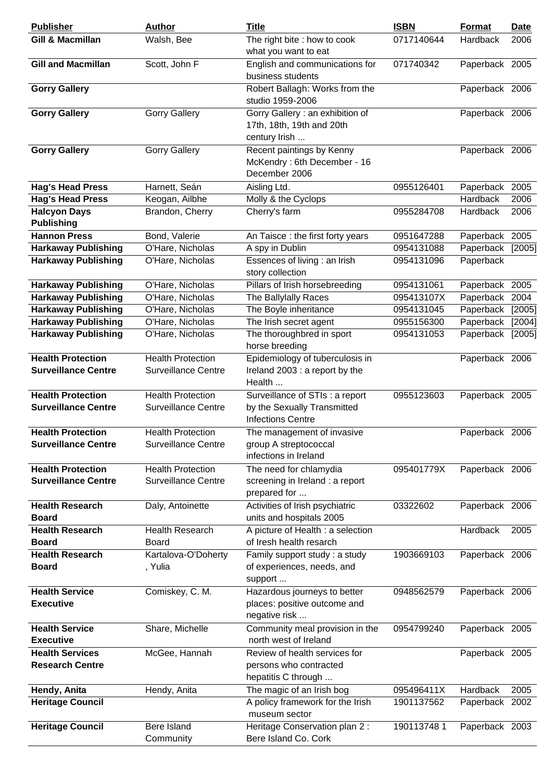| <b>Publisher</b>                                       | <b>Author</b>                                          | <b>Title</b>                                                                               | <b>ISBN</b> | <b>Format</b>  | <u>Date</u> |
|--------------------------------------------------------|--------------------------------------------------------|--------------------------------------------------------------------------------------------|-------------|----------------|-------------|
| <b>Gill &amp; Macmillan</b>                            | Walsh, Bee                                             | The right bite : how to cook<br>what you want to eat                                       | 0717140644  | Hardback       | 2006        |
| <b>Gill and Macmillan</b>                              | Scott, John F                                          | English and communications for<br>business students                                        | 071740342   | Paperback 2005 |             |
| <b>Gorry Gallery</b>                                   |                                                        | Robert Ballagh: Works from the<br>studio 1959-2006                                         |             | Paperback 2006 |             |
| <b>Gorry Gallery</b>                                   | <b>Gorry Gallery</b>                                   | Gorry Gallery : an exhibition of<br>17th, 18th, 19th and 20th<br>century Irish             |             | Paperback 2006 |             |
| <b>Gorry Gallery</b>                                   | <b>Gorry Gallery</b>                                   | Recent paintings by Kenny<br>McKendry: 6th December - 16<br>December 2006                  |             | Paperback 2006 |             |
| <b>Hag's Head Press</b>                                | Harnett, Seán                                          | Aisling Ltd.                                                                               | 0955126401  | Paperback      | 2005        |
| <b>Hag's Head Press</b>                                | Keogan, Ailbhe                                         | Molly & the Cyclops                                                                        |             | Hardback       | 2006        |
| <b>Halcyon Days</b><br><b>Publishing</b>               | Brandon, Cherry                                        | Cherry's farm                                                                              | 0955284708  | Hardback       | 2006        |
| <b>Hannon Press</b>                                    | Bond, Valerie                                          | An Taisce: the first forty years                                                           | 0951647288  | Paperback      | 2005        |
| <b>Harkaway Publishing</b>                             | O'Hare, Nicholas                                       | A spy in Dublin                                                                            | 0954131088  | Paperback      | [2005]      |
| <b>Harkaway Publishing</b>                             | O'Hare, Nicholas                                       | Essences of living : an Irish<br>story collection                                          | 0954131096  | Paperback      |             |
| <b>Harkaway Publishing</b>                             | O'Hare, Nicholas                                       | Pillars of Irish horsebreeding                                                             | 0954131061  | Paperback 2005 |             |
| <b>Harkaway Publishing</b>                             | O'Hare, Nicholas                                       | The Ballylally Races                                                                       | 095413107X  | Paperback      | 2004        |
| <b>Harkaway Publishing</b>                             | O'Hare, Nicholas                                       | The Boyle inheritance                                                                      | 0954131045  | Paperback      | [2005]      |
| <b>Harkaway Publishing</b>                             | O'Hare, Nicholas                                       | The Irish secret agent                                                                     | 0955156300  | Paperback      | [2004]      |
| <b>Harkaway Publishing</b>                             | O'Hare, Nicholas                                       | The thoroughbred in sport<br>horse breeding                                                | 0954131053  | Paperback      | [2005]      |
| <b>Health Protection</b><br><b>Surveillance Centre</b> | <b>Health Protection</b><br><b>Surveillance Centre</b> | Epidemiology of tuberculosis in<br>Ireland 2003 : a report by the<br>Health                |             | Paperback 2006 |             |
| <b>Health Protection</b><br><b>Surveillance Centre</b> | <b>Health Protection</b><br><b>Surveillance Centre</b> | Surveillance of STIs : a report<br>by the Sexually Transmitted<br><b>Infections Centre</b> | 0955123603  | Paperback 2005 |             |
| <b>Health Protection</b><br><b>Surveillance Centre</b> | <b>Health Protection</b><br><b>Surveillance Centre</b> | The management of invasive<br>group A streptococcal<br>infections in Ireland               |             | Paperback 2006 |             |
| <b>Health Protection</b><br><b>Surveillance Centre</b> | <b>Health Protection</b><br><b>Surveillance Centre</b> | The need for chlamydia<br>screening in Ireland : a report<br>prepared for                  | 095401779X  | Paperback 2006 |             |
| <b>Health Research</b><br><b>Board</b>                 | Daly, Antoinette                                       | Activities of Irish psychiatric<br>units and hospitals 2005                                | 03322602    | Paperback 2006 |             |
| <b>Health Research</b><br><b>Board</b>                 | <b>Health Research</b><br>Board                        | A picture of Health : a selection<br>of Iresh health resarch                               |             | Hardback       | 2005        |
| <b>Health Research</b><br><b>Board</b>                 | Kartalova-O'Doherty<br>, Yulia                         | Family support study : a study<br>of experiences, needs, and<br>support                    | 1903669103  | Paperback 2006 |             |
| <b>Health Service</b><br><b>Executive</b>              | Comiskey, C. M.                                        | Hazardous journeys to better<br>places: positive outcome and<br>negative risk              | 0948562579  | Paperback 2006 |             |
| <b>Health Service</b><br><b>Executive</b>              | Share, Michelle                                        | Community meal provision in the<br>north west of Ireland                                   | 0954799240  | Paperback 2005 |             |
| <b>Health Services</b><br><b>Research Centre</b>       | McGee, Hannah                                          | Review of health services for<br>persons who contracted<br>hepatitis C through             |             | Paperback 2005 |             |
| Hendy, Anita                                           | Hendy, Anita                                           | The magic of an Irish bog                                                                  | 095496411X  | Hardback       | 2005        |
| <b>Heritage Council</b>                                |                                                        | A policy framework for the Irish<br>museum sector                                          | 1901137562  | Paperback 2002 |             |
| <b>Heritage Council</b>                                | Bere Island<br>Community                               | Heritage Conservation plan 2 :<br>Bere Island Co. Cork                                     | 190113748 1 | Paperback 2003 |             |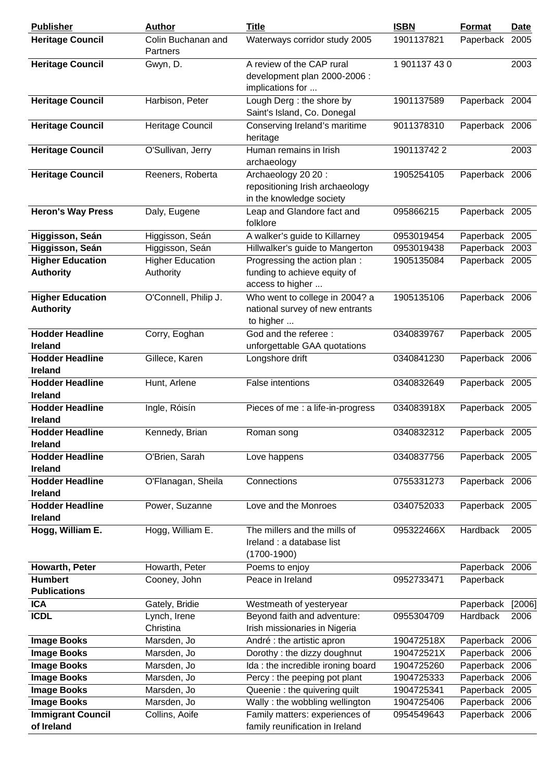| <b>Publisher</b>                         | <b>Author</b>                  | <b>Title</b>                                                                      | <b>ISBN</b>   | <b>Format</b>  | <u>Date</u> |
|------------------------------------------|--------------------------------|-----------------------------------------------------------------------------------|---------------|----------------|-------------|
| <b>Heritage Council</b>                  | Colin Buchanan and<br>Partners | Waterways corridor study 2005                                                     | 1901137821    | Paperback      | 2005        |
| <b>Heritage Council</b>                  | Gwyn, D.                       | A review of the CAP rural<br>development plan 2000-2006 :                         | 1 901137 43 0 |                | 2003        |
|                                          |                                | implications for                                                                  |               |                |             |
| <b>Heritage Council</b>                  | Harbison, Peter                | Lough Derg: the shore by<br>Saint's Island, Co. Donegal                           | 1901137589    | Paperback 2004 |             |
| <b>Heritage Council</b>                  | Heritage Council               | Conserving Ireland's maritime<br>heritage                                         | 9011378310    | Paperback 2006 |             |
| <b>Heritage Council</b>                  | O'Sullivan, Jerry              | Human remains in Irish                                                            | 1901137422    |                | 2003        |
|                                          |                                | archaeology                                                                       |               |                |             |
| <b>Heritage Council</b>                  | Reeners, Roberta               | Archaeology 20 20:<br>repositioning Irish archaeology<br>in the knowledge society | 1905254105    | Paperback 2006 |             |
| <b>Heron's Way Press</b>                 | Daly, Eugene                   | Leap and Glandore fact and<br>folklore                                            | 095866215     | Paperback 2005 |             |
| Higgisson, Seán                          | Higgisson, Seán                | A walker's guide to Killarney                                                     | 0953019454    | Paperback 2005 |             |
| Higgisson, Seán                          | Higgisson, Seán                | Hillwalker's guide to Mangerton                                                   | 0953019438    | Paperback 2003 |             |
| <b>Higher Education</b>                  | <b>Higher Education</b>        | Progressing the action plan:                                                      | 1905135084    | Paperback 2005 |             |
| <b>Authority</b>                         | Authority                      | funding to achieve equity of<br>access to higher                                  |               |                |             |
| <b>Higher Education</b>                  | O'Connell, Philip J.           | Who went to college in 2004? a                                                    | 1905135106    | Paperback 2006 |             |
| <b>Authority</b>                         |                                | national survey of new entrants<br>to higher                                      |               |                |             |
| <b>Hodder Headline</b><br><b>Ireland</b> | Corry, Eoghan                  | God and the referee:<br>unforgettable GAA quotations                              | 0340839767    | Paperback 2005 |             |
| <b>Hodder Headline</b><br><b>Ireland</b> | Gillece, Karen                 | Longshore drift                                                                   | 0340841230    | Paperback 2006 |             |
| <b>Hodder Headline</b><br><b>Ireland</b> | Hunt, Arlene                   | False intentions                                                                  | 0340832649    | Paperback 2005 |             |
| <b>Hodder Headline</b><br><b>Ireland</b> | Ingle, Róisín                  | Pieces of me: a life-in-progress                                                  | 034083918X    | Paperback 2005 |             |
| <b>Hodder Headline</b>                   | Kennedy, Brian                 | Roman song                                                                        | 0340832312    | Paperback 2005 |             |
| <b>Ireland</b>                           |                                |                                                                                   |               |                |             |
| <b>Hodder Headline</b>                   | O'Brien, Sarah                 | Love happens                                                                      | 0340837756    | Paperback 2005 |             |
| <b>Ireland</b>                           |                                |                                                                                   |               |                |             |
| <b>Hodder Headline</b><br><b>Ireland</b> | O'Flanagan, Sheila             | Connections                                                                       | 0755331273    | Paperback 2006 |             |
| <b>Hodder Headline</b>                   | Power, Suzanne                 | Love and the Monroes                                                              | 0340752033    | Paperback 2005 |             |
| Ireland                                  |                                |                                                                                   |               |                |             |
| Hogg, William E.                         | Hogg, William E.               | The millers and the mills of<br>Ireland : a database list<br>$(1700-1900)$        | 095322466X    | Hardback       | 2005        |
| Howarth, Peter                           | Howarth, Peter                 | Poems to enjoy                                                                    |               | Paperback      | 2006        |
| <b>Humbert</b><br><b>Publications</b>    | Cooney, John                   | Peace in Ireland                                                                  | 0952733471    | Paperback      |             |
| <b>ICA</b>                               | Gately, Bridie                 | Westmeath of yesteryear                                                           |               | Paperback      | [2006]      |
| <b>ICDL</b>                              | Lynch, Irene                   | Beyond faith and adventure:                                                       | 0955304709    | Hardback       | 2006        |
|                                          | Christina                      | Irish missionaries in Nigeria                                                     |               |                |             |
| <b>Image Books</b>                       | Marsden, Jo                    | André : the artistic apron                                                        | 190472518X    | Paperback      | 2006        |
| <b>Image Books</b>                       | Marsden, Jo                    | Dorothy: the dizzy doughnut                                                       | 190472521X    | Paperback      | 2006        |
| <b>Image Books</b>                       | Marsden, Jo                    | Ida : the incredible ironing board                                                | 1904725260    | Paperback      | 2006        |
| <b>Image Books</b>                       | Marsden, Jo                    | Percy: the peeping pot plant                                                      | 1904725333    | Paperback      | 2006        |
| <b>Image Books</b>                       | Marsden, Jo                    | Queenie : the quivering quilt                                                     | 1904725341    | Paperback      | 2005        |
| <b>Image Books</b>                       | Marsden, Jo                    | Wally: the wobbling wellington                                                    | 1904725406    | Paperback 2006 |             |
| <b>Immigrant Council</b>                 | Collins, Aoife                 | Family matters: experiences of                                                    | 0954549643    | Paperback 2006 |             |
| of Ireland                               |                                | family reunification in Ireland                                                   |               |                |             |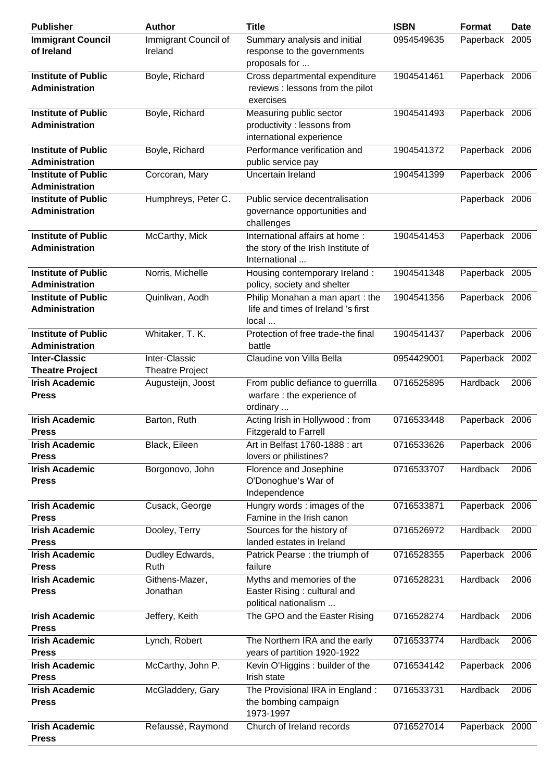| <b>Publisher</b>                                    | <b>Author</b>                           | <b>Title</b>                                                                           | <b>ISBN</b> | Format         | Date |
|-----------------------------------------------------|-----------------------------------------|----------------------------------------------------------------------------------------|-------------|----------------|------|
| <b>Immigrant Council</b><br>of Ireland              | Immigrant Council of<br>Ireland         | Summary analysis and initial<br>response to the governments<br>proposals for           | 0954549635  | Paperback 2005 |      |
| <b>Institute of Public</b><br><b>Administration</b> | Boyle, Richard                          | Cross departmental expenditure<br>reviews : lessons from the pilot<br>exercises        | 1904541461  | Paperback 2006 |      |
| <b>Institute of Public</b><br>Administration        | Boyle, Richard                          | Measuring public sector<br>productivity : lessons from<br>international experience     | 1904541493  | Paperback 2006 |      |
| <b>Institute of Public</b><br>Administration        | Boyle, Richard                          | Performance verification and<br>public service pay                                     | 1904541372  | Paperback 2006 |      |
| <b>Institute of Public</b><br>Administration        | Corcoran, Mary                          | Uncertain Ireland                                                                      | 1904541399  | Paperback 2006 |      |
| <b>Institute of Public</b><br>Administration        | Humphreys, Peter C.                     | Public service decentralisation<br>governance opportunities and<br>challenges          |             | Paperback 2006 |      |
| <b>Institute of Public</b><br>Administration        | McCarthy, Mick                          | International affairs at home:<br>the story of the Irish Institute of<br>International | 1904541453  | Paperback 2006 |      |
| <b>Institute of Public</b><br>Administration        | Norris, Michelle                        | Housing contemporary Ireland:<br>policy, society and shelter                           | 1904541348  | Paperback 2005 |      |
| <b>Institute of Public</b><br>Administration        | Quinlivan, Aodh                         | Philip Monahan a man apart : the<br>life and times of Ireland 's first<br>local        | 1904541356  | Paperback 2006 |      |
| <b>Institute of Public</b><br>Administration        | Whitaker, T. K.                         | Protection of free trade-the final<br>battle                                           | 1904541437  | Paperback 2006 |      |
| <b>Inter-Classic</b><br><b>Theatre Project</b>      | Inter-Classic<br><b>Theatre Project</b> | Claudine von Villa Bella                                                               | 0954429001  | Paperback 2002 |      |
| <b>Irish Academic</b><br><b>Press</b>               | Augusteijn, Joost                       | From public defiance to guerrilla<br>warfare : the experience of<br>ordinary           | 0716525895  | Hardback       | 2006 |
| <b>Irish Academic</b><br><b>Press</b>               | Barton, Ruth                            | Acting Irish in Hollywood: from<br><b>Fitzgerald to Farrell</b>                        | 0716533448  | Paperback 2006 |      |
| <b>Irish Academic</b><br><b>Press</b>               | Black, Eileen                           | Art in Belfast 1760-1888 : art<br>lovers or philistines?                               | 0716533626  | Paperback 2006 |      |
| <b>Irish Academic</b><br><b>Press</b>               | Borgonovo, John                         | Florence and Josephine<br>O'Donoghue's War of<br>Independence                          | 0716533707  | Hardback       | 2006 |
| <b>Irish Academic</b><br><b>Press</b>               | Cusack, George                          | Hungry words: images of the<br>Famine in the Irish canon                               | 0716533871  | Paperback 2006 |      |
| <b>Irish Academic</b><br><b>Press</b>               | Dooley, Terry                           | Sources for the history of<br>landed estates in Ireland                                | 0716526972  | Hardback       | 2000 |
| <b>Irish Academic</b><br><b>Press</b>               | Dudley Edwards,<br>Ruth                 | Patrick Pearse : the triumph of<br>failure                                             | 0716528355  | Paperback 2006 |      |
| <b>Irish Academic</b><br><b>Press</b>               | Githens-Mazer,<br>Jonathan              | Myths and memories of the<br>Easter Rising: cultural and<br>political nationalism      | 0716528231  | Hardback       | 2006 |
| <b>Irish Academic</b><br><b>Press</b>               | Jeffery, Keith                          | The GPO and the Easter Rising                                                          | 0716528274  | Hardback       | 2006 |
| <b>Irish Academic</b><br><b>Press</b>               | Lynch, Robert                           | The Northern IRA and the early<br>years of partition 1920-1922                         | 0716533774  | Hardback       | 2006 |
| <b>Irish Academic</b><br><b>Press</b>               | McCarthy, John P.                       | Kevin O'Higgins : builder of the<br>Irish state                                        | 0716534142  | Paperback 2006 |      |
| <b>Irish Academic</b><br><b>Press</b>               | McGladdery, Gary                        | The Provisional IRA in England :<br>the bombing campaign<br>1973-1997                  | 0716533731  | Hardback       | 2006 |
| <b>Irish Academic</b><br><b>Press</b>               | Refaussé, Raymond                       | Church of Ireland records                                                              | 0716527014  | Paperback 2000 |      |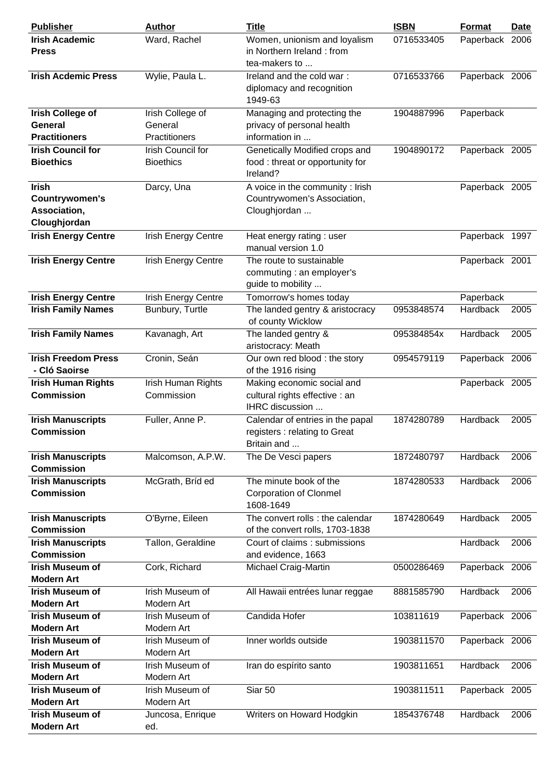| <b>Publisher</b>                                                      | <b>Author</b>                                 | <b>Title</b>                                                                    | <b>ISBN</b> | <b>Format</b>                | <b>Date</b> |
|-----------------------------------------------------------------------|-----------------------------------------------|---------------------------------------------------------------------------------|-------------|------------------------------|-------------|
| <b>Irish Academic</b><br><b>Press</b>                                 | Ward, Rachel                                  | Women, unionism and loyalism<br>in Northern Ireland : from<br>tea-makers to     | 0716533405  | Paperback 2006               |             |
| <b>Irish Acdemic Press</b>                                            | Wylie, Paula L.                               | Ireland and the cold war:<br>diplomacy and recognition<br>1949-63               | 0716533766  | Paperback 2006               |             |
| <b>Irish College of</b><br>General<br><b>Practitioners</b>            | Irish College of<br>General<br>Practitioners  | Managing and protecting the<br>privacy of personal health<br>information in     | 1904887996  | Paperback                    |             |
| <b>Irish Council for</b><br><b>Bioethics</b>                          | <b>Irish Council for</b><br><b>Bioethics</b>  | Genetically Modified crops and<br>food: threat or opportunity for<br>Ireland?   | 1904890172  | Paperback 2005               |             |
| <b>Irish</b><br><b>Countrywomen's</b><br>Association,<br>Cloughjordan | Darcy, Una                                    | A voice in the community : Irish<br>Countrywomen's Association,<br>Cloughjordan |             | Paperback 2005               |             |
| <b>Irish Energy Centre</b>                                            | <b>Irish Energy Centre</b>                    | Heat energy rating : user<br>manual version 1.0                                 |             | Paperback 1997               |             |
| <b>Irish Energy Centre</b>                                            | <b>Irish Energy Centre</b>                    | The route to sustainable<br>commuting : an employer's<br>guide to mobility      |             | Paperback 2001               |             |
| <b>Irish Energy Centre</b><br><b>Irish Family Names</b>               | <b>Irish Energy Centre</b><br>Bunbury, Turtle | Tomorrow's homes today<br>The landed gentry & aristocracy<br>of county Wicklow  | 0953848574  | Paperback<br><b>Hardback</b> | 2005        |
| <b>Irish Family Names</b>                                             | Kavanagh, Art                                 | The landed gentry &<br>aristocracy: Meath                                       | 095384854x  | Hardback                     | 2005        |
| <b>Irish Freedom Press</b><br>- Cló Saoirse                           | Cronin, Seán                                  | Our own red blood : the story<br>of the 1916 rising                             | 0954579119  | Paperback 2006               |             |
| <b>Irish Human Rights</b><br><b>Commission</b>                        | Irish Human Rights<br>Commission              | Making economic social and<br>cultural rights effective : an<br>IHRC discussion |             | Paperback 2005               |             |
| <b>Irish Manuscripts</b><br><b>Commission</b>                         | Fuller, Anne P.                               | Calendar of entries in the papal<br>registers: relating to Great<br>Britain and | 1874280789  | Hardback                     | 2005        |
| <b>Irish Manuscripts</b><br><b>Commission</b>                         | Malcomson, A.P.W.                             | The De Vesci papers                                                             | 1872480797  | Hardback                     | 2006        |
| <b>Irish Manuscripts</b><br><b>Commission</b>                         | McGrath, Bríd ed                              | The minute book of the<br><b>Corporation of Clonmel</b><br>1608-1649            | 1874280533  | Hardback                     | 2006        |
| <b>Irish Manuscripts</b><br><b>Commission</b>                         | O'Byrne, Eileen                               | The convert rolls : the calendar<br>of the convert rolls, 1703-1838             | 1874280649  | Hardback                     | 2005        |
| <b>Irish Manuscripts</b><br><b>Commission</b>                         | Tallon, Geraldine                             | Court of claims : submissions<br>and evidence, 1663                             |             | Hardback                     | 2006        |
| <b>Irish Museum of</b><br><b>Modern Art</b>                           | Cork, Richard                                 | Michael Craig-Martin                                                            | 0500286469  | Paperback 2006               |             |
| <b>Irish Museum of</b><br><b>Modern Art</b>                           | Irish Museum of<br>Modern Art                 | All Hawaii entrées lunar reggae                                                 | 8881585790  | Hardback                     | 2006        |
| <b>Irish Museum of</b><br><b>Modern Art</b>                           | Irish Museum of<br>Modern Art                 | Candida Hofer                                                                   | 103811619   | Paperback 2006               |             |
| <b>Irish Museum of</b><br><b>Modern Art</b>                           | Irish Museum of<br>Modern Art                 | Inner worlds outside                                                            | 1903811570  | Paperback 2006               |             |
| <b>Irish Museum of</b><br><b>Modern Art</b>                           | Irish Museum of<br>Modern Art                 | Iran do espírito santo                                                          | 1903811651  | Hardback                     | 2006        |
| <b>Irish Museum of</b><br><b>Modern Art</b>                           | Irish Museum of<br>Modern Art                 | Siar 50                                                                         | 1903811511  | Paperback 2005               |             |
| <b>Irish Museum of</b><br><b>Modern Art</b>                           | Juncosa, Enrique<br>ed.                       | Writers on Howard Hodgkin                                                       | 1854376748  | Hardback                     | 2006        |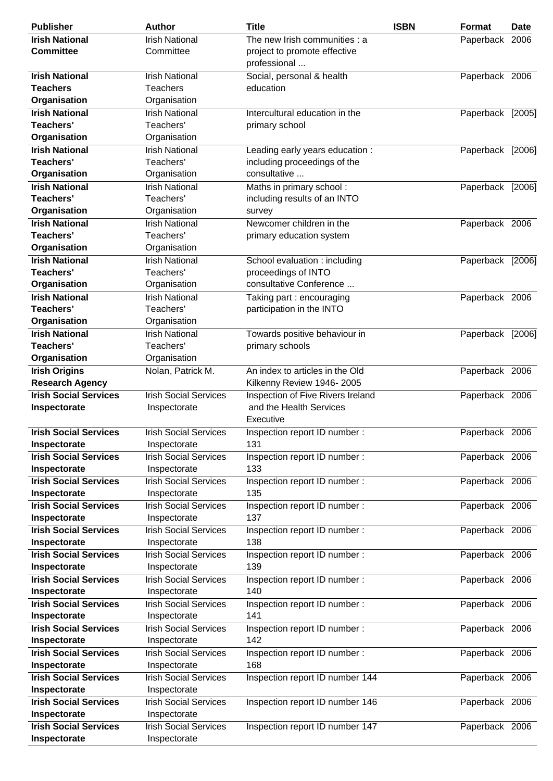| <b>Publisher</b>             | <b>Author</b>                | <b>Title</b>                      | <b>ISBN</b> | <b>Format</b>    | Date |
|------------------------------|------------------------------|-----------------------------------|-------------|------------------|------|
| <b>Irish National</b>        | <b>Irish National</b>        | The new Irish communities : a     |             | Paperback 2006   |      |
| <b>Committee</b>             | Committee                    | project to promote effective      |             |                  |      |
|                              |                              | professional                      |             |                  |      |
| <b>Irish National</b>        | <b>Irish National</b>        | Social, personal & health         |             | Paperback 2006   |      |
| <b>Teachers</b>              | <b>Teachers</b>              | education                         |             |                  |      |
| Organisation                 | Organisation                 |                                   |             |                  |      |
| <b>Irish National</b>        | <b>Irish National</b>        | Intercultural education in the    |             | Paperback [2005] |      |
| Teachers'                    | Teachers'                    | primary school                    |             |                  |      |
| Organisation                 | Organisation                 |                                   |             |                  |      |
| <b>Irish National</b>        | <b>Irish National</b>        | Leading early years education :   |             | Paperback [2006] |      |
| <b>Teachers'</b>             | Teachers'                    | including proceedings of the      |             |                  |      |
| Organisation                 | Organisation                 | consultative                      |             |                  |      |
| <b>Irish National</b>        | <b>Irish National</b>        | Maths in primary school:          |             | Paperback [2006] |      |
| Teachers'                    | Teachers'                    | including results of an INTO      |             |                  |      |
| Organisation                 | Organisation                 | survey                            |             |                  |      |
| <b>Irish National</b>        | <b>Irish National</b>        | Newcomer children in the          |             | Paperback 2006   |      |
| Teachers'                    | Teachers'                    | primary education system          |             |                  |      |
| Organisation                 | Organisation                 |                                   |             |                  |      |
| <b>Irish National</b>        | <b>Irish National</b>        | School evaluation : including     |             | Paperback [2006] |      |
| Teachers'                    | Teachers'                    | proceedings of INTO               |             |                  |      |
| Organisation                 | Organisation                 | consultative Conference           |             |                  |      |
| <b>Irish National</b>        | <b>Irish National</b>        | Taking part: encouraging          |             | Paperback 2006   |      |
| <b>Teachers'</b>             | Teachers'                    | participation in the INTO         |             |                  |      |
| Organisation                 | Organisation                 |                                   |             |                  |      |
| <b>Irish National</b>        | <b>Irish National</b>        | Towards positive behaviour in     |             | Paperback [2006] |      |
| Teachers'                    | Teachers'                    | primary schools                   |             |                  |      |
| Organisation                 | Organisation                 |                                   |             |                  |      |
| <b>Irish Origins</b>         | Nolan, Patrick M.            | An index to articles in the Old   |             | Paperback 2006   |      |
| <b>Research Agency</b>       |                              | Kilkenny Review 1946-2005         |             |                  |      |
| <b>Irish Social Services</b> | <b>Irish Social Services</b> | Inspection of Five Rivers Ireland |             | Paperback 2006   |      |
| Inspectorate                 | Inspectorate                 | and the Health Services           |             |                  |      |
|                              |                              | Executive                         |             |                  |      |
| <b>Irish Social Services</b> | <b>Irish Social Services</b> | Inspection report ID number :     |             | Paperback 2006   |      |
| Inspectorate                 | Inspectorate                 | 131                               |             |                  |      |
| <b>Irish Social Services</b> | <b>Irish Social Services</b> | Inspection report ID number:      |             | Paperback 2006   |      |
| Inspectorate                 | Inspectorate                 | 133                               |             |                  |      |
| <b>Irish Social Services</b> | <b>Irish Social Services</b> | Inspection report ID number:      |             | Paperback 2006   |      |
| Inspectorate                 | Inspectorate                 | 135                               |             |                  |      |
| <b>Irish Social Services</b> | <b>Irish Social Services</b> | Inspection report ID number:      |             | Paperback 2006   |      |
| Inspectorate                 | Inspectorate                 | 137                               |             |                  |      |
| <b>Irish Social Services</b> | <b>Irish Social Services</b> | Inspection report ID number:      |             | Paperback 2006   |      |
| Inspectorate                 | Inspectorate                 | 138                               |             |                  |      |
| <b>Irish Social Services</b> | <b>Irish Social Services</b> | Inspection report ID number:      |             | Paperback 2006   |      |
| Inspectorate                 | Inspectorate                 | 139                               |             |                  |      |
| <b>Irish Social Services</b> | <b>Irish Social Services</b> | Inspection report ID number:      |             | Paperback 2006   |      |
| Inspectorate                 | Inspectorate                 | 140                               |             |                  |      |
| <b>Irish Social Services</b> | <b>Irish Social Services</b> | Inspection report ID number:      |             | Paperback 2006   |      |
| Inspectorate                 | Inspectorate                 | 141                               |             |                  |      |
| <b>Irish Social Services</b> | <b>Irish Social Services</b> | Inspection report ID number:      |             | Paperback 2006   |      |
| Inspectorate                 | Inspectorate                 | 142                               |             |                  |      |
| <b>Irish Social Services</b> | <b>Irish Social Services</b> | Inspection report ID number:      |             | Paperback 2006   |      |
| Inspectorate                 | Inspectorate                 | 168                               |             |                  |      |
| <b>Irish Social Services</b> | <b>Irish Social Services</b> | Inspection report ID number 144   |             | Paperback 2006   |      |
| Inspectorate                 | Inspectorate                 |                                   |             |                  |      |
| <b>Irish Social Services</b> | <b>Irish Social Services</b> | Inspection report ID number 146   |             | Paperback 2006   |      |
| Inspectorate                 | Inspectorate                 |                                   |             |                  |      |
| <b>Irish Social Services</b> | <b>Irish Social Services</b> | Inspection report ID number 147   |             | Paperback 2006   |      |
| Inspectorate                 | Inspectorate                 |                                   |             |                  |      |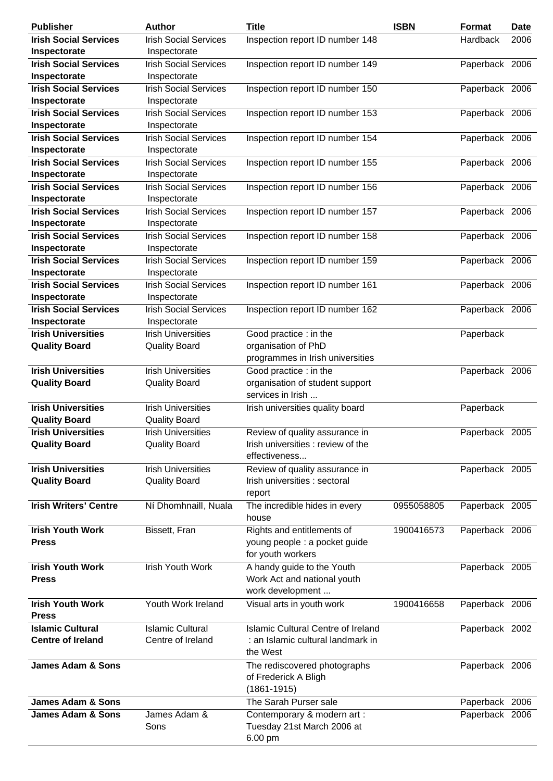| <b>Publisher</b>             | <b>Author</b>                | <b>Title</b>                              | <b>ISBN</b> | Format         | <b>Date</b> |
|------------------------------|------------------------------|-------------------------------------------|-------------|----------------|-------------|
| <b>Irish Social Services</b> | <b>Irish Social Services</b> | Inspection report ID number 148           |             | Hardback       | 2006        |
| Inspectorate                 | Inspectorate                 |                                           |             |                |             |
| <b>Irish Social Services</b> | <b>Irish Social Services</b> | Inspection report ID number 149           |             | Paperback 2006 |             |
| Inspectorate                 | Inspectorate                 |                                           |             |                |             |
| <b>Irish Social Services</b> | <b>Irish Social Services</b> | Inspection report ID number 150           |             | Paperback 2006 |             |
| Inspectorate                 | Inspectorate                 |                                           |             |                |             |
| <b>Irish Social Services</b> | <b>Irish Social Services</b> | Inspection report ID number 153           |             | Paperback 2006 |             |
| Inspectorate                 | Inspectorate                 |                                           |             |                |             |
| <b>Irish Social Services</b> | <b>Irish Social Services</b> | Inspection report ID number 154           |             | Paperback 2006 |             |
| Inspectorate                 | Inspectorate                 |                                           |             |                |             |
| <b>Irish Social Services</b> | <b>Irish Social Services</b> |                                           |             |                |             |
|                              |                              | Inspection report ID number 155           |             | Paperback 2006 |             |
| Inspectorate                 | Inspectorate                 |                                           |             |                |             |
| <b>Irish Social Services</b> | <b>Irish Social Services</b> | Inspection report ID number 156           |             | Paperback 2006 |             |
| Inspectorate                 | Inspectorate                 |                                           |             |                |             |
| <b>Irish Social Services</b> | <b>Irish Social Services</b> | Inspection report ID number 157           |             | Paperback 2006 |             |
| Inspectorate                 | Inspectorate                 |                                           |             |                |             |
| <b>Irish Social Services</b> | <b>Irish Social Services</b> | Inspection report ID number 158           |             | Paperback 2006 |             |
| Inspectorate                 | Inspectorate                 |                                           |             |                |             |
| <b>Irish Social Services</b> | <b>Irish Social Services</b> | Inspection report ID number 159           |             | Paperback 2006 |             |
| Inspectorate                 | Inspectorate                 |                                           |             |                |             |
| <b>Irish Social Services</b> | <b>Irish Social Services</b> | Inspection report ID number 161           |             | Paperback 2006 |             |
| Inspectorate                 | Inspectorate                 |                                           |             |                |             |
| <b>Irish Social Services</b> | <b>Irish Social Services</b> | Inspection report ID number 162           |             | Paperback 2006 |             |
| Inspectorate                 | Inspectorate                 |                                           |             |                |             |
| <b>Irish Universities</b>    | <b>Irish Universities</b>    | Good practice : in the                    |             | Paperback      |             |
| <b>Quality Board</b>         | <b>Quality Board</b>         | organisation of PhD                       |             |                |             |
|                              |                              | programmes in Irish universities          |             |                |             |
| <b>Irish Universities</b>    | <b>Irish Universities</b>    | Good practice : in the                    |             | Paperback 2006 |             |
| <b>Quality Board</b>         | <b>Quality Board</b>         | organisation of student support           |             |                |             |
|                              |                              | services in Irish                         |             |                |             |
| <b>Irish Universities</b>    | <b>Irish Universities</b>    | Irish universities quality board          |             | Paperback      |             |
| <b>Quality Board</b>         | <b>Quality Board</b>         |                                           |             |                |             |
| <b>Irish Universities</b>    | <b>Irish Universities</b>    | Review of quality assurance in            |             | Paperback 2005 |             |
| <b>Quality Board</b>         | <b>Quality Board</b>         | Irish universities : review of the        |             |                |             |
|                              |                              | effectiveness                             |             |                |             |
|                              |                              |                                           |             |                |             |
| <b>Irish Universities</b>    | <b>Irish Universities</b>    | Review of quality assurance in            |             | Paperback 2005 |             |
| <b>Quality Board</b>         | <b>Quality Board</b>         | Irish universities : sectoral             |             |                |             |
|                              |                              | report                                    |             |                |             |
| <b>Irish Writers' Centre</b> | Ní Dhomhnaill, Nuala         | The incredible hides in every             | 0955058805  | Paperback 2005 |             |
|                              |                              | house                                     |             |                |             |
| <b>Irish Youth Work</b>      | Bissett, Fran                | Rights and entitlements of                | 1900416573  | Paperback 2006 |             |
| <b>Press</b>                 |                              | young people : a pocket guide             |             |                |             |
|                              |                              | for youth workers                         |             |                |             |
| <b>Irish Youth Work</b>      | <b>Irish Youth Work</b>      | A handy guide to the Youth                |             | Paperback 2005 |             |
| <b>Press</b>                 |                              | Work Act and national youth               |             |                |             |
|                              |                              | work development                          |             |                |             |
| <b>Irish Youth Work</b>      | Youth Work Ireland           | Visual arts in youth work                 | 1900416658  | Paperback 2006 |             |
| <b>Press</b>                 |                              |                                           |             |                |             |
| <b>Islamic Cultural</b>      | <b>Islamic Cultural</b>      | <b>Islamic Cultural Centre of Ireland</b> |             | Paperback 2002 |             |
| <b>Centre of Ireland</b>     | Centre of Ireland            | : an Islamic cultural landmark in         |             |                |             |
|                              |                              | the West                                  |             |                |             |
| <b>James Adam &amp; Sons</b> |                              | The rediscovered photographs              |             | Paperback 2006 |             |
|                              |                              | of Frederick A Bligh                      |             |                |             |
|                              |                              | $(1861 - 1915)$                           |             |                |             |
| <b>James Adam &amp; Sons</b> |                              | The Sarah Purser sale                     |             | Paperback 2006 |             |
| <b>James Adam &amp; Sons</b> | James Adam &                 | Contemporary & modern art :               |             | Paperback 2006 |             |
|                              | Sons                         | Tuesday 21st March 2006 at                |             |                |             |
|                              |                              |                                           |             |                |             |
|                              |                              | 6.00 pm                                   |             |                |             |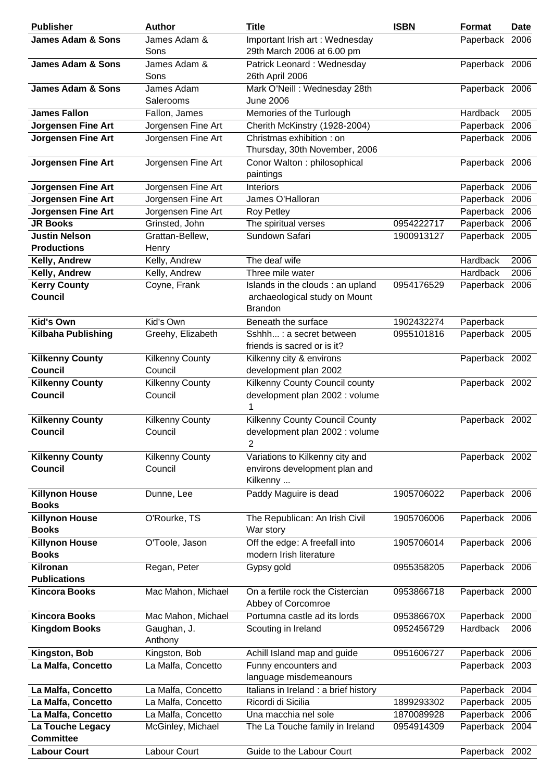| <b>Publisher</b>                         | <b>Author</b>                     | <b>Title</b>                                                                         | <b>ISBN</b> | Format          | <b>Date</b> |
|------------------------------------------|-----------------------------------|--------------------------------------------------------------------------------------|-------------|-----------------|-------------|
| <b>James Adam &amp; Sons</b>             | James Adam &<br>Sons              | Important Irish art: Wednesday<br>29th March 2006 at 6.00 pm                         |             | Paperback 2006  |             |
| <b>James Adam &amp; Sons</b>             | James Adam &<br>Sons              | Patrick Leonard: Wednesday<br>26th April 2006                                        |             | Paperback 2006  |             |
| <b>James Adam &amp; Sons</b>             | James Adam<br>Salerooms           | Mark O'Neill: Wednesday 28th<br><b>June 2006</b>                                     |             | Paperback 2006  |             |
| <b>James Fallon</b>                      | Fallon, James                     | Memories of the Turlough                                                             |             | Hardback        | 2005        |
| <b>Jorgensen Fine Art</b>                | Jorgensen Fine Art                | Cherith McKinstry (1928-2004)                                                        |             | Paperback       | 2006        |
| <b>Jorgensen Fine Art</b>                | Jorgensen Fine Art                | Christmas exhibition: on<br>Thursday, 30th November, 2006                            |             | Paperback 2006  |             |
| <b>Jorgensen Fine Art</b>                | Jorgensen Fine Art                | Conor Walton: philosophical<br>paintings                                             |             | Paperback 2006  |             |
| <b>Jorgensen Fine Art</b>                | Jorgensen Fine Art                | Interiors                                                                            |             | Paperback 2006  |             |
| <b>Jorgensen Fine Art</b>                | Jorgensen Fine Art                | James O'Halloran                                                                     |             | Paperback 2006  |             |
| <b>Jorgensen Fine Art</b>                | Jorgensen Fine Art                | <b>Roy Petley</b>                                                                    |             | Paperback 2006  |             |
| <b>JR Books</b>                          | Grinsted, John                    | The spiritual verses                                                                 | 0954222717  | Paperback 2006  |             |
| <b>Justin Nelson</b>                     | Grattan-Bellew,                   | Sundown Safari                                                                       | 1900913127  | Paperback 2005  |             |
| <b>Productions</b>                       | Henry                             |                                                                                      |             |                 |             |
| Kelly, Andrew                            | Kelly, Andrew                     | The deaf wife                                                                        |             | Hardback        | 2006        |
| Kelly, Andrew                            | Kelly, Andrew                     | Three mile water                                                                     |             | <b>Hardback</b> | 2006        |
| <b>Kerry County</b><br><b>Council</b>    | Coyne, Frank                      | Islands in the clouds : an upland<br>archaeological study on Mount<br><b>Brandon</b> | 0954176529  | Paperback 2006  |             |
| <b>Kid's Own</b>                         | Kid's Own                         | Beneath the surface                                                                  | 1902432274  | Paperback       |             |
| <b>Kilbaha Publishing</b>                | Greehy, Elizabeth                 | Sshhh: a secret between<br>friends is sacred or is it?                               | 0955101816  | Paperback 2005  |             |
| <b>Kilkenny County</b><br><b>Council</b> | <b>Kilkenny County</b><br>Council | Kilkenny city & environs<br>development plan 2002                                    |             | Paperback 2002  |             |
| <b>Kilkenny County</b>                   | <b>Kilkenny County</b>            | Kilkenny County Council county                                                       |             | Paperback 2002  |             |
| <b>Council</b>                           | Council                           | development plan 2002 : volume                                                       |             |                 |             |
| <b>Kilkenny County</b>                   | <b>Kilkenny County</b>            | Kilkenny County Council County                                                       |             | Paperback 2002  |             |
| <b>Council</b>                           | Council                           | development plan 2002 : volume<br>$\overline{2}$                                     |             |                 |             |
| <b>Kilkenny County</b><br><b>Council</b> | <b>Kilkenny County</b><br>Council | Variations to Kilkenny city and<br>environs development plan and<br>Kilkenny         |             | Paperback 2002  |             |
| <b>Killynon House</b><br><b>Books</b>    | Dunne, Lee                        | Paddy Maguire is dead                                                                | 1905706022  | Paperback 2006  |             |
| <b>Killynon House</b><br><b>Books</b>    | O'Rourke, TS                      | The Republican: An Irish Civil<br>War story                                          | 1905706006  | Paperback 2006  |             |
| <b>Killynon House</b><br><b>Books</b>    | O'Toole, Jason                    | Off the edge: A freefall into<br>modern Irish literature                             | 1905706014  | Paperback 2006  |             |
| Kilronan<br><b>Publications</b>          | Regan, Peter                      | Gypsy gold                                                                           | 0955358205  | Paperback 2006  |             |
| <b>Kincora Books</b>                     | Mac Mahon, Michael                | On a fertile rock the Cistercian<br>Abbey of Corcomroe                               | 0953866718  | Paperback 2000  |             |
| <b>Kincora Books</b>                     | Mac Mahon, Michael                | Portumna castle ad its lords                                                         | 095386670X  | Paperback       | 2000        |
| <b>Kingdom Books</b>                     | Gaughan, J.<br>Anthony            | Scouting in Ireland                                                                  | 0952456729  | Hardback        | 2006        |
| Kingston, Bob                            | Kingston, Bob                     | Achill Island map and guide                                                          | 0951606727  | Paperback 2006  |             |
| La Malfa, Concetto                       | La Malfa, Concetto                | Funny encounters and<br>language misdemeanours                                       |             | Paperback 2003  |             |
| La Malfa, Concetto                       | La Malfa, Concetto                | Italians in Ireland : a brief history                                                |             | Paperback 2004  |             |
| La Malfa, Concetto                       | La Malfa, Concetto                | Ricordi di Sicilia                                                                   | 1899293302  | Paperback       | 2005        |
| La Malfa, Concetto                       | La Malfa, Concetto                | Una macchia nel sole                                                                 | 1870089928  | Paperback 2006  |             |
| La Touche Legacy                         | McGinley, Michael                 | The La Touche family in Ireland                                                      | 0954914309  | Paperback 2004  |             |
| <b>Committee</b>                         |                                   |                                                                                      |             |                 |             |
| <b>Labour Court</b>                      | <b>Labour Court</b>               | Guide to the Labour Court                                                            |             | Paperback 2002  |             |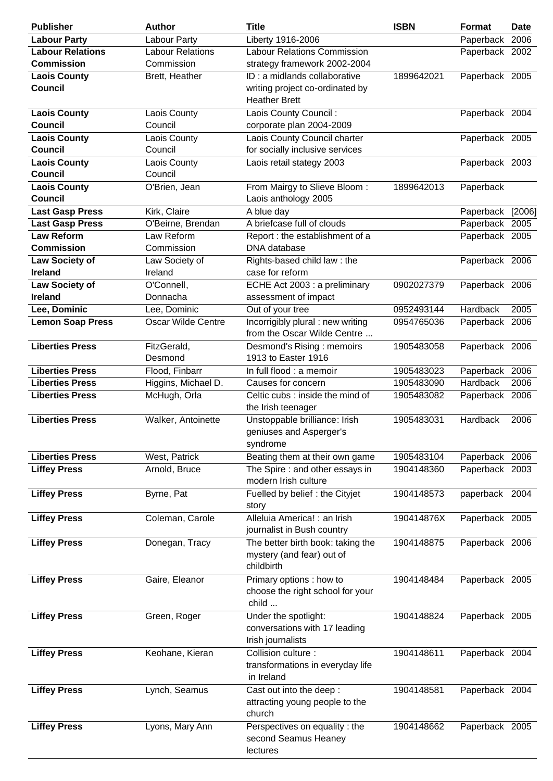| <b>Publisher</b>                      | <b>Author</b>             | <b>Title</b>                                                                             | <b>ISBN</b> | Format          | <u>Date</u> |
|---------------------------------------|---------------------------|------------------------------------------------------------------------------------------|-------------|-----------------|-------------|
| <b>Labour Party</b>                   | Labour Party              | Liberty 1916-2006                                                                        |             | Paperback 2006  |             |
| <b>Labour Relations</b>               | <b>Labour Relations</b>   | <b>Labour Relations Commission</b>                                                       |             | Paperback 2002  |             |
| <b>Commission</b>                     | Commission                | strategy framework 2002-2004                                                             |             |                 |             |
| <b>Laois County</b><br><b>Council</b> | Brett, Heather            | ID : a midlands collaborative<br>writing project co-ordinated by<br><b>Heather Brett</b> | 1899642021  | Paperback 2005  |             |
| <b>Laois County</b>                   | Laois County              | Laois County Council:                                                                    |             | Paperback 2004  |             |
| Council                               | Council                   | corporate plan 2004-2009                                                                 |             |                 |             |
| <b>Laois County</b>                   | Laois County              | Laois County Council charter                                                             |             | Paperback 2005  |             |
| <b>Council</b>                        | Council                   | for socially inclusive services                                                          |             |                 |             |
| <b>Laois County</b><br><b>Council</b> | Laois County<br>Council   | Laois retail stategy 2003                                                                |             | Paperback 2003  |             |
| <b>Laois County</b>                   | O'Brien, Jean             | From Mairgy to Slieve Bloom:                                                             | 1899642013  | Paperback       |             |
| <b>Council</b>                        |                           | Laois anthology 2005                                                                     |             |                 |             |
| <b>Last Gasp Press</b>                | Kirk, Claire              | A blue day                                                                               |             | Paperback       | [2006]      |
| <b>Last Gasp Press</b>                | O'Beirne, Brendan         | A briefcase full of clouds                                                               |             | Paperback 2005  |             |
| <b>Law Reform</b>                     | Law Reform                | Report: the establishment of a                                                           |             | Paperback 2005  |             |
| <b>Commission</b>                     | Commission                | DNA database                                                                             |             |                 |             |
| <b>Law Society of</b>                 | Law Society of            | Rights-based child law: the                                                              |             | Paperback 2006  |             |
| <b>Ireland</b>                        | Ireland                   | case for reform                                                                          |             |                 |             |
| <b>Law Society of</b>                 | O'Connell,                | ECHE Act 2003 : a preliminary                                                            | 0902027379  | Paperback 2006  |             |
| <b>Ireland</b>                        | Donnacha                  | assessment of impact                                                                     |             |                 |             |
| Lee, Dominic                          | Lee, Dominic              | Out of your tree                                                                         | 0952493144  | Hardback        | 2005        |
| <b>Lemon Soap Press</b>               | <b>Oscar Wilde Centre</b> | Incorrigibly plural : new writing<br>from the Oscar Wilde Centre                         | 0954765036  | Paperback 2006  |             |
| <b>Liberties Press</b>                | FitzGerald,<br>Desmond    | Desmond's Rising: memoirs<br>1913 to Easter 1916                                         | 1905483058  | Paperback 2006  |             |
| <b>Liberties Press</b>                | Flood, Finbarr            | In full flood : a memoir                                                                 | 1905483023  | Paperback 2006  |             |
| <b>Liberties Press</b>                | Higgins, Michael D.       | Causes for concern                                                                       | 1905483090  | <b>Hardback</b> | 2006        |
| <b>Liberties Press</b>                | McHugh, Orla              | Celtic cubs: inside the mind of<br>the Irish teenager                                    | 1905483082  | Paperback 2006  |             |
| <b>Liberties Press</b>                | Walker, Antoinette        | Unstoppable brilliance: Irish<br>geniuses and Asperger's<br>syndrome                     | 1905483031  | Hardback        | 2006        |
| <b>Liberties Press</b>                | West, Patrick             | Beating them at their own game                                                           | 1905483104  | Paperback 2006  |             |
| <b>Liffey Press</b>                   | Arnold, Bruce             | The Spire : and other essays in<br>modern Irish culture                                  | 1904148360  | Paperback 2003  |             |
| <b>Liffey Press</b>                   | Byrne, Pat                | Fuelled by belief: the Cityjet<br>story                                                  | 1904148573  | paperback 2004  |             |
| <b>Liffey Press</b>                   | Coleman, Carole           | Alleluia America! : an Irish<br>journalist in Bush country                               | 190414876X  | Paperback 2005  |             |
| <b>Liffey Press</b>                   | Donegan, Tracy            | The better birth book: taking the<br>mystery (and fear) out of<br>childbirth             | 1904148875  | Paperback 2006  |             |
| <b>Liffey Press</b>                   | Gaire, Eleanor            | Primary options : how to<br>choose the right school for your<br>child                    | 1904148484  | Paperback 2005  |             |
| <b>Liffey Press</b>                   | Green, Roger              | Under the spotlight:<br>conversations with 17 leading<br>Irish journalists               | 1904148824  | Paperback 2005  |             |
| <b>Liffey Press</b>                   | Keohane, Kieran           | Collision culture:<br>transformations in everyday life<br>in Ireland                     | 1904148611  | Paperback 2004  |             |
| <b>Liffey Press</b>                   | Lynch, Seamus             | Cast out into the deep :<br>attracting young people to the<br>church                     | 1904148581  | Paperback 2004  |             |
| <b>Liffey Press</b>                   | Lyons, Mary Ann           | Perspectives on equality: the<br>second Seamus Heaney<br>lectures                        | 1904148662  | Paperback 2005  |             |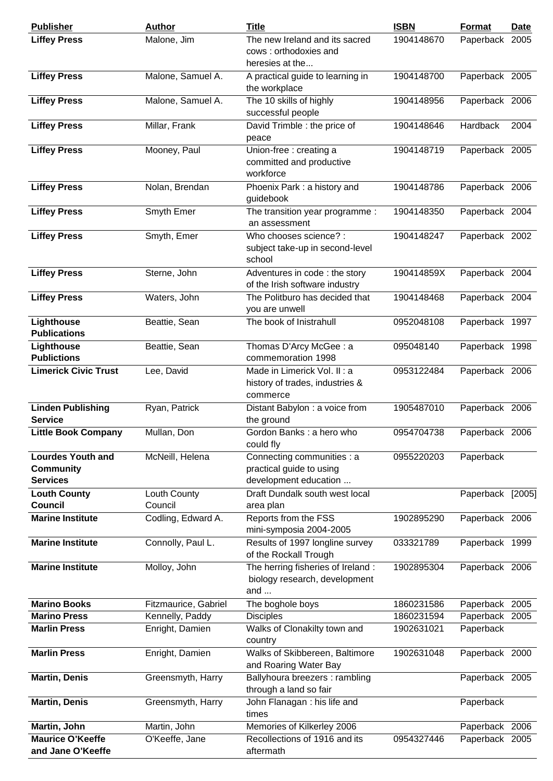| <b>Publisher</b>                                                | <b>Author</b>           | <b>Title</b>                                                                    | <b>ISBN</b> | Format           | <b>Date</b> |
|-----------------------------------------------------------------|-------------------------|---------------------------------------------------------------------------------|-------------|------------------|-------------|
| <b>Liffey Press</b>                                             | Malone, Jim             | The new Ireland and its sacred<br>cows: orthodoxies and<br>heresies at the      | 1904148670  | Paperback 2005   |             |
| <b>Liffey Press</b>                                             | Malone, Samuel A.       | A practical guide to learning in<br>the workplace                               | 1904148700  | Paperback 2005   |             |
| <b>Liffey Press</b>                                             | Malone, Samuel A.       | The 10 skills of highly<br>successful people                                    | 1904148956  | Paperback 2006   |             |
| <b>Liffey Press</b>                                             | Millar, Frank           | David Trimble : the price of<br>peace                                           | 1904148646  | <b>Hardback</b>  | 2004        |
| <b>Liffey Press</b>                                             | Mooney, Paul            | Union-free : creating a<br>committed and productive<br>workforce                | 1904148719  | Paperback 2005   |             |
| <b>Liffey Press</b>                                             | Nolan, Brendan          | Phoenix Park: a history and<br>guidebook                                        | 1904148786  | Paperback 2006   |             |
| <b>Liffey Press</b>                                             | Smyth Emer              | The transition year programme :<br>an assessment                                | 1904148350  | Paperback 2004   |             |
| <b>Liffey Press</b>                                             | Smyth, Emer             | Who chooses science? :<br>subject take-up in second-level<br>school             | 1904148247  | Paperback 2002   |             |
| <b>Liffey Press</b>                                             | Sterne, John            | Adventures in code: the story<br>of the Irish software industry                 | 190414859X  | Paperback 2004   |             |
| <b>Liffey Press</b>                                             | Waters, John            | The Politburo has decided that<br>you are unwell                                | 1904148468  | Paperback 2004   |             |
| Lighthouse<br><b>Publications</b>                               | Beattie, Sean           | The book of Inistrahull                                                         | 0952048108  | Paperback 1997   |             |
| Lighthouse<br><b>Publictions</b>                                | Beattie, Sean           | Thomas D'Arcy McGee : a<br>commemoration 1998                                   | 095048140   | Paperback 1998   |             |
| <b>Limerick Civic Trust</b>                                     | Lee, David              | Made in Limerick Vol. II: a<br>history of trades, industries &<br>commerce      | 0953122484  | Paperback 2006   |             |
| <b>Linden Publishing</b><br><b>Service</b>                      | Ryan, Patrick           | Distant Babylon: a voice from<br>the ground                                     | 1905487010  | Paperback 2006   |             |
| <b>Little Book Company</b>                                      | Mullan, Don             | Gordon Banks : a hero who<br>could fly                                          | 0954704738  | Paperback 2006   |             |
| <b>Lourdes Youth and</b><br><b>Community</b><br><b>Services</b> | McNeill, Helena         | Connecting communities : a<br>practical guide to using<br>development education | 0955220203  | Paperback        |             |
| <b>Louth County</b><br><b>Council</b>                           | Louth County<br>Council | Draft Dundalk south west local<br>area plan                                     |             | Paperback [2005] |             |
| <b>Marine Institute</b>                                         | Codling, Edward A.      | Reports from the FSS<br>mini-symposia 2004-2005                                 | 1902895290  | Paperback 2006   |             |
| <b>Marine Institute</b>                                         | Connolly, Paul L.       | Results of 1997 longline survey<br>of the Rockall Trough                        | 033321789   | Paperback 1999   |             |
| <b>Marine Institute</b>                                         | Molloy, John            | The herring fisheries of Ireland:<br>biology research, development<br>and       | 1902895304  | Paperback 2006   |             |
| <b>Marino Books</b>                                             | Fitzmaurice, Gabriel    | The boghole boys                                                                | 1860231586  | Paperback 2005   |             |
| <b>Marino Press</b>                                             | Kennelly, Paddy         | <b>Disciples</b>                                                                | 1860231594  | Paperback 2005   |             |
| <b>Marlin Press</b>                                             | Enright, Damien         | Walks of Clonakilty town and<br>country                                         | 1902631021  | Paperback        |             |
| <b>Marlin Press</b>                                             | Enright, Damien         | Walks of Skibbereen, Baltimore<br>and Roaring Water Bay                         | 1902631048  | Paperback 2000   |             |
| <b>Martin, Denis</b>                                            | Greensmyth, Harry       | Ballyhoura breezers : rambling<br>through a land so fair                        |             | Paperback 2005   |             |
| <b>Martin, Denis</b>                                            | Greensmyth, Harry       | John Flanagan : his life and<br>times                                           |             | Paperback        |             |
| Martin, John                                                    | Martin, John            | Memories of Kilkerley 2006                                                      |             | Paperback 2006   |             |
| <b>Maurice O'Keeffe</b><br>and Jane O'Keeffe                    | O'Keeffe, Jane          | Recollections of 1916 and its<br>aftermath                                      | 0954327446  | Paperback 2005   |             |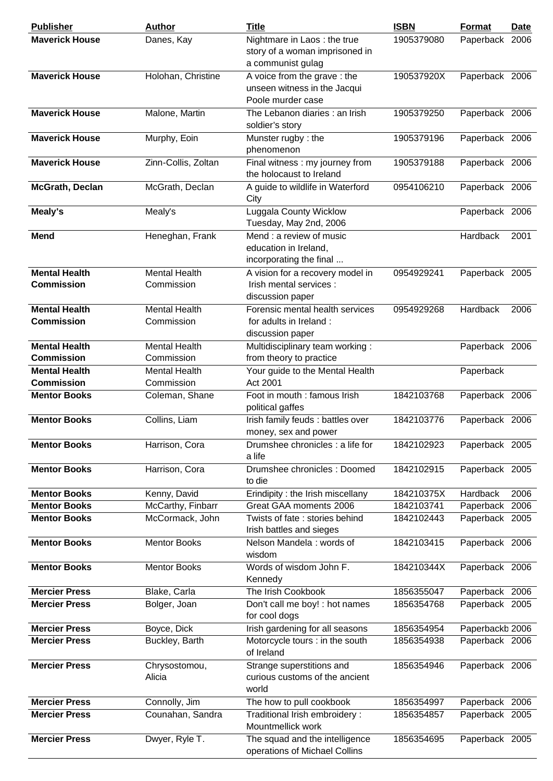| <b>Publisher</b>                          | <b>Author</b>                      | <b>Title</b>                                                                       | <b>ISBN</b> | <b>Format</b>   | <b>Date</b> |
|-------------------------------------------|------------------------------------|------------------------------------------------------------------------------------|-------------|-----------------|-------------|
| <b>Maverick House</b>                     | Danes, Kay                         | Nightmare in Laos: the true<br>story of a woman imprisoned in<br>a communist gulag | 1905379080  | Paperback 2006  |             |
| <b>Maverick House</b>                     | Holohan, Christine                 | A voice from the grave : the<br>unseen witness in the Jacqui<br>Poole murder case  | 190537920X  | Paperback 2006  |             |
| <b>Maverick House</b>                     | Malone, Martin                     | The Lebanon diaries : an Irish<br>soldier's story                                  | 1905379250  | Paperback 2006  |             |
| <b>Maverick House</b>                     | Murphy, Eoin                       | Munster rugby: the<br>phenomenon                                                   | 1905379196  | Paperback 2006  |             |
| <b>Maverick House</b>                     | Zinn-Collis, Zoltan                | Final witness : my journey from<br>the holocaust to Ireland                        | 1905379188  | Paperback 2006  |             |
| McGrath, Declan                           | McGrath, Declan                    | A guide to wildlife in Waterford<br>City                                           | 0954106210  | Paperback 2006  |             |
| Mealy's                                   | Mealy's                            | Luggala County Wicklow<br>Tuesday, May 2nd, 2006                                   |             | Paperback 2006  |             |
| <b>Mend</b>                               | Heneghan, Frank                    | Mend : a review of music<br>education in Ireland,<br>incorporating the final       |             | <b>Hardback</b> | 2001        |
| <b>Mental Health</b><br><b>Commission</b> | <b>Mental Health</b><br>Commission | A vision for a recovery model in<br>Irish mental services :<br>discussion paper    | 0954929241  | Paperback 2005  |             |
| <b>Mental Health</b><br><b>Commission</b> | <b>Mental Health</b><br>Commission | Forensic mental health services<br>for adults in Ireland :<br>discussion paper     | 0954929268  | Hardback        | 2006        |
| <b>Mental Health</b>                      | <b>Mental Health</b>               | Multidisciplinary team working:                                                    |             | Paperback 2006  |             |
| <b>Commission</b><br><b>Mental Health</b> | Commission<br><b>Mental Health</b> | from theory to practice<br>Your guide to the Mental Health                         |             |                 |             |
| <b>Commission</b>                         | Commission                         | Act 2001                                                                           |             | Paperback       |             |
| <b>Mentor Books</b>                       | Coleman, Shane                     | Foot in mouth: famous Irish<br>political gaffes                                    | 1842103768  | Paperback 2006  |             |
| <b>Mentor Books</b>                       | Collins, Liam                      | Irish family feuds : battles over<br>money, sex and power                          | 1842103776  | Paperback 2006  |             |
| <b>Mentor Books</b>                       | Harrison, Cora                     | Drumshee chronicles : a life for<br>a life                                         | 1842102923  | Paperback 2005  |             |
| <b>Mentor Books</b>                       | Harrison, Cora                     | Drumshee chronicles: Doomed<br>to die                                              | 1842102915  | Paperback 2005  |             |
| <b>Mentor Books</b>                       | Kenny, David                       | Erindipity: the Irish miscellany                                                   | 184210375X  | Hardback        | 2006        |
| <b>Mentor Books</b>                       | McCarthy, Finbarr                  | Great GAA moments 2006                                                             | 1842103741  | Paperback 2006  |             |
| <b>Mentor Books</b>                       | McCormack, John                    | Twists of fate: stories behind<br>Irish battles and sieges                         | 1842102443  | Paperback 2005  |             |
| <b>Mentor Books</b>                       | <b>Mentor Books</b>                | Nelson Mandela: words of<br>wisdom                                                 | 1842103415  | Paperback 2006  |             |
| <b>Mentor Books</b>                       | <b>Mentor Books</b>                | Words of wisdom John F.<br>Kennedy                                                 | 184210344X  | Paperback 2006  |             |
| <b>Mercier Press</b>                      | Blake, Carla                       | The Irish Cookbook                                                                 | 1856355047  | Paperback 2006  |             |
| <b>Mercier Press</b>                      | Bolger, Joan                       | Don't call me boy! : hot names<br>for cool dogs                                    | 1856354768  | Paperback 2005  |             |
| <b>Mercier Press</b>                      | Boyce, Dick                        | Irish gardening for all seasons                                                    | 1856354954  | Paperbackb 2006 |             |
| <b>Mercier Press</b>                      | Buckley, Barth                     | Motorcycle tours : in the south<br>of Ireland                                      | 1856354938  | Paperback 2006  |             |
| <b>Mercier Press</b>                      | Chrysostomou,<br>Alicia            | Strange superstitions and<br>curious customs of the ancient<br>world               | 1856354946  | Paperback 2006  |             |
| <b>Mercier Press</b>                      | Connolly, Jim                      | The how to pull cookbook                                                           | 1856354997  | Paperback 2006  |             |
| <b>Mercier Press</b>                      | Counahan, Sandra                   | Traditional Irish embroidery:<br>Mountmellick work                                 | 1856354857  | Paperback 2005  |             |
| <b>Mercier Press</b>                      | Dwyer, Ryle T.                     | The squad and the intelligence<br>operations of Michael Collins                    | 1856354695  | Paperback 2005  |             |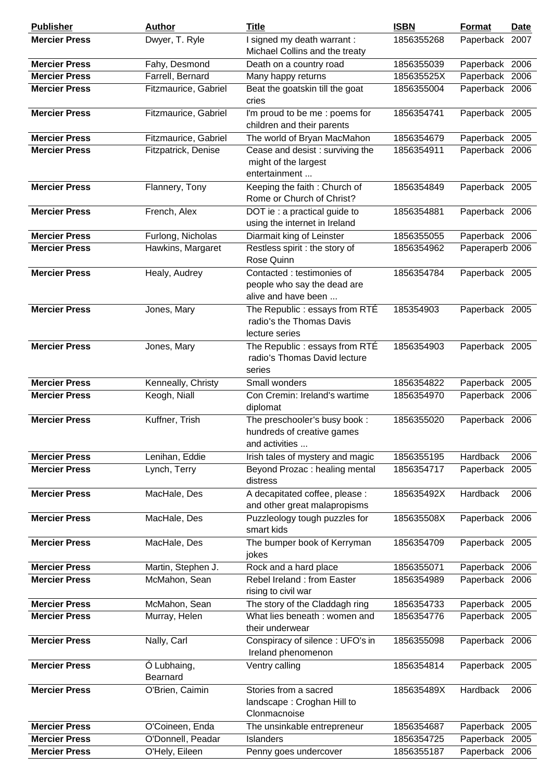| <b>Publisher</b>     | <b>Author</b>           | <b>Title</b>                                                                    | <b>ISBN</b> | Format          | <b>Date</b> |
|----------------------|-------------------------|---------------------------------------------------------------------------------|-------------|-----------------|-------------|
| <b>Mercier Press</b> | Dwyer, T. Ryle          | I signed my death warrant:<br>Michael Collins and the treaty                    | 1856355268  | Paperback 2007  |             |
| <b>Mercier Press</b> | Fahy, Desmond           | Death on a country road                                                         | 1856355039  | Paperback 2006  |             |
| <b>Mercier Press</b> | Farrell, Bernard        | Many happy returns                                                              | 185635525X  | Paperback 2006  |             |
| <b>Mercier Press</b> | Fitzmaurice, Gabriel    | Beat the goatskin till the goat<br>cries                                        | 1856355004  | Paperback 2006  |             |
| <b>Mercier Press</b> | Fitzmaurice, Gabriel    | I'm proud to be me : poems for<br>children and their parents                    | 1856354741  | Paperback 2005  |             |
| <b>Mercier Press</b> | Fitzmaurice, Gabriel    | The world of Bryan MacMahon                                                     | 1856354679  | Paperback 2005  |             |
| <b>Mercier Press</b> | Fitzpatrick, Denise     | Cease and desist: surviving the<br>might of the largest<br>entertainment        | 1856354911  | Paperback 2006  |             |
| <b>Mercier Press</b> | Flannery, Tony          | Keeping the faith: Church of<br>Rome or Church of Christ?                       | 1856354849  | Paperback 2005  |             |
| <b>Mercier Press</b> | French, Alex            | DOT ie : a practical guide to<br>using the internet in Ireland                  | 1856354881  | Paperback 2006  |             |
| <b>Mercier Press</b> | Furlong, Nicholas       | Diarmait king of Leinster                                                       | 1856355055  | Paperback 2006  |             |
| <b>Mercier Press</b> | Hawkins, Margaret       | Restless spirit : the story of<br>Rose Quinn                                    | 1856354962  | Paperaperb 2006 |             |
| <b>Mercier Press</b> | Healy, Audrey           | Contacted: testimonies of<br>people who say the dead are<br>alive and have been | 1856354784  | Paperback 2005  |             |
| <b>Mercier Press</b> | Jones, Mary             | The Republic : essays from RTÉ<br>radio's the Thomas Davis<br>lecture series    | 185354903   | Paperback 2005  |             |
| <b>Mercier Press</b> | Jones, Mary             | The Republic : essays from RTÉ<br>radio's Thomas David lecture<br>series        | 1856354903  | Paperback 2005  |             |
| <b>Mercier Press</b> | Kenneally, Christy      | Small wonders                                                                   | 1856354822  | Paperback 2005  |             |
| <b>Mercier Press</b> | Keogh, Niall            | Con Cremin: Ireland's wartime<br>diplomat                                       | 1856354970  | Paperback 2006  |             |
| <b>Mercier Press</b> | Kuffner, Trish          | The preschooler's busy book:<br>hundreds of creative games<br>and activities    | 1856355020  | Paperback 2006  |             |
| <b>Mercier Press</b> | Lenihan, Eddie          | Irish tales of mystery and magic                                                | 1856355195  | Hardback        | 2006        |
| <b>Mercier Press</b> | Lynch, Terry            | Beyond Prozac : healing mental<br>distress                                      | 1856354717  | Paperback 2005  |             |
| <b>Mercier Press</b> | MacHale, Des            | A decapitated coffee, please :<br>and other great malapropisms                  | 185635492X  | Hardback        | 2006        |
| <b>Mercier Press</b> | MacHale, Des            | Puzzleology tough puzzles for<br>smart kids                                     | 185635508X  | Paperback 2006  |             |
| <b>Mercier Press</b> | MacHale, Des            | The bumper book of Kerryman<br>jokes                                            | 1856354709  | Paperback 2005  |             |
| <b>Mercier Press</b> | Martin, Stephen J.      | Rock and a hard place                                                           | 1856355071  | Paperback 2006  |             |
| <b>Mercier Press</b> | McMahon, Sean           | Rebel Ireland : from Easter<br>rising to civil war                              | 1856354989  | Paperback 2006  |             |
| <b>Mercier Press</b> | McMahon, Sean           | The story of the Claddagh ring                                                  | 1856354733  | Paperback 2005  |             |
| <b>Mercier Press</b> | Murray, Helen           | What lies beneath: women and<br>their underwear                                 | 1856354776  | Paperback 2005  |             |
| <b>Mercier Press</b> | Nally, Carl             | Conspiracy of silence: UFO's in<br>Ireland phenomenon                           | 1856355098  | Paperback 2006  |             |
| <b>Mercier Press</b> | Ó Lubhaing,<br>Bearnard | Ventry calling                                                                  | 1856354814  | Paperback 2005  |             |
| <b>Mercier Press</b> | O'Brien, Caimin         | Stories from a sacred<br>landscape: Croghan Hill to<br>Clonmacnoise             | 185635489X  | Hardback        | 2006        |
| <b>Mercier Press</b> | O'Coineen, Enda         | The unsinkable entrepreneur                                                     | 1856354687  | Paperback       | 2005        |
| <b>Mercier Press</b> | O'Donnell, Peadar       | Islanders                                                                       | 1856354725  | Paperback 2005  |             |
| <b>Mercier Press</b> | O'Hely, Eileen          | Penny goes undercover                                                           | 1856355187  | Paperback 2006  |             |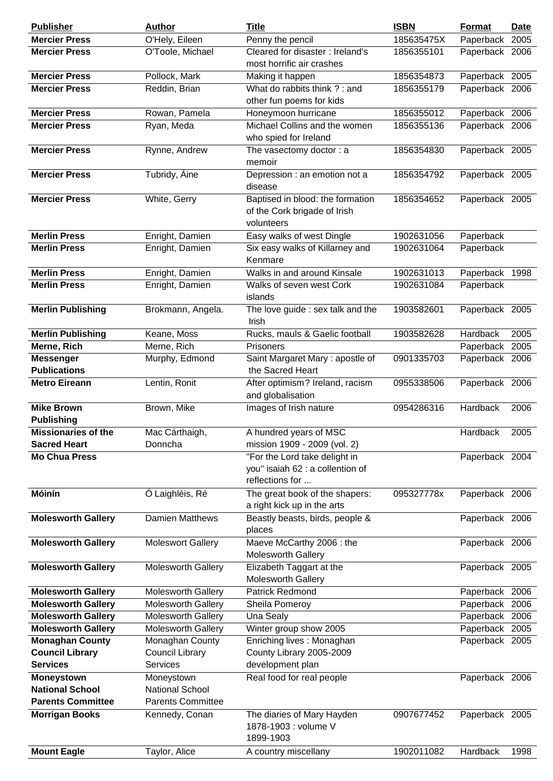| <b>Publisher</b>           | <b>Author</b>            | <b>Title</b>                      | <b>ISBN</b> | Format         | <u>Date</u> |
|----------------------------|--------------------------|-----------------------------------|-------------|----------------|-------------|
| <b>Mercier Press</b>       | O'Hely, Eileen           | Penny the pencil                  | 185635475X  | Paperback      | 2005        |
| <b>Mercier Press</b>       | O'Toole, Michael         | Cleared for disaster: Ireland's   | 1856355101  | Paperback 2006 |             |
|                            |                          | most horrific air crashes         |             |                |             |
| <b>Mercier Press</b>       | Pollock, Mark            | Making it happen                  | 1856354873  | Paperback 2005 |             |
| <b>Mercier Press</b>       | Reddin, Brian            | What do rabbits think ? : and     | 1856355179  | Paperback 2006 |             |
|                            |                          | other fun poems for kids          |             |                |             |
| <b>Mercier Press</b>       | Rowan, Pamela            | Honeymoon hurricane               | 1856355012  | Paperback 2006 |             |
| <b>Mercier Press</b>       | Ryan, Meda               | Michael Collins and the women     | 1856355136  | Paperback 2006 |             |
|                            |                          | who spied for Ireland             |             |                |             |
| <b>Mercier Press</b>       | Rynne, Andrew            | The vasectomy doctor: a           | 1856354830  | Paperback 2005 |             |
|                            |                          | memoir                            |             |                |             |
| <b>Mercier Press</b>       | Tubridy, Aine            | Depression : an emotion not a     | 1856354792  | Paperback 2005 |             |
|                            |                          | disease                           |             |                |             |
| <b>Mercier Press</b>       | White, Gerry             | Baptised in blood: the formation  | 1856354652  | Paperback 2005 |             |
|                            |                          | of the Cork brigade of Irish      |             |                |             |
|                            |                          | volunteers                        |             |                |             |
| <b>Merlin Press</b>        | Enright, Damien          | Easy walks of west Dingle         | 1902631056  | Paperback      |             |
| <b>Merlin Press</b>        | Enright, Damien          | Six easy walks of Killarney and   | 1902631064  | Paperback      |             |
|                            |                          | Kenmare                           |             |                |             |
| <b>Merlin Press</b>        |                          | Walks in and around Kinsale       |             |                |             |
|                            | Enright, Damien          |                                   | 1902631013  | Paperback 1998 |             |
| <b>Merlin Press</b>        | Enright, Damien          | Walks of seven west Cork          | 1902631084  | Paperback      |             |
|                            |                          | islands                           |             |                |             |
| <b>Merlin Publishing</b>   | Brokmann, Angela.        | The love guide : sex talk and the | 1903582601  | Paperback 2005 |             |
|                            |                          | Irish                             |             |                |             |
| <b>Merlin Publishing</b>   | Keane, Moss              | Rucks, mauls & Gaelic football    | 1903582628  | Hardback       | 2005        |
| Merne, Rich                | Merne, Rich              | Prisoners                         |             | Paperback      | 2005        |
| <b>Messenger</b>           | Murphy, Edmond           | Saint Margaret Mary : apostle of  | 0901335703  | Paperback 2006 |             |
| <b>Publications</b>        |                          | the Sacred Heart                  |             |                |             |
| <b>Metro Eireann</b>       | Lentin, Ronit            | After optimism? Ireland, racism   | 0955338506  | Paperback 2006 |             |
|                            |                          | and globalisation                 |             |                |             |
| <b>Mike Brown</b>          | Brown, Mike              | Images of Irish nature            | 0954286316  | Hardback       | 2006        |
| <b>Publishing</b>          |                          |                                   |             |                |             |
| <b>Missionaries of the</b> | Mac Cárthaigh,           | A hundred years of MSC            |             | Hardback       | 2005        |
| <b>Sacred Heart</b>        | Donncha                  | mission 1909 - 2009 (vol. 2)      |             |                |             |
| <b>Mo Chua Press</b>       |                          | "For the Lord take delight in     |             | Paperback 2004 |             |
|                            |                          | you" isaiah 62 : a collention of  |             |                |             |
|                            |                          | reflections for                   |             |                |             |
| Móinín                     | Ó Laighléis, Ré          | The great book of the shapers:    | 095327778x  | Paperback 2006 |             |
|                            |                          | a right kick up in the arts       |             |                |             |
| <b>Molesworth Gallery</b>  | Damien Matthews          | Beastly beasts, birds, people &   |             | Paperback 2006 |             |
|                            |                          | places                            |             |                |             |
| <b>Molesworth Gallery</b>  | <b>Moleswort Gallery</b> | Maeve McCarthy 2006: the          |             | Paperback 2006 |             |
|                            |                          | Molesworth Gallery                |             |                |             |
| <b>Molesworth Gallery</b>  | Molesworth Gallery       | Elizabeth Taggart at the          |             | Paperback 2005 |             |
|                            |                          | <b>Molesworth Gallery</b>         |             |                |             |
| <b>Molesworth Gallery</b>  | Molesworth Gallery       | <b>Patrick Redmond</b>            |             | Paperback 2006 |             |
| <b>Molesworth Gallery</b>  | Molesworth Gallery       | Sheila Pomeroy                    |             | Paperback 2006 |             |
| <b>Molesworth Gallery</b>  | Molesworth Gallery       | Una Sealy                         |             | Paperback      | 2006        |
| <b>Molesworth Gallery</b>  | Molesworth Gallery       | Winter group show 2005            |             | Paperback 2005 |             |
| <b>Monaghan County</b>     | Monaghan County          | Enriching lives: Monaghan         |             | Paperback 2005 |             |
| <b>Council Library</b>     | <b>Council Library</b>   | County Library 2005-2009          |             |                |             |
| <b>Services</b>            | <b>Services</b>          | development plan                  |             |                |             |
| <b>Moneystown</b>          | Moneystown               | Real food for real people         |             | Paperback 2006 |             |
| <b>National School</b>     | <b>National School</b>   |                                   |             |                |             |
| <b>Parents Committee</b>   | <b>Parents Committee</b> |                                   |             |                |             |
| <b>Morrigan Books</b>      | Kennedy, Conan           | The diaries of Mary Hayden        | 0907677452  | Paperback 2005 |             |
|                            |                          | 1878-1903 : volume V              |             |                |             |
|                            |                          | 1899-1903                         |             |                |             |
|                            |                          |                                   | 1902011082  | Hardback       |             |
| <b>Mount Eagle</b>         | Taylor, Alice            | A country miscellany              |             |                | 1998        |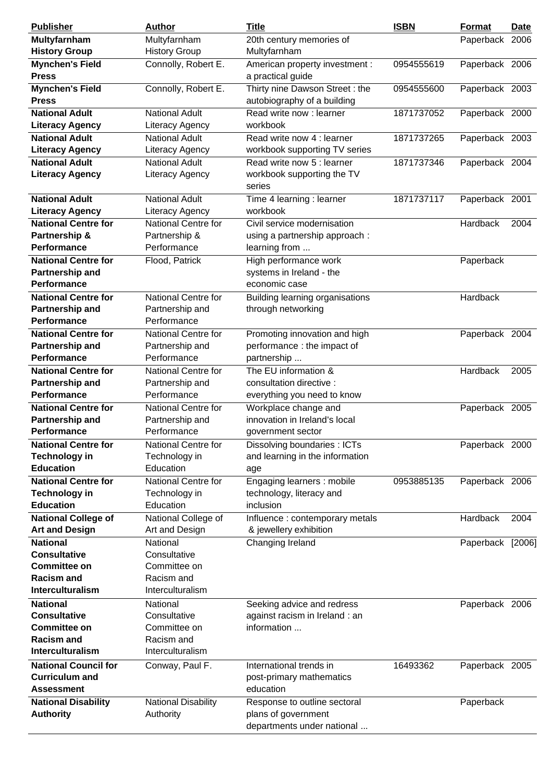| <b>Publisher</b>            | <b>Author</b>              | <b>Title</b>                                    | <b>ISBN</b> | <b>Format</b>    | <b>Date</b> |
|-----------------------------|----------------------------|-------------------------------------------------|-------------|------------------|-------------|
| Multyfarnham                | Multyfarnham               | 20th century memories of                        |             | Paperback 2006   |             |
| <b>History Group</b>        | <b>History Group</b>       | Multyfarnham                                    |             |                  |             |
| <b>Mynchen's Field</b>      | Connolly, Robert E.        | American property investment :                  | 0954555619  | Paperback 2006   |             |
| <b>Press</b>                |                            | a practical guide                               |             |                  |             |
| <b>Mynchen's Field</b>      | Connolly, Robert E.        | Thirty nine Dawson Street: the                  | 0954555600  | Paperback 2003   |             |
| <b>Press</b>                |                            | autobiography of a building                     |             |                  |             |
| <b>National Adult</b>       | <b>National Adult</b>      | Read write now : learner                        | 1871737052  | Paperback 2000   |             |
| <b>Literacy Agency</b>      | Literacy Agency            | workbook                                        |             |                  |             |
| <b>National Adult</b>       | <b>National Adult</b>      | Read write now 4 : learner                      | 1871737265  | Paperback 2003   |             |
| <b>Literacy Agency</b>      | Literacy Agency            | workbook supporting TV series                   |             |                  |             |
| <b>National Adult</b>       | <b>National Adult</b>      | Read write now 5 : learner                      | 1871737346  | Paperback 2004   |             |
| <b>Literacy Agency</b>      | <b>Literacy Agency</b>     | workbook supporting the TV                      |             |                  |             |
|                             |                            | series                                          |             |                  |             |
| <b>National Adult</b>       | <b>National Adult</b>      | Time 4 learning : learner                       | 1871737117  | Paperback 2001   |             |
| <b>Literacy Agency</b>      | <b>Literacy Agency</b>     | workbook                                        |             |                  |             |
| <b>National Centre for</b>  | National Centre for        | Civil service modernisation                     |             | Hardback         | 2004        |
| Partnership &               | Partnership &              |                                                 |             |                  |             |
| Performance                 | Performance                | using a partnership approach :<br>learning from |             |                  |             |
| <b>National Centre for</b>  |                            |                                                 |             |                  |             |
|                             | Flood, Patrick             | High performance work                           |             | Paperback        |             |
| Partnership and             |                            | systems in Ireland - the                        |             |                  |             |
| <b>Performance</b>          |                            | economic case                                   |             |                  |             |
| <b>National Centre for</b>  | National Centre for        | Building learning organisations                 |             | Hardback         |             |
| Partnership and             | Partnership and            | through networking                              |             |                  |             |
| Performance                 | Performance                |                                                 |             |                  |             |
| <b>National Centre for</b>  | National Centre for        | Promoting innovation and high                   |             | Paperback 2004   |             |
| <b>Partnership and</b>      | Partnership and            | performance : the impact of                     |             |                  |             |
| Performance                 | Performance                | partnership                                     |             |                  |             |
| <b>National Centre for</b>  | <b>National Centre for</b> | The EU information &                            |             | Hardback         | 2005        |
| Partnership and             | Partnership and            | consultation directive :                        |             |                  |             |
| <b>Performance</b>          | Performance                | everything you need to know                     |             |                  |             |
| <b>National Centre for</b>  | National Centre for        | Workplace change and                            |             | Paperback 2005   |             |
| Partnership and             | Partnership and            | innovation in Ireland's local                   |             |                  |             |
| Performance                 | Performance                | government sector                               |             |                  |             |
| <b>National Centre for</b>  | National Centre for        | Dissolving boundaries: ICTs                     |             | Paperback 2000   |             |
| <b>Technology in</b>        | Technology in              | and learning in the information                 |             |                  |             |
| <b>Education</b>            | Education                  | age                                             |             |                  |             |
| <b>National Centre for</b>  | National Centre for        | Engaging learners: mobile                       | 0953885135  | Paperback 2006   |             |
| <b>Technology in</b>        | Technology in              | technology, literacy and                        |             |                  |             |
| <b>Education</b>            | Education                  | inclusion                                       |             |                  |             |
| <b>National College of</b>  | National College of        | Influence : contemporary metals                 |             | Hardback         | 2004        |
| <b>Art and Design</b>       | Art and Design             | & jewellery exhibition                          |             |                  |             |
| <b>National</b>             | National                   | Changing Ireland                                |             | Paperback [2006] |             |
| <b>Consultative</b>         | Consultative               |                                                 |             |                  |             |
| <b>Committee on</b>         | Committee on               |                                                 |             |                  |             |
| <b>Racism and</b>           | Racism and                 |                                                 |             |                  |             |
| Interculturalism            | Interculturalism           |                                                 |             |                  |             |
| <b>National</b>             | National                   | Seeking advice and redress                      |             | Paperback 2006   |             |
| <b>Consultative</b>         | Consultative               | against racism in Ireland : an                  |             |                  |             |
| <b>Committee on</b>         | Committee on               | information                                     |             |                  |             |
| <b>Racism and</b>           | Racism and                 |                                                 |             |                  |             |
| <b>Interculturalism</b>     | Interculturalism           |                                                 |             |                  |             |
|                             |                            |                                                 |             |                  |             |
| <b>National Council for</b> | Conway, Paul F.            | International trends in                         | 16493362    | Paperback 2005   |             |
| <b>Curriculum and</b>       |                            | post-primary mathematics                        |             |                  |             |
| <b>Assessment</b>           |                            | education                                       |             |                  |             |
| <b>National Disability</b>  | <b>National Disability</b> | Response to outline sectoral                    |             | Paperback        |             |
| <b>Authority</b>            | Authority                  | plans of government                             |             |                  |             |
|                             |                            | departments under national                      |             |                  |             |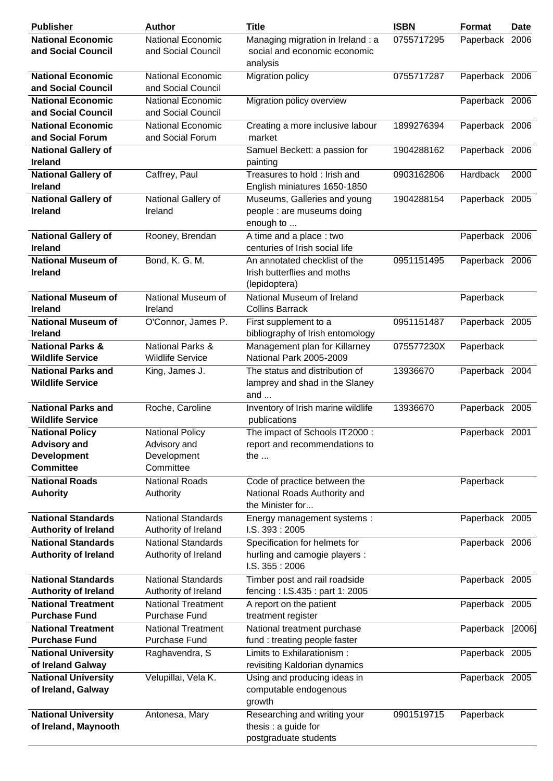| <b>Publisher</b>                                                                        | <b>Author</b>                                                      | <b>Title</b>                                                                     | <b>ISBN</b> | <b>Format</b>    | <b>Date</b> |
|-----------------------------------------------------------------------------------------|--------------------------------------------------------------------|----------------------------------------------------------------------------------|-------------|------------------|-------------|
| <b>National Economic</b><br>and Social Council                                          | <b>National Economic</b><br>and Social Council                     | Managing migration in Ireland: a<br>social and economic economic<br>analysis     | 0755717295  | Paperback 2006   |             |
| <b>National Economic</b><br>and Social Council                                          | <b>National Economic</b><br>and Social Council                     | <b>Migration policy</b>                                                          | 0755717287  | Paperback 2006   |             |
| <b>National Economic</b><br>and Social Council                                          | <b>National Economic</b><br>and Social Council                     | Migration policy overview                                                        |             | Paperback 2006   |             |
| <b>National Economic</b><br>and Social Forum                                            | <b>National Economic</b><br>and Social Forum                       | Creating a more inclusive labour<br>market                                       | 1899276394  | Paperback 2006   |             |
| <b>National Gallery of</b><br><b>Ireland</b>                                            |                                                                    | Samuel Beckett: a passion for<br>painting                                        | 1904288162  | Paperback 2006   |             |
| <b>National Gallery of</b><br><b>Ireland</b>                                            | Caffrey, Paul                                                      | Treasures to hold: Irish and<br>English miniatures 1650-1850                     | 0903162806  | Hardback         | 2000        |
| <b>National Gallery of</b><br><b>Ireland</b>                                            | National Gallery of<br>Ireland                                     | Museums, Galleries and young<br>people : are museums doing<br>enough to          | 1904288154  | Paperback 2005   |             |
| <b>National Gallery of</b><br><b>Ireland</b>                                            | Rooney, Brendan                                                    | A time and a place: two<br>centuries of Irish social life                        |             | Paperback 2006   |             |
| <b>National Museum of</b><br><b>Ireland</b>                                             | Bond, K. G. M.                                                     | An annotated checklist of the<br>Irish butterflies and moths<br>(lepidoptera)    | 0951151495  | Paperback 2006   |             |
| <b>National Museum of</b><br>Ireland                                                    | National Museum of<br>Ireland                                      | National Museum of Ireland<br><b>Collins Barrack</b>                             |             | Paperback        |             |
| <b>National Museum of</b><br><b>Ireland</b>                                             | O'Connor, James P.                                                 | First supplement to a<br>bibliography of Irish entomology                        | 0951151487  | Paperback 2005   |             |
| <b>National Parks &amp;</b><br><b>Wildlife Service</b>                                  | National Parks &<br><b>Wildlife Service</b>                        | Management plan for Killarney<br>National Park 2005-2009                         | 075577230X  | Paperback        |             |
| <b>National Parks and</b><br><b>Wildlife Service</b>                                    | King, James J.                                                     | The status and distribution of<br>lamprey and shad in the Slaney<br>and $\dots$  | 13936670    | Paperback 2004   |             |
| <b>National Parks and</b><br><b>Wildlife Service</b>                                    | Roche, Caroline                                                    | Inventory of Irish marine wildlife<br>publications                               | 13936670    | Paperback 2005   |             |
| <b>National Policy</b><br><b>Advisory and</b><br><b>Development</b><br><b>Committee</b> | <b>National Policy</b><br>Advisory and<br>Development<br>Committee | The impact of Schools IT2000:<br>report and recommendations to<br>the $\dots$    |             | Paperback 2001   |             |
| <b>National Roads</b><br><b>Auhority</b>                                                | <b>National Roads</b><br>Authority                                 | Code of practice between the<br>National Roads Authority and<br>the Minister for |             | Paperback        |             |
| <b>National Standards</b><br><b>Authority of Ireland</b>                                | <b>National Standards</b><br>Authority of Ireland                  | Energy management systems :<br>I.S. 393: 2005                                    |             | Paperback 2005   |             |
| <b>National Standards</b><br><b>Authority of Ireland</b>                                | <b>National Standards</b><br>Authority of Ireland                  | Specification for helmets for<br>hurling and camogie players :<br>I.S. 355: 2006 |             | Paperback 2006   |             |
| <b>National Standards</b><br><b>Authority of Ireland</b>                                | <b>National Standards</b><br>Authority of Ireland                  | Timber post and rail roadside<br>fencing: I.S.435: part 1: 2005                  |             | Paperback 2005   |             |
| <b>National Treatment</b><br><b>Purchase Fund</b>                                       | <b>National Treatment</b><br>Purchase Fund                         | A report on the patient<br>treatment register                                    |             | Paperback 2005   |             |
| <b>National Treatment</b><br><b>Purchase Fund</b>                                       | <b>National Treatment</b><br><b>Purchase Fund</b>                  | National treatment purchase<br>fund : treating people faster                     |             | Paperback [2006] |             |
| <b>National University</b><br>of Ireland Galway                                         | Raghavendra, S                                                     | Limits to Exhilarationism:<br>revisiting Kaldorian dynamics                      |             | Paperback 2005   |             |
| <b>National University</b><br>of Ireland, Galway                                        | Velupillai, Vela K.                                                | Using and producing ideas in<br>computable endogenous<br>growth                  |             | Paperback 2005   |             |
| <b>National University</b><br>of Ireland, Maynooth                                      | Antonesa, Mary                                                     | Researching and writing your<br>thesis : a guide for<br>postgraduate students    | 0901519715  | Paperback        |             |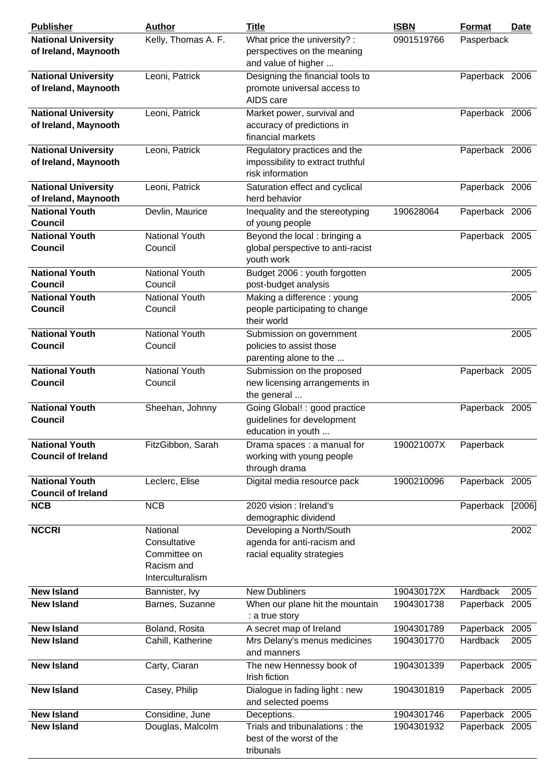| <b>Publisher</b>                                   | <b>Author</b>                                                              | <b>Title</b>                                                                          | <b>ISBN</b>              | Format                     | Date   |
|----------------------------------------------------|----------------------------------------------------------------------------|---------------------------------------------------------------------------------------|--------------------------|----------------------------|--------|
| <b>National University</b><br>of Ireland, Maynooth | Kelly, Thomas A. F.                                                        | What price the university? :<br>perspectives on the meaning<br>and value of higher    | 0901519766               | Pasperback                 |        |
| <b>National University</b><br>of Ireland, Maynooth | Leoni, Patrick                                                             | Designing the financial tools to<br>promote universal access to<br>AIDS care          |                          | Paperback 2006             |        |
| <b>National University</b><br>of Ireland, Maynooth | Leoni, Patrick                                                             | Market power, survival and<br>accuracy of predictions in<br>financial markets         |                          | Paperback 2006             |        |
| <b>National University</b><br>of Ireland, Maynooth | Leoni, Patrick                                                             | Regulatory practices and the<br>impossibility to extract truthful<br>risk information |                          | Paperback 2006             |        |
| <b>National University</b><br>of Ireland, Maynooth | Leoni, Patrick                                                             | Saturation effect and cyclical<br>herd behavior                                       |                          | Paperback 2006             |        |
| <b>National Youth</b><br><b>Council</b>            | Devlin, Maurice                                                            | Inequality and the stereotyping<br>of young people                                    | 190628064                | Paperback 2006             |        |
| <b>National Youth</b><br><b>Council</b>            | <b>National Youth</b><br>Council                                           | Beyond the local: bringing a<br>global perspective to anti-racist<br>youth work       |                          | Paperback 2005             |        |
| <b>National Youth</b><br><b>Council</b>            | National Youth<br>Council                                                  | Budget 2006 : youth forgotten<br>post-budget analysis                                 |                          |                            | 2005   |
| <b>National Youth</b><br><b>Council</b>            | <b>National Youth</b><br>Council                                           | Making a difference : young<br>people participating to change<br>their world          |                          |                            | 2005   |
| <b>National Youth</b><br><b>Council</b>            | <b>National Youth</b><br>Council                                           | Submission on government<br>policies to assist those<br>parenting alone to the        |                          |                            | 2005   |
| <b>National Youth</b><br><b>Council</b>            | <b>National Youth</b><br>Council                                           | Submission on the proposed<br>new licensing arrangements in<br>the general            |                          | Paperback 2005             |        |
| <b>National Youth</b><br><b>Council</b>            | Sheehan, Johnny                                                            | Going Global! : good practice<br>guidelines for development<br>education in youth     |                          | Paperback 2005             |        |
| <b>National Youth</b><br><b>Council of Ireland</b> | FitzGibbon, Sarah                                                          | Drama spaces : a manual for<br>working with young people<br>through drama             | 190021007X               | Paperback                  |        |
| <b>National Youth</b><br><b>Council of Ireland</b> | Leclerc, Elise                                                             | Digital media resource pack                                                           | 1900210096               | Paperback 2005             |        |
| <b>NCB</b>                                         | <b>NCB</b>                                                                 | 2020 vision : Ireland's<br>demographic dividend                                       |                          | Paperback                  | [2006] |
| <b>NCCRI</b>                                       | National<br>Consultative<br>Committee on<br>Racism and<br>Interculturalism | Developing a North/South<br>agenda for anti-racism and<br>racial equality strategies  |                          |                            | 2002   |
| <b>New Island</b>                                  | Bannister, Ivy                                                             | <b>New Dubliners</b>                                                                  | 190430172X               | Hardback                   | 2005   |
| <b>New Island</b>                                  | Barnes, Suzanne                                                            | When our plane hit the mountain<br>: a true story                                     | 1904301738               | Paperback 2005             |        |
| <b>New Island</b>                                  | Boland, Rosita                                                             | A secret map of Ireland                                                               | 1904301789               | Paperback                  | 2005   |
| <b>New Island</b><br><b>New Island</b>             | Cahill, Katherine<br>Carty, Ciaran                                         | Mrs Delany's menus medicines<br>and manners<br>The new Hennessy book of               | 1904301770<br>1904301339 | Hardback<br>Paperback 2005 | 2005   |
| <b>New Island</b>                                  |                                                                            | Irish fiction                                                                         |                          |                            |        |
|                                                    | Casey, Philip                                                              | Dialogue in fading light : new<br>and selected poems                                  | 1904301819               | Paperback 2005             |        |
| <b>New Island</b>                                  | Considine, June                                                            | Deceptions.                                                                           | 1904301746               | Paperback 2005             |        |
| <b>New Island</b>                                  | Douglas, Malcolm                                                           | Trials and tribunalations: the<br>best of the worst of the<br>tribunals               | 1904301932               | Paperback 2005             |        |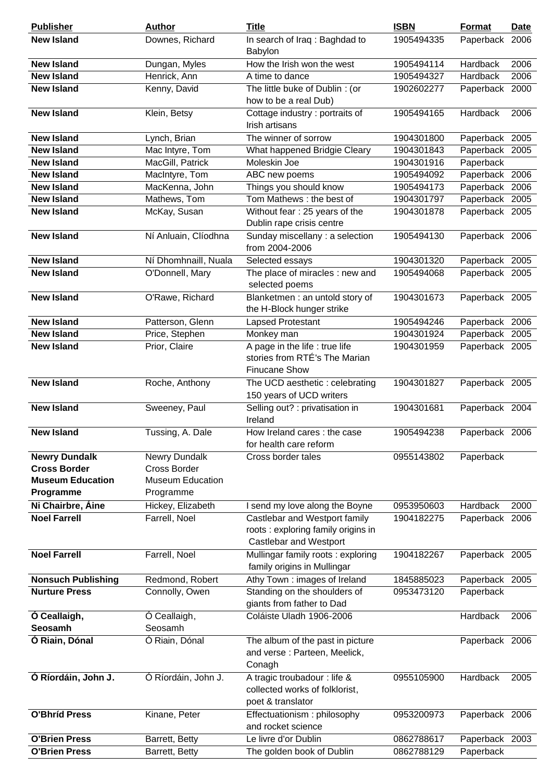| <b>Publisher</b>          | <b>Author</b>           | <b>Title</b>                                                                                  | <b>ISBN</b> | <b>Format</b>   | <b>Date</b> |
|---------------------------|-------------------------|-----------------------------------------------------------------------------------------------|-------------|-----------------|-------------|
| <b>New Island</b>         | Downes, Richard         | In search of Iraq: Baghdad to<br>Babylon                                                      | 1905494335  | Paperback 2006  |             |
| <b>New Island</b>         | Dungan, Myles           | How the Irish won the west                                                                    | 1905494114  | Hardback        | 2006        |
| <b>New Island</b>         | Henrick, Ann            | A time to dance                                                                               | 1905494327  | <b>Hardback</b> | 2006        |
| <b>New Island</b>         | Kenny, David            | The little buke of Dublin: (or<br>how to be a real Dub)                                       | 1902602277  | Paperback 2000  |             |
| <b>New Island</b>         | Klein, Betsy            | Cottage industry : portraits of<br>Irish artisans                                             | 1905494165  | Hardback        | 2006        |
| <b>New Island</b>         | Lynch, Brian            | The winner of sorrow                                                                          | 1904301800  | Paperback 2005  |             |
| <b>New Island</b>         | Mac Intyre, Tom         | What happened Bridgie Cleary                                                                  | 1904301843  | Paperback 2005  |             |
| <b>New Island</b>         | MacGill, Patrick        | Moleskin Joe                                                                                  | 1904301916  | Paperback       |             |
| <b>New Island</b>         | MacIntyre, Tom          | ABC new poems                                                                                 | 1905494092  | Paperback 2006  |             |
| <b>New Island</b>         | MacKenna, John          | Things you should know                                                                        | 1905494173  | Paperback       | 2006        |
| <b>New Island</b>         | Mathews, Tom            | Tom Mathews: the best of                                                                      | 1904301797  | Paperback 2005  |             |
| <b>New Island</b>         | McKay, Susan            | Without fear: 25 years of the<br>Dublin rape crisis centre                                    | 1904301878  | Paperback 2005  |             |
| <b>New Island</b>         | Ní Anluain, Clíodhna    | Sunday miscellany : a selection<br>from 2004-2006                                             | 1905494130  | Paperback 2006  |             |
| <b>New Island</b>         | Ní Dhomhnaill, Nuala    | Selected essays                                                                               | 1904301320  | Paperback 2005  |             |
| <b>New Island</b>         | O'Donnell, Mary         | The place of miracles : new and<br>selected poems                                             | 1905494068  | Paperback 2005  |             |
| <b>New Island</b>         | O'Rawe, Richard         | Blanketmen : an untold story of<br>the H-Block hunger strike                                  | 1904301673  | Paperback 2005  |             |
| <b>New Island</b>         | Patterson, Glenn        | <b>Lapsed Protestant</b>                                                                      | 1905494246  | Paperback 2006  |             |
| <b>New Island</b>         | Price, Stephen          | Monkey man                                                                                    | 1904301924  | Paperback 2005  |             |
| <b>New Island</b>         | Prior, Claire           | A page in the life : true life<br>stories from RTÉ's The Marian<br><b>Finucane Show</b>       | 1904301959  | Paperback 2005  |             |
| <b>New Island</b>         | Roche, Anthony          | The UCD aesthetic: celebrating<br>150 years of UCD writers                                    | 1904301827  | Paperback 2005  |             |
| <b>New Island</b>         | Sweeney, Paul           | Selling out? : privatisation in<br>Ireland                                                    | 1904301681  | Paperback 2004  |             |
| <b>New Island</b>         | Tussing, A. Dale        | How Ireland cares: the case<br>for health care reform                                         | 1905494238  | Paperback 2006  |             |
| <b>Newry Dundalk</b>      | <b>Newry Dundalk</b>    | Cross border tales                                                                            | 0955143802  | Paperback       |             |
| <b>Cross Border</b>       | Cross Border            |                                                                                               |             |                 |             |
| <b>Museum Education</b>   | <b>Museum Education</b> |                                                                                               |             |                 |             |
| Programme                 | Programme               |                                                                                               |             |                 |             |
| Ni Chairbre, Aine         | Hickey, Elizabeth       | I send my love along the Boyne                                                                | 0953950603  | Hardback        | 2000        |
| <b>Noel Farrell</b>       | Farrell, Noel           | Castlebar and Westport family<br>roots: exploring family origins in<br>Castlebar and Westport | 1904182275  | Paperback 2006  |             |
| <b>Noel Farrell</b>       | Farrell, Noel           | Mullingar family roots: exploring<br>family origins in Mullingar                              | 1904182267  | Paperback 2005  |             |
| <b>Nonsuch Publishing</b> | Redmond, Robert         | Athy Town: images of Ireland                                                                  | 1845885023  | Paperback 2005  |             |
| <b>Nurture Press</b>      | Connolly, Owen          | Standing on the shoulders of<br>giants from father to Dad                                     | 0953473120  | Paperback       |             |
| Ó Ceallaigh,              | Ó Ceallaigh,            | Coláiste Uladh 1906-2006                                                                      |             | Hardback        | 2006        |
| Seosamh                   | Seosamh                 |                                                                                               |             |                 |             |
| Ó Riain, Dónal            | Ó Riain, Dónal          | The album of the past in picture<br>and verse: Parteen, Meelick,<br>Conagh                    |             | Paperback 2006  |             |
| Ó Ríordáin, John J.       | Ó Ríordáin, John J.     | A tragic troubadour : life &<br>collected works of folklorist,<br>poet & translator           | 0955105900  | Hardback        | 2005        |
| <b>O'Bhrid Press</b>      | Kinane, Peter           | Effectuationism: philosophy<br>and rocket science                                             | 0953200973  | Paperback 2006  |             |
| <b>O'Brien Press</b>      | Barrett, Betty          | Le livre d'or Dublin                                                                          | 0862788617  | Paperback 2003  |             |
| <b>O'Brien Press</b>      | Barrett, Betty          | The golden book of Dublin                                                                     | 0862788129  | Paperback       |             |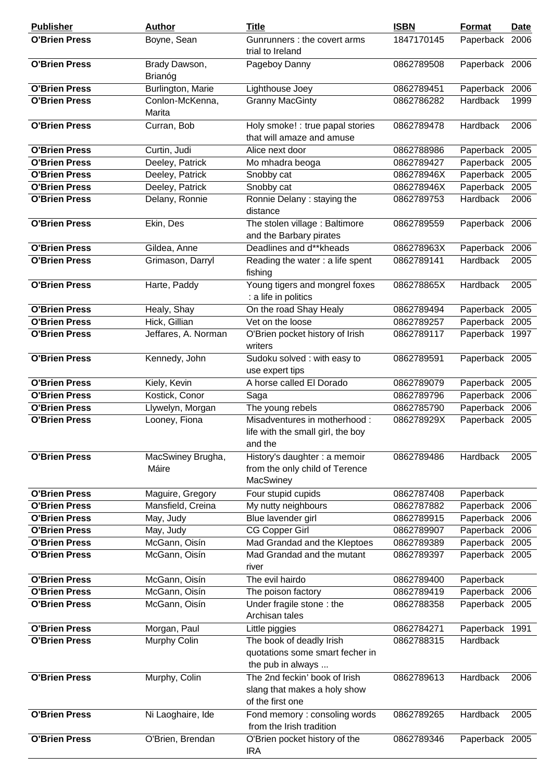| <b>Publisher</b>     | <b>Author</b>              | <b>Title</b>                                                                      | <b>ISBN</b> | <b>Format</b>  | <b>Date</b> |
|----------------------|----------------------------|-----------------------------------------------------------------------------------|-------------|----------------|-------------|
| <b>O'Brien Press</b> | Boyne, Sean                | Gunrunners : the covert arms<br>trial to Ireland                                  | 1847170145  | Paperback 2006 |             |
| <b>O'Brien Press</b> | Brady Dawson,<br>Brianóg   | Pageboy Danny                                                                     | 0862789508  | Paperback 2006 |             |
| <b>O'Brien Press</b> | Burlington, Marie          | Lighthouse Joey                                                                   | 0862789451  | Paperback      | 2006        |
| <b>O'Brien Press</b> | Conlon-McKenna,<br>Marita  | <b>Granny MacGinty</b>                                                            | 0862786282  | Hardback       | 1999        |
| <b>O'Brien Press</b> | Curran, Bob                | Holy smoke! : true papal stories<br>that will amaze and amuse                     | 0862789478  | Hardback       | 2006        |
| <b>O'Brien Press</b> | Curtin, Judi               | Alice next door                                                                   | 0862788986  | Paperback 2005 |             |
| <b>O'Brien Press</b> | Deeley, Patrick            | Mo mhadra beoga                                                                   | 0862789427  | Paperback      | 2005        |
| <b>O'Brien Press</b> | Deeley, Patrick            | Snobby cat                                                                        | 086278946X  | Paperback      | 2005        |
| <b>O'Brien Press</b> | Deeley, Patrick            | Snobby cat                                                                        | 086278946X  | Paperback      | 2005        |
| <b>O'Brien Press</b> | Delany, Ronnie             | Ronnie Delany: staying the<br>distance                                            | 0862789753  | Hardback       | 2006        |
| <b>O'Brien Press</b> | Ekin, Des                  | The stolen village : Baltimore<br>and the Barbary pirates                         | 0862789559  | Paperback 2006 |             |
| <b>O'Brien Press</b> | Gildea, Anne               | Deadlines and d**kheads                                                           | 086278963X  | Paperback      | 2006        |
| <b>O'Brien Press</b> | Grimason, Darryl           | Reading the water: a life spent<br>fishing                                        | 0862789141  | Hardback       | 2005        |
| <b>O'Brien Press</b> | Harte, Paddy               | Young tigers and mongrel foxes<br>: a life in politics                            | 086278865X  | Hardback       | 2005        |
| <b>O'Brien Press</b> | Healy, Shay                | On the road Shay Healy                                                            | 0862789494  | Paperback      | 2005        |
| <b>O'Brien Press</b> | Hick, Gillian              | Vet on the loose                                                                  | 0862789257  | Paperback 2005 |             |
| <b>O'Brien Press</b> | Jeffares, A. Norman        | O'Brien pocket history of Irish<br>writers                                        | 0862789117  | Paperback 1997 |             |
| <b>O'Brien Press</b> | Kennedy, John              | Sudoku solved : with easy to<br>use expert tips                                   | 0862789591  | Paperback 2005 |             |
| <b>O'Brien Press</b> | Kiely, Kevin               | A horse called El Dorado                                                          | 0862789079  | Paperback 2005 |             |
| <b>O'Brien Press</b> | Kostick, Conor             | Saga                                                                              | 0862789796  | Paperback 2006 |             |
| <b>O'Brien Press</b> | Llywelyn, Morgan           | The young rebels                                                                  | 0862785790  | Paperback 2006 |             |
| <b>O'Brien Press</b> | Looney, Fiona              | Misadventures in motherhood:<br>life with the small girl, the boy                 | 086278929X  | Paperback 2005 |             |
|                      |                            | and the                                                                           |             |                |             |
| <b>O'Brien Press</b> | MacSwiney Brugha,<br>Máire | History's daughter : a memoir<br>from the only child of Terence<br>MacSwiney      | 0862789486  | Hardback       | 2005        |
| <b>O'Brien Press</b> | Maguire, Gregory           | Four stupid cupids                                                                | 0862787408  | Paperback      |             |
| <b>O'Brien Press</b> | Mansfield, Creina          | My nutty neighbours                                                               | 0862787882  | Paperback 2006 |             |
| <b>O'Brien Press</b> | May, Judy                  | Blue lavender girl                                                                | 0862789915  | Paperback      | 2006        |
| <b>O'Brien Press</b> | May, Judy                  | <b>CG Copper Girl</b>                                                             | 0862789907  | Paperback      | 2006        |
| <b>O'Brien Press</b> | McGann, Oisín              | Mad Grandad and the Kleptoes                                                      | 0862789389  | Paperback      | 2005        |
| <b>O'Brien Press</b> | McGann, Oisín              | Mad Grandad and the mutant<br>river                                               | 0862789397  | Paperback 2005 |             |
| <b>O'Brien Press</b> | McGann, Oisín              | The evil hairdo                                                                   | 0862789400  | Paperback      |             |
| <b>O'Brien Press</b> | McGann, Oisín              | The poison factory                                                                | 0862789419  | Paperback 2006 |             |
| <b>O'Brien Press</b> | McGann, Oisín              | Under fragile stone : the<br>Archisan tales                                       | 0862788358  | Paperback 2005 |             |
| <b>O'Brien Press</b> | Morgan, Paul               | Little piggies                                                                    | 0862784271  | Paperback      | 1991        |
| <b>O'Brien Press</b> | Murphy Colin               | The book of deadly Irish<br>quotations some smart fecher in<br>the pub in always  | 0862788315  | Hardback       |             |
| <b>O'Brien Press</b> | Murphy, Colin              | The 2nd feckin' book of Irish<br>slang that makes a holy show<br>of the first one | 0862789613  | Hardback       | 2006        |
| <b>O'Brien Press</b> | Ni Laoghaire, Ide          | Fond memory: consoling words<br>from the Irish tradition                          | 0862789265  | Hardback       | 2005        |
| <b>O'Brien Press</b> | O'Brien, Brendan           | O'Brien pocket history of the<br><b>IRA</b>                                       | 0862789346  | Paperback 2005 |             |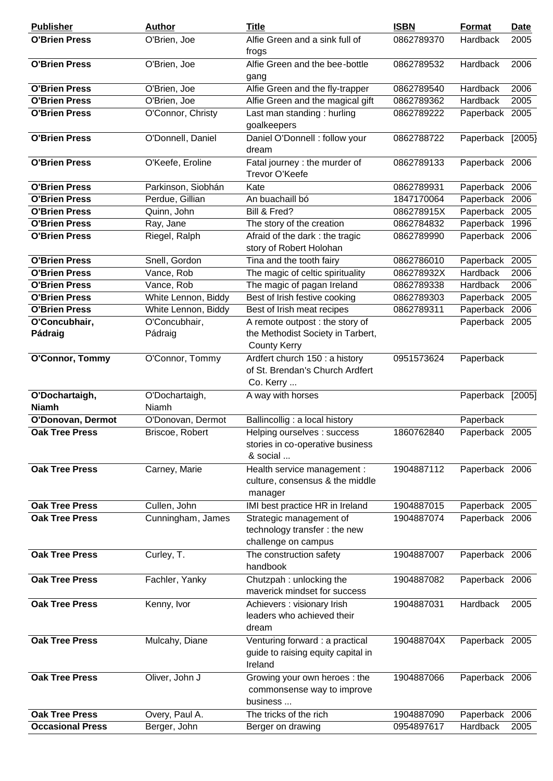| <b>Publisher</b>               | <b>Author</b>           | <b>Title</b>                                                                     | <b>ISBN</b> | <b>Format</b>    | <b>Date</b> |
|--------------------------------|-------------------------|----------------------------------------------------------------------------------|-------------|------------------|-------------|
| <b>O'Brien Press</b>           | O'Brien, Joe            | Alfie Green and a sink full of<br>frogs                                          | 0862789370  | Hardback         | 2005        |
| <b>O'Brien Press</b>           | O'Brien, Joe            | Alfie Green and the bee-bottle<br>gang                                           | 0862789532  | Hardback         | 2006        |
| <b>O'Brien Press</b>           | O'Brien, Joe            | Alfie Green and the fly-trapper                                                  | 0862789540  | Hardback         | 2006        |
| <b>O'Brien Press</b>           | O'Brien, Joe            | Alfie Green and the magical gift                                                 | 0862789362  | Hardback         | 2005        |
| <b>O'Brien Press</b>           | O'Connor, Christy       | Last man standing: hurling                                                       | 0862789222  | Paperback 2005   |             |
|                                |                         | goalkeepers                                                                      |             |                  |             |
| <b>O'Brien Press</b>           | O'Donnell, Daniel       | Daniel O'Donnell : follow your<br>dream                                          | 0862788722  | Paperback        | [2005]      |
| <b>O'Brien Press</b>           | O'Keefe, Eroline        | Fatal journey : the murder of<br>Trevor O'Keefe                                  | 0862789133  | Paperback 2006   |             |
| <b>O'Brien Press</b>           | Parkinson, Siobhán      | Kate                                                                             | 0862789931  | Paperback 2006   |             |
| <b>O'Brien Press</b>           | Perdue, Gillian         | An buachaill bó                                                                  | 1847170064  | Paperback        | 2006        |
| <b>O'Brien Press</b>           | Quinn, John             | Bill & Fred?                                                                     | 086278915X  | Paperback 2005   |             |
| <b>O'Brien Press</b>           | Ray, Jane               | The story of the creation                                                        | 0862784832  | Paperback        | 1996        |
| <b>O'Brien Press</b>           | Riegel, Ralph           | Afraid of the dark : the tragic                                                  | 0862789990  | Paperback 2006   |             |
|                                |                         | story of Robert Holohan                                                          |             |                  |             |
| <b>O'Brien Press</b>           | Snell, Gordon           | Tina and the tooth fairy                                                         | 0862786010  | Paperback        | 2005        |
| <b>O'Brien Press</b>           | Vance, Rob              | The magic of celtic spirituality                                                 | 086278932X  | Hardback         | 2006        |
| <b>O'Brien Press</b>           | Vance, Rob              | The magic of pagan Ireland                                                       | 0862789338  | <b>Hardback</b>  | 2006        |
| <b>O'Brien Press</b>           | White Lennon, Biddy     | Best of Irish festive cooking                                                    | 0862789303  | Paperback        | 2005        |
| <b>O'Brien Press</b>           | White Lennon, Biddy     | Best of Irish meat recipes                                                       | 0862789311  | Paperback        | 2006        |
| O'Concubhair,                  | O'Concubhair,           | A remote outpost : the story of                                                  |             | Paperback        | 2005        |
| Pádraig                        | Pádraig                 | the Methodist Society in Tarbert,<br><b>County Kerry</b>                         |             |                  |             |
| O'Connor, Tommy                | O'Connor, Tommy         | Ardfert church 150 : a history<br>of St. Brendan's Church Ardfert<br>Co. Kerry   | 0951573624  | Paperback        |             |
| O'Dochartaigh,<br><b>Niamh</b> | O'Dochartaigh,<br>Niamh | A way with horses                                                                |             | Paperback [2005] |             |
| O'Donovan, Dermot              | O'Donovan, Dermot       | Ballincollig : a local history                                                   |             | Paperback        |             |
| <b>Oak Tree Press</b>          | Briscoe, Robert         | Helping ourselves : success                                                      | 1860762840  | Paperback 2005   |             |
|                                |                         | stories in co-operative business<br>& social                                     |             |                  |             |
| <b>Oak Tree Press</b>          | Carney, Marie           | Health service management :                                                      | 1904887112  | Paperback 2006   |             |
|                                |                         | culture, consensus & the middle                                                  |             |                  |             |
|                                |                         | manager                                                                          |             |                  |             |
| <b>Oak Tree Press</b>          | Cullen, John            | IMI best practice HR in Ireland                                                  | 1904887015  | Paperback 2005   |             |
| <b>Oak Tree Press</b>          | Cunningham, James       | Strategic management of<br>technology transfer: the new<br>challenge on campus   | 1904887074  | Paperback 2006   |             |
| <b>Oak Tree Press</b>          | Curley, T.              | The construction safety                                                          | 1904887007  | Paperback 2006   |             |
|                                |                         | handbook                                                                         |             |                  |             |
| <b>Oak Tree Press</b>          |                         |                                                                                  |             |                  |             |
|                                | Fachler, Yanky          | Chutzpah: unlocking the<br>maverick mindset for success                          | 1904887082  | Paperback 2006   |             |
| <b>Oak Tree Press</b>          | Kenny, Ivor             | Achievers : visionary Irish<br>leaders who achieved their<br>dream               | 1904887031  | Hardback         | 2005        |
| <b>Oak Tree Press</b>          | Mulcahy, Diane          | Venturing forward : a practical<br>guide to raising equity capital in<br>Ireland | 190488704X  | Paperback 2005   |             |
| <b>Oak Tree Press</b>          | Oliver, John J          | Growing your own heroes: the<br>commonsense way to improve<br>business           | 1904887066  | Paperback 2006   |             |
| <b>Oak Tree Press</b>          | Overy, Paul A.          | The tricks of the rich                                                           | 1904887090  | Paperback        | 2006        |
| <b>Occasional Press</b>        | Berger, John            | Berger on drawing                                                                | 0954897617  | Hardback         | 2005        |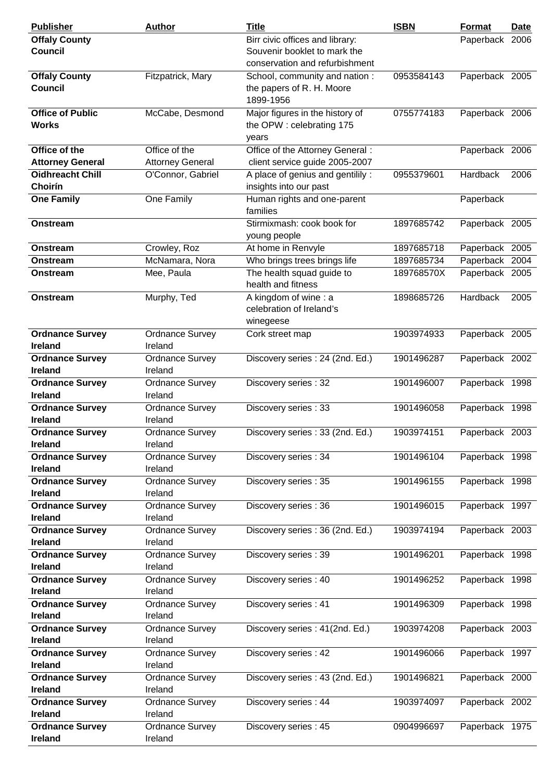| <b>Publisher</b>        | <b>Author</b>           | <b>Title</b>                      | <b>ISBN</b> | <b>Format</b>  | Date |
|-------------------------|-------------------------|-----------------------------------|-------------|----------------|------|
| <b>Offaly County</b>    |                         | Birr civic offices and library:   |             | Paperback 2006 |      |
| <b>Council</b>          |                         | Souvenir booklet to mark the      |             |                |      |
|                         |                         | conservation and refurbishment    |             |                |      |
| <b>Offaly County</b>    | Fitzpatrick, Mary       | School, community and nation:     | 0953584143  | Paperback 2005 |      |
| <b>Council</b>          |                         | the papers of R. H. Moore         |             |                |      |
|                         |                         | 1899-1956                         |             |                |      |
| <b>Office of Public</b> | McCabe, Desmond         | Major figures in the history of   | 0755774183  | Paperback 2006 |      |
|                         |                         |                                   |             |                |      |
| <b>Works</b>            |                         | the OPW: celebrating 175          |             |                |      |
|                         |                         | years                             |             |                |      |
| Office of the           | Office of the           | Office of the Attorney General :  |             | Paperback 2006 |      |
| <b>Attorney General</b> | <b>Attorney General</b> | client service guide 2005-2007    |             |                |      |
| <b>Oidhreacht Chill</b> | O'Connor, Gabriel       | A place of genius and gentilily : | 0955379601  | Hardback       | 2006 |
| Choirín                 |                         | insights into our past            |             |                |      |
| <b>One Family</b>       | One Family              | Human rights and one-parent       |             | Paperback      |      |
|                         |                         | families                          |             |                |      |
| Onstream                |                         | Stirmixmash: cook book for        | 1897685742  | Paperback 2005 |      |
|                         |                         | young people                      |             |                |      |
| Onstream                | Crowley, Roz            | At home in Renvyle                | 1897685718  | Paperback 2005 |      |
| Onstream                | McNamara, Nora          | Who brings trees brings life      | 1897685734  | Paperback      | 2004 |
|                         |                         |                                   |             |                |      |
| Onstream                | Mee, Paula              | The health squad guide to         | 189768570X  | Paperback 2005 |      |
|                         |                         | health and fitness                |             |                |      |
| Onstream                | Murphy, Ted             | A kingdom of wine: a              | 1898685726  | Hardback       | 2005 |
|                         |                         | celebration of Ireland's          |             |                |      |
|                         |                         | winegeese                         |             |                |      |
| <b>Ordnance Survey</b>  | Ordnance Survey         | Cork street map                   | 1903974933  | Paperback 2005 |      |
| <b>Ireland</b>          | Ireland                 |                                   |             |                |      |
| <b>Ordnance Survey</b>  | Ordnance Survey         | Discovery series : 24 (2nd. Ed.)  | 1901496287  | Paperback 2002 |      |
| <b>Ireland</b>          | Ireland                 |                                   |             |                |      |
| <b>Ordnance Survey</b>  | <b>Ordnance Survey</b>  | Discovery series: 32              | 1901496007  | Paperback 1998 |      |
| <b>Ireland</b>          | Ireland                 |                                   |             |                |      |
|                         | <b>Ordnance Survey</b>  | Discovery series: 33              |             |                |      |
| <b>Ordnance Survey</b>  |                         |                                   | 1901496058  | Paperback 1998 |      |
| <b>Ireland</b>          | Ireland                 |                                   |             |                |      |
| <b>Ordnance Survey</b>  | <b>Ordnance Survey</b>  | Discovery series: 33 (2nd. Ed.)   | 1903974151  | Paperback 2003 |      |
| Ireland                 | Ireland                 |                                   |             |                |      |
| <b>Ordnance Survey</b>  | <b>Ordnance Survey</b>  | Discovery series: 34              | 1901496104  | Paperback 1998 |      |
| <b>Ireland</b>          | Ireland                 |                                   |             |                |      |
| <b>Ordnance Survey</b>  | <b>Ordnance Survey</b>  | Discovery series: 35              | 1901496155  | Paperback 1998 |      |
| Ireland                 | Ireland                 |                                   |             |                |      |
| <b>Ordnance Survey</b>  | Ordnance Survey         | Discovery series: 36              | 1901496015  | Paperback 1997 |      |
| <b>Ireland</b>          | Ireland                 |                                   |             |                |      |
| <b>Ordnance Survey</b>  | <b>Ordnance Survey</b>  | Discovery series: 36 (2nd. Ed.)   | 1903974194  | Paperback 2003 |      |
| <b>Ireland</b>          | Ireland                 |                                   |             |                |      |
| <b>Ordnance Survey</b>  | <b>Ordnance Survey</b>  | Discovery series: 39              | 1901496201  | Paperback 1998 |      |
| <b>Ireland</b>          | Ireland                 |                                   |             |                |      |
|                         |                         |                                   |             |                |      |
| <b>Ordnance Survey</b>  | <b>Ordnance Survey</b>  | Discovery series: 40              | 1901496252  | Paperback 1998 |      |
| <b>Ireland</b>          | Ireland                 |                                   |             |                |      |
| <b>Ordnance Survey</b>  | <b>Ordnance Survey</b>  | Discovery series: 41              | 1901496309  | Paperback 1998 |      |
| <b>Ireland</b>          | Ireland                 |                                   |             |                |      |
| <b>Ordnance Survey</b>  | Ordnance Survey         | Discovery series: 41(2nd. Ed.)    | 1903974208  | Paperback 2003 |      |
| <b>Ireland</b>          | Ireland                 |                                   |             |                |      |
| <b>Ordnance Survey</b>  | <b>Ordnance Survey</b>  | Discovery series: 42              | 1901496066  | Paperback 1997 |      |
| <b>Ireland</b>          | Ireland                 |                                   |             |                |      |
| <b>Ordnance Survey</b>  | <b>Ordnance Survey</b>  | Discovery series: 43 (2nd. Ed.)   | 1901496821  | Paperback 2000 |      |
| <b>Ireland</b>          | Ireland                 |                                   |             |                |      |
| <b>Ordnance Survey</b>  | <b>Ordnance Survey</b>  | Discovery series: 44              | 1903974097  | Paperback 2002 |      |
| <b>Ireland</b>          | Ireland                 |                                   |             |                |      |
|                         |                         |                                   |             |                |      |
| <b>Ordnance Survey</b>  | <b>Ordnance Survey</b>  | Discovery series: 45              | 0904996697  | Paperback 1975 |      |
| Ireland                 | Ireland                 |                                   |             |                |      |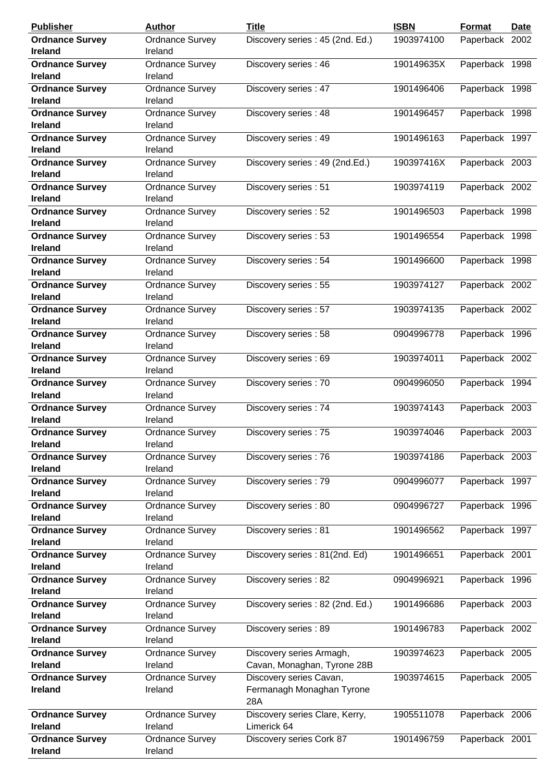| <b>Publisher</b>                         | <b>Author</b>                     | <b>Title</b>                                                | <b>ISBN</b> | Format         | <b>Date</b> |
|------------------------------------------|-----------------------------------|-------------------------------------------------------------|-------------|----------------|-------------|
| <b>Ordnance Survey</b><br><b>Ireland</b> | Ordnance Survey<br>Ireland        | Discovery series: 45 (2nd. Ed.)                             | 1903974100  | Paperback 2002 |             |
| <b>Ordnance Survey</b><br><b>Ireland</b> | <b>Ordnance Survey</b><br>Ireland | Discovery series: 46                                        | 190149635X  | Paperback 1998 |             |
| <b>Ordnance Survey</b><br><b>Ireland</b> | <b>Ordnance Survey</b><br>Ireland | Discovery series: 47                                        | 1901496406  | Paperback 1998 |             |
| <b>Ordnance Survey</b><br><b>Ireland</b> | Ordnance Survey<br>Ireland        | Discovery series: 48                                        | 1901496457  | Paperback 1998 |             |
| <b>Ordnance Survey</b><br><b>Ireland</b> | <b>Ordnance Survey</b><br>Ireland | Discovery series: 49                                        | 1901496163  | Paperback 1997 |             |
| <b>Ordnance Survey</b><br><b>Ireland</b> | <b>Ordnance Survey</b><br>Ireland | Discovery series: 49 (2nd.Ed.)                              | 190397416X  | Paperback 2003 |             |
| <b>Ordnance Survey</b><br><b>Ireland</b> | Ordnance Survey<br>Ireland        | Discovery series: 51                                        | 1903974119  | Paperback 2002 |             |
| <b>Ordnance Survey</b><br><b>Ireland</b> | <b>Ordnance Survey</b><br>Ireland | Discovery series: 52                                        | 1901496503  | Paperback 1998 |             |
| <b>Ordnance Survey</b><br>Ireland        | <b>Ordnance Survey</b><br>Ireland | Discovery series: 53                                        | 1901496554  | Paperback 1998 |             |
| <b>Ordnance Survey</b><br><b>Ireland</b> | <b>Ordnance Survey</b><br>Ireland | Discovery series: 54                                        | 1901496600  | Paperback 1998 |             |
| <b>Ordnance Survey</b><br><b>Ireland</b> | <b>Ordnance Survey</b><br>Ireland | Discovery series: 55                                        | 1903974127  | Paperback 2002 |             |
| <b>Ordnance Survey</b><br><b>Ireland</b> | Ordnance Survey<br>Ireland        | Discovery series: 57                                        | 1903974135  | Paperback 2002 |             |
| <b>Ordnance Survey</b><br><b>Ireland</b> | <b>Ordnance Survey</b><br>Ireland | Discovery series: 58                                        | 0904996778  | Paperback 1996 |             |
| <b>Ordnance Survey</b><br><b>Ireland</b> | <b>Ordnance Survey</b><br>Ireland | Discovery series: 69                                        | 1903974011  | Paperback 2002 |             |
| <b>Ordnance Survey</b><br><b>Ireland</b> | Ordnance Survey<br>Ireland        | Discovery series: 70                                        | 0904996050  | Paperback 1994 |             |
| <b>Ordnance Survey</b><br><b>Ireland</b> | Ordnance Survey<br>Ireland        | Discovery series: 74                                        | 1903974143  | Paperback 2003 |             |
| <b>Ordnance Survey</b><br>Ireland        | <b>Ordnance Survey</b><br>Ireland | Discovery series: 75                                        | 1903974046  | Paperback 2003 |             |
| <b>Ordnance Survey</b><br><b>Ireland</b> | <b>Ordnance Survey</b><br>Ireland | Discovery series: 76                                        | 1903974186  | Paperback 2003 |             |
| <b>Ordnance Survey</b><br><b>Ireland</b> | <b>Ordnance Survey</b><br>Ireland | Discovery series: 79                                        | 0904996077  | Paperback 1997 |             |
| <b>Ordnance Survey</b><br><b>Ireland</b> | <b>Ordnance Survey</b><br>Ireland | Discovery series: 80                                        | 0904996727  | Paperback 1996 |             |
| <b>Ordnance Survey</b><br><b>Ireland</b> | <b>Ordnance Survey</b><br>Ireland | Discovery series: 81                                        | 1901496562  | Paperback 1997 |             |
| <b>Ordnance Survey</b><br><b>Ireland</b> | <b>Ordnance Survey</b><br>Ireland | Discovery series: 81(2nd. Ed)                               | 1901496651  | Paperback 2001 |             |
| <b>Ordnance Survey</b><br><b>Ireland</b> | <b>Ordnance Survey</b><br>Ireland | Discovery series: 82                                        | 0904996921  | Paperback 1996 |             |
| <b>Ordnance Survey</b><br><b>Ireland</b> | <b>Ordnance Survey</b><br>Ireland | Discovery series: 82 (2nd. Ed.)                             | 1901496686  | Paperback 2003 |             |
| <b>Ordnance Survey</b><br><b>Ireland</b> | <b>Ordnance Survey</b><br>Ireland | Discovery series: 89                                        | 1901496783  | Paperback 2002 |             |
| <b>Ordnance Survey</b><br><b>Ireland</b> | <b>Ordnance Survey</b><br>Ireland | Discovery series Armagh,<br>Cavan, Monaghan, Tyrone 28B     | 1903974623  | Paperback 2005 |             |
| <b>Ordnance Survey</b><br>Ireland        | <b>Ordnance Survey</b><br>Ireland | Discovery series Cavan,<br>Fermanagh Monaghan Tyrone<br>28A | 1903974615  | Paperback 2005 |             |
| <b>Ordnance Survey</b><br><b>Ireland</b> | <b>Ordnance Survey</b><br>Ireland | Discovery series Clare, Kerry,<br>Limerick 64               | 1905511078  | Paperback 2006 |             |
| <b>Ordnance Survey</b><br>Ireland        | <b>Ordnance Survey</b><br>Ireland | Discovery series Cork 87                                    | 1901496759  | Paperback 2001 |             |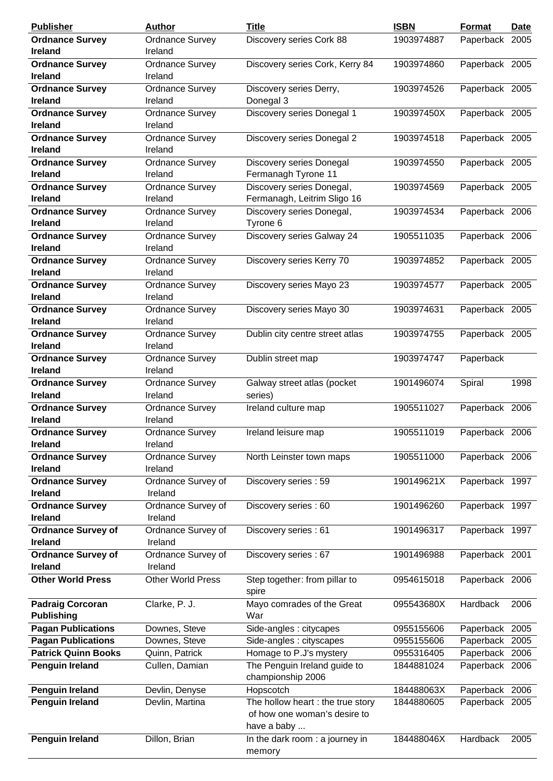| <b>Publisher</b>                                 | Author                            | <b>Title</b>                                                                                  | <b>ISBN</b>              | Format                           | <b>Date</b> |
|--------------------------------------------------|-----------------------------------|-----------------------------------------------------------------------------------------------|--------------------------|----------------------------------|-------------|
| <b>Ordnance Survey</b><br>Ireland                | Ordnance Survey<br>Ireland        | Discovery series Cork 88                                                                      | 1903974887               | Paperback 2005                   |             |
| <b>Ordnance Survey</b><br><b>Ireland</b>         | <b>Ordnance Survey</b><br>Ireland | Discovery series Cork, Kerry 84                                                               | 1903974860               | Paperback 2005                   |             |
| <b>Ordnance Survey</b><br><b>Ireland</b>         | <b>Ordnance Survey</b><br>Ireland | Discovery series Derry,<br>Donegal 3                                                          | 1903974526               | Paperback 2005                   |             |
| <b>Ordnance Survey</b><br><b>Ireland</b>         | <b>Ordnance Survey</b><br>Ireland | Discovery series Donegal 1                                                                    | 190397450X               | Paperback 2005                   |             |
| <b>Ordnance Survey</b><br><b>Ireland</b>         | Ordnance Survey<br>Ireland        | Discovery series Donegal 2                                                                    | 1903974518               | Paperback 2005                   |             |
| <b>Ordnance Survey</b><br><b>Ireland</b>         | <b>Ordnance Survey</b><br>Ireland | Discovery series Donegal<br>Fermanagh Tyrone 11                                               | 1903974550               | Paperback 2005                   |             |
| <b>Ordnance Survey</b><br><b>Ireland</b>         | <b>Ordnance Survey</b><br>Ireland | Discovery series Donegal,<br>Fermanagh, Leitrim Sligo 16                                      | 1903974569               | Paperback 2005                   |             |
| <b>Ordnance Survey</b><br><b>Ireland</b>         | <b>Ordnance Survey</b><br>Ireland | Discovery series Donegal,<br>Tyrone 6                                                         | 1903974534               | Paperback 2006                   |             |
| <b>Ordnance Survey</b><br><b>Ireland</b>         | <b>Ordnance Survey</b><br>Ireland | Discovery series Galway 24                                                                    | 1905511035               | Paperback 2006                   |             |
| <b>Ordnance Survey</b><br><b>Ireland</b>         | <b>Ordnance Survey</b><br>Ireland | Discovery series Kerry 70                                                                     | 1903974852               | Paperback 2005                   |             |
| <b>Ordnance Survey</b><br><b>Ireland</b>         | <b>Ordnance Survey</b><br>Ireland | Discovery series Mayo 23                                                                      | 1903974577               | Paperback 2005                   |             |
| <b>Ordnance Survey</b><br><b>Ireland</b>         | Ordnance Survey<br>Ireland        | Discovery series Mayo 30                                                                      | 1903974631               | Paperback 2005                   |             |
| <b>Ordnance Survey</b><br><b>Ireland</b>         | <b>Ordnance Survey</b><br>Ireland | Dublin city centre street atlas                                                               | 1903974755               | Paperback 2005                   |             |
| <b>Ordnance Survey</b><br><b>Ireland</b>         | <b>Ordnance Survey</b><br>Ireland | Dublin street map                                                                             | 1903974747               | Paperback                        |             |
| <b>Ordnance Survey</b><br><b>Ireland</b>         | <b>Ordnance Survey</b><br>Ireland | Galway street atlas (pocket<br>series)                                                        | 1901496074               | Spiral                           | 1998        |
| <b>Ordnance Survey</b><br><b>Ireland</b>         | <b>Ordnance Survey</b><br>Ireland | Ireland culture map                                                                           | 1905511027               | Paperback 2006                   |             |
| <b>Ordnance Survey</b><br>Ireland                | Ordnance Survey<br>Ireland        | Ireland leisure map                                                                           | 1905511019               | Paperback 2006                   |             |
| <b>Ordnance Survey</b><br><b>Ireland</b>         | <b>Ordnance Survey</b><br>Ireland | North Leinster town maps                                                                      | 1905511000               | Paperback 2006                   |             |
| <b>Ordnance Survey</b><br><b>Ireland</b>         | Ordnance Survey of<br>Ireland     | Discovery series: 59                                                                          | 190149621X               | Paperback 1997                   |             |
| <b>Ordnance Survey</b><br><b>Ireland</b>         | Ordnance Survey of<br>Ireland     | Discovery series: 60                                                                          | 1901496260               | Paperback 1997                   |             |
| <b>Ordnance Survey of</b><br><b>Ireland</b>      | Ordnance Survey of<br>Ireland     | Discovery series: 61                                                                          | 1901496317               | Paperback 1997                   |             |
| <b>Ordnance Survey of</b><br><b>Ireland</b>      | Ordnance Survey of<br>Ireland     | Discovery series: 67                                                                          | 1901496988               | Paperback 2001                   |             |
| <b>Other World Press</b>                         | <b>Other World Press</b>          | Step together: from pillar to<br>spire                                                        | 0954615018               | Paperback 2006                   |             |
| <b>Padraig Corcoran</b><br><b>Publishing</b>     | Clarke, P. J.                     | Mayo comrades of the Great<br>War                                                             | 095543680X               | Hardback                         | 2006        |
| <b>Pagan Publications</b>                        | Downes, Steve                     | Side-angles : citycapes                                                                       | 0955155606               | Paperback 2005                   |             |
| <b>Pagan Publications</b>                        | Downes, Steve                     | Side-angles : cityscapes                                                                      | 0955155606               | Paperback                        | 2005        |
| <b>Patrick Quinn Books</b>                       | Quinn, Patrick                    | Homage to P.J's mystery                                                                       | 0955316405               | Paperback                        | 2006        |
| <b>Penguin Ireland</b>                           | Cullen, Damian                    | The Penguin Ireland guide to<br>championship 2006                                             | 1844881024               | Paperback 2006                   |             |
| <b>Penguin Ireland</b><br><b>Penguin Ireland</b> | Devlin, Denyse<br>Devlin, Martina | Hopscotch<br>The hollow heart : the true story<br>of how one woman's desire to<br>have a baby | 184488063X<br>1844880605 | Paperback 2006<br>Paperback 2005 |             |
| <b>Penguin Ireland</b>                           | Dillon, Brian                     | In the dark room : a journey in<br>memory                                                     | 184488046X               | Hardback                         | 2005        |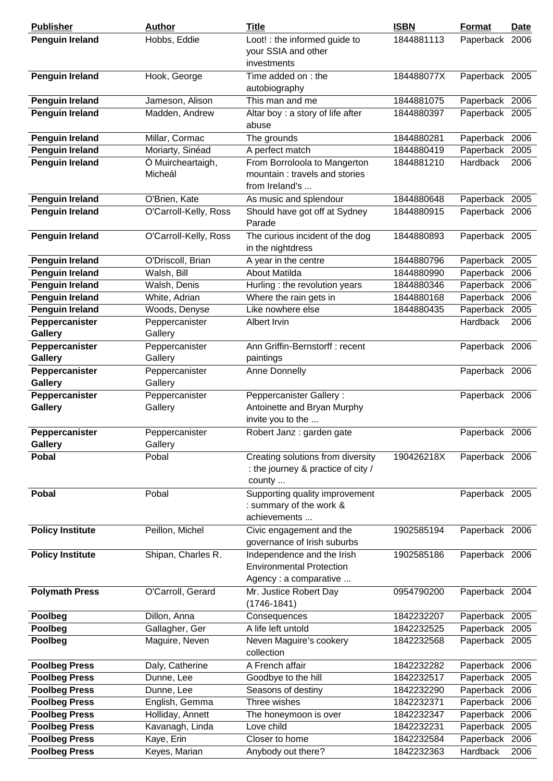| <b>Publisher</b>        | <b>Author</b>         | <b>Title</b>                       | <b>ISBN</b> | <b>Format</b>  | <b>Date</b> |
|-------------------------|-----------------------|------------------------------------|-------------|----------------|-------------|
| <b>Penguin Ireland</b>  | Hobbs, Eddie          | Loot! : the informed guide to      | 1844881113  | Paperback 2006 |             |
|                         |                       | your SSIA and other                |             |                |             |
|                         |                       | investments                        |             |                |             |
| <b>Penguin Ireland</b>  | Hook, George          | Time added on : the                | 184488077X  | Paperback 2005 |             |
|                         |                       | autobiography                      |             |                |             |
| <b>Penguin Ireland</b>  | Jameson, Alison       | This man and me                    | 1844881075  | Paperback 2006 |             |
| <b>Penguin Ireland</b>  | Madden, Andrew        | Altar boy : a story of life after  | 1844880397  | Paperback 2005 |             |
|                         |                       | abuse                              |             |                |             |
| <b>Penguin Ireland</b>  | Millar, Cormac        | The grounds                        | 1844880281  | Paperback 2006 |             |
| <b>Penguin Ireland</b>  | Moriarty, Sinéad      | A perfect match                    | 1844880419  | Paperback      | 2005        |
| <b>Penguin Ireland</b>  | Ó Muircheartaigh,     | From Borroloola to Mangerton       | 1844881210  | Hardback       | 2006        |
|                         | Micheál               | mountain: travels and stories      |             |                |             |
|                         |                       | from Ireland's                     |             |                |             |
| <b>Penguin Ireland</b>  | O'Brien, Kate         | As music and splendour             | 1844880648  | Paperback 2005 |             |
| <b>Penguin Ireland</b>  | O'Carroll-Kelly, Ross | Should have got off at Sydney      | 1844880915  | Paperback 2006 |             |
|                         |                       | Parade                             |             |                |             |
| <b>Penguin Ireland</b>  | O'Carroll-Kelly, Ross | The curious incident of the dog    | 1844880893  | Paperback 2005 |             |
|                         |                       | in the nightdress                  |             |                |             |
| <b>Penguin Ireland</b>  | O'Driscoll, Brian     | A year in the centre               | 1844880796  | Paperback 2005 |             |
| <b>Penguin Ireland</b>  | Walsh, Bill           | <b>About Matilda</b>               | 1844880990  | Paperback 2006 |             |
| <b>Penguin Ireland</b>  | Walsh, Denis          | Hurling : the revolution years     | 1844880346  | Paperback      | 2006        |
| Penguin Ireland         | White, Adrian         | Where the rain gets in             | 1844880168  | Paperback      | 2006        |
| <b>Penguin Ireland</b>  | Woods, Denyse         | Like nowhere else                  | 1844880435  | Paperback      | 2005        |
| Peppercanister          | Peppercanister        | Albert Irvin                       |             | Hardback       | 2006        |
| <b>Gallery</b>          | Gallery               |                                    |             |                |             |
| Peppercanister          | Peppercanister        | Ann Griffin-Bernstorff: recent     |             | Paperback 2006 |             |
| Gallery                 | Gallery               | paintings                          |             |                |             |
| Peppercanister          | Peppercanister        | Anne Donnelly                      |             | Paperback 2006 |             |
| <b>Gallery</b>          | Gallery               |                                    |             |                |             |
| Peppercanister          | Peppercanister        | Peppercanister Gallery:            |             | Paperback 2006 |             |
| Gallery                 | Gallery               | Antoinette and Bryan Murphy        |             |                |             |
|                         |                       | invite you to the                  |             |                |             |
| Peppercanister          | Peppercanister        | Robert Janz: garden gate           |             | Paperback 2006 |             |
| Gallery                 | Gallery               |                                    |             |                |             |
| <b>Pobal</b>            | Pobal                 | Creating solutions from diversity  | 190426218X  | Paperback 2006 |             |
|                         |                       | : the journey & practice of city / |             |                |             |
|                         |                       | county                             |             |                |             |
| Pobal                   | Pobal                 | Supporting quality improvement     |             | Paperback 2005 |             |
|                         |                       | : summary of the work &            |             |                |             |
|                         |                       | achievements                       |             |                |             |
| <b>Policy Institute</b> | Peillon, Michel       | Civic engagement and the           | 1902585194  | Paperback 2006 |             |
|                         |                       | governance of Irish suburbs        |             |                |             |
| <b>Policy Institute</b> | Shipan, Charles R.    | Independence and the Irish         | 1902585186  | Paperback 2006 |             |
|                         |                       | <b>Environmental Protection</b>    |             |                |             |
|                         |                       | Agency: a comparative              |             |                |             |
| <b>Polymath Press</b>   | O'Carroll, Gerard     | Mr. Justice Robert Day             | 0954790200  | Paperback 2004 |             |
|                         |                       | $(1746 - 1841)$                    |             |                |             |
| Poolbeg                 | Dillon, Anna          | Consequences                       | 1842232207  | Paperback 2005 |             |
| Poolbeg                 | Gallagher, Ger        | A life left untold                 | 1842232525  | Paperback      | 2005        |
| Poolbeg                 | Maguire, Neven        | Neven Maguire's cookery            | 1842232568  | Paperback 2005 |             |
|                         |                       | collection                         |             |                |             |
| <b>Poolbeg Press</b>    | Daly, Catherine       | A French affair                    | 1842232282  | Paperback 2006 |             |
| <b>Poolbeg Press</b>    | Dunne, Lee            | Goodbye to the hill                | 1842232517  | Paperback      | 2005        |
| <b>Poolbeg Press</b>    | Dunne, Lee            | Seasons of destiny                 | 1842232290  | Paperback 2006 |             |
| <b>Poolbeg Press</b>    | English, Gemma        | Three wishes                       | 1842232371  | Paperback 2006 |             |
| <b>Poolbeg Press</b>    | Holliday, Annett      | The honeymoon is over              | 1842232347  | Paperback      | 2006        |
| <b>Poolbeg Press</b>    | Kavanagh, Linda       | Love child                         | 1842232231  | Paperback      | 2005        |
| <b>Poolbeg Press</b>    | Kaye, Erin            | Closer to home                     | 1842232584  | Paperback      | 2006        |
| <b>Poolbeg Press</b>    | Keyes, Marian         | Anybody out there?                 | 1842232363  | Hardback       | 2006        |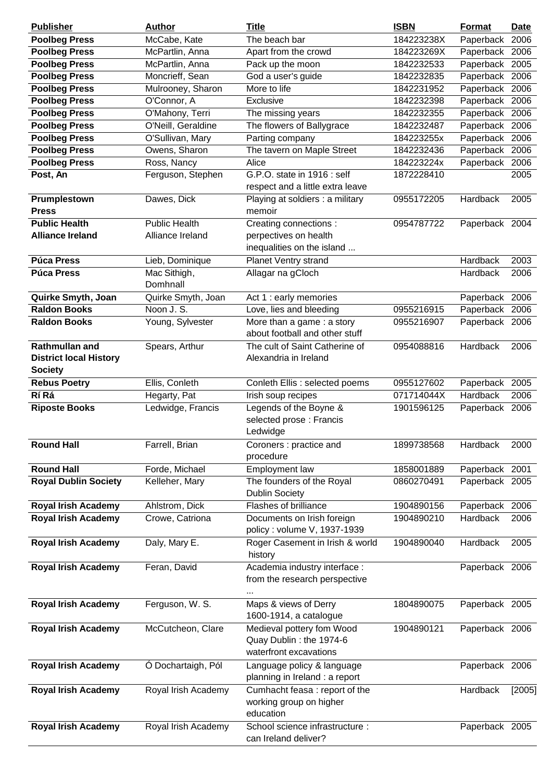| <b>Publisher</b>              | <b>Author</b>        | <b>Title</b>                     | <b>ISBN</b> | <b>Format</b>  | <b>Date</b> |
|-------------------------------|----------------------|----------------------------------|-------------|----------------|-------------|
| <b>Poolbeg Press</b>          | McCabe, Kate         | The beach bar                    | 184223238X  | Paperback      | 2006        |
| <b>Poolbeg Press</b>          | McPartlin, Anna      | Apart from the crowd             | 184223269X  | Paperback 2006 |             |
| <b>Poolbeg Press</b>          | McPartlin, Anna      | Pack up the moon                 | 1842232533  | Paperback      | 2005        |
| <b>Poolbeg Press</b>          | Moncrieff, Sean      | God a user's guide               | 1842232835  | Paperback      | 2006        |
| <b>Poolbeg Press</b>          | Mulrooney, Sharon    | More to life                     | 1842231952  | Paperback      | 2006        |
| <b>Poolbeg Press</b>          | O'Connor, A          | Exclusive                        | 1842232398  | Paperback      | 2006        |
| <b>Poolbeg Press</b>          | O'Mahony, Terri      | The missing years                | 1842232355  | Paperback      | 2006        |
| <b>Poolbeg Press</b>          | O'Neill, Geraldine   | The flowers of Ballygrace        | 1842232487  | Paperback      | 2006        |
| <b>Poolbeg Press</b>          | O'Sullivan, Mary     | Parting company                  | 184223255x  | Paperback 2006 |             |
| <b>Poolbeg Press</b>          | Owens, Sharon        | The tavern on Maple Street       | 1842232436  | Paperback      | 2006        |
| <b>Poolbeg Press</b>          | Ross, Nancy          | Alice                            | 184223224x  | Paperback 2006 |             |
| Post, An                      | Ferguson, Stephen    | G.P.O. state in 1916 : self      | 1872228410  |                | 2005        |
|                               |                      | respect and a little extra leave |             |                |             |
| Prumplestown                  | Dawes, Dick          | Playing at soldiers : a military | 0955172205  | Hardback       | 2005        |
| <b>Press</b>                  |                      | memoir                           |             |                |             |
| <b>Public Health</b>          | <b>Public Health</b> | Creating connections:            | 0954787722  | Paperback 2004 |             |
| <b>Alliance Ireland</b>       | Alliance Ireland     | perpectives on health            |             |                |             |
|                               |                      | inequalities on the island       |             |                |             |
| <b>Púca Press</b>             | Lieb, Dominique      | Planet Ventry strand             |             | Hardback       | 2003        |
| <b>Púca Press</b>             | Mac Sithigh,         | Allagar na gCloch                |             | Hardback       | 2006        |
|                               | Domhnall             |                                  |             |                |             |
| Quirke Smyth, Joan            | Quirke Smyth, Joan   | Act 1 : early memories           |             | Paperback 2006 |             |
| <b>Raldon Books</b>           | Noon $J. S.$         | Love, lies and bleeding          | 0955216915  | Paperback      | 2006        |
| <b>Raldon Books</b>           | Young, Sylvester     | More than a game: a story        | 0955216907  | Paperback 2006 |             |
|                               |                      | about football and other stuff   |             |                |             |
| Rathmullan and                | Spears, Arthur       | The cult of Saint Catherine of   | 0954088816  | Hardback       | 2006        |
| <b>District local History</b> |                      | Alexandria in Ireland            |             |                |             |
| <b>Society</b>                |                      |                                  |             |                |             |
| <b>Rebus Poetry</b>           | Ellis, Conleth       | Conleth Ellis : selected poems   | 0955127602  | Paperback      | 2005        |
| Rí Rá                         |                      |                                  | 071714044X  | Hardback       | 2006        |
|                               | Hegarty, Pat         | Irish soup recipes               |             |                |             |
| <b>Riposte Books</b>          | Ledwidge, Francis    | Legends of the Boyne &           | 1901596125  | Paperback 2006 |             |
|                               |                      | selected prose: Francis          |             |                |             |
|                               |                      | Ledwidge                         |             |                |             |
| <b>Round Hall</b>             | Farrell, Brian       | Coroners : practice and          | 1899738568  | Hardback       | 2000        |
|                               |                      | procedure                        |             |                |             |
| <b>Round Hall</b>             | Forde, Michael       | Employment law                   | 1858001889  | Paperback 2001 |             |
| <b>Royal Dublin Society</b>   | Kelleher, Mary       | The founders of the Royal        | 0860270491  | Paperback 2005 |             |
|                               |                      | <b>Dublin Society</b>            |             |                |             |
| <b>Royal Irish Academy</b>    | Ahlstrom, Dick       | Flashes of brilliance            | 1904890156  | Paperback 2006 |             |
| <b>Royal Irish Academy</b>    | Crowe, Catriona      | Documents on Irish foreign       | 1904890210  | Hardback       | 2006        |
|                               |                      | policy: volume V, 1937-1939      |             |                |             |
| <b>Royal Irish Academy</b>    | Daly, Mary E.        | Roger Casement in Irish & world  | 1904890040  | Hardback       | 2005        |
|                               |                      | history                          |             |                |             |
| <b>Royal Irish Academy</b>    | Feran, David         | Academia industry interface :    |             | Paperback 2006 |             |
|                               |                      | from the research perspective    |             |                |             |
|                               |                      |                                  |             |                |             |
| <b>Royal Irish Academy</b>    | Ferguson, W. S.      | Maps & views of Derry            | 1804890075  | Paperback 2005 |             |
|                               |                      | 1600-1914, a catalogue           |             |                |             |
| <b>Royal Irish Academy</b>    | McCutcheon, Clare    | Medieval pottery fom Wood        | 1904890121  | Paperback 2006 |             |
|                               |                      | Quay Dublin: the 1974-6          |             |                |             |
|                               |                      | waterfront excavations           |             |                |             |
| <b>Royal Irish Academy</b>    | Ó Dochartaigh, Pól   | Language policy & language       |             | Paperback 2006 |             |
|                               |                      | planning in Ireland : a report   |             |                |             |
| <b>Royal Irish Academy</b>    | Royal Irish Academy  | Cumhacht feasa : report of the   |             | Hardback       | [2005]      |
|                               |                      | working group on higher          |             |                |             |
|                               |                      | education                        |             |                |             |
| <b>Royal Irish Academy</b>    | Royal Irish Academy  | School science infrastructure :  |             | Paperback 2005 |             |
|                               |                      | can Ireland deliver?             |             |                |             |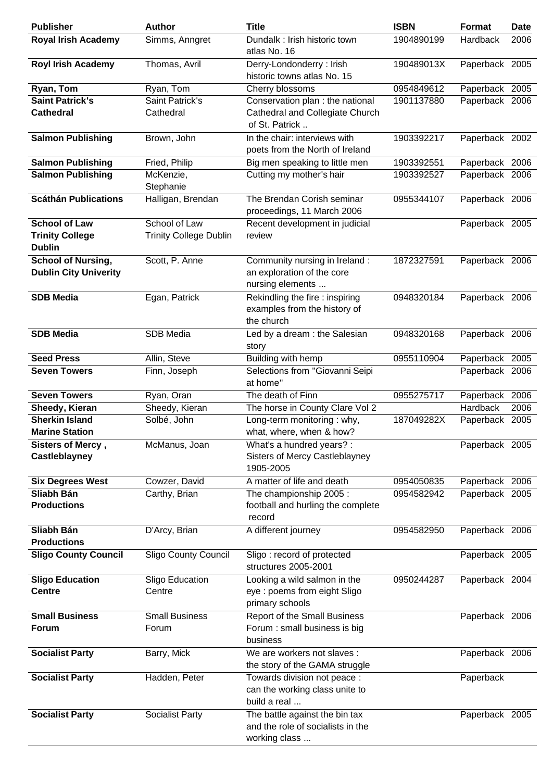| <b>Publisher</b>                                                | <b>Author</b>                                  | <b>Title</b>                                                                          | <b>ISBN</b> | Format          | <b>Date</b> |
|-----------------------------------------------------------------|------------------------------------------------|---------------------------------------------------------------------------------------|-------------|-----------------|-------------|
| <b>Royal Irish Academy</b>                                      | Simms, Anngret                                 | Dundalk : Irish historic town<br>atlas No. 16                                         | 1904890199  | Hardback        | 2006        |
| <b>Royl Irish Academy</b>                                       | Thomas, Avril                                  | Derry-Londonderry: Irish<br>historic towns atlas No. 15                               | 190489013X  | Paperback 2005  |             |
| Ryan, Tom                                                       | Ryan, Tom                                      | Cherry blossoms                                                                       | 0954849612  | Paperback 2005  |             |
| <b>Saint Patrick's</b><br><b>Cathedral</b>                      | Saint Patrick's<br>Cathedral                   | Conservation plan : the national<br>Cathedral and Collegiate Church<br>of St. Patrick | 1901137880  | Paperback 2006  |             |
| <b>Salmon Publishing</b>                                        | Brown, John                                    | In the chair: interviews with<br>poets from the North of Ireland                      | 1903392217  | Paperback 2002  |             |
| <b>Salmon Publishing</b>                                        | Fried, Philip                                  | Big men speaking to little men                                                        | 1903392551  | Paperback 2006  |             |
| <b>Salmon Publishing</b>                                        | McKenzie,<br>Stephanie                         | Cutting my mother's hair                                                              | 1903392527  | Paperback 2006  |             |
| <b>Scáthán Publications</b>                                     | Halligan, Brendan                              | The Brendan Corish seminar<br>proceedings, 11 March 2006                              | 0955344107  | Paperback 2006  |             |
| <b>School of Law</b><br><b>Trinity College</b><br><b>Dublin</b> | School of Law<br><b>Trinity College Dublin</b> | Recent development in judicial<br>review                                              |             | Paperback 2005  |             |
| School of Nursing,<br><b>Dublin City Univerity</b>              | Scott, P. Anne                                 | Community nursing in Ireland:<br>an exploration of the core<br>nursing elements       | 1872327591  | Paperback 2006  |             |
| <b>SDB Media</b>                                                | Egan, Patrick                                  | Rekindling the fire : inspiring<br>examples from the history of<br>the church         | 0948320184  | Paperback 2006  |             |
| <b>SDB Media</b>                                                | SDB Media                                      | Led by a dream: the Salesian<br>story                                                 | 0948320168  | Paperback 2006  |             |
| <b>Seed Press</b>                                               | Allin, Steve                                   | Building with hemp                                                                    | 0955110904  | Paperback 2005  |             |
| <b>Seven Towers</b>                                             | Finn, Joseph                                   | Selections from "Giovanni Seipi<br>at home"                                           |             | Paperback 2006  |             |
| <b>Seven Towers</b>                                             | Ryan, Oran                                     | The death of Finn                                                                     | 0955275717  | Paperback 2006  |             |
| Sheedy, Kieran                                                  | Sheedy, Kieran                                 | The horse in County Clare Vol 2                                                       |             | <b>Hardback</b> | 2006        |
| <b>Sherkin Island</b><br><b>Marine Station</b>                  | Solbé, John                                    | Long-term monitoring: why,<br>what, where, when & how?                                | 187049282X  | Paperback 2005  |             |
| Sisters of Mercy,<br>Castleblayney                              | McManus, Joan                                  | What's a hundred years? :<br>Sisters of Mercy Castleblayney<br>1905-2005              |             | Paperback 2005  |             |
| <b>Six Degrees West</b>                                         | Cowzer, David                                  | A matter of life and death                                                            | 0954050835  | Paperback 2006  |             |
| Sliabh Bán<br><b>Productions</b>                                | Carthy, Brian                                  | The championship 2005:<br>football and hurling the complete<br>record                 | 0954582942  | Paperback 2005  |             |
| Sliabh Bán<br><b>Productions</b>                                | D'Arcy, Brian                                  | A different journey                                                                   | 0954582950  | Paperback 2006  |             |
| <b>Sligo County Council</b>                                     | <b>Sligo County Council</b>                    | Sligo: record of protected<br>structures 2005-2001                                    |             | Paperback 2005  |             |
| <b>Sligo Education</b><br><b>Centre</b>                         | Sligo Education<br>Centre                      | Looking a wild salmon in the<br>eye: poems from eight Sligo<br>primary schools        | 0950244287  | Paperback 2004  |             |
| <b>Small Business</b><br><b>Forum</b>                           | <b>Small Business</b><br>Forum                 | <b>Report of the Small Business</b><br>Forum : small business is big<br>business      |             | Paperback 2006  |             |
| <b>Socialist Party</b>                                          | Barry, Mick                                    | We are workers not slaves :<br>the story of the GAMA struggle                         |             | Paperback 2006  |             |
| <b>Socialist Party</b>                                          | Hadden, Peter                                  | Towards division not peace :<br>can the working class unite to<br>build a real        |             | Paperback       |             |
| <b>Socialist Party</b>                                          | Socialist Party                                | The battle against the bin tax<br>and the role of socialists in the<br>working class  |             | Paperback 2005  |             |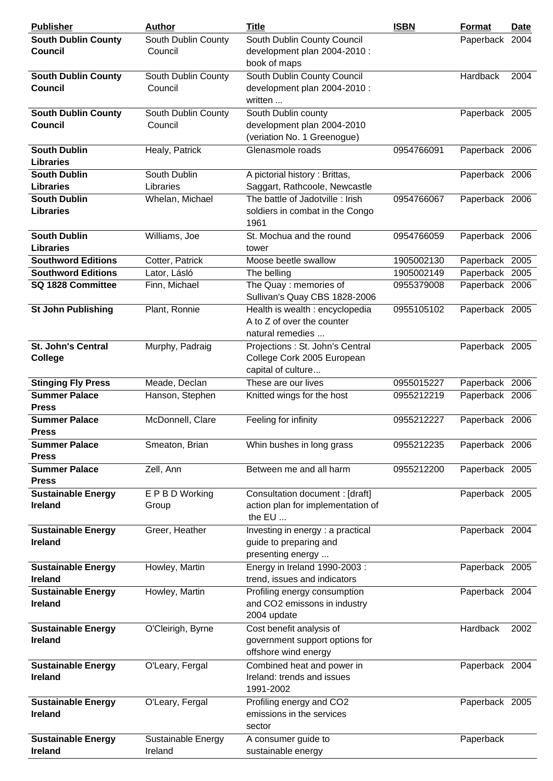| <b>Publisher</b>                             | <b>Author</b>                  | <b>Title</b>                                                                         | <b>ISBN</b> | Format         | <b>Date</b> |
|----------------------------------------------|--------------------------------|--------------------------------------------------------------------------------------|-------------|----------------|-------------|
| <b>South Dublin County</b><br><b>Council</b> | South Dublin County<br>Council | South Dublin County Council<br>development plan 2004-2010 :<br>book of maps          |             | Paperback 2004 |             |
| <b>South Dublin County</b><br><b>Council</b> | South Dublin County<br>Council | South Dublin County Council<br>development plan 2004-2010 :<br>written               |             | Hardback       | 2004        |
| <b>South Dublin County</b><br><b>Council</b> | South Dublin County<br>Council | South Dublin county<br>development plan 2004-2010<br>(veriation No. 1 Greenogue)     |             | Paperback 2005 |             |
| <b>South Dublin</b><br><b>Libraries</b>      | Healy, Patrick                 | Glenasmole roads                                                                     | 0954766091  | Paperback 2006 |             |
| <b>South Dublin</b><br><b>Libraries</b>      | South Dublin<br>Libraries      | A pictorial history: Brittas,<br>Saggart, Rathcoole, Newcastle                       |             | Paperback 2006 |             |
| <b>South Dublin</b><br><b>Libraries</b>      | Whelan, Michael                | The battle of Jadotville : Irish<br>soldiers in combat in the Congo<br>1961          | 0954766067  | Paperback 2006 |             |
| <b>South Dublin</b><br><b>Libraries</b>      | Williams, Joe                  | St. Mochua and the round<br>tower                                                    | 0954766059  | Paperback 2006 |             |
| <b>Southword Editions</b>                    | Cotter, Patrick                | Moose beetle swallow                                                                 | 1905002130  | Paperback 2005 |             |
| <b>Southword Editions</b>                    | Lator, Lásló                   | The belling                                                                          | 1905002149  | Paperback 2005 |             |
| SQ 1828 Committee                            | Finn, Michael                  | The Quay: memories of<br>Sullivan's Quay CBS 1828-2006                               | 0955379008  | Paperback 2006 |             |
| <b>St John Publishing</b>                    | Plant, Ronnie                  | Health is wealth : encyclopedia<br>A to Z of over the counter<br>natural remedies    | 0955105102  | Paperback 2005 |             |
| <b>St. John's Central</b><br>College         | Murphy, Padraig                | Projections : St. John's Central<br>College Cork 2005 European<br>capital of culture |             | Paperback 2005 |             |
| <b>Stinging Fly Press</b>                    | Meade, Declan                  | These are our lives                                                                  | 0955015227  | Paperback 2006 |             |
| <b>Summer Palace</b><br><b>Press</b>         | Hanson, Stephen                | Knitted wings for the host                                                           | 0955212219  | Paperback 2006 |             |
| <b>Summer Palace</b><br><b>Press</b>         | McDonnell, Clare               | Feeling for infinity                                                                 | 0955212227  | Paperback 2006 |             |
| <b>Summer Palace</b><br><b>Press</b>         | Smeaton, Brian                 | Whin bushes in long grass                                                            | 0955212235  | Paperback 2006 |             |
| <b>Summer Palace</b><br><b>Press</b>         | Zell, Ann                      | Between me and all harm                                                              | 0955212200  | Paperback 2005 |             |
| <b>Sustainable Energy</b><br>Ireland         | E P B D Working<br>Group       | Consultation document : [draft]<br>action plan for implementation of<br>the EU       |             | Paperback 2005 |             |
| <b>Sustainable Energy</b><br><b>Ireland</b>  | Greer, Heather                 | Investing in energy : a practical<br>guide to preparing and<br>presenting energy     |             | Paperback 2004 |             |
| <b>Sustainable Energy</b><br><b>Ireland</b>  | Howley, Martin                 | Energy in Ireland 1990-2003 :<br>trend, issues and indicators                        |             | Paperback 2005 |             |
| <b>Sustainable Energy</b><br><b>Ireland</b>  | Howley, Martin                 | Profiling energy consumption<br>and CO2 emissons in industry<br>2004 update          |             | Paperback 2004 |             |
| <b>Sustainable Energy</b><br><b>Ireland</b>  | O'Cleirigh, Byrne              | Cost benefit analysis of<br>government support options for<br>offshore wind energy   |             | Hardback       | 2002        |
| <b>Sustainable Energy</b><br><b>Ireland</b>  | O'Leary, Fergal                | Combined heat and power in<br>Ireland: trends and issues<br>1991-2002                |             | Paperback 2004 |             |
| <b>Sustainable Energy</b><br><b>Ireland</b>  | O'Leary, Fergal                | Profiling energy and CO2<br>emissions in the services<br>sector                      |             | Paperback 2005 |             |
| <b>Sustainable Energy</b><br>Ireland         | Sustainable Energy<br>Ireland  | A consumer guide to<br>sustainable energy                                            |             | Paperback      |             |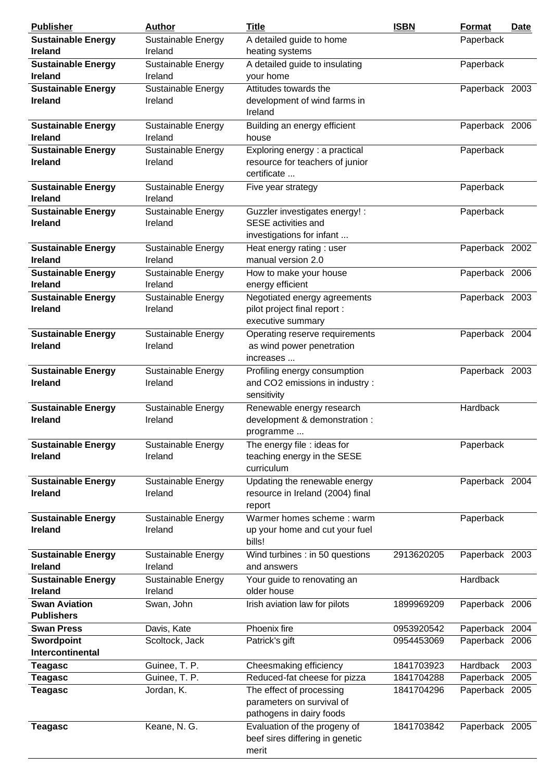| <b>Publisher</b>                            | <b>Author</b>                 | <b>Title</b>                                   | <b>ISBN</b> | <b>Format</b>  | Date |
|---------------------------------------------|-------------------------------|------------------------------------------------|-------------|----------------|------|
| <b>Sustainable Energy</b>                   | Sustainable Energy            | A detailed guide to home                       |             | Paperback      |      |
| <b>Ireland</b>                              | Ireland                       | heating systems                                |             |                |      |
| <b>Sustainable Energy</b>                   | Sustainable Energy            | A detailed guide to insulating                 |             | Paperback      |      |
| <b>Ireland</b>                              | Ireland                       | your home                                      |             |                |      |
| <b>Sustainable Energy</b>                   | Sustainable Energy            | Attitudes towards the                          |             | Paperback 2003 |      |
| <b>Ireland</b>                              | Ireland                       | development of wind farms in                   |             |                |      |
|                                             |                               | Ireland                                        |             |                |      |
| <b>Sustainable Energy</b>                   | Sustainable Energy            | Building an energy efficient                   |             | Paperback 2006 |      |
| Ireland                                     | Ireland                       | house                                          |             |                |      |
| <b>Sustainable Energy</b>                   | Sustainable Energy            | Exploring energy : a practical                 |             | Paperback      |      |
| <b>Ireland</b>                              | Ireland                       | resource for teachers of junior                |             |                |      |
|                                             |                               | certificate                                    |             |                |      |
| <b>Sustainable Energy</b>                   | Sustainable Energy            | Five year strategy                             |             | Paperback      |      |
| <b>Ireland</b>                              | Ireland                       |                                                |             |                |      |
| <b>Sustainable Energy</b>                   | Sustainable Energy            | Guzzler investigates energy! :                 |             | Paperback      |      |
| <b>Ireland</b>                              | Ireland                       | <b>SESE</b> activities and                     |             |                |      |
|                                             |                               | investigations for infant                      |             |                |      |
| <b>Sustainable Energy</b>                   | Sustainable Energy            | Heat energy rating : user                      |             | Paperback 2002 |      |
| Ireland                                     | Ireland                       | manual version 2.0                             |             |                |      |
| <b>Sustainable Energy</b>                   | Sustainable Energy            | How to make your house                         |             | Paperback 2006 |      |
| <b>Ireland</b>                              | Ireland                       | energy efficient                               |             |                |      |
| <b>Sustainable Energy</b>                   | Sustainable Energy            | Negotiated energy agreements                   |             | Paperback 2003 |      |
| <b>Ireland</b>                              | Ireland                       | pilot project final report :                   |             |                |      |
|                                             |                               | executive summary                              |             |                |      |
| <b>Sustainable Energy</b>                   | Sustainable Energy            | Operating reserve requirements                 |             | Paperback 2004 |      |
| <b>Ireland</b>                              | Ireland                       | as wind power penetration                      |             |                |      |
|                                             |                               | increases                                      |             |                |      |
| <b>Sustainable Energy</b>                   | Sustainable Energy            | Profiling energy consumption                   |             | Paperback 2003 |      |
| <b>Ireland</b>                              | Ireland                       | and CO2 emissions in industry:                 |             |                |      |
|                                             |                               | sensitivity                                    |             |                |      |
|                                             |                               |                                                |             | Hardback       |      |
| <b>Sustainable Energy</b>                   | Sustainable Energy            | Renewable energy research                      |             |                |      |
| <b>Ireland</b>                              | Ireland                       | development & demonstration :                  |             |                |      |
|                                             |                               | programme                                      |             |                |      |
| <b>Sustainable Energy</b>                   | Sustainable Energy            | The energy file : ideas for                    |             | Paperback      |      |
| <b>Ireland</b>                              | Ireland                       | teaching energy in the SESE                    |             |                |      |
|                                             |                               | curriculum                                     |             |                |      |
| <b>Sustainable Energy</b>                   | Sustainable Energy            | Updating the renewable energy                  |             | Paperback 2004 |      |
| <b>Ireland</b>                              | Ireland                       | resource in Ireland (2004) final               |             |                |      |
|                                             |                               | report                                         |             |                |      |
| <b>Sustainable Energy</b>                   | Sustainable Energy            | Warmer homes scheme: warm                      |             | Paperback      |      |
| <b>Ireland</b>                              | Ireland                       | up your home and cut your fuel                 |             |                |      |
|                                             |                               | bills!                                         |             |                |      |
| <b>Sustainable Energy</b><br>Ireland        | Sustainable Energy<br>Ireland | Wind turbines : in 50 questions<br>and answers | 2913620205  | Paperback 2003 |      |
|                                             |                               |                                                |             |                |      |
| <b>Sustainable Energy</b><br><b>Ireland</b> | Sustainable Energy<br>Ireland | Your guide to renovating an<br>older house     |             | Hardback       |      |
|                                             |                               |                                                |             |                |      |
| <b>Swan Aviation</b><br><b>Publishers</b>   | Swan, John                    | Irish aviation law for pilots                  | 1899969209  | Paperback 2006 |      |
| <b>Swan Press</b>                           |                               | Phoenix fire                                   | 0953920542  |                |      |
|                                             | Davis, Kate                   |                                                | 0954453069  | Paperback 2004 |      |
| Swordpoint<br>Intercontinental              | Scoltock, Jack                | Patrick's gift                                 |             | Paperback 2006 |      |
|                                             |                               |                                                |             |                |      |
| <b>Teagasc</b>                              | Guinee, T. P.                 | Cheesmaking efficiency                         | 1841703923  | Hardback       | 2003 |
| <b>Teagasc</b>                              | Guinee, T. P.                 | Reduced-fat cheese for pizza                   | 1841704288  | Paperback      | 2005 |
| <b>Teagasc</b>                              | Jordan, K.                    | The effect of processing                       | 1841704296  | Paperback 2005 |      |
|                                             |                               | parameters on survival of                      |             |                |      |
|                                             |                               | pathogens in dairy foods                       |             |                |      |
| <b>Teagasc</b>                              | Keane, N. G.                  | Evaluation of the progeny of                   | 1841703842  | Paperback 2005 |      |
|                                             |                               | beef sires differing in genetic                |             |                |      |
|                                             |                               | merit                                          |             |                |      |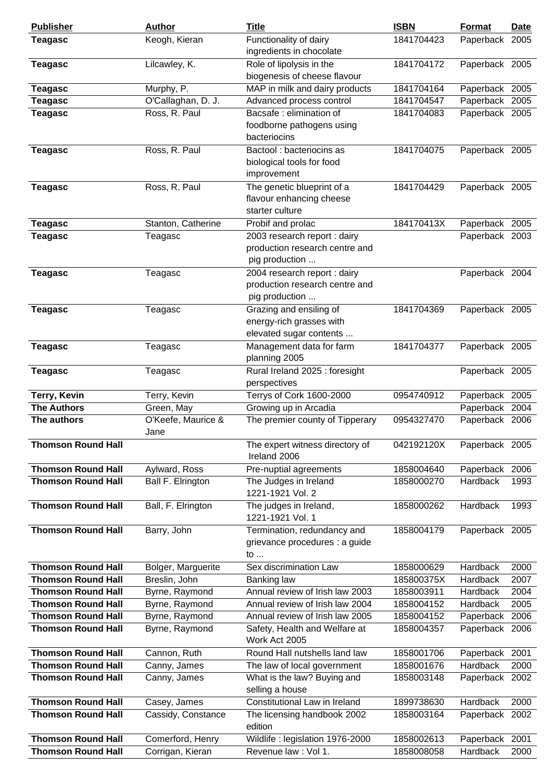| <b>Publisher</b>          | <b>Author</b>      | <b>Title</b>                                                   | <b>ISBN</b> | Format         | <b>Date</b> |
|---------------------------|--------------------|----------------------------------------------------------------|-------------|----------------|-------------|
| <b>Teagasc</b>            | Keogh, Kieran      | Functionality of dairy                                         | 1841704423  | Paperback 2005 |             |
|                           |                    | ingredients in chocolate                                       |             |                |             |
| <b>Teagasc</b>            | Lilcawley, K.      | Role of lipolysis in the                                       | 1841704172  | Paperback 2005 |             |
|                           |                    | biogenesis of cheese flavour                                   |             |                |             |
| <b>Teagasc</b>            | Murphy, P.         | MAP in milk and dairy products                                 | 1841704164  | Paperback 2005 |             |
| <b>Teagasc</b>            | O'Callaghan, D. J. | Advanced process control                                       | 1841704547  | Paperback 2005 |             |
| <b>Teagasc</b>            | Ross, R. Paul      | Bacsafe: elimination of                                        | 1841704083  | Paperback 2005 |             |
|                           |                    | foodborne pathogens using                                      |             |                |             |
|                           |                    | bacteriocins                                                   |             |                |             |
| <b>Teagasc</b>            | Ross, R. Paul      | Bactool: bacteriocins as                                       | 1841704075  | Paperback 2005 |             |
|                           |                    | biological tools for food                                      |             |                |             |
|                           |                    | improvement                                                    |             |                |             |
| <b>Teagasc</b>            | Ross, R. Paul      | The genetic blueprint of a                                     | 1841704429  | Paperback 2005 |             |
|                           |                    | flavour enhancing cheese                                       |             |                |             |
|                           |                    | starter culture                                                |             |                |             |
| <b>Teagasc</b>            | Stanton, Catherine | Probif and prolac                                              | 184170413X  | Paperback 2005 |             |
| <b>Teagasc</b>            | Teagasc            | 2003 research report : dairy<br>production research centre and |             | Paperback 2003 |             |
|                           |                    | pig production                                                 |             |                |             |
| <b>Teagasc</b>            |                    | 2004 research report : dairy                                   |             | Paperback 2004 |             |
|                           | Teagasc            | production research centre and                                 |             |                |             |
|                           |                    | pig production                                                 |             |                |             |
| <b>Teagasc</b>            | Teagasc            | Grazing and ensiling of                                        | 1841704369  | Paperback 2005 |             |
|                           |                    | energy-rich grasses with                                       |             |                |             |
|                           |                    | elevated sugar contents                                        |             |                |             |
| <b>Teagasc</b>            | Teagasc            | Management data for farm                                       | 1841704377  | Paperback 2005 |             |
|                           |                    | planning 2005                                                  |             |                |             |
| <b>Teagasc</b>            | Teagasc            | Rural Ireland 2025 : foresight                                 |             | Paperback 2005 |             |
|                           |                    | perspectives                                                   |             |                |             |
| Terry, Kevin              | Terry, Kevin       | Terrys of Cork 1600-2000                                       | 0954740912  | Paperback 2005 |             |
| <b>The Authors</b>        | Green, May         | Growing up in Arcadia                                          |             | Paperback 2004 |             |
| The authors               | O'Keefe, Maurice & | The premier county of Tipperary                                | 0954327470  | Paperback 2006 |             |
|                           | Jane               |                                                                |             |                |             |
| <b>Thomson Round Hall</b> |                    | The expert witness directory of                                | 042192120X  | Paperback 2005 |             |
|                           |                    | Ireland 2006                                                   |             |                |             |
| <b>Thomson Round Hall</b> | Aylward, Ross      | Pre-nuptial agreements                                         | 1858004640  | Paperback      | 2006        |
| <b>Thomson Round Hall</b> | Ball F. Elrington  | The Judges in Ireland                                          | 1858000270  | Hardback       | 1993        |
|                           |                    | 1221-1921 Vol. 2                                               |             |                |             |
| <b>Thomson Round Hall</b> | Ball, F. Elrington | The judges in Ireland,                                         | 1858000262  | Hardback       | 1993        |
|                           |                    | 1221-1921 Vol. 1                                               |             |                |             |
| <b>Thomson Round Hall</b> | Barry, John        | Termination, redundancy and                                    | 1858004179  | Paperback 2005 |             |
|                           |                    | grievance procedures : a guide<br>to $\ldots$                  |             |                |             |
| <b>Thomson Round Hall</b> | Bolger, Marguerite | Sex discrimination Law                                         | 1858000629  | Hardback       | 2000        |
| <b>Thomson Round Hall</b> | Breslin, John      | <b>Banking law</b>                                             | 185800375X  | Hardback       | 2007        |
| <b>Thomson Round Hall</b> | Byrne, Raymond     | Annual review of Irish law 2003                                | 1858003911  | Hardback       | 2004        |
| <b>Thomson Round Hall</b> | Byrne, Raymond     | Annual review of Irish law 2004                                | 1858004152  | Hardback       | 2005        |
| <b>Thomson Round Hall</b> | Byrne, Raymond     | Annual review of Irish law 2005                                | 1858004152  | Paperback      | 2006        |
| <b>Thomson Round Hall</b> | Byrne, Raymond     | Safety, Health and Welfare at                                  | 1858004357  | Paperback 2006 |             |
|                           |                    | Work Act 2005                                                  |             |                |             |
| <b>Thomson Round Hall</b> | Cannon, Ruth       | Round Hall nutshells land law                                  | 1858001706  | Paperback      | 2001        |
| <b>Thomson Round Hall</b> | Canny, James       | The law of local government                                    | 1858001676  | Hardback       | 2000        |
| <b>Thomson Round Hall</b> | Canny, James       | What is the law? Buying and                                    | 1858003148  | Paperback 2002 |             |
|                           |                    | selling a house                                                |             |                |             |
| <b>Thomson Round Hall</b> | Casey, James       | Constitutional Law in Ireland                                  | 1899738630  | Hardback       | 2000        |
| <b>Thomson Round Hall</b> | Cassidy, Constance | The licensing handbook 2002                                    | 1858003164  | Paperback 2002 |             |
|                           |                    | edition                                                        |             |                |             |
| <b>Thomson Round Hall</b> | Comerford, Henry   | Wildlife: legislation 1976-2000                                | 1858002613  | Paperback      | 2001        |
| <b>Thomson Round Hall</b> | Corrigan, Kieran   | Revenue law: Vol 1.                                            | 1858008058  | Hardback       | 2000        |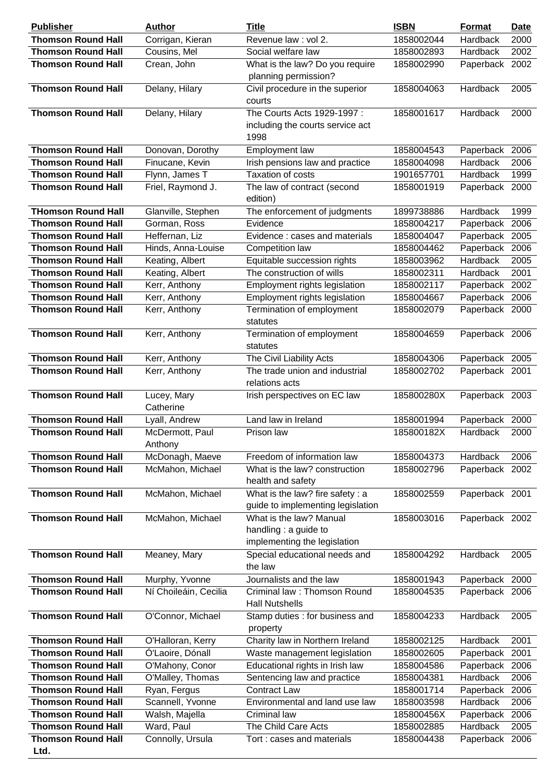| <b>Publisher</b>          | <b>Author</b>              | <b>Title</b>                                            | <b>ISBN</b> | Format         | <b>Date</b> |
|---------------------------|----------------------------|---------------------------------------------------------|-------------|----------------|-------------|
| <b>Thomson Round Hall</b> | Corrigan, Kieran           | Revenue law : vol 2.                                    | 1858002044  | Hardback       | 2000        |
| <b>Thomson Round Hall</b> | Cousins, Mel               | Social welfare law                                      | 1858002893  | Hardback       | 2002        |
| <b>Thomson Round Hall</b> | Crean, John                | What is the law? Do you require<br>planning permission? | 1858002990  | Paperback      | 2002        |
| <b>Thomson Round Hall</b> | Delany, Hilary             | Civil procedure in the superior<br>courts               | 1858004063  | Hardback       | 2005        |
| <b>Thomson Round Hall</b> | Delany, Hilary             | The Courts Acts 1929-1997 :                             | 1858001617  | Hardback       | 2000        |
|                           |                            | including the courts service act<br>1998                |             |                |             |
| <b>Thomson Round Hall</b> | Donovan, Dorothy           | Employment law                                          | 1858004543  | Paperback 2006 |             |
| <b>Thomson Round Hall</b> | Finucane, Kevin            | Irish pensions law and practice                         | 1858004098  | Hardback       | 2006        |
| <b>Thomson Round Hall</b> | Flynn, James T             | <b>Taxation of costs</b>                                | 1901657701  | Hardback       | 1999        |
| <b>Thomson Round Hall</b> | Friel, Raymond J.          | The law of contract (second                             | 1858001919  | Paperback      | 2000        |
|                           |                            | edition)                                                |             |                |             |
| <b>THomson Round Hall</b> | Glanville, Stephen         | The enforcement of judgments                            | 1899738886  | Hardback       | 1999        |
| <b>Thomson Round Hall</b> | Gorman, Ross               | Evidence                                                | 1858004217  | Paperback      | 2006        |
| <b>Thomson Round Hall</b> | Heffernan, Liz             | Evidence: cases and materials                           | 1858004047  | Paperback      | 2005        |
| <b>Thomson Round Hall</b> | Hinds, Anna-Louise         | Competition law                                         | 1858004462  | Paperback      | 2006        |
| <b>Thomson Round Hall</b> | Keating, Albert            | Equitable succession rights                             | 1858003962  | Hardback       | 2005        |
| <b>Thomson Round Hall</b> | Keating, Albert            | The construction of wills                               | 1858002311  | Hardback       | 2001        |
| <b>Thomson Round Hall</b> | Kerr, Anthony              | Employment rights legislation                           | 1858002117  | Paperback      | 2002        |
| <b>Thomson Round Hall</b> | Kerr, Anthony              | Employment rights legislation                           | 1858004667  | Paperback 2006 |             |
| <b>Thomson Round Hall</b> | Kerr, Anthony              | Termination of employment                               | 1858002079  | Paperback 2000 |             |
|                           |                            | statutes                                                |             |                |             |
| <b>Thomson Round Hall</b> | Kerr, Anthony              | Termination of employment                               | 1858004659  | Paperback 2006 |             |
|                           |                            | statutes                                                |             |                |             |
| <b>Thomson Round Hall</b> | Kerr, Anthony              | The Civil Liability Acts                                | 1858004306  | Paperback 2005 |             |
| <b>Thomson Round Hall</b> | Kerr, Anthony              | The trade union and industrial                          | 1858002702  | Paperback 2001 |             |
|                           |                            | relations acts                                          |             |                |             |
| <b>Thomson Round Hall</b> | Lucey, Mary                | Irish perspectives on EC law                            | 185800280X  | Paperback 2003 |             |
|                           | Catherine                  |                                                         |             |                |             |
| <b>Thomson Round Hall</b> | Lyall, Andrew              | Land law in Ireland                                     | 1858001994  | Paperback      | 2000        |
| <b>Thomson Round Hall</b> | McDermott, Paul<br>Anthony | Prison law                                              | 185800182X  | Hardback       | 2000        |
| <b>Thomson Round Hall</b> | McDonagh, Maeve            | Freedom of information law                              | 1858004373  | Hardback       | 2006        |
| <b>Thomson Round Hall</b> | McMahon, Michael           | What is the law? construction                           | 1858002796  | Paperback 2002 |             |
|                           |                            | health and safety                                       |             |                |             |
| <b>Thomson Round Hall</b> | McMahon, Michael           | What is the law? fire safety : a                        | 1858002559  | Paperback 2001 |             |
|                           |                            | guide to implementing legislation                       |             |                |             |
| <b>Thomson Round Hall</b> | McMahon, Michael           | What is the law? Manual                                 | 1858003016  | Paperback 2002 |             |
|                           |                            | handling : a guide to                                   |             |                |             |
|                           |                            | implementing the legislation                            |             |                |             |
| <b>Thomson Round Hall</b> | Meaney, Mary               | Special educational needs and                           | 1858004292  | Hardback       | 2005        |
|                           |                            | the law                                                 |             |                |             |
| <b>Thomson Round Hall</b> | Murphy, Yvonne             | Journalists and the law                                 | 1858001943  | Paperback 2000 |             |
| <b>Thomson Round Hall</b> | Ní Choileáin, Cecilia      | Criminal law: Thomson Round<br><b>Hall Nutshells</b>    | 1858004535  | Paperback 2006 |             |
| <b>Thomson Round Hall</b> | O'Connor, Michael          | Stamp duties : for business and                         | 1858004233  | Hardback       | 2005        |
|                           |                            | property                                                |             |                |             |
| <b>Thomson Round Hall</b> | O'Halloran, Kerry          | Charity law in Northern Ireland                         | 1858002125  | Hardback       | 2001        |
| <b>Thomson Round Hall</b> | Ó'Laoire, Dónall           | Waste management legislation                            | 1858002605  | Paperback      | 2001        |
| <b>Thomson Round Hall</b> | O'Mahony, Conor            | Educational rights in Irish law                         | 1858004586  | Paperback      | 2006        |
| <b>Thomson Round Hall</b> | O'Malley, Thomas           | Sentencing law and practice                             | 1858004381  | Hardback       | 2006        |
| <b>Thomson Round Hall</b> | Ryan, Fergus               | <b>Contract Law</b>                                     | 1858001714  | Paperback 2006 |             |
| <b>Thomson Round Hall</b> | Scannell, Yvonne           | Environmental and land use law                          | 1858003598  | Hardback       | 2006        |
| <b>Thomson Round Hall</b> | Walsh, Majella             | Criminal law                                            | 185800456X  | Paperback      | 2006        |
| <b>Thomson Round Hall</b> | Ward, Paul                 | The Child Care Acts                                     | 1858002885  | Hardback       | 2005        |
| <b>Thomson Round Hall</b> | Connolly, Ursula           | Tort: cases and materials                               | 1858004438  | Paperback 2006 |             |
| Ltd.                      |                            |                                                         |             |                |             |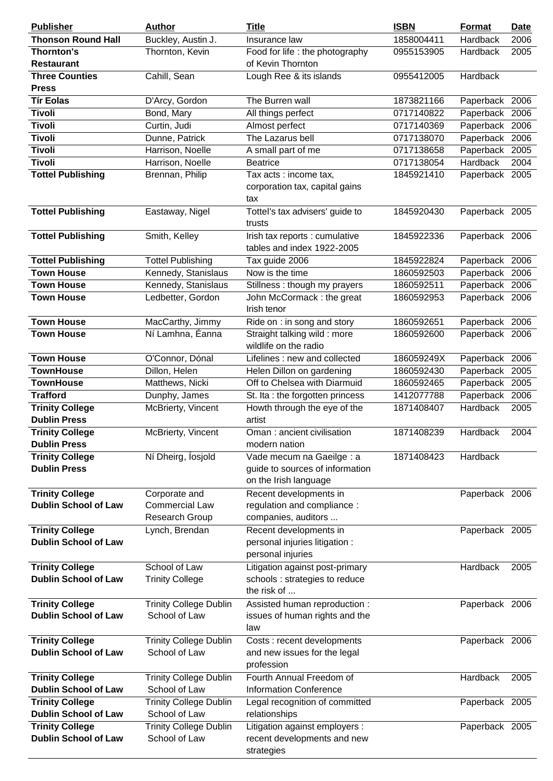| <b>Publisher</b>                                      | <b>Author</b>                 | <b>Title</b>                                                 | <b>ISBN</b> | Format         | <b>Date</b> |
|-------------------------------------------------------|-------------------------------|--------------------------------------------------------------|-------------|----------------|-------------|
| <b>Thonson Round Hall</b>                             | Buckley, Austin J.            | Insurance law                                                | 1858004411  | Hardback       | 2006        |
| <b>Thornton's</b>                                     | Thornton, Kevin               | Food for life : the photography                              | 0955153905  | Hardback       | 2005        |
| <b>Restaurant</b>                                     |                               | of Kevin Thornton                                            |             |                |             |
| <b>Three Counties</b>                                 | Cahill, Sean                  | Lough Ree & its islands                                      | 0955412005  | Hardback       |             |
| <b>Press</b>                                          |                               |                                                              |             |                |             |
| <b>Tír Eolas</b>                                      | D'Arcy, Gordon                | The Burren wall                                              | 1873821166  | Paperback 2006 |             |
| <b>Tivoli</b>                                         | Bond, Mary                    | All things perfect                                           | 0717140822  | Paperback      | 2006        |
| <b>Tivoli</b>                                         | Curtin, Judi                  | Almost perfect                                               | 0717140369  | Paperback      | 2006        |
| <b>Tivoli</b>                                         |                               | The Lazarus bell                                             | 0717138070  |                |             |
|                                                       | Dunne, Patrick                |                                                              |             | Paperback 2006 |             |
| <b>Tivoli</b>                                         | Harrison, Noelle              | A small part of me                                           | 0717138658  | Paperback      | 2005        |
| <b>Tivoli</b>                                         | Harrison, Noelle              | <b>Beatrice</b>                                              | 0717138054  | Hardback       | 2004        |
| <b>Tottel Publishing</b>                              | Brennan, Philip               | Tax acts : income tax,                                       | 1845921410  | Paperback 2005 |             |
|                                                       |                               | corporation tax, capital gains                               |             |                |             |
|                                                       |                               | tax                                                          |             |                |             |
| <b>Tottel Publishing</b>                              | Eastaway, Nigel               | Tottel's tax advisers' guide to<br>trusts                    | 1845920430  | Paperback 2005 |             |
| <b>Tottel Publishing</b>                              | Smith, Kelley                 | Irish tax reports : cumulative<br>tables and index 1922-2005 | 1845922336  | Paperback 2006 |             |
| <b>Tottel Publishing</b>                              | <b>Tottel Publishing</b>      | Tax guide 2006                                               | 1845922824  | Paperback 2006 |             |
| <b>Town House</b>                                     | Kennedy, Stanislaus           | Now is the time                                              | 1860592503  | Paperback 2006 |             |
| <b>Town House</b>                                     | Kennedy, Stanislaus           | Stillness: though my prayers                                 | 1860592511  | Paperback 2006 |             |
| <b>Town House</b>                                     | Ledbetter, Gordon             | John McCormack: the great<br>Irish tenor                     | 1860592953  | Paperback 2006 |             |
| <b>Town House</b>                                     | MacCarthy, Jimmy              | Ride on : in song and story                                  | 1860592651  | Paperback 2006 |             |
| <b>Town House</b>                                     | Ní Lamhna, Éanna              | Straight talking wild: more<br>wildlife on the radio         | 1860592600  | Paperback 2006 |             |
| <b>Town House</b>                                     | O'Connor, Dónal               | Lifelines : new and collected                                | 186059249X  | Paperback      | 2006        |
| <b>TownHouse</b>                                      | Dillon, Helen                 | Helen Dillon on gardening                                    | 1860592430  | Paperback      | 2005        |
| <b>TownHouse</b>                                      | Matthews, Nicki               | Off to Chelsea with Diarmuid                                 | 1860592465  | Paperback      | 2005        |
| <b>Trafford</b>                                       | Dunphy, James                 | St. Ita: the forgotten princess                              | 1412077788  | Paperback      | 2006        |
| <b>Trinity College</b>                                | McBrierty, Vincent            | Howth through the eye of the                                 | 1871408407  | Hardback       | 2005        |
| <b>Dublin Press</b>                                   |                               | artist                                                       |             |                |             |
| <b>Trinity College</b>                                | McBrierty, Vincent            | Oman: ancient civilisation                                   | 1871408239  | Hardback       | 2004        |
| <b>Dublin Press</b>                                   |                               | modern nation                                                |             |                |             |
| <b>Trinity College</b>                                | Ní Dheirg, losjold            | Vade mecum na Gaeilge : a                                    | 1871408423  | Hardback       |             |
| <b>Dublin Press</b>                                   |                               | guide to sources of information<br>on the Irish language     |             |                |             |
| <b>Trinity College</b>                                | Corporate and                 | Recent developments in                                       |             | Paperback 2006 |             |
| <b>Dublin School of Law</b>                           | <b>Commercial Law</b>         | regulation and compliance :                                  |             |                |             |
|                                                       | Research Group                | companies, auditors                                          |             |                |             |
| <b>Trinity College</b>                                | Lynch, Brendan                | Recent developments in                                       |             | Paperback 2005 |             |
| <b>Dublin School of Law</b>                           |                               | personal injuries litigation :                               |             |                |             |
|                                                       |                               | personal injuries                                            |             |                |             |
| <b>Trinity College</b>                                | School of Law                 | Litigation against post-primary                              |             | Hardback       | 2005        |
| <b>Dublin School of Law</b>                           | <b>Trinity College</b>        | schools : strategies to reduce                               |             |                |             |
|                                                       |                               | the risk of                                                  |             |                |             |
| <b>Trinity College</b><br><b>Dublin School of Law</b> | <b>Trinity College Dublin</b> | Assisted human reproduction :                                |             | Paperback 2006 |             |
|                                                       | School of Law                 | issues of human rights and the<br>law                        |             |                |             |
| <b>Trinity College</b>                                | <b>Trinity College Dublin</b> | Costs : recent developments                                  |             | Paperback 2006 |             |
| <b>Dublin School of Law</b>                           | School of Law                 | and new issues for the legal<br>profession                   |             |                |             |
| <b>Trinity College</b>                                | <b>Trinity College Dublin</b> | Fourth Annual Freedom of                                     |             | Hardback       | 2005        |
| <b>Dublin School of Law</b>                           | School of Law                 | <b>Information Conference</b>                                |             |                |             |
| <b>Trinity College</b>                                | <b>Trinity College Dublin</b> | Legal recognition of committed                               |             | Paperback 2005 |             |
| <b>Dublin School of Law</b>                           | School of Law                 | relationships                                                |             |                |             |
| <b>Trinity College</b>                                | <b>Trinity College Dublin</b> | Litigation against employers :                               |             | Paperback 2005 |             |
| <b>Dublin School of Law</b>                           | School of Law                 | recent developments and new                                  |             |                |             |
|                                                       |                               | strategies                                                   |             |                |             |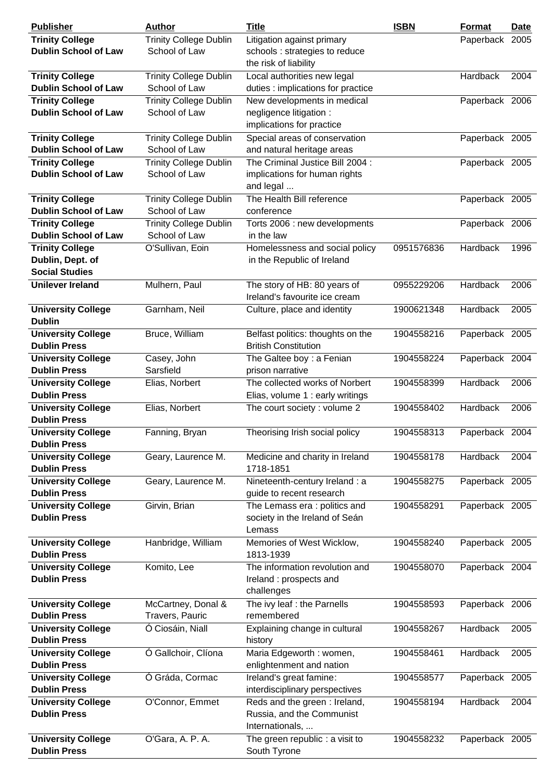| <b>Publisher</b>                                                    | <b>Author</b>                                  | <b>Title</b>                                                                          | <b>ISBN</b> | <b>Format</b>  | <b>Date</b> |
|---------------------------------------------------------------------|------------------------------------------------|---------------------------------------------------------------------------------------|-------------|----------------|-------------|
| <b>Trinity College</b><br><b>Dublin School of Law</b>               | <b>Trinity College Dublin</b><br>School of Law | Litigation against primary<br>schools : strategies to reduce<br>the risk of liability |             | Paperback 2005 |             |
| <b>Trinity College</b><br><b>Dublin School of Law</b>               | <b>Trinity College Dublin</b><br>School of Law | Local authorities new legal<br>duties : implications for practice                     |             | Hardback       | 2004        |
| <b>Trinity College</b><br><b>Dublin School of Law</b>               | <b>Trinity College Dublin</b><br>School of Law | New developments in medical<br>negligence litigation :<br>implications for practice   |             | Paperback 2006 |             |
| <b>Trinity College</b><br><b>Dublin School of Law</b>               | <b>Trinity College Dublin</b><br>School of Law | Special areas of conservation<br>and natural heritage areas                           |             | Paperback 2005 |             |
| <b>Trinity College</b><br><b>Dublin School of Law</b>               | <b>Trinity College Dublin</b><br>School of Law | The Criminal Justice Bill 2004 :<br>implications for human rights<br>and legal        |             | Paperback 2005 |             |
| <b>Trinity College</b><br><b>Dublin School of Law</b>               | <b>Trinity College Dublin</b><br>School of Law | The Health Bill reference<br>conference                                               |             | Paperback 2005 |             |
| <b>Trinity College</b><br><b>Dublin School of Law</b>               | <b>Trinity College Dublin</b><br>School of Law | Torts 2006 : new developments<br>in the law                                           |             | Paperback 2006 |             |
| <b>Trinity College</b><br>Dublin, Dept. of<br><b>Social Studies</b> | O'Sullivan, Eoin                               | Homelessness and social policy<br>in the Republic of Ireland                          | 0951576836  | Hardback       | 1996        |
| <b>Unilever Ireland</b>                                             | Mulhern, Paul                                  | The story of HB: 80 years of<br>Ireland's favourite ice cream                         | 0955229206  | Hardback       | 2006        |
| <b>University College</b><br><b>Dublin</b>                          | Garnham, Neil                                  | Culture, place and identity                                                           | 1900621348  | Hardback       | 2005        |
| <b>University College</b><br><b>Dublin Press</b>                    | Bruce, William                                 | Belfast politics: thoughts on the<br><b>British Constitution</b>                      | 1904558216  | Paperback 2005 |             |
| <b>University College</b><br><b>Dublin Press</b>                    | Casey, John<br>Sarsfield                       | The Galtee boy: a Fenian<br>prison narrative                                          | 1904558224  | Paperback 2004 |             |
| <b>University College</b><br><b>Dublin Press</b>                    | Elias, Norbert                                 | The collected works of Norbert<br>Elias, volume 1 : early writings                    | 1904558399  | Hardback       | 2006        |
| <b>University College</b><br><b>Dublin Press</b>                    | Elias, Norbert                                 | The court society: volume 2                                                           | 1904558402  | Hardback       | 2006        |
| <b>University College</b><br><b>Dublin Press</b>                    | Fanning, Bryan                                 | Theorising Irish social policy                                                        | 1904558313  | Paperback 2004 |             |
| <b>University College</b><br><b>Dublin Press</b>                    | Geary, Laurence M.                             | Medicine and charity in Ireland<br>1718-1851                                          | 1904558178  | Hardback       | 2004        |
| <b>University College</b><br><b>Dublin Press</b>                    | Geary, Laurence M.                             | Nineteenth-century Ireland : a<br>guide to recent research                            | 1904558275  | Paperback 2005 |             |
| <b>University College</b><br><b>Dublin Press</b>                    | Girvin, Brian                                  | The Lemass era : politics and<br>society in the Ireland of Seán<br>Lemass             | 1904558291  | Paperback 2005 |             |
| <b>University College</b><br><b>Dublin Press</b>                    | Hanbridge, William                             | Memories of West Wicklow,<br>1813-1939                                                | 1904558240  | Paperback 2005 |             |
| <b>University College</b><br><b>Dublin Press</b>                    | Komito, Lee                                    | The information revolution and<br>Ireland: prospects and<br>challenges                | 1904558070  | Paperback 2004 |             |
| <b>University College</b><br><b>Dublin Press</b>                    | McCartney, Donal &<br>Travers, Pauric          | The ivy leaf : the Parnells<br>remembered                                             | 1904558593  | Paperback 2006 |             |
| <b>University College</b><br><b>Dublin Press</b>                    | Ó Ciosáin, Niall                               | Explaining change in cultural<br>history                                              | 1904558267  | Hardback       | 2005        |
| <b>University College</b><br><b>Dublin Press</b>                    | Ó Gallchoir, Clíona                            | Maria Edgeworth: women,<br>enlightenment and nation                                   | 1904558461  | Hardback       | 2005        |
| <b>University College</b><br><b>Dublin Press</b>                    | Ó Gráda, Cormac                                | Ireland's great famine:<br>interdisciplinary perspectives                             | 1904558577  | Paperback 2005 |             |
| <b>University College</b><br><b>Dublin Press</b>                    | O'Connor, Emmet                                | Reds and the green: Ireland,<br>Russia, and the Communist<br>Internationals,          | 1904558194  | Hardback       | 2004        |
| <b>University College</b><br><b>Dublin Press</b>                    | O'Gara, A. P. A.                               | The green republic : a visit to<br>South Tyrone                                       | 1904558232  | Paperback 2005 |             |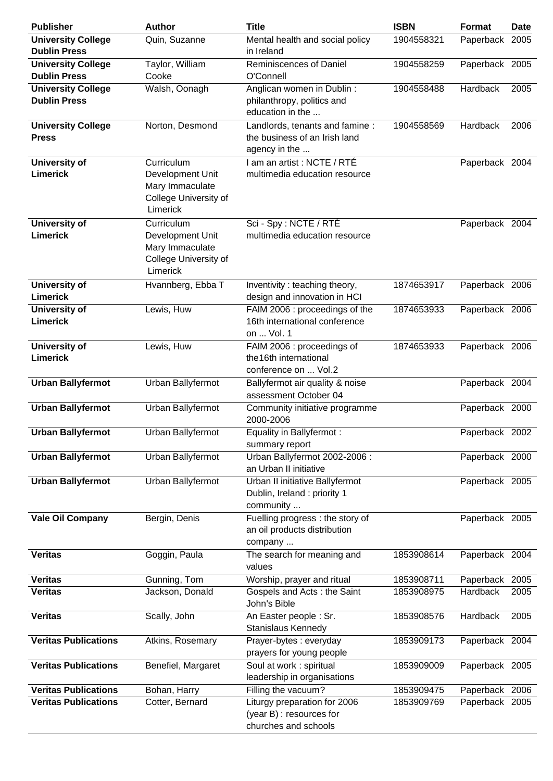| <b>Publisher</b>                                 | <b>Author</b>                                                            | <b>Title</b>                                                                      | <b>ISBN</b> | Format         | Date |
|--------------------------------------------------|--------------------------------------------------------------------------|-----------------------------------------------------------------------------------|-------------|----------------|------|
| <b>University College</b><br><b>Dublin Press</b> | Quin, Suzanne                                                            | Mental health and social policy<br>in Ireland                                     | 1904558321  | Paperback 2005 |      |
| <b>University College</b>                        | Taylor, William                                                          | <b>Reminiscences of Daniel</b>                                                    | 1904558259  | Paperback 2005 |      |
| <b>Dublin Press</b>                              | Cooke                                                                    | O'Connell                                                                         |             |                |      |
| <b>University College</b>                        | Walsh, Oonagh                                                            | Anglican women in Dublin:                                                         | 1904558488  | Hardback       | 2005 |
| <b>Dublin Press</b>                              |                                                                          | philanthropy, politics and<br>education in the                                    |             |                |      |
| <b>University College</b><br><b>Press</b>        | Norton, Desmond                                                          | Landlords, tenants and famine :<br>the business of an Irish land<br>agency in the | 1904558569  | Hardback       | 2006 |
| University of                                    | Curriculum                                                               | I am an artist : NCTE / RTÉ                                                       |             | Paperback 2004 |      |
| Limerick                                         | Development Unit<br>Mary Immaculate<br>College University of<br>Limerick | multimedia education resource                                                     |             |                |      |
| <b>University of</b>                             | Curriculum                                                               | Sci - Spy: NCTE / RTÉ                                                             |             | Paperback 2004 |      |
| <b>Limerick</b>                                  | Development Unit<br>Mary Immaculate<br>College University of<br>Limerick | multimedia education resource                                                     |             |                |      |
| University of<br><b>Limerick</b>                 | Hvannberg, Ebba T                                                        | Inventivity: teaching theory,<br>design and innovation in HCI                     | 1874653917  | Paperback 2006 |      |
| <b>University of</b>                             | Lewis, Huw                                                               | FAIM 2006 : proceedings of the                                                    | 1874653933  | Paperback 2006 |      |
| Limerick                                         |                                                                          | 16th international conference<br>on  Vol. 1                                       |             |                |      |
| <b>University of</b>                             | Lewis, Huw                                                               | FAIM 2006 : proceedings of                                                        | 1874653933  | Paperback 2006 |      |
| <b>Limerick</b>                                  |                                                                          | the 16th international<br>conference on  Vol.2                                    |             |                |      |
| <b>Urban Ballyfermot</b>                         | Urban Ballyfermot                                                        | Ballyfermot air quality & noise<br>assessment October 04                          |             | Paperback 2004 |      |
| <b>Urban Ballyfermot</b>                         | Urban Ballyfermot                                                        | Community initiative programme<br>2000-2006                                       |             | Paperback 2000 |      |
| <b>Urban Ballyfermot</b>                         | Urban Ballyfermot                                                        | Equality in Ballyfermot:<br>summary report                                        |             | Paperback 2002 |      |
| <b>Urban Ballyfermot</b>                         | Urban Ballyfermot                                                        | Urban Ballyfermot 2002-2006 :<br>an Urban II initiative                           |             | Paperback 2000 |      |
| <b>Urban Ballyfermot</b>                         | Urban Ballyfermot                                                        | Urban II initiative Ballyfermot<br>Dublin, Ireland: priority 1<br>community       |             | Paperback 2005 |      |
| <b>Vale Oil Company</b>                          | Bergin, Denis                                                            | Fuelling progress : the story of<br>an oil products distribution<br>company       |             | Paperback 2005 |      |
| <b>Veritas</b>                                   | Goggin, Paula                                                            | The search for meaning and<br>values                                              | 1853908614  | Paperback 2004 |      |
| <b>Veritas</b>                                   | Gunning, Tom                                                             | Worship, prayer and ritual                                                        | 1853908711  | Paperback      | 2005 |
| <b>Veritas</b>                                   | Jackson, Donald                                                          | Gospels and Acts: the Saint                                                       | 1853908975  | Hardback       | 2005 |
|                                                  |                                                                          | John's Bible                                                                      |             |                |      |
| <b>Veritas</b>                                   | Scally, John                                                             | An Easter people : Sr.<br>Stanislaus Kennedy                                      | 1853908576  | Hardback       | 2005 |
| <b>Veritas Publications</b>                      | Atkins, Rosemary                                                         | Prayer-bytes: everyday<br>prayers for young people                                | 1853909173  | Paperback 2004 |      |
| <b>Veritas Publications</b>                      | Benefiel, Margaret                                                       | Soul at work : spiritual<br>leadership in organisations                           | 1853909009  | Paperback 2005 |      |
| <b>Veritas Publications</b>                      | Bohan, Harry                                                             | Filling the vacuum?                                                               | 1853909475  | Paperback 2006 |      |
| <b>Veritas Publications</b>                      | Cotter, Bernard                                                          | Liturgy preparation for 2006                                                      | 1853909769  | Paperback 2005 |      |
|                                                  |                                                                          | (year B) : resources for<br>churches and schools                                  |             |                |      |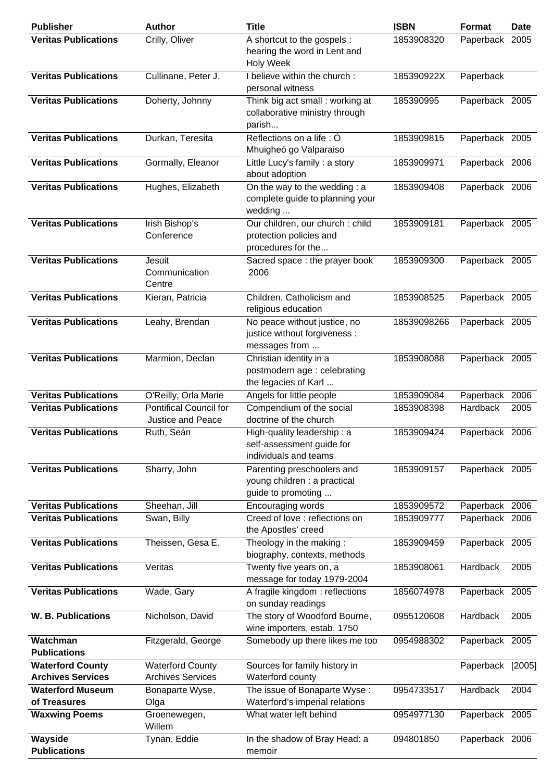| <b>Publisher</b>                                    | <b>Author</b>                                             | <b>Title</b>                                                                     | <b>ISBN</b> | Format         | Date   |
|-----------------------------------------------------|-----------------------------------------------------------|----------------------------------------------------------------------------------|-------------|----------------|--------|
| <b>Veritas Publications</b>                         | Crilly, Oliver                                            | A shortcut to the gospels :<br>hearing the word in Lent and<br><b>Holy Week</b>  | 1853908320  | Paperback 2005 |        |
| <b>Veritas Publications</b>                         | Cullinane, Peter J.                                       | I believe within the church:<br>personal witness                                 | 185390922X  | Paperback      |        |
| <b>Veritas Publications</b>                         | Doherty, Johnny                                           | Think big act small: working at<br>collaborative ministry through<br>parish      | 185390995   | Paperback 2005 |        |
| <b>Veritas Publications</b>                         | Durkan, Teresita                                          | Reflections on a life : Ó<br>Mhuigheó go Valparaiso                              | 1853909815  | Paperback 2005 |        |
| <b>Veritas Publications</b>                         | Gormally, Eleanor                                         | Little Lucy's family: a story<br>about adoption                                  | 1853909971  | Paperback 2006 |        |
| <b>Veritas Publications</b>                         | Hughes, Elizabeth                                         | On the way to the wedding: a<br>complete guide to planning your<br>wedding       | 1853909408  | Paperback 2006 |        |
| <b>Veritas Publications</b>                         | Irish Bishop's<br>Conference                              | Our children, our church: child<br>protection policies and<br>procedures for the | 1853909181  | Paperback 2005 |        |
| <b>Veritas Publications</b>                         | Jesuit<br>Communication<br>Centre                         | Sacred space : the prayer book<br>2006                                           | 1853909300  | Paperback 2005 |        |
| <b>Veritas Publications</b>                         | Kieran, Patricia                                          | Children, Catholicism and<br>religious education                                 | 1853908525  | Paperback 2005 |        |
| <b>Veritas Publications</b>                         | Leahy, Brendan                                            | No peace without justice, no<br>justice without forgiveness :<br>messages from   | 18539098266 | Paperback 2005 |        |
| <b>Veritas Publications</b>                         | Marmion, Declan                                           | Christian identity in a<br>postmodern age : celebrating<br>the legacies of Karl  | 1853908088  | Paperback 2005 |        |
| <b>Veritas Publications</b>                         | O'Reilly, Orla Marie                                      | Angels for little people                                                         | 1853909084  | Paperback 2006 |        |
| <b>Veritas Publications</b>                         | <b>Pontifical Council for</b><br><b>Justice and Peace</b> | Compendium of the social<br>doctrine of the church                               | 1853908398  | Hardback       | 2005   |
| <b>Veritas Publications</b>                         | Ruth, Seán                                                | High-quality leadership: a<br>self-assessment guide for<br>individuals and teams | 1853909424  | Paperback 2006 |        |
| <b>Veritas Publications</b>                         | Sharry, John                                              | Parenting preschoolers and<br>young children : a practical<br>guide to promoting | 1853909157  | Paperback 2005 |        |
| <b>Veritas Publications</b>                         | Sheehan, Jill                                             | <b>Encouraging words</b>                                                         | 1853909572  | Paperback 2006 |        |
| <b>Veritas Publications</b>                         | Swan, Billy                                               | Creed of love: reflections on<br>the Apostles' creed                             | 1853909777  | Paperback 2006 |        |
| <b>Veritas Publications</b>                         | Theissen, Gesa E.                                         | Theology in the making:<br>biography, contexts, methods                          | 1853909459  | Paperback 2005 |        |
| <b>Veritas Publications</b>                         | Veritas                                                   | Twenty five years on, a<br>message for today 1979-2004                           | 1853908061  | Hardback       | 2005   |
| <b>Veritas Publications</b>                         | Wade, Gary                                                | A fragile kingdom: reflections<br>on sunday readings                             | 1856074978  | Paperback 2005 |        |
| <b>W. B. Publications</b>                           | Nicholson, David                                          | The story of Woodford Bourne,<br>wine importers, estab. 1750                     | 0955120608  | Hardback       | 2005   |
| Watchman<br><b>Publications</b>                     | Fitzgerald, George                                        | Somebody up there likes me too                                                   | 0954988302  | Paperback 2005 |        |
| <b>Waterford County</b><br><b>Archives Services</b> | <b>Waterford County</b><br><b>Archives Services</b>       | Sources for family history in<br>Waterford county                                |             | Paperback      | [2005] |
| <b>Waterford Museum</b><br>of Treasures             | Bonaparte Wyse,<br>Olga                                   | The issue of Bonaparte Wyse:<br>Waterford's imperial relations                   | 0954733517  | Hardback       | 2004   |
| <b>Waxwing Poems</b>                                | Groenewegen,<br>Willem                                    | What water left behind                                                           | 0954977130  | Paperback 2005 |        |
| Wayside<br><b>Publications</b>                      | Tynan, Eddie                                              | In the shadow of Bray Head: a<br>memoir                                          | 094801850   | Paperback 2006 |        |